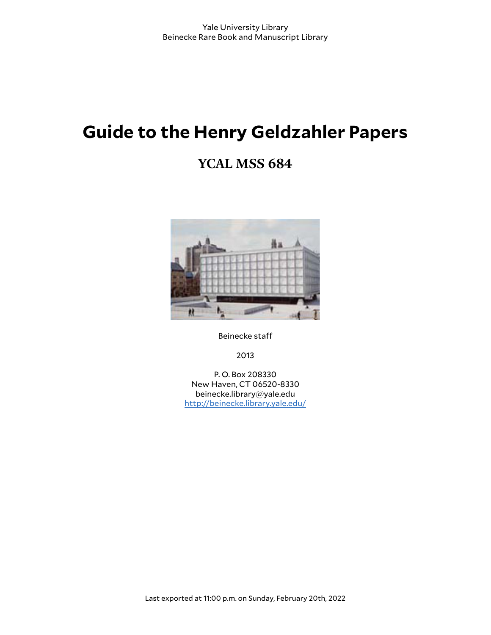# **Guide to the Henry Geldzahler Papers**

# **YCAL MSS 684**



Beinecke sta

2013

P. O. Box 208330 New Haven, CT 06520-8330 beinecke.library@yale.edu <http://beinecke.library.yale.edu/>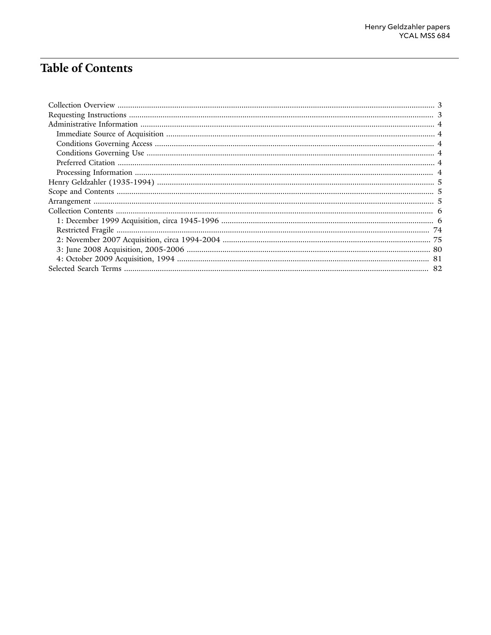## **Table of Contents**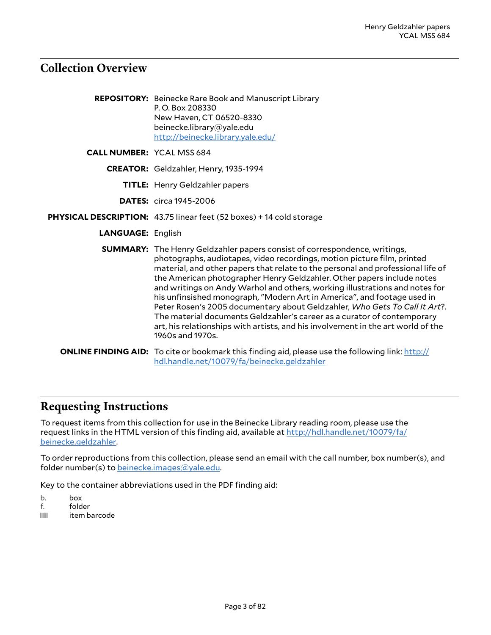### <span id="page-2-0"></span>**Collection Overview**

|                                  | <b>REPOSITORY:</b> Beinecke Rare Book and Manuscript Library<br>P.O. Box 208330<br>New Haven, CT 06520-8330<br>beinecke.library@yale.edu<br>http://beinecke.library.yale.edu/                                                                                                                                                                                                                                                                                                                                                                                                                                                                                                                                                                       |
|----------------------------------|-----------------------------------------------------------------------------------------------------------------------------------------------------------------------------------------------------------------------------------------------------------------------------------------------------------------------------------------------------------------------------------------------------------------------------------------------------------------------------------------------------------------------------------------------------------------------------------------------------------------------------------------------------------------------------------------------------------------------------------------------------|
| <b>CALL NUMBER: YCAL MSS 684</b> |                                                                                                                                                                                                                                                                                                                                                                                                                                                                                                                                                                                                                                                                                                                                                     |
|                                  | CREATOR: Geldzahler, Henry, 1935-1994                                                                                                                                                                                                                                                                                                                                                                                                                                                                                                                                                                                                                                                                                                               |
|                                  | <b>TITLE:</b> Henry Geldzahler papers                                                                                                                                                                                                                                                                                                                                                                                                                                                                                                                                                                                                                                                                                                               |
|                                  | <b>DATES:</b> circa 1945-2006                                                                                                                                                                                                                                                                                                                                                                                                                                                                                                                                                                                                                                                                                                                       |
|                                  | PHYSICAL DESCRIPTION: 43.75 linear feet (52 boxes) + 14 cold storage                                                                                                                                                                                                                                                                                                                                                                                                                                                                                                                                                                                                                                                                                |
| <b>LANGUAGE: English</b>         |                                                                                                                                                                                                                                                                                                                                                                                                                                                                                                                                                                                                                                                                                                                                                     |
|                                  | <b>SUMMARY:</b> The Henry Geldzahler papers consist of correspondence, writings,<br>photographs, audiotapes, video recordings, motion picture film, printed<br>material, and other papers that relate to the personal and professional life of<br>the American photographer Henry Geldzahler. Other papers include notes<br>and writings on Andy Warhol and others, working illustrations and notes for<br>his unfinsished monograph, "Modern Art in America", and footage used in<br>Peter Rosen's 2005 documentary about Geldzahler, Who Gets To Call It Art?.<br>The material documents Geldzahler's career as a curator of contemporary<br>art, his relationships with artists, and his involvement in the art world of the<br>1960s and 1970s. |
|                                  | <b>ONLINE FINDING AID:</b> To cite or bookmark this finding aid, please use the following link: http://<br>hdl.handle.net/10079/fa/beinecke.geldzahler                                                                                                                                                                                                                                                                                                                                                                                                                                                                                                                                                                                              |

### <span id="page-2-1"></span>**Requesting Instructions**

To request items from this collection for use in the Beinecke Library reading room, please use the request links in the HTML version of this finding aid, available at [http://hdl.handle.net/10079/fa/](http://hdl.handle.net/10079/fa/beinecke.geldzahler) [beinecke.geldzahler](http://hdl.handle.net/10079/fa/beinecke.geldzahler).

To order reproductions from this collection, please send an email with the call number, box number(s), and folder number(s) to [beinecke.images@yale.edu.](mailto:beinecke.images@yale.edu)

Key to the container abbreviations used in the PDF finding aid:

- b. box
- f. folder
- **iffer** item barcode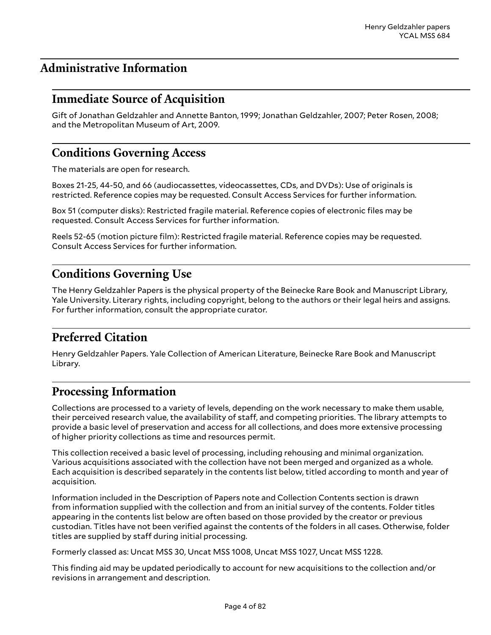### <span id="page-3-0"></span>**Administrative Information**

#### <span id="page-3-1"></span>**Immediate Source of Acquisition**

Gift of Jonathan Geldzahler and Annette Banton, 1999; Jonathan Geldzahler, 2007; Peter Rosen, 2008; and the Metropolitan Museum of Art, 2009.

### <span id="page-3-2"></span>**Conditions Governing Access**

The materials are open for research.

Boxes 21-25, 44-50, and 66 (audiocassettes, videocassettes, CDs, and DVDs): Use of originals is restricted. Reference copies may be requested. Consult Access Services for further information.

Box 51 (computer disks): Restricted fragile material. Reference copies of electronic files may be requested. Consult Access Services for further information.

Reels 52-65 (motion picture film): Restricted fragile material. Reference copies may be requested. Consult Access Services for further information.

#### <span id="page-3-3"></span>**Conditions Governing Use**

The Henry Geldzahler Papers is the physical property of the Beinecke Rare Book and Manuscript Library, Yale University. Literary rights, including copyright, belong to the authors or their legal heirs and assigns. For further information, consult the appropriate curator.

### <span id="page-3-4"></span>**Preferred Citation**

Henry Geldzahler Papers. Yale Collection of American Literature, Beinecke Rare Book and Manuscript Library.

#### <span id="page-3-5"></span>**Processing Information**

Collections are processed to a variety of levels, depending on the work necessary to make them usable, their perceived research value, the availability of staff, and competing priorities. The library attempts to provide a basic level of preservation and access for all collections, and does more extensive processing of higher priority collections as time and resources permit.

This collection received a basic level of processing, including rehousing and minimal organization. Various acquisitions associated with the collection have not been merged and organized as a whole. Each acquisition is described separately in the contents list below, titled according to month and year of acquisition.

Information included in the Description of Papers note and Collection Contents section is drawn from information supplied with the collection and from an initial survey of the contents. Folder titles appearing in the contents list below are often based on those provided by the creator or previous custodian. Titles have not been verified against the contents of the folders in all cases. Otherwise, folder titles are supplied by staff during initial processing.

Formerly classed as: Uncat MSS 30, Uncat MSS 1008, Uncat MSS 1027, Uncat MSS 1228.

This finding aid may be updated periodically to account for new acquisitions to the collection and/or revisions in arrangement and description.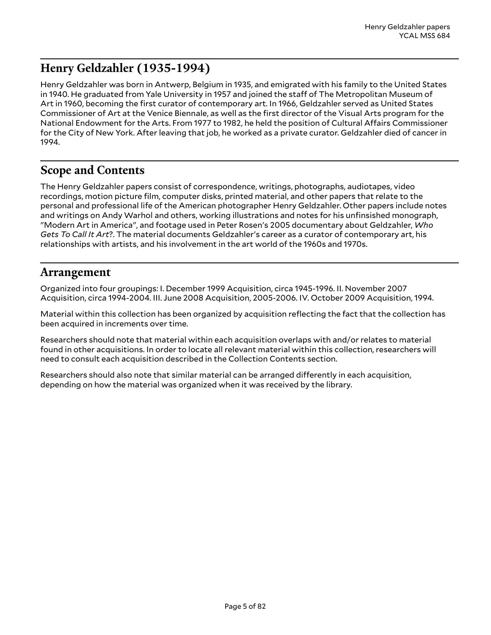### <span id="page-4-0"></span>**Henry Geldzahler (1935-1994)**

Henry Geldzahler was born in Antwerp, Belgium in 1935, and emigrated with his family to the United States in 1940. He graduated from Yale University in 1957 and joined the staff of The Metropolitan Museum of Art in 1960, becoming the first curator of contemporary art. In 1966, Geldzahler served as United States Commissioner of Art at the Venice Biennale, as well as the first director of the Visual Arts program for the National Endowment for the Arts. From 1977 to 1982, he held the position of Cultural Affairs Commissioner for the City of New York. After leaving that job, he worked as a private curator. Geldzahler died of cancer in 1994.

### <span id="page-4-1"></span>**Scope and Contents**

The Henry Geldzahler papers consist of correspondence, writings, photographs, audiotapes, video recordings, motion picture film, computer disks, printed material, and other papers that relate to the personal and professional life of the American photographer Henry Geldzahler. Other papers include notes and writings on Andy Warhol and others, working illustrations and notes for his unfinsished monograph, "Modern Art in America", and footage used in Peter Rosen's 2005 documentary about Geldzahler, *Who Gets To Call It Art*?. The material documents Geldzahler's career as a curator of contemporary art, his relationships with artists, and his involvement in the art world of the 1960s and 1970s.

### <span id="page-4-2"></span>**Arrangement**

Organized into four groupings: I. December 1999 Acquisition, circa 1945-1996. II. November 2007 Acquisition, circa 1994-2004. III. June 2008 Acquisition, 2005-2006. IV. October 2009 Acquisition, 1994.

Material within this collection has been organized by acquisition reflecting the fact that the collection has been acquired in increments over time.

Researchers should note that material within each acquisition overlaps with and/or relates to material found in other acquisitions. In order to locate all relevant material within this collection, researchers will need to consult each acquisition described in the Collection Contents section.

Researchers should also note that similar material can be arranged differently in each acquisition, depending on how the material was organized when it was received by the library.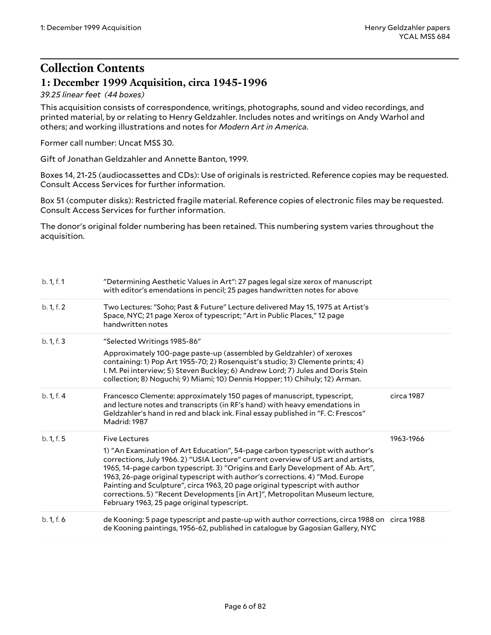### <span id="page-5-0"></span>**Collection Contents 1: December 1999 Acquisition, circa 1945-1996**

#### <span id="page-5-1"></span>*39.25 linear feet (44 boxes)*

This acquisition consists of correspondence, writings, photographs, sound and video recordings, and printed material, by or relating to Henry Geldzahler. Includes notes and writings on Andy Warhol and others; and working illustrations and notes for *Modern Art in America*.

Former call number: Uncat MSS 30.

Gift of Jonathan Geldzahler and Annette Banton, 1999.

Boxes 14, 21-25 (audiocassettes and CDs): Use of originals is restricted. Reference copies may be requested. Consult Access Services for further information.

Box 51 (computer disks): Restricted fragile material. Reference copies of electronic files may be requested. Consult Access Services for further information.

The donor's original folder numbering has been retained. This numbering system varies throughout the acquisition.

| b. 1, f. 1 | "Determining Aesthetic Values in Art": 27 pages legal size xerox of manuscript<br>with editor's emendations in pencil; 25 pages handwritten notes for above                                                                                                                                                                                                                                                                                                                                                                                          |            |
|------------|------------------------------------------------------------------------------------------------------------------------------------------------------------------------------------------------------------------------------------------------------------------------------------------------------------------------------------------------------------------------------------------------------------------------------------------------------------------------------------------------------------------------------------------------------|------------|
| b. 1, f. 2 | Two Lectures: "Soho; Past & Future" Lecture delivered May 15, 1975 at Artist's<br>Space, NYC; 21 page Xerox of typescript; "Art in Public Places," 12 page<br>handwritten notes                                                                                                                                                                                                                                                                                                                                                                      |            |
| b. 1, f. 3 | "Selected Writings 1985-86"                                                                                                                                                                                                                                                                                                                                                                                                                                                                                                                          |            |
|            | Approximately 100-page paste-up (assembled by Geldzahler) of xeroxes<br>containing: 1) Pop Art 1955-70; 2) Rosenquist's studio; 3) Clemente prints; 4)<br>I. M. Pei interview; 5) Steven Buckley; 6) Andrew Lord; 7) Jules and Doris Stein<br>collection; 8) Noguchi; 9) Miami; 10) Dennis Hopper; 11) Chihuly; 12) Arman.                                                                                                                                                                                                                           |            |
| b. 1, f. 4 | Francesco Clemente: approximately 150 pages of manuscript, typescript,<br>and lecture notes and transcripts (in RF's hand) with heavy emendations in<br>Geldzahler's hand in red and black ink. Final essay published in "F. C: Frescos"<br>Madrid: 1987                                                                                                                                                                                                                                                                                             | circa 1987 |
| b. 1, f. 5 | <b>Five Lectures</b>                                                                                                                                                                                                                                                                                                                                                                                                                                                                                                                                 | 1963-1966  |
|            | 1) "An Examination of Art Education", 54-page carbon typescript with author's<br>corrections, July 1966. 2) "USIA Lecture" current overview of US art and artists,<br>1965, 14-page carbon typescript. 3) "Origins and Early Development of Ab. Art",<br>1963, 26-page original typescript with author's corrections. 4) "Mod. Europe<br>Painting and Sculpture", circa 1963, 20 page original typescript with author<br>corrections. 5) "Recent Developments [in Art]", Metropolitan Museum lecture,<br>February 1963, 25 page original typescript. |            |
| b. 1, f. 6 | de Kooning: 5 page typescript and paste-up with author corrections, circa 1988 on circa 1988<br>de Kooning paintings, 1956-62, published in catalogue by Gagosian Gallery, NYC                                                                                                                                                                                                                                                                                                                                                                       |            |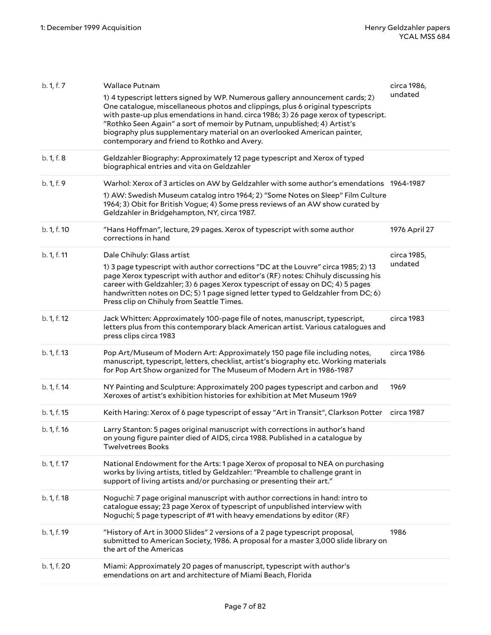| b. 1, f. 7  | <b>Wallace Putnam</b>                                                                                                                                                                                                                                                                                                                                                                                                                                          | circa 1986,   |
|-------------|----------------------------------------------------------------------------------------------------------------------------------------------------------------------------------------------------------------------------------------------------------------------------------------------------------------------------------------------------------------------------------------------------------------------------------------------------------------|---------------|
|             | 1) 4 typescript letters signed by WP. Numerous gallery announcement cards; 2)<br>One catalogue, miscellaneous photos and clippings, plus 6 original typescripts<br>with paste-up plus emendations in hand. circa 1986; 3) 26 page xerox of typescript.<br>"Rothko Seen Again" a sort of memoir by Putnam, unpublished; 4) Artist's<br>biography plus supplementary material on an overlooked American painter,<br>contemporary and friend to Rothko and Avery. | undated       |
| b. 1, f. 8  | Geldzahler Biography: Approximately 12 page typescript and Xerox of typed<br>biographical entries and vita on Geldzahler                                                                                                                                                                                                                                                                                                                                       |               |
| b. 1, f. 9  | Warhol: Xerox of 3 articles on AW by Geldzahler with some author's emendations 1964-1987                                                                                                                                                                                                                                                                                                                                                                       |               |
|             | 1) AW: Swedish Museum catalog intro 1964; 2) "Some Notes on Sleep" Film Culture<br>1964; 3) Obit for British Vogue; 4) Some press reviews of an AW show curated by<br>Geldzahler in Bridgehampton, NY, circa 1987.                                                                                                                                                                                                                                             |               |
| b. 1, f. 10 | "Hans Hoffman", lecture, 29 pages. Xerox of typescript with some author<br>corrections in hand                                                                                                                                                                                                                                                                                                                                                                 | 1976 April 27 |
| b. 1, f. 11 | Dale Chihuly: Glass artist                                                                                                                                                                                                                                                                                                                                                                                                                                     | circa 1985,   |
|             | 1) 3 page typescript with author corrections "DC at the Louvre" circa 1985; 2) 13<br>page Xerox typescript with author and editor's (RF) notes: Chihuly discussing his<br>career with Geldzahler; 3) 6 pages Xerox typescript of essay on DC; 4) 5 pages<br>handwritten notes on DC; 5) 1 page signed letter typed to Geldzahler from DC; 6)<br>Press clip on Chihuly from Seattle Times.                                                                      | undated       |
| b. 1, f. 12 | Jack Whitten: Approximately 100-page file of notes, manuscript, typescript,<br>letters plus from this contemporary black American artist. Various catalogues and<br>press clips circa 1983                                                                                                                                                                                                                                                                     | circa 1983    |
| b. 1, f. 13 | Pop Art/Museum of Modern Art: Approximately 150 page file including notes,<br>manuscript, typescript, letters, checklist, artist's biography etc. Working materials<br>for Pop Art Show organized for The Museum of Modern Art in 1986-1987                                                                                                                                                                                                                    | circa 1986    |
| b. 1, f. 14 | NY Painting and Sculpture: Approximately 200 pages typescript and carbon and<br>Xeroxes of artist's exhibition histories for exhibition at Met Museum 1969                                                                                                                                                                                                                                                                                                     | 1969          |
| b. 1, f. 15 | Keith Haring: Xerox of 6 page typescript of essay "Art in Transit", Clarkson Potter                                                                                                                                                                                                                                                                                                                                                                            | circa 1987    |
| b. 1, f. 16 | Larry Stanton: 5 pages original manuscript with corrections in author's hand<br>on young figure painter died of AIDS, circa 1988. Published in a catalogue by<br><b>Twelvetrees Books</b>                                                                                                                                                                                                                                                                      |               |
| b. 1, f. 17 | National Endowment for the Arts: 1 page Xerox of proposal to NEA on purchasing<br>works by living artists, titled by Geldzahler: "Preamble to challenge grant in<br>support of living artists and/or purchasing or presenting their art."                                                                                                                                                                                                                      |               |
| b. 1, f. 18 | Noguchi: 7 page original manuscript with author corrections in hand: intro to<br>catalogue essay; 23 page Xerox of typescript of unpublished interview with<br>Noguchi; 5 page typescript of #1 with heavy emendations by editor (RF)                                                                                                                                                                                                                          |               |
| b. 1, f. 19 | "History of Art in 3000 Slides" 2 versions of a 2 page typescript proposal,<br>submitted to American Society, 1986. A proposal for a master 3,000 slide library on<br>the art of the Americas                                                                                                                                                                                                                                                                  | 1986          |
| b. 1, f. 20 | Miami: Approximately 20 pages of manuscript, typescript with author's<br>emendations on art and architecture of Miami Beach, Florida                                                                                                                                                                                                                                                                                                                           |               |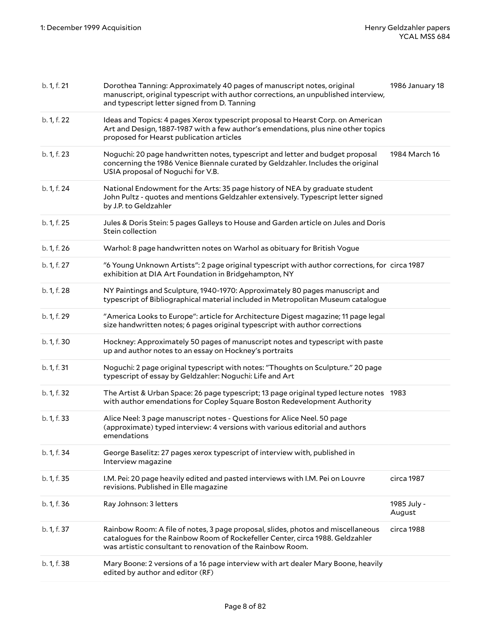| b. 1, f. 21 | Dorothea Tanning: Approximately 40 pages of manuscript notes, original<br>manuscript, original typescript with author corrections, an unpublished interview,<br>and typescript letter signed from D. Tanning                    | 1986 January 18       |
|-------------|---------------------------------------------------------------------------------------------------------------------------------------------------------------------------------------------------------------------------------|-----------------------|
| b. 1, f. 22 | Ideas and Topics: 4 pages Xerox typescript proposal to Hearst Corp. on American<br>Art and Design, 1887-1987 with a few author's emendations, plus nine other topics<br>proposed for Hearst publication articles                |                       |
| b. 1, f. 23 | Noguchi: 20 page handwritten notes, typescript and letter and budget proposal<br>concerning the 1986 Venice Biennale curated by Geldzahler. Includes the original<br>USIA proposal of Noguchi for V.B.                          | 1984 March 16         |
| b. 1, f. 24 | National Endowment for the Arts: 35 page history of NEA by graduate student<br>John Pultz - quotes and mentions Geldzahler extensively. Typescript letter signed<br>by J.P. to Geldzahler                                       |                       |
| b. 1, f. 25 | Jules & Doris Stein: 5 pages Galleys to House and Garden article on Jules and Doris<br>Stein collection                                                                                                                         |                       |
| b. 1, f. 26 | Warhol: 8 page handwritten notes on Warhol as obituary for British Vogue                                                                                                                                                        |                       |
| b. 1, f. 27 | "6 Young Unknown Artists": 2 page original typescript with author corrections, for circa 1987<br>exhibition at DIA Art Foundation in Bridgehampton, NY                                                                          |                       |
| b. 1, f. 28 | NY Paintings and Sculpture, 1940-1970: Approximately 80 pages manuscript and<br>typescript of Bibliographical material included in Metropolitan Museum catalogue                                                                |                       |
| b. 1, f. 29 | "America Looks to Europe": article for Architecture Digest magazine; 11 page legal<br>size handwritten notes; 6 pages original typescript with author corrections                                                               |                       |
| b. 1, f. 30 | Hockney: Approximately 50 pages of manuscript notes and typescript with paste<br>up and author notes to an essay on Hockney's portraits                                                                                         |                       |
| b. 1, f. 31 | Noguchi: 2 page original typescript with notes: "Thoughts on Sculpture." 20 page<br>typescript of essay by Geldzahler: Noguchi: Life and Art                                                                                    |                       |
| b. 1, f. 32 | The Artist & Urban Space: 26 page typescript; 13 page original typed lecture notes 1983<br>with author emendations for Copley Square Boston Redevelopment Authority                                                             |                       |
| b. 1, f. 33 | Alice Neel: 3 page manuscript notes - Questions for Alice Neel. 50 page<br>(approximate) typed interview: 4 versions with various editorial and authors<br>emendations                                                          |                       |
| b. 1, f. 34 | George Baselitz: 27 pages xerox typescript of interview with, published in<br>Interview magazine                                                                                                                                |                       |
| b. 1, f. 35 | I.M. Pei: 20 page heavily edited and pasted interviews with I.M. Pei on Louvre<br>revisions. Published in Elle magazine                                                                                                         | circa 1987            |
| b. 1, f. 36 | Ray Johnson: 3 letters                                                                                                                                                                                                          | 1985 July -<br>August |
| b. 1, f. 37 | Rainbow Room: A file of notes, 3 page proposal, slides, photos and miscellaneous<br>catalogues for the Rainbow Room of Rockefeller Center, circa 1988. Geldzahler<br>was artistic consultant to renovation of the Rainbow Room. | circa 1988            |
| b. 1, f. 38 | Mary Boone: 2 versions of a 16 page interview with art dealer Mary Boone, heavily<br>edited by author and editor (RF)                                                                                                           |                       |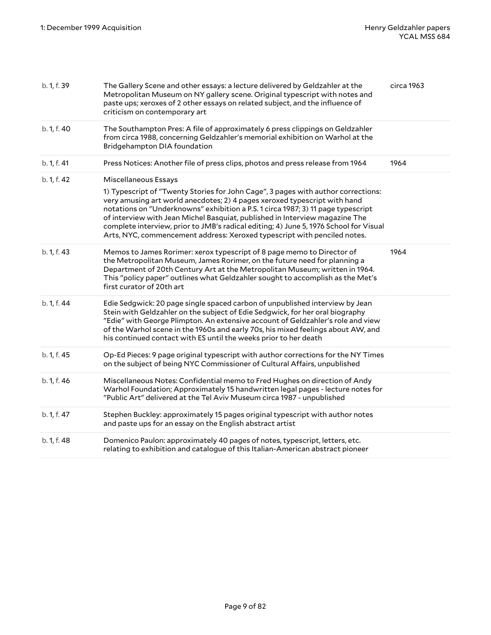| b. 1, f. 39 | The Gallery Scene and other essays: a lecture delivered by Geldzahler at the<br>Metropolitan Museum on NY gallery scene. Original typescript with notes and<br>paste ups; xeroxes of 2 other essays on related subject, and the influence of<br>criticism on contemporary art                                                                                                                                                                                                                                                  | circa 1963 |
|-------------|--------------------------------------------------------------------------------------------------------------------------------------------------------------------------------------------------------------------------------------------------------------------------------------------------------------------------------------------------------------------------------------------------------------------------------------------------------------------------------------------------------------------------------|------------|
| b. 1, f. 40 | The Southampton Pres: A file of approximately 6 press clippings on Geldzahler<br>from circa 1988, concerning Geldzahler's memorial exhibition on Warhol at the<br>Bridgehampton DIA foundation                                                                                                                                                                                                                                                                                                                                 |            |
| b. 1, f. 41 | Press Notices: Another file of press clips, photos and press release from 1964                                                                                                                                                                                                                                                                                                                                                                                                                                                 | 1964       |
| b. 1, f. 42 | Miscellaneous Essays<br>1) Typescript of "Twenty Stories for John Cage", 3 pages with author corrections:<br>very amusing art world anecdotes; 2) 4 pages xeroxed typescript with hand<br>notations on "Underknowns" exhibition a P.S. 1 circa 1987; 3) 11 page typescript<br>of interview with Jean Michel Basquiat, published in Interview magazine The<br>complete interview, prior to JMB's radical editing; 4) June 5, 1976 School for Visual<br>Arts, NYC, commencement address: Xeroxed typescript with penciled notes. |            |
| b. 1, f. 43 | Memos to James Rorimer: xerox typescript of 8 page memo to Director of<br>the Metropolitan Museum, James Rorimer, on the future need for planning a<br>Department of 20th Century Art at the Metropolitan Museum; written in 1964.<br>This "policy paper" outlines what Geldzahler sought to accomplish as the Met's<br>first curator of 20th art                                                                                                                                                                              | 1964       |
| b. 1, f. 44 | Edie Sedgwick: 20 page single spaced carbon of unpublished interview by Jean<br>Stein with Geldzahler on the subject of Edie Sedgwick, for her oral biography<br>"Edie" with George Plimpton. An extensive account of Geldzahler's role and view<br>of the Warhol scene in the 1960s and early 70s, his mixed feelings about AW, and<br>his continued contact with ES until the weeks prior to her death                                                                                                                       |            |
| b. 1, f. 45 | Op-Ed Pieces: 9 page original typescript with author corrections for the NY Times<br>on the subject of being NYC Commissioner of Cultural Affairs, unpublished                                                                                                                                                                                                                                                                                                                                                                 |            |
| b. 1, f. 46 | Miscellaneous Notes: Confidential memo to Fred Hughes on direction of Andy<br>Warhol Foundation; Approximately 15 handwritten legal pages - lecture notes for<br>"Public Art" delivered at the Tel Aviv Museum circa 1987 - unpublished                                                                                                                                                                                                                                                                                        |            |
| b. 1, f. 47 | Stephen Buckley: approximately 15 pages original typescript with author notes<br>and paste ups for an essay on the English abstract artist                                                                                                                                                                                                                                                                                                                                                                                     |            |
| b. 1, f. 48 | Domenico Paulon: approximately 40 pages of notes, typescript, letters, etc.<br>relating to exhibition and catalogue of this Italian-American abstract pioneer                                                                                                                                                                                                                                                                                                                                                                  |            |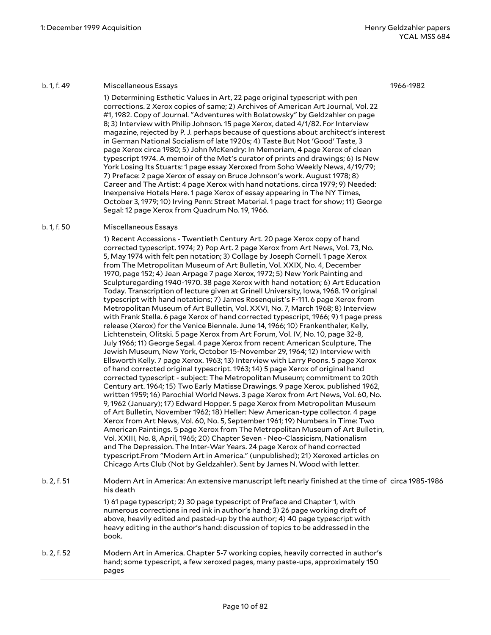#### b. 1, f. 49 Miscellaneous Essays

1) Determining Esthetic Values in Art, 22 page original typescript with pen corrections. 2 Xerox copies of same; 2) Archives of American Art Journal, Vol. 22 #1, 1982. Copy of Journal. "Adventures with Bolatowsky" by Geldzahler on page 8; 3) Interview with Philip Johnson. 15 page Xerox, dated 4/1/82. For Interview magazine, rejected by P. J. perhaps because of questions about architect's interest in German National Socialism of late 1920s; 4) Taste But Not 'Good' Taste, 3 page Xerox circa 1980; 5) John McKendry: In Memoriam, 4 page Xerox of clean typescript 1974. A memoir of the Met's curator of prints and drawings; 6) Is New York Losing Its Stuarts: 1 page essay Xeroxed from Soho Weekly News, 4/19/79; 7) Preface: 2 page Xerox of essay on Bruce Johnson's work. August 1978; 8) Career and The Artist: 4 page Xerox with hand notations. circa 1979; 9) Needed: Inexpensive Hotels Here. 1 page Xerox of essay appearing in The NY Times, October 3, 1979; 10) Irving Penn: Street Material. 1 page tract for show; 11) George Segal: 12 page Xerox from Quadrum No. 19, 1966.

#### b. 1, f. 50 Miscellaneous Essays

1) Recent Accessions - Twentieth Century Art. 20 page Xerox copy of hand corrected typescript. 1974; 2) Pop Art. 2 page Xerox from Art News, Vol. 73, No. 5, May 1974 with felt pen notation; 3) Collage by Joseph Cornell. 1 page Xerox from The Metropolitan Museum of Art Bulletin, Vol. XXIX, No. 4, December 1970, page 152; 4) Jean Arpage 7 page Xerox, 1972; 5) New York Painting and Sculpturegarding 1940-1970. 38 page Xerox with hand notation; 6) Art Education Today. Transcription of lecture given at Grinell University, Iowa, 1968. 19 original typescript with hand notations; 7) James Rosenquist's F-111. 6 page Xerox from Metropolitan Museum of Art Bulletin, Vol. XXVI, No. 7, March 1968; 8) Interview with Frank Stella. 6 page Xerox of hand corrected typescript, 1966; 9) 1 page press release (Xerox) for the Venice Biennale. June 14, 1966; 10) Frankenthaler, Kelly, Lichtenstein, Olitski. 5 page Xerox from Art Forum, Vol. IV, No. 10, page 32-8, July 1966; 11) George Segal. 4 page Xerox from recent American Sculpture, The Jewish Museum, New York, October 15-November 29, 1964; 12) Interview with Ellsworth Kelly. 7 page Xerox. 1963; 13) Interview with Larry Poons. 5 page Xerox of hand corrected original typescript. 1963; 14) 5 page Xerox of original hand corrected typescript - subject: The Metropolitan Museum; commitment to 20th Century art. 1964; 15) Two Early Matisse Drawings. 9 page Xerox. published 1962, written 1959; 16) Parochial World News. 3 page Xerox from Art News, Vol. 60, No. 9, 1962 (January); 17) Edward Hopper. 5 page Xerox from Metropolitan Museum of Art Bulletin, November 1962; 18) Heller: New American-type collector. 4 page Xerox from Art News, Vol. 60, No. 5, September 1961; 19) Numbers in Time: Two American Paintings. 5 page Xerox from The Metropolitan Museum of Art Bulletin, Vol. XXIII, No. 8, April, 1965; 20) Chapter Seven - Neo-Classicism, Nationalism and The Depression. The Inter-War Years. 24 page Xerox of hand corrected typescript.From "Modern Art in America." (unpublished); 21) Xeroxed articles on Chicago Arts Club (Not by Geldzahler). Sent by James N. Wood with letter.

| b. 2, f. 51 | Modern Art in America: An extensive manuscript left nearly finished at the time of circa 1985-1986 |
|-------------|----------------------------------------------------------------------------------------------------|
|             | his death                                                                                          |
|             |                                                                                                    |

1) 61 page typescript; 2) 30 page typescript of Preface and Chapter 1, with numerous corrections in red ink in author's hand; 3) 26 page working draft of above, heavily edited and pasted-up by the author; 4) 40 page typescript with heavy editing in the author's hand: discussion of topics to be addressed in the book.

#### b. 2, f. 52 Modern Art in America. Chapter 5-7 working copies, heavily corrected in author's hand; some typescript, a few xeroxed pages, many paste-ups, approximately 150 pages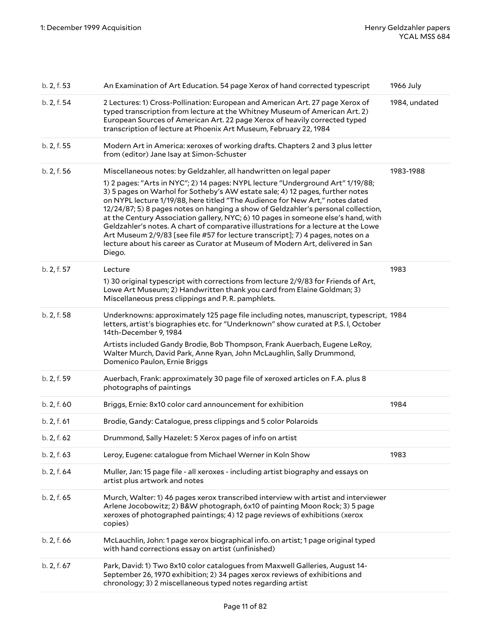| b. 2, f. 53 | An Examination of Art Education. 54 page Xerox of hand corrected typescript                                                                                                                                                                                                                                                                                                                                                                                                                                                                                                                                                                                                                    | 1966 July     |
|-------------|------------------------------------------------------------------------------------------------------------------------------------------------------------------------------------------------------------------------------------------------------------------------------------------------------------------------------------------------------------------------------------------------------------------------------------------------------------------------------------------------------------------------------------------------------------------------------------------------------------------------------------------------------------------------------------------------|---------------|
| b. 2, f. 54 | 2 Lectures: 1) Cross-Pollination: European and American Art. 27 page Xerox of<br>typed transcription from lecture at the Whitney Museum of American Art. 2)<br>European Sources of American Art. 22 page Xerox of heavily corrected typed<br>transcription of lecture at Phoenix Art Museum, February 22, 1984                                                                                                                                                                                                                                                                                                                                                                                 | 1984, undated |
| b. 2, f. 55 | Modern Art in America: xeroxes of working drafts. Chapters 2 and 3 plus letter<br>from (editor) Jane Isay at Simon-Schuster                                                                                                                                                                                                                                                                                                                                                                                                                                                                                                                                                                    |               |
| b. 2, f. 56 | Miscellaneous notes: by Geldzahler, all handwritten on legal paper                                                                                                                                                                                                                                                                                                                                                                                                                                                                                                                                                                                                                             | 1983-1988     |
|             | 1) 2 pages: "Arts in NYC"; 2) 14 pages: NYPL lecture "Underground Art" 1/19/88;<br>3) 5 pages on Warhol for Sotheby's AW estate sale; 4) 12 pages, further notes<br>on NYPL lecture 1/19/88, here titled "The Audience for New Art," notes dated<br>12/24/87; 5) 8 pages notes on hanging a show of Geldzahler's personal collection,<br>at the Century Association gallery, NYC; 6) 10 pages in someone else's hand, with<br>Geldzahler's notes. A chart of comparative illustrations for a lecture at the Lowe<br>Art Museum 2/9/83 [see file #57 for lecture transcript]; 7) 4 pages, notes on a<br>lecture about his career as Curator at Museum of Modern Art, delivered in San<br>Diego. |               |
| b. 2, f. 57 | Lecture                                                                                                                                                                                                                                                                                                                                                                                                                                                                                                                                                                                                                                                                                        | 1983          |
|             | 1) 30 original typescript with corrections from lecture 2/9/83 for Friends of Art,<br>Lowe Art Museum; 2) Handwritten thank you card from Elaine Goldman; 3)<br>Miscellaneous press clippings and P.R. pamphlets.                                                                                                                                                                                                                                                                                                                                                                                                                                                                              |               |
| b. 2, f. 58 | Underknowns: approximately 125 page file including notes, manuscript, typescript, 1984<br>letters, artist's biographies etc. for "Underknown" show curated at P.S. I, October<br>14th-December 9, 1984                                                                                                                                                                                                                                                                                                                                                                                                                                                                                         |               |
|             | Artists included Gandy Brodie, Bob Thompson, Frank Auerbach, Eugene LeRoy,<br>Walter Murch, David Park, Anne Ryan, John McLaughlin, Sally Drummond,<br>Domenico Paulon, Ernie Briggs                                                                                                                                                                                                                                                                                                                                                                                                                                                                                                           |               |
| b. 2, f. 59 | Auerbach, Frank: approximately 30 page file of xeroxed articles on F.A. plus 8<br>photographs of paintings                                                                                                                                                                                                                                                                                                                                                                                                                                                                                                                                                                                     |               |
| b. 2, f. 60 | Briggs, Ernie: 8x10 color card announcement for exhibition                                                                                                                                                                                                                                                                                                                                                                                                                                                                                                                                                                                                                                     | 1984          |
| b. 2, f. 61 | Brodie, Gandy: Catalogue, press clippings and 5 color Polaroids                                                                                                                                                                                                                                                                                                                                                                                                                                                                                                                                                                                                                                |               |
| b. 2, f. 62 | Drummond, Sally Hazelet: 5 Xerox pages of info on artist                                                                                                                                                                                                                                                                                                                                                                                                                                                                                                                                                                                                                                       |               |
| b. 2, f. 63 | Leroy, Eugene: catalogue from Michael Werner in Koln Show                                                                                                                                                                                                                                                                                                                                                                                                                                                                                                                                                                                                                                      | 1983          |
| b. 2, f. 64 | Muller, Jan: 15 page file - all xeroxes - including artist biography and essays on<br>artist plus artwork and notes                                                                                                                                                                                                                                                                                                                                                                                                                                                                                                                                                                            |               |
| b. 2, f. 65 | Murch, Walter: 1) 46 pages xerox transcribed interview with artist and interviewer<br>Arlene Jocobowitz; 2) B&W photograph, 6x10 of painting Moon Rock; 3) 5 page<br>xeroxes of photographed paintings; 4) 12 page reviews of exhibitions (xerox<br>copies)                                                                                                                                                                                                                                                                                                                                                                                                                                    |               |
| b. 2, f. 66 | McLauchlin, John: 1 page xerox biographical info. on artist; 1 page original typed<br>with hand corrections essay on artist (unfinished)                                                                                                                                                                                                                                                                                                                                                                                                                                                                                                                                                       |               |
| b. 2, f. 67 | Park, David: 1) Two 8x10 color catalogues from Maxwell Galleries, August 14-<br>September 26, 1970 exhibition; 2) 34 pages xerox reviews of exhibitions and<br>chronology; 3) 2 miscellaneous typed notes regarding artist                                                                                                                                                                                                                                                                                                                                                                                                                                                                     |               |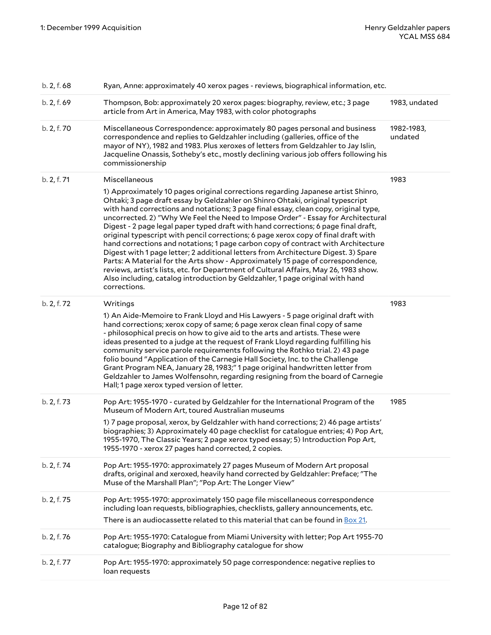| b. 2, f. 68 | Ryan, Anne: approximately 40 xerox pages - reviews, biographical information, etc.                                                                                                                                                                                                                                                                                                                                                                                                                                                                                                                                                                                                                                                                                                                                                                                                                                                                                                              |                       |
|-------------|-------------------------------------------------------------------------------------------------------------------------------------------------------------------------------------------------------------------------------------------------------------------------------------------------------------------------------------------------------------------------------------------------------------------------------------------------------------------------------------------------------------------------------------------------------------------------------------------------------------------------------------------------------------------------------------------------------------------------------------------------------------------------------------------------------------------------------------------------------------------------------------------------------------------------------------------------------------------------------------------------|-----------------------|
| b. 2, f. 69 | Thompson, Bob: approximately 20 xerox pages: biography, review, etc.; 3 page<br>article from Art in America, May 1983, with color photographs                                                                                                                                                                                                                                                                                                                                                                                                                                                                                                                                                                                                                                                                                                                                                                                                                                                   | 1983, undated         |
| b. 2, f. 70 | Miscellaneous Correspondence: approximately 80 pages personal and business<br>correspondence and replies to Geldzahler including (galleries, office of the<br>mayor of NY), 1982 and 1983. Plus xeroxes of letters from Geldzahler to Jay Islin,<br>Jacqueline Onassis, Sotheby's etc., mostly declining various job offers following his<br>commissionership                                                                                                                                                                                                                                                                                                                                                                                                                                                                                                                                                                                                                                   | 1982-1983,<br>undated |
| b. 2, f. 71 | Miscellaneous<br>1) Approximately 10 pages original corrections regarding Japanese artist Shinro,<br>Ohtaki; 3 page draft essay by Geldzahler on Shinro Ohtaki, original typescript<br>with hand corrections and notations; 3 page final essay, clean copy, original type,<br>uncorrected. 2) "Why We Feel the Need to Impose Order" - Essay for Architectural<br>Digest - 2 page legal paper typed draft with hand corrections; 6 page final draft,<br>original typescript with pencil corrections; 6 page xerox copy of final draft with<br>hand corrections and notations; 1 page carbon copy of contract with Architecture<br>Digest with 1 page letter; 2 additional letters from Architecture Digest. 3) Spare<br>Parts: A Material for the Arts show - Approximately 15 page of correspondence,<br>reviews, artist's lists, etc. for Department of Cultural Affairs, May 26, 1983 show.<br>Also including, catalog introduction by Geldzahler, 1 page original with hand<br>corrections. | 1983                  |
| b. 2, f. 72 | Writings<br>1) An Aide-Memoire to Frank Lloyd and His Lawyers - 5 page original draft with<br>hand corrections; xerox copy of same; 6 page xerox clean final copy of same<br>- philosophical precis on how to give aid to the arts and artists. These were<br>ideas presented to a judge at the request of Frank Lloyd regarding fulfilling his<br>community service parole requirements following the Rothko trial. 2) 43 page<br>folio bound "Application of the Carnegie Hall Society, Inc. to the Challenge<br>Grant Program NEA, January 28, 1983;" 1 page original handwritten letter from<br>Geldzahler to James Wolfensohn, regarding resigning from the board of Carnegie<br>Hall; 1 page xerox typed version of letter.                                                                                                                                                                                                                                                               | 1983                  |
| b. 2, f. 73 | Pop Art: 1955-1970 - curated by Geldzahler for the International Program of the<br>Museum of Modern Art, toured Australian museums<br>1) 7 page proposal, xerox, by Geldzahler with hand corrections; 2) 46 page artists'<br>biographies; 3) Approximately 40 page checklist for catalogue entries; 4) Pop Art,<br>1955-1970, The Classic Years; 2 page xerox typed essay; 5) Introduction Pop Art,<br>1955-1970 - xerox 27 pages hand corrected, 2 copies.                                                                                                                                                                                                                                                                                                                                                                                                                                                                                                                                     | 1985                  |
| b. 2, f. 74 | Pop Art: 1955-1970: approximately 27 pages Museum of Modern Art proposal<br>drafts, original and xeroxed, heavily hand corrected by Geldzahler: Preface; "The<br>Muse of the Marshall Plan"; "Pop Art: The Longer View"                                                                                                                                                                                                                                                                                                                                                                                                                                                                                                                                                                                                                                                                                                                                                                         |                       |
| b. 2, f. 75 | Pop Art: 1955-1970: approximately 150 page file miscellaneous correspondence<br>including loan requests, bibliographies, checklists, gallery announcements, etc.<br>There is an audiocassette related to this material that can be found in Box 21.                                                                                                                                                                                                                                                                                                                                                                                                                                                                                                                                                                                                                                                                                                                                             |                       |
| b. 2, f. 76 | Pop Art: 1955-1970: Catalogue from Miami University with letter; Pop Art 1955-70<br>catalogue; Biography and Bibliography catalogue for show                                                                                                                                                                                                                                                                                                                                                                                                                                                                                                                                                                                                                                                                                                                                                                                                                                                    |                       |
| b. 2, f. 77 | Pop Art: 1955-1970: approximately 50 page correspondence: negative replies to<br>loan requests                                                                                                                                                                                                                                                                                                                                                                                                                                                                                                                                                                                                                                                                                                                                                                                                                                                                                                  |                       |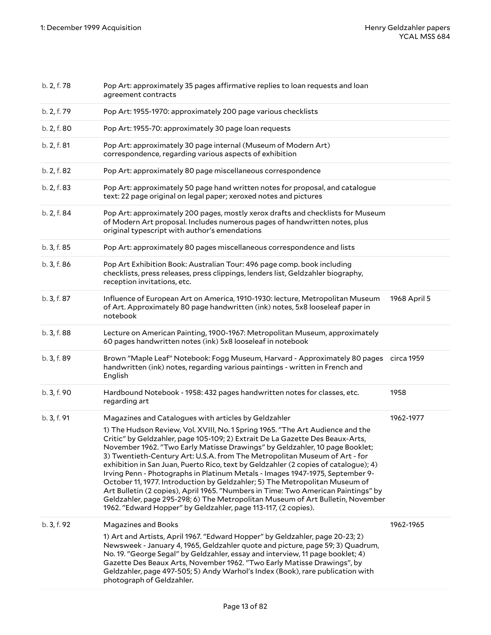| b. 2, f. 78 | Pop Art: approximately 35 pages affirmative replies to loan requests and loan<br>agreement contracts                                                                                                                                                                                                                                                                                                                                                                                                                                                                                                                                                                                                                                                                                                                         |              |
|-------------|------------------------------------------------------------------------------------------------------------------------------------------------------------------------------------------------------------------------------------------------------------------------------------------------------------------------------------------------------------------------------------------------------------------------------------------------------------------------------------------------------------------------------------------------------------------------------------------------------------------------------------------------------------------------------------------------------------------------------------------------------------------------------------------------------------------------------|--------------|
| b. 2, f. 79 | Pop Art: 1955-1970: approximately 200 page various checklists                                                                                                                                                                                                                                                                                                                                                                                                                                                                                                                                                                                                                                                                                                                                                                |              |
| b. 2, f. 80 | Pop Art: 1955-70: approximately 30 page loan requests                                                                                                                                                                                                                                                                                                                                                                                                                                                                                                                                                                                                                                                                                                                                                                        |              |
| b. 2, f. 81 | Pop Art: approximately 30 page internal (Museum of Modern Art)<br>correspondence, regarding various aspects of exhibition                                                                                                                                                                                                                                                                                                                                                                                                                                                                                                                                                                                                                                                                                                    |              |
| b. 2, f. 82 | Pop Art: approximately 80 page miscellaneous correspondence                                                                                                                                                                                                                                                                                                                                                                                                                                                                                                                                                                                                                                                                                                                                                                  |              |
| b. 2, f. 83 | Pop Art: approximately 50 page hand written notes for proposal, and catalogue<br>text: 22 page original on legal paper; xeroxed notes and pictures                                                                                                                                                                                                                                                                                                                                                                                                                                                                                                                                                                                                                                                                           |              |
| b. 2, f. 84 | Pop Art: approximately 200 pages, mostly xerox drafts and checklists for Museum<br>of Modern Art proposal. Includes numerous pages of handwritten notes, plus<br>original typescript with author's emendations                                                                                                                                                                                                                                                                                                                                                                                                                                                                                                                                                                                                               |              |
| b. 3, f. 85 | Pop Art: approximately 80 pages miscellaneous correspondence and lists                                                                                                                                                                                                                                                                                                                                                                                                                                                                                                                                                                                                                                                                                                                                                       |              |
| b. 3, f. 86 | Pop Art Exhibition Book: Australian Tour: 496 page comp. book including<br>checklists, press releases, press clippings, lenders list, Geldzahler biography,<br>reception invitations, etc.                                                                                                                                                                                                                                                                                                                                                                                                                                                                                                                                                                                                                                   |              |
| b. 3, f. 87 | Influence of European Art on America, 1910-1930: lecture, Metropolitan Museum<br>of Art. Approximately 80 page handwritten (ink) notes, 5x8 looseleaf paper in<br>notebook                                                                                                                                                                                                                                                                                                                                                                                                                                                                                                                                                                                                                                                   | 1968 April 5 |
| b. 3, f. 88 | Lecture on American Painting, 1900-1967: Metropolitan Museum, approximately<br>60 pages handwritten notes (ink) 5x8 looseleaf in notebook                                                                                                                                                                                                                                                                                                                                                                                                                                                                                                                                                                                                                                                                                    |              |
| b. 3, f. 89 | Brown "Maple Leaf" Notebook: Fogg Museum, Harvard - Approximately 80 pages<br>handwritten (ink) notes, regarding various paintings - written in French and<br>English                                                                                                                                                                                                                                                                                                                                                                                                                                                                                                                                                                                                                                                        | circa 1959   |
| b. 3, f. 90 | Hardbound Notebook - 1958: 432 pages handwritten notes for classes, etc.<br>regarding art                                                                                                                                                                                                                                                                                                                                                                                                                                                                                                                                                                                                                                                                                                                                    | 1958         |
| b. 3, f. 91 | Magazines and Catalogues with articles by Geldzahler                                                                                                                                                                                                                                                                                                                                                                                                                                                                                                                                                                                                                                                                                                                                                                         | 1962-1977    |
|             | 1) The Hudson Review, Vol. XVIII, No. 1 Spring 1965. "The Art Audience and the<br>Critic" by Geldzahler, page 105-109; 2) Extrait De La Gazette Des Beaux-Arts,<br>November 1962. "Two Early Matisse Drawings" by Geldzahler, 10 page Booklet;<br>3) Twentieth-Century Art: U.S.A. from The Metropolitan Museum of Art - for<br>exhibition in San Juan, Puerto Rico, text by Geldzahler (2 copies of catalogue); 4)<br>Irving Penn - Photographs in Platinum Metals - Images 1947-1975, September 9-<br>October 11, 1977. Introduction by Geldzahler; 5) The Metropolitan Museum of<br>Art Bulletin (2 copies), April 1965. "Numbers in Time: Two American Paintings" by<br>Geldzahler, page 295-298; 6) The Metropolitan Museum of Art Bulletin, November<br>1962. "Edward Hopper" by Geldzahler, page 113-117, (2 copies). |              |
| b. 3, f. 92 | <b>Magazines and Books</b>                                                                                                                                                                                                                                                                                                                                                                                                                                                                                                                                                                                                                                                                                                                                                                                                   | 1962-1965    |
|             | 1) Art and Artists, April 1967. "Edward Hopper" by Geldzahler, page 20-23; 2)<br>Newsweek - January 4, 1965, Geldzahler quote and picture, page 59; 3) Quadrum,<br>No. 19. "George Segal" by Geldzahler, essay and interview, 11 page booklet; 4)<br>Gazette Des Beaux Arts, November 1962. "Two Early Matisse Drawings", by<br>Geldzahler, page 497-505; 5) Andy Warhol's Index (Book), rare publication with<br>photograph of Geldzahler.                                                                                                                                                                                                                                                                                                                                                                                  |              |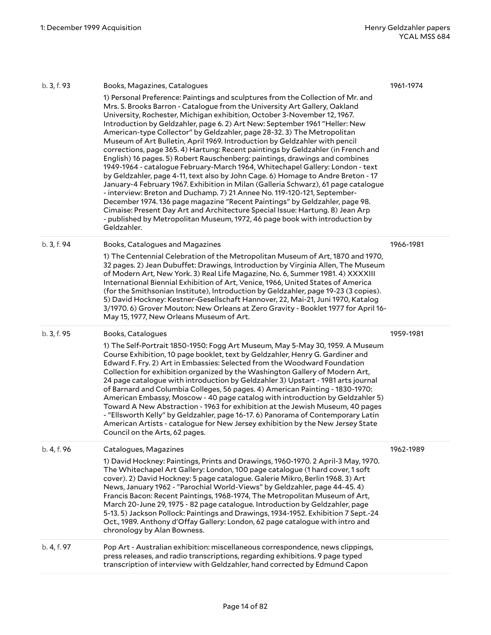| b. 3, f. 93 | Books, Magazines, Catalogues                                                                                                                                                                                                                                                                                                                                                                                                                                                                                                                                                                                                                                                                                                                                                                                                                                                                                                                                                                                                                                                                                                                                                                                                                            | 1961-1974 |
|-------------|---------------------------------------------------------------------------------------------------------------------------------------------------------------------------------------------------------------------------------------------------------------------------------------------------------------------------------------------------------------------------------------------------------------------------------------------------------------------------------------------------------------------------------------------------------------------------------------------------------------------------------------------------------------------------------------------------------------------------------------------------------------------------------------------------------------------------------------------------------------------------------------------------------------------------------------------------------------------------------------------------------------------------------------------------------------------------------------------------------------------------------------------------------------------------------------------------------------------------------------------------------|-----------|
|             | 1) Personal Preference: Paintings and sculptures from the Collection of Mr. and<br>Mrs. S. Brooks Barron - Catalogue from the University Art Gallery, Oakland<br>University, Rochester, Michigan exhibition, October 3-November 12, 1967.<br>Introduction by Geldzahler, page 6.2) Art New: September 1961 "Heller: New<br>American-type Collector" by Geldzahler, page 28-32. 3) The Metropolitan<br>Museum of Art Bulletin, April 1969. Introduction by Geldzahler with pencil<br>corrections, page 365.4) Hartung: Recent paintings by Geldzahler (in French and<br>English) 16 pages. 5) Robert Rauschenberg: paintings, drawings and combines<br>1949-1964 - catalogue February-March 1964, Whitechapel Gallery: London - text<br>by Geldzahler, page 4-11, text also by John Cage. 6) Homage to Andre Breton - 17<br>January-4 February 1967. Exhibition in Milan (Galleria Schwarz), 61 page catalogue<br>- interview: Breton and Duchamp. 7) 21 Annee No. 119-120-121, September-<br>December 1974. 136 page magazine "Recent Paintings" by Geldzahler, page 98.<br>Cimaise: Present Day Art and Architecture Special Issue: Hartung. 8) Jean Arp<br>- published by Metropolitan Museum, 1972, 46 page book with introduction by<br>Geldzahler. |           |
| b. 3, f. 94 | Books, Catalogues and Magazines<br>1) The Centennial Celebration of the Metropolitan Museum of Art, 1870 and 1970,<br>32 pages. 2) Jean Dubuffet: Drawings, Introduction by Virginia Allen, The Museum<br>of Modern Art, New York. 3) Real Life Magazine, No. 6, Summer 1981. 4) XXXXIII<br>International Biennial Exhibition of Art, Venice, 1966, United States of America<br>(for the Smithsonian Institute), Introduction by Geldzahler, page 19-23 (3 copies).<br>5) David Hockney: Kestner-Gesellschaft Hannover, 22, Mai-21, Juni 1970, Katalog<br>3/1970. 6) Grover Mouton: New Orleans at Zero Gravity - Booklet 1977 for April 16-<br>May 15, 1977, New Orleans Museum of Art.                                                                                                                                                                                                                                                                                                                                                                                                                                                                                                                                                                | 1966-1981 |
| b. 3, f. 95 | Books, Catalogues<br>1) The Self-Portrait 1850-1950: Fogg Art Museum, May 5-May 30, 1959. A Museum<br>Course Exhibition, 10 page booklet, text by Geldzahler, Henry G. Gardiner and<br>Edward F. Fry. 2) Art in Embassies: Selected from the Woodward Foundation<br>Collection for exhibition organized by the Washington Gallery of Modern Art,<br>24 page catalogue with introduction by Geldzahler 3) Upstart - 1981 arts journal<br>of Barnard and Columbia Colleges, 56 pages. 4) American Painting - 1830-1970:<br>American Embassy, Moscow - 40 page catalog with introduction by Geldzahler 5)<br>Toward A New Abstraction - 1963 for exhibition at the Jewish Museum, 40 pages<br>- "Ellsworth Kelly" by Geldzahler, page 16-17. 6) Panorama of Contemporary Latin<br>American Artists - catalogue for New Jersey exhibition by the New Jersey State<br>Council on the Arts, 62 pages.                                                                                                                                                                                                                                                                                                                                                         | 1959-1981 |
| b. 4, f. 96 | Catalogues, Magazines<br>1) David Hockney: Paintings, Prints and Drawings, 1960-1970. 2 April-3 May, 1970.<br>The Whitechapel Art Gallery: London, 100 page catalogue (1 hard cover, 1 soft<br>cover). 2) David Hockney: 5 page catalogue. Galerie Mikro, Berlin 1968. 3) Art<br>News, January 1962 - "Parochial World-Views" by Geldzahler, page 44-45. 4)<br>Francis Bacon: Recent Paintings, 1968-1974, The Metropolitan Museum of Art,<br>March 20-June 29, 1975 - 82 page catalogue. Introduction by Geldzahler, page<br>5-13. 5) Jackson Pollock: Paintings and Drawings, 1934-1952. Exhibition 7 Sept.-24<br>Oct., 1989. Anthony d'Offay Gallery: London, 62 page catalogue with intro and<br>chronology by Alan Bowness.                                                                                                                                                                                                                                                                                                                                                                                                                                                                                                                        | 1962-1989 |
| b. 4, f. 97 | Pop Art - Australian exhibition: miscellaneous correspondence, news clippings,<br>press releases, and radio transcriptions, regarding exhibitions. 9 page typed<br>transcription of interview with Geldzahler, hand corrected by Edmund Capon                                                                                                                                                                                                                                                                                                                                                                                                                                                                                                                                                                                                                                                                                                                                                                                                                                                                                                                                                                                                           |           |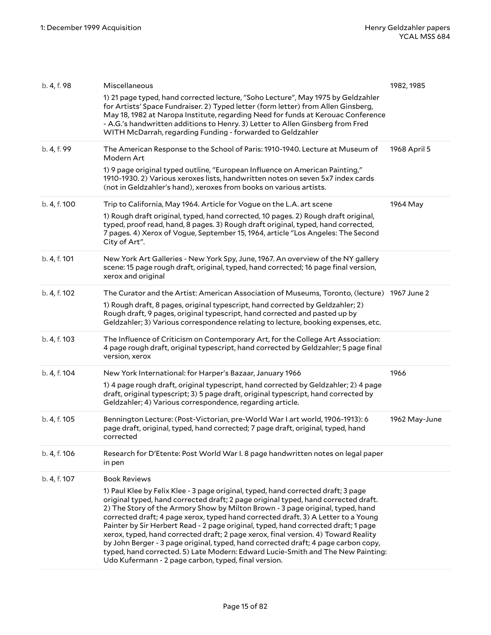| b. 4, f. 98  | Miscellaneous                                                                                                                                                                                                                                                                                                                                                                                                                                                                                                                                                                                                                                                                                                                                               | 1982, 1985    |
|--------------|-------------------------------------------------------------------------------------------------------------------------------------------------------------------------------------------------------------------------------------------------------------------------------------------------------------------------------------------------------------------------------------------------------------------------------------------------------------------------------------------------------------------------------------------------------------------------------------------------------------------------------------------------------------------------------------------------------------------------------------------------------------|---------------|
|              | 1) 21 page typed, hand corrected lecture, "Soho Lecture", May 1975 by Geldzahler<br>for Artists' Space Fundraiser. 2) Typed letter (form letter) from Allen Ginsberg,<br>May 18, 1982 at Naropa Institute, regarding Need for funds at Kerouac Conference<br>- A.G.'s handwritten additions to Henry. 3) Letter to Allen Ginsberg from Fred<br>WITH McDarrah, regarding Funding - forwarded to Geldzahler                                                                                                                                                                                                                                                                                                                                                   |               |
| b. 4, f. 99  | The American Response to the School of Paris: 1910-1940. Lecture at Museum of<br>Modern Art                                                                                                                                                                                                                                                                                                                                                                                                                                                                                                                                                                                                                                                                 | 1968 April 5  |
|              | 1) 9 page original typed outline, "European Influence on American Painting,"<br>1910-1930. 2) Various xeroxes lists, handwritten notes on seven 5x7 index cards<br>(not in Geldzahler's hand), xeroxes from books on various artists.                                                                                                                                                                                                                                                                                                                                                                                                                                                                                                                       |               |
| b. 4, f. 100 | Trip to California, May 1964. Article for Vogue on the L.A. art scene                                                                                                                                                                                                                                                                                                                                                                                                                                                                                                                                                                                                                                                                                       | 1964 May      |
|              | 1) Rough draft original, typed, hand corrected, 10 pages. 2) Rough draft original,<br>typed, proof read, hand, 8 pages. 3) Rough draft original, typed, hand corrected,<br>7 pages. 4) Xerox of Vogue, September 15, 1964, article "Los Angeles: The Second<br>City of Art".                                                                                                                                                                                                                                                                                                                                                                                                                                                                                |               |
| b. 4, f. 101 | New York Art Galleries - New York Spy, June, 1967. An overview of the NY gallery<br>scene: 15 page rough draft, original, typed, hand corrected; 16 page final version,<br>xerox and original                                                                                                                                                                                                                                                                                                                                                                                                                                                                                                                                                               |               |
| b. 4, f. 102 | The Curator and the Artist: American Association of Museums, Toronto, (lecture) 1967 June 2                                                                                                                                                                                                                                                                                                                                                                                                                                                                                                                                                                                                                                                                 |               |
|              | 1) Rough draft, 8 pages, original typescript, hand corrected by Geldzahler; 2)<br>Rough draft, 9 pages, original typescript, hand corrected and pasted up by<br>Geldzahler; 3) Various correspondence relating to lecture, booking expenses, etc.                                                                                                                                                                                                                                                                                                                                                                                                                                                                                                           |               |
| b. 4, f. 103 | The Influence of Criticism on Contemporary Art, for the College Art Association:<br>4 page rough draft, original typescript, hand corrected by Geldzahler; 5 page final<br>version, xerox                                                                                                                                                                                                                                                                                                                                                                                                                                                                                                                                                                   |               |
| b. 4, f. 104 | New York International: for Harper's Bazaar, January 1966                                                                                                                                                                                                                                                                                                                                                                                                                                                                                                                                                                                                                                                                                                   | 1966          |
|              | 1) 4 page rough draft, original typescript, hand corrected by Geldzahler; 2) 4 page<br>draft, original typescript; 3) 5 page draft, original typescript, hand corrected by<br>Geldzahler; 4) Various correspondence, regarding article.                                                                                                                                                                                                                                                                                                                                                                                                                                                                                                                     |               |
| b. 4, f. 105 | Bennington Lecture: (Post-Victorian, pre-World War I art world, 1906-1913): 6<br>page draft, original, typed, hand corrected; 7 page draft, original, typed, hand<br>corrected                                                                                                                                                                                                                                                                                                                                                                                                                                                                                                                                                                              | 1962 May-June |
| b. 4, f. 106 | Research for D'Etente: Post World War I. 8 page handwritten notes on legal paper<br>in pen                                                                                                                                                                                                                                                                                                                                                                                                                                                                                                                                                                                                                                                                  |               |
| b. 4, f. 107 | <b>Book Reviews</b>                                                                                                                                                                                                                                                                                                                                                                                                                                                                                                                                                                                                                                                                                                                                         |               |
|              | 1) Paul Klee by Felix Klee - 3 page original, typed, hand corrected draft; 3 page<br>original typed, hand corrected draft; 2 page original typed, hand corrected draft.<br>2) The Story of the Armory Show by Milton Brown - 3 page original, typed, hand<br>corrected draft; 4 page xerox, typed hand corrected draft. 3) A Letter to a Young<br>Painter by Sir Herbert Read - 2 page original, typed, hand corrected draft; 1 page<br>xerox, typed, hand corrected draft; 2 page xerox, final version. 4) Toward Reality<br>by John Berger - 3 page original, typed, hand corrected draft; 4 page carbon copy,<br>typed, hand corrected. 5) Late Modern: Edward Lucie-Smith and The New Painting:<br>Udo Kufermann - 2 page carbon, typed, final version. |               |
|              |                                                                                                                                                                                                                                                                                                                                                                                                                                                                                                                                                                                                                                                                                                                                                             |               |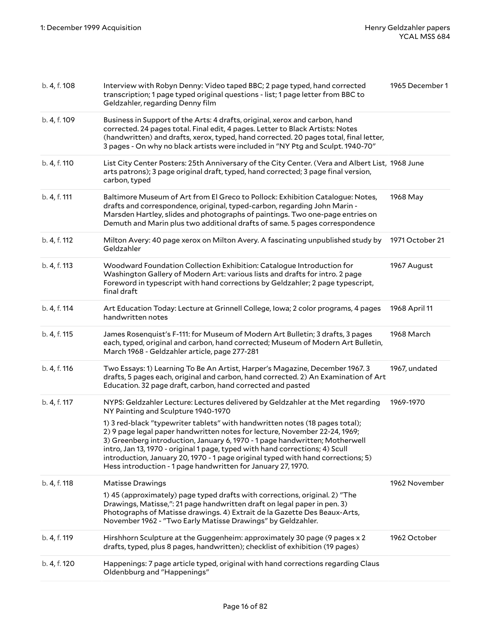| b. 4, f. 108 | Interview with Robyn Denny: Video taped BBC; 2 page typed, hand corrected<br>transcription; 1 page typed original questions - list; 1 page letter from BBC to<br>Geldzahler, regarding Denny film                                                                                                                                                                                                                                                                             | 1965 December 1 |
|--------------|-------------------------------------------------------------------------------------------------------------------------------------------------------------------------------------------------------------------------------------------------------------------------------------------------------------------------------------------------------------------------------------------------------------------------------------------------------------------------------|-----------------|
| b. 4, f. 109 | Business in Support of the Arts: 4 drafts, original, xerox and carbon, hand<br>corrected. 24 pages total. Final edit, 4 pages. Letter to Black Artists: Notes<br>(handwritten) and drafts, xerox, typed, hand corrected. 20 pages total, final letter,<br>3 pages - On why no black artists were included in "NY Ptg and Sculpt. 1940-70"                                                                                                                                     |                 |
| b. 4, f. 110 | List City Center Posters: 25th Anniversary of the City Center. (Vera and Albert List, 1968 June<br>arts patrons); 3 page original draft, typed, hand corrected; 3 page final version,<br>carbon, typed                                                                                                                                                                                                                                                                        |                 |
| b. 4, f. 111 | Baltimore Museum of Art from El Greco to Pollock: Exhibition Catalogue: Notes,<br>drafts and correspondence, original, typed-carbon, regarding John Marin -<br>Marsden Hartley, slides and photographs of paintings. Two one-page entries on<br>Demuth and Marin plus two additional drafts of same. 5 pages correspondence                                                                                                                                                   | 1968 May        |
| b. 4, f. 112 | Milton Avery: 40 page xerox on Milton Avery. A fascinating unpublished study by<br>Geldzahler                                                                                                                                                                                                                                                                                                                                                                                 | 1971 October 21 |
| b. 4, f. 113 | Woodward Foundation Collection Exhibition: Catalogue Introduction for<br>Washington Gallery of Modern Art: various lists and drafts for intro. 2 page<br>Foreword in typescript with hand corrections by Geldzahler; 2 page typescript,<br>final draft                                                                                                                                                                                                                        | 1967 August     |
| b. 4, f. 114 | Art Education Today: Lecture at Grinnell College, Iowa; 2 color programs, 4 pages<br>handwritten notes                                                                                                                                                                                                                                                                                                                                                                        | 1968 April 11   |
| b. 4, f. 115 | James Rosenquist's F-111: for Museum of Modern Art Bulletin; 3 drafts, 3 pages<br>each, typed, original and carbon, hand corrected; Museum of Modern Art Bulletin,<br>March 1968 - Geldzahler article, page 277-281                                                                                                                                                                                                                                                           | 1968 March      |
| b. 4, f. 116 | Two Essays: 1) Learning To Be An Artist, Harper's Magazine, December 1967. 3<br>drafts, 5 pages each, original and carbon, hand corrected. 2) An Examination of Art<br>Education. 32 page draft, carbon, hand corrected and pasted                                                                                                                                                                                                                                            | 1967, undated   |
| b. 4, f. 117 | NYPS: Geldzahler Lecture: Lectures delivered by Geldzahler at the Met regarding<br>NY Painting and Sculpture 1940-1970                                                                                                                                                                                                                                                                                                                                                        | 1969-1970       |
|              | 1) 3 red-black "typewriter tablets" with handwritten notes (18 pages total);<br>2) 9 page legal paper handwritten notes for lecture, November 22-24, 1969;<br>3) Greenberg introduction, January 6, 1970 - 1 page handwritten; Motherwell<br>intro, Jan 13, 1970 - original 1 page, typed with hand corrections; 4) Scull<br>introduction, January 20, 1970 - 1 page original typed with hand corrections; 5)<br>Hess introduction - 1 page handwritten for January 27, 1970. |                 |
| b. 4, f. 118 | <b>Matisse Drawings</b>                                                                                                                                                                                                                                                                                                                                                                                                                                                       | 1962 November   |
|              | 1) 45 (approximately) page typed drafts with corrections, original. 2) "The<br>Drawings, Matisse,": 21 page handwritten draft on legal paper in pen. 3)<br>Photographs of Matisse drawings. 4) Extrait de la Gazette Des Beaux-Arts,<br>November 1962 - "Two Early Matisse Drawings" by Geldzahler.                                                                                                                                                                           |                 |
| b. 4, f. 119 | Hirshhorn Sculpture at the Guggenheim: approximately 30 page (9 pages x 2<br>drafts, typed, plus 8 pages, handwritten); checklist of exhibition (19 pages)                                                                                                                                                                                                                                                                                                                    | 1962 October    |
| b. 4, f. 120 | Happenings: 7 page article typed, original with hand corrections regarding Claus<br>Oldenbburg and "Happenings"                                                                                                                                                                                                                                                                                                                                                               |                 |
|              |                                                                                                                                                                                                                                                                                                                                                                                                                                                                               |                 |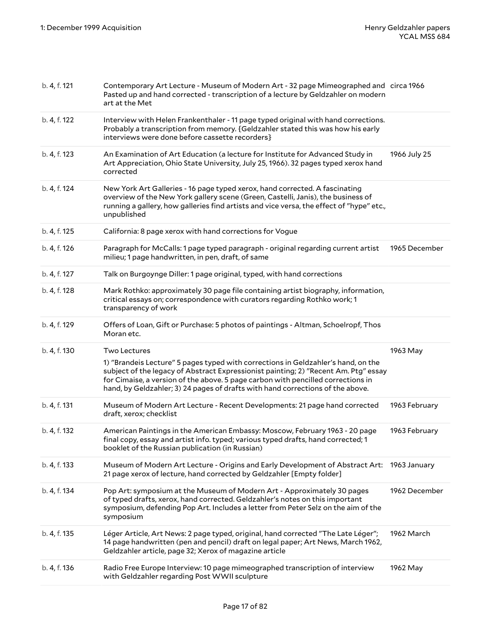| b. 4, f. 121 | Contemporary Art Lecture - Museum of Modern Art - 32 page Mimeographed and circa 1966<br>Pasted up and hand corrected - transcription of a lecture by Geldzahler on modern<br>art at the Met                                                                                                                                                   |               |
|--------------|------------------------------------------------------------------------------------------------------------------------------------------------------------------------------------------------------------------------------------------------------------------------------------------------------------------------------------------------|---------------|
| b. 4, f. 122 | Interview with Helen Frankenthaler - 11 page typed original with hand corrections.<br>Probably a transcription from memory. {Geldzahler stated this was how his early<br>interviews were done before cassette recorders}                                                                                                                       |               |
| b. 4, f. 123 | An Examination of Art Education (a lecture for Institute for Advanced Study in<br>Art Appreciation, Ohio State University, July 25, 1966). 32 pages typed xerox hand<br>corrected                                                                                                                                                              | 1966 July 25  |
| b. 4, f. 124 | New York Art Galleries - 16 page typed xerox, hand corrected. A fascinating<br>overview of the New York gallery scene (Green, Castelli, Janis), the business of<br>running a gallery, how galleries find artists and vice versa, the effect of "hype" etc.,<br>unpublished                                                                     |               |
| b. 4, f. 125 | California: 8 page xerox with hand corrections for Vogue                                                                                                                                                                                                                                                                                       |               |
| b. 4, f. 126 | Paragraph for McCalls: 1 page typed paragraph - original regarding current artist<br>milieu; 1 page handwritten, in pen, draft, of same                                                                                                                                                                                                        | 1965 December |
| b. 4, f. 127 | Talk on Burgoynge Diller: 1 page original, typed, with hand corrections                                                                                                                                                                                                                                                                        |               |
| b. 4, f. 128 | Mark Rothko: approximately 30 page file containing artist biography, information,<br>critical essays on; correspondence with curators regarding Rothko work; 1<br>transparency of work                                                                                                                                                         |               |
| b. 4, f. 129 | Offers of Loan, Gift or Purchase: 5 photos of paintings - Altman, Schoelropf, Thos                                                                                                                                                                                                                                                             |               |
|              | Moran etc.                                                                                                                                                                                                                                                                                                                                     |               |
| b. 4, f. 130 | Two Lectures                                                                                                                                                                                                                                                                                                                                   | 1963 May      |
|              | 1) "Brandeis Lecture" 5 pages typed with corrections in Geldzahler's hand, on the<br>subject of the legacy of Abstract Expressionist painting; 2) "Recent Am. Ptg" essay<br>for Cimaise, a version of the above. 5 page carbon with pencilled corrections in<br>hand, by Geldzahler; 3) 24 pages of drafts with hand corrections of the above. |               |
| b. 4, f. 131 | Museum of Modern Art Lecture - Recent Developments: 21 page hand corrected<br>draft, xerox; checklist                                                                                                                                                                                                                                          | 1963 February |
| b. 4, f. 132 | American Paintings in the American Embassy: Moscow, February 1963 - 20 page<br>final copy, essay and artist info. typed; various typed drafts, hand corrected; 1<br>booklet of the Russian publication (in Russian)                                                                                                                            | 1963 February |
| b. 4, f. 133 | Museum of Modern Art Lecture - Origins and Early Development of Abstract Art: 1963 January<br>21 page xerox of lecture, hand corrected by Geldzahler [Empty folder]                                                                                                                                                                            |               |
| b. 4, f. 134 | Pop Art: symposium at the Museum of Modern Art - Approximately 30 pages<br>of typed drafts, xerox, hand corrected. Geldzahler's notes on this important<br>symposium, defending Pop Art. Includes a letter from Peter Selz on the aim of the<br>symposium                                                                                      | 1962 December |
| b. 4, f. 135 | Léger Article, Art News: 2 page typed, original, hand corrected "The Late Léger";<br>14 page handwritten (pen and pencil) draft on legal paper; Art News, March 1962,<br>Geldzahler article, page 32; Xerox of magazine article                                                                                                                | 1962 March    |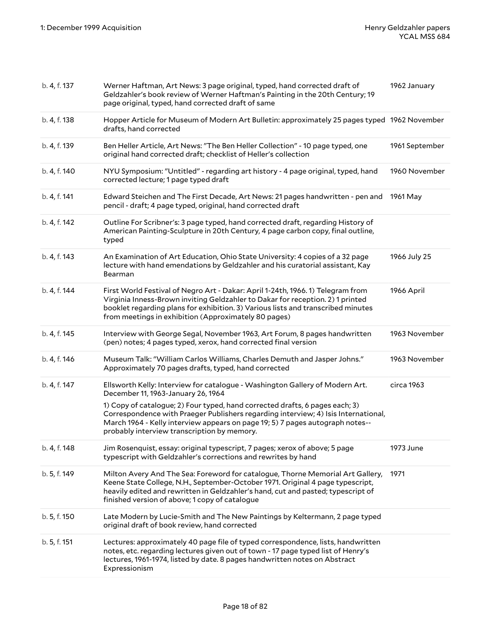| b. 4, f. 137 | Werner Haftman, Art News: 3 page original, typed, hand corrected draft of<br>Geldzahler's book review of Werner Haftman's Painting in the 20th Century; 19<br>page original, typed, hand corrected draft of same                                                                                              | 1962 January   |
|--------------|---------------------------------------------------------------------------------------------------------------------------------------------------------------------------------------------------------------------------------------------------------------------------------------------------------------|----------------|
| b. 4, f. 138 | Hopper Article for Museum of Modern Art Bulletin: approximately 25 pages typed 1962 November<br>drafts, hand corrected                                                                                                                                                                                        |                |
| b. 4, f. 139 | Ben Heller Article, Art News: "The Ben Heller Collection" - 10 page typed, one<br>original hand corrected draft; checklist of Heller's collection                                                                                                                                                             | 1961 September |
| b. 4, f. 140 | NYU Symposium: "Untitled" - regarding art history - 4 page original, typed, hand<br>corrected lecture; 1 page typed draft                                                                                                                                                                                     | 1960 November  |
| b. 4, f. 141 | Edward Steichen and The First Decade, Art News: 21 pages handwritten - pen and<br>pencil - draft; 4 page typed, original, hand corrected draft                                                                                                                                                                | 1961 May       |
| b. 4, f. 142 | Outline For Scribner's: 3 page typed, hand corrected draft, regarding History of<br>American Painting-Sculpture in 20th Century, 4 page carbon copy, final outline,<br>typed                                                                                                                                  |                |
| b. 4, f. 143 | An Examination of Art Education, Ohio State University: 4 copies of a 32 page<br>lecture with hand emendations by Geldzahler and his curatorial assistant, Kay<br>Bearman                                                                                                                                     | 1966 July 25   |
| b. 4, f. 144 | First World Festival of Negro Art - Dakar: April 1-24th, 1966. 1) Telegram from<br>Virginia Inness-Brown inviting Geldzahler to Dakar for reception. 2) 1 printed<br>booklet regarding plans for exhibition. 3) Various lists and transcribed minutes<br>from meetings in exhibition (Approximately 80 pages) | 1966 April     |
| b. 4, f. 145 | Interview with George Segal, November 1963, Art Forum, 8 pages handwritten<br>(pen) notes; 4 pages typed, xerox, hand corrected final version                                                                                                                                                                 | 1963 November  |
| b. 4, f. 146 | Museum Talk: "William Carlos Williams, Charles Demuth and Jasper Johns."<br>Approximately 70 pages drafts, typed, hand corrected                                                                                                                                                                              | 1963 November  |
| b. 4, f. 147 | Ellsworth Kelly: Interview for catalogue - Washington Gallery of Modern Art.<br>December 11, 1963-January 26, 1964                                                                                                                                                                                            | circa 1963     |
|              | 1) Copy of catalogue; 2) Four typed, hand corrected drafts, 6 pages each; 3)<br>Correspondence with Praeger Publishers regarding interview; 4) Isis International,<br>March 1964 - Kelly interview appears on page 19; 5) 7 pages autograph notes--<br>probably interview transcription by memory.            |                |
| b. 4, f. 148 | Jim Rosenquist, essay: original typescript, 7 pages; xerox of above; 5 page<br>typescript with Geldzahler's corrections and rewrites by hand                                                                                                                                                                  | 1973 June      |
| b. 5, f. 149 | Milton Avery And The Sea: Foreword for catalogue, Thorne Memorial Art Gallery,<br>Keene State College, N.H., September-October 1971. Original 4 page typescript,<br>heavily edited and rewritten in Geldzahler's hand, cut and pasted; typescript of<br>finished version of above; 1 copy of catalogue        | 1971           |
| b. 5, f. 150 | Late Modern by Lucie-Smith and The New Paintings by Keltermann, 2 page typed<br>original draft of book review, hand corrected                                                                                                                                                                                 |                |
| b. 5, f. 151 | Lectures: approximately 40 page file of typed correspondence, lists, handwritten<br>notes, etc. regarding lectures given out of town - 17 page typed list of Henry's<br>lectures, 1961-1974, listed by date. 8 pages handwritten notes on Abstract                                                            |                |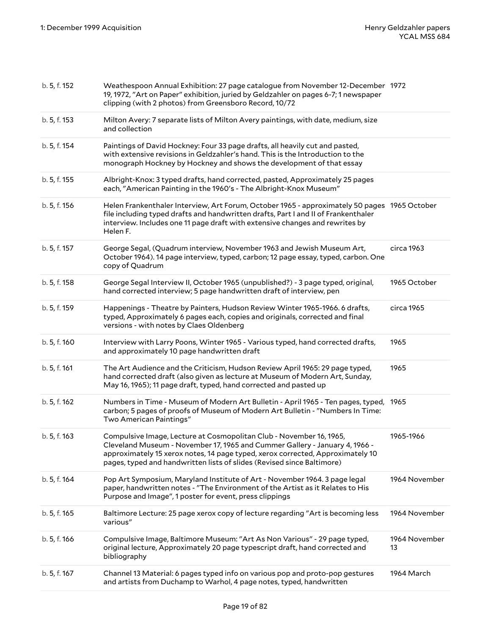| b. 5, f. 152 | Weathespoon Annual Exhibition: 27 page catalogue from November 12-December 1972<br>19, 1972, "Art on Paper" exhibition, juried by Geldzahler on pages 6-7; 1 newspaper<br>clipping (with 2 photos) from Greensboro Record, 10/72                                                                               |                     |
|--------------|----------------------------------------------------------------------------------------------------------------------------------------------------------------------------------------------------------------------------------------------------------------------------------------------------------------|---------------------|
| b. 5, f. 153 | Milton Avery: 7 separate lists of Milton Avery paintings, with date, medium, size<br>and collection                                                                                                                                                                                                            |                     |
| b. 5, f. 154 | Paintings of David Hockney: Four 33 page drafts, all heavily cut and pasted,<br>with extensive revisions in Geldzahler's hand. This is the Introduction to the<br>monograph Hockney by Hockney and shows the development of that essay                                                                         |                     |
| b. 5, f. 155 | Albright-Knox: 3 typed drafts, hand corrected, pasted, Approximately 25 pages<br>each, "American Painting in the 1960's - The Albright-Knox Museum"                                                                                                                                                            |                     |
| b. 5, f. 156 | Helen Frankenthaler Interview, Art Forum, October 1965 - approximately 50 pages 1965 October<br>file including typed drafts and handwritten drafts, Part I and II of Frankenthaler<br>interview. Includes one 11 page draft with extensive changes and rewrites by<br>Helen F.                                 |                     |
| b. 5, f. 157 | George Segal, (Quadrum interview, November 1963 and Jewish Museum Art,<br>October 1964). 14 page interview, typed, carbon; 12 page essay, typed, carbon. One<br>copy of Quadrum                                                                                                                                | circa 1963          |
| b. 5, f. 158 | George Segal Interview II, October 1965 (unpublished?) - 3 page typed, original,<br>hand corrected interview; 5 page handwritten draft of interview, pen                                                                                                                                                       | 1965 October        |
| b. 5, f. 159 | Happenings - Theatre by Painters, Hudson Review Winter 1965-1966. 6 drafts,<br>typed, Approximately 6 pages each, copies and originals, corrected and final<br>versions - with notes by Claes Oldenberg                                                                                                        | circa 1965          |
| b. 5, f. 160 | Interview with Larry Poons, Winter 1965 - Various typed, hand corrected drafts,<br>and approximately 10 page handwritten draft                                                                                                                                                                                 | 1965                |
|              |                                                                                                                                                                                                                                                                                                                |                     |
| b. 5, f. 161 | The Art Audience and the Criticism, Hudson Review April 1965: 29 page typed,<br>hand corrected draft (also given as lecture at Museum of Modern Art, Sunday,<br>May 16, 1965); 11 page draft, typed, hand corrected and pasted up                                                                              | 1965                |
| b. 5, f. 162 | Numbers in Time - Museum of Modern Art Bulletin - April 1965 - Ten pages, typed, 1965<br>carbon; 5 pages of proofs of Museum of Modern Art Bulletin - "Numbers In Time:<br>Two American Paintings"                                                                                                             |                     |
| b. 5, f. 163 | Compulsive Image, Lecture at Cosmopolitan Club - November 16, 1965,<br>Cleveland Museum - November 17, 1965 and Cummer Gallery - January 4, 1966 -<br>approximately 15 xerox notes, 14 page typed, xerox corrected, Approximately 10<br>pages, typed and handwritten lists of slides (Revised since Baltimore) | 1965-1966           |
| b. 5, f. 164 | Pop Art Symposium, Maryland Institute of Art - November 1964. 3 page legal<br>paper, handwritten notes - "The Environment of the Artist as it Relates to His<br>Purpose and Image", 1 poster for event, press clippings                                                                                        | 1964 November       |
| b. 5, f. 165 | Baltimore Lecture: 25 page xerox copy of lecture regarding "Art is becoming less<br>various"                                                                                                                                                                                                                   | 1964 November       |
| b. 5, f. 166 | Compulsive Image, Baltimore Museum: "Art As Non Various" - 29 page typed,<br>original lecture, Approximately 20 page typescript draft, hand corrected and<br>bibliography                                                                                                                                      | 1964 November<br>13 |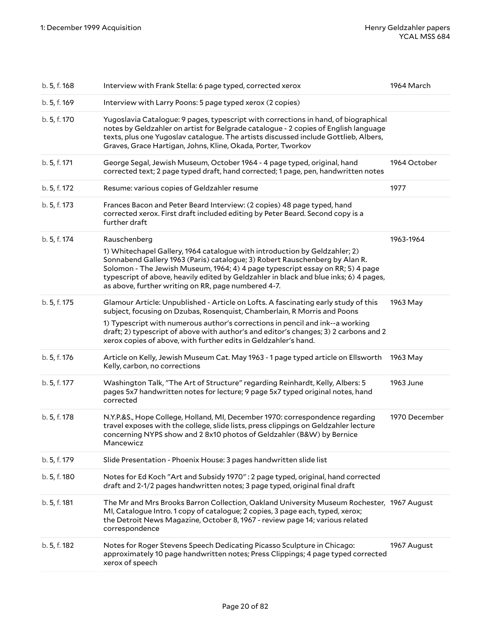| b. 5, f. 168 | Interview with Frank Stella: 6 page typed, corrected xerox                                                                                                                                                                                                                                                                                                                                  | 1964 March    |
|--------------|---------------------------------------------------------------------------------------------------------------------------------------------------------------------------------------------------------------------------------------------------------------------------------------------------------------------------------------------------------------------------------------------|---------------|
| b. 5, f. 169 | Interview with Larry Poons: 5 page typed xerox (2 copies)                                                                                                                                                                                                                                                                                                                                   |               |
| b. 5, f. 170 | Yugoslavia Catalogue: 9 pages, typescript with corrections in hand, of biographical<br>notes by Geldzahler on artist for Belgrade catalogue - 2 copies of English language<br>texts, plus one Yugoslav catalogue. The artists discussed include Gottlieb, Albers,<br>Graves, Grace Hartigan, Johns, Kline, Okada, Porter, Tworkov                                                           |               |
| b. 5, f. 171 | George Segal, Jewish Museum, October 1964 - 4 page typed, original, hand<br>corrected text; 2 page typed draft, hand corrected; 1 page, pen, handwritten notes                                                                                                                                                                                                                              | 1964 October  |
| b. 5, f. 172 | Resume: various copies of Geldzahler resume                                                                                                                                                                                                                                                                                                                                                 | 1977          |
| b. 5, f. 173 | Frances Bacon and Peter Beard Interview: (2 copies) 48 page typed, hand<br>corrected xerox. First draft included editing by Peter Beard. Second copy is a<br>further draft                                                                                                                                                                                                                  |               |
| b. 5, f. 174 | Rauschenberg                                                                                                                                                                                                                                                                                                                                                                                | 1963-1964     |
|              | 1) Whitechapel Gallery, 1964 catalogue with introduction by Geldzahler; 2)<br>Sonnabend Gallery 1963 (Paris) catalogue; 3) Robert Rauschenberg by Alan R.<br>Solomon - The Jewish Museum, 1964; 4) 4 page typescript essay on RR; 5) 4 page<br>typescript of above, heavily edited by Geldzahler in black and blue inks; 6) 4 pages,<br>as above, further writing on RR, page numbered 4-7. |               |
| b. 5, f. 175 | Glamour Article: Unpublished - Article on Lofts. A fascinating early study of this<br>subject, focusing on Dzubas, Rosenquist, Chamberlain, R Morris and Poons                                                                                                                                                                                                                              | 1963 May      |
|              | 1) Typescript with numerous author's corrections in pencil and ink--a working<br>draft; 2) typescript of above with author's and editor's changes; 3) 2 carbons and 2<br>xerox copies of above, with further edits in Geldzahler's hand.                                                                                                                                                    |               |
| b. 5, f. 176 | Article on Kelly, Jewish Museum Cat. May 1963 - 1 page typed article on Ellsworth<br>Kelly, carbon, no corrections                                                                                                                                                                                                                                                                          | 1963 May      |
| b. 5, f. 177 | Washington Talk, "The Art of Structure" regarding Reinhardt, Kelly, Albers: 5<br>pages 5x7 handwritten notes for lecture; 9 page 5x7 typed original notes, hand<br>corrected                                                                                                                                                                                                                | 1963 June     |
| b. 5, f. 178 | N.Y.P.&S., Hope College, Holland, MI, December 1970: correspondence regarding<br>travel exposes with the college, slide lists, press clippings on Geldzahler lecture<br>concerning NYPS show and 2 8x10 photos of Geldzahler (B&W) by Bernice<br>Mancewicz                                                                                                                                  | 1970 December |
| b. 5, f. 179 | Slide Presentation - Phoenix House: 3 pages handwritten slide list                                                                                                                                                                                                                                                                                                                          |               |
| b. 5, f. 180 | Notes for Ed Koch "Art and Subsidy 1970": 2 page typed, original, hand corrected<br>draft and 2-1/2 pages handwritten notes; 3 page typed, original final draft                                                                                                                                                                                                                             |               |
| b. 5, f. 181 | The Mr and Mrs Brooks Barron Collection, Oakland University Museum Rochester, 1967 August<br>MI, Catalogue Intro. 1 copy of catalogue; 2 copies, 3 page each, typed, xerox;<br>the Detroit News Magazine, October 8, 1967 - review page 14; various related<br>correspondence                                                                                                               |               |
| b. 5, f. 182 | Notes for Roger Stevens Speech Dedicating Picasso Sculpture in Chicago:<br>approximately 10 page handwritten notes; Press Clippings; 4 page typed corrected<br>xerox of speech                                                                                                                                                                                                              | 1967 August   |
|              |                                                                                                                                                                                                                                                                                                                                                                                             |               |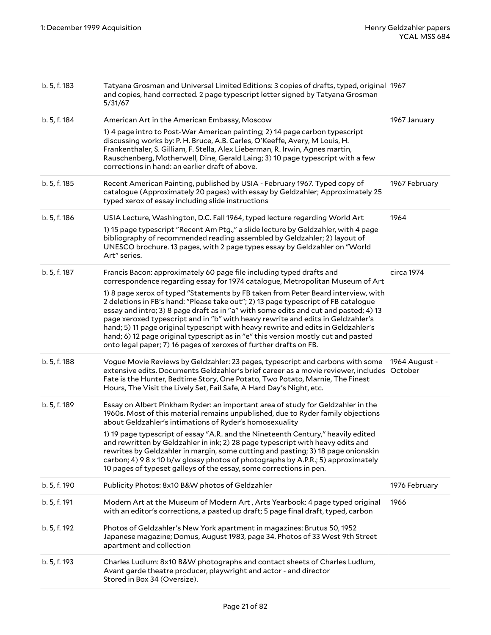|                              | Avant garde theatre producer, playwright and actor - and director<br>Stored in Box 34 (Oversize).                                                                                                                                                                                                                                                                                                                                                                                                                                                                                                 |               |
|------------------------------|---------------------------------------------------------------------------------------------------------------------------------------------------------------------------------------------------------------------------------------------------------------------------------------------------------------------------------------------------------------------------------------------------------------------------------------------------------------------------------------------------------------------------------------------------------------------------------------------------|---------------|
| b. 5, f. 192<br>b. 5, f. 193 | Photos of Geldzahler's New York apartment in magazines: Brutus 50, 1952<br>Japanese magazine; Domus, August 1983, page 34. Photos of 33 West 9th Street<br>apartment and collection<br>Charles Ludlum: 8x10 B&W photographs and contact sheets of Charles Ludlum,                                                                                                                                                                                                                                                                                                                                 |               |
| b. 5, f. 191                 | Modern Art at the Museum of Modern Art, Arts Yearbook: 4 page typed original<br>with an editor's corrections, a pasted up draft; 5 page final draft, typed, carbon                                                                                                                                                                                                                                                                                                                                                                                                                                | 1966          |
| b. 5, f. 190                 | Publicity Photos: 8x10 B&W photos of Geldzahler                                                                                                                                                                                                                                                                                                                                                                                                                                                                                                                                                   | 1976 February |
|                              | 1) 19 page typescript of essay "A.R. and the Nineteenth Century," heavily edited<br>and rewritten by Geldzahler in ink; 2) 28 page typescript with heavy edits and<br>rewrites by Geldzahler in margin, some cutting and pasting; 3) 18 page onionskin<br>carbon; 4) 9 8 x 10 b/w glossy photos of photographs by A.P.R.; 5) approximately<br>10 pages of typeset galleys of the essay, some corrections in pen.                                                                                                                                                                                  |               |
| b. 5, f. 189                 | Essay on Albert Pinkham Ryder: an important area of study for Geldzahler in the<br>1960s. Most of this material remains unpublished, due to Ryder family objections<br>about Geldzahler's intimations of Ryder's homosexuality                                                                                                                                                                                                                                                                                                                                                                    |               |
| b. 5, f. 188                 | Vogue Movie Reviews by Geldzahler: 23 pages, typescript and carbons with some<br>extensive edits. Documents Geldzahler's brief career as a movie reviewer, includes October<br>Fate is the Hunter, Bedtime Story, One Potato, Two Potato, Marnie, The Finest<br>Hours, The Visit the Lively Set, Fail Safe, A Hard Day's Night, etc.                                                                                                                                                                                                                                                              | 1964 August - |
|                              | 1) 8 page xerox of typed "Statements by FB taken from Peter Beard interview, with<br>2 deletions in FB's hand: "Please take out"; 2) 13 page typescript of FB catalogue<br>essay and intro; 3) 8 page draft as in "a" with some edits and cut and pasted; 4) 13<br>page xeroxed typescript and in "b" with heavy rewrite and edits in Geldzahler's<br>hand; 5) 11 page original typescript with heavy rewrite and edits in Geldzahler's<br>hand; 6) 12 page original typescript as in "e" this version mostly cut and pasted<br>onto legal paper; 7) 16 pages of xeroxes of further drafts on FB. |               |
| b. 5, f. 187                 | Francis Bacon: approximately 60 page file including typed drafts and<br>correspondence regarding essay for 1974 catalogue, Metropolitan Museum of Art                                                                                                                                                                                                                                                                                                                                                                                                                                             | circa 1974    |
|                              | 1) 15 page typescript "Recent Am Ptg.," a slide lecture by Geldzahler, with 4 page<br>bibliography of recommended reading assembled by Geldzahler; 2) layout of<br>UNESCO brochure. 13 pages, with 2 page types essay by Geldzahler on "World<br>Art" series.                                                                                                                                                                                                                                                                                                                                     |               |
| b. 5, f. 186                 | USIA Lecture, Washington, D.C. Fall 1964, typed lecture regarding World Art                                                                                                                                                                                                                                                                                                                                                                                                                                                                                                                       | 1964          |
| b. 5, f. 185                 | Recent American Painting, published by USIA - February 1967. Typed copy of<br>catalogue (Approximately 20 pages) with essay by Geldzahler; Approximately 25<br>typed xerox of essay including slide instructions                                                                                                                                                                                                                                                                                                                                                                                  | 1967 February |
| b. 5, f. 184                 | American Art in the American Embassy, Moscow<br>1) 4 page intro to Post-War American painting; 2) 14 page carbon typescript<br>discussing works by: P. H. Bruce, A.B. Carles, O'Keeffe, Avery, M Louis, H.<br>Frankenthaler, S. Gilliam, F. Stella, Alex Lieberman, R. Irwin, Agnes martin,<br>Rauschenberg, Motherwell, Dine, Gerald Laing; 3) 10 page typescript with a few<br>corrections in hand: an earlier draft of above.                                                                                                                                                                  | 1967 January  |
| b. 5, f. 183                 | Tatyana Grosman and Universal Limited Editions: 3 copies of drafts, typed, original 1967<br>and copies, hand corrected. 2 page typescript letter signed by Tatyana Grosman<br>5/31/67                                                                                                                                                                                                                                                                                                                                                                                                             |               |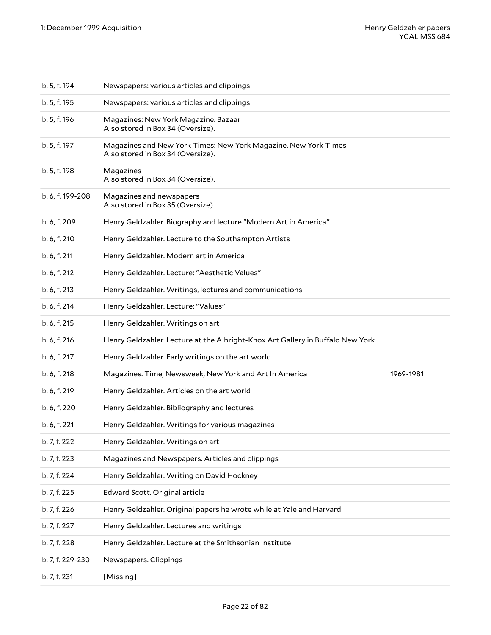| b. 5, f. 194     | Newspapers: various articles and clippings                                                           |           |
|------------------|------------------------------------------------------------------------------------------------------|-----------|
| b. 5, f. 195     | Newspapers: various articles and clippings                                                           |           |
| b. 5, f. 196     | Magazines: New York Magazine. Bazaar<br>Also stored in Box 34 (Oversize).                            |           |
| b. 5, f. 197     | Magazines and New York Times: New York Magazine. New York Times<br>Also stored in Box 34 (Oversize). |           |
| b. 5, f. 198     | Magazines<br>Also stored in Box 34 (Oversize).                                                       |           |
| b. 6, f. 199-208 | Magazines and newspapers<br>Also stored in Box 35 (Oversize).                                        |           |
| b. 6, f. 209     | Henry Geldzahler. Biography and lecture "Modern Art in America"                                      |           |
| b. 6, f. 210     | Henry Geldzahler. Lecture to the Southampton Artists                                                 |           |
| b. 6, f. 211     | Henry Geldzahler. Modern art in America                                                              |           |
| b. 6, f. 212     | Henry Geldzahler. Lecture: "Aesthetic Values"                                                        |           |
| b. 6, f. 213     | Henry Geldzahler. Writings, lectures and communications                                              |           |
| b. 6, f. 214     | Henry Geldzahler. Lecture: "Values"                                                                  |           |
| b. 6, f. 215     | Henry Geldzahler. Writings on art                                                                    |           |
| b. 6, f. 216     | Henry Geldzahler. Lecture at the Albright-Knox Art Gallery in Buffalo New York                       |           |
| b. 6, f. 217     | Henry Geldzahler. Early writings on the art world                                                    |           |
| b. 6, f. 218     | Magazines. Time, Newsweek, New York and Art In America                                               | 1969-1981 |
| b. 6, f. 219     | Henry Geldzahler. Articles on the art world                                                          |           |
| b. 6, f. 220     | Henry Geldzahler. Bibliography and lectures                                                          |           |
| b. 6, f. 221     | Henry Geldzahler. Writings for various magazines                                                     |           |
| b. 7, f. 222     | Henry Geldzahler. Writings on art                                                                    |           |
| b. 7, f. 223     | Magazines and Newspapers. Articles and clippings                                                     |           |
| b. 7, f. 224     | Henry Geldzahler. Writing on David Hockney                                                           |           |
| b. 7, f. 225     | Edward Scott. Original article                                                                       |           |
| b. 7, f. 226     | Henry Geldzahler. Original papers he wrote while at Yale and Harvard                                 |           |
| b. 7, f. 227     | Henry Geldzahler. Lectures and writings                                                              |           |
| b. 7, f. 228     | Henry Geldzahler. Lecture at the Smithsonian Institute                                               |           |
| b. 7, f. 229-230 | Newspapers. Clippings                                                                                |           |
| b. 7, f. 231     | [Missing]                                                                                            |           |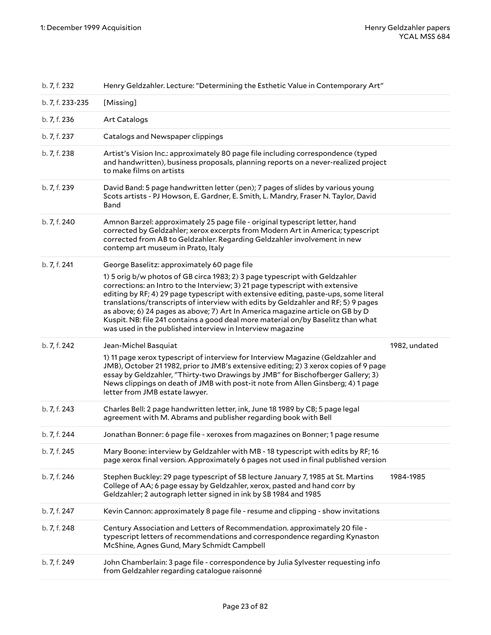| b. 7, f. 232     | Henry Geldzahler. Lecture: "Determining the Esthetic Value in Contemporary Art"                                                                                                                                                                                                                                                                                                                                                                                                                                                                                            |               |
|------------------|----------------------------------------------------------------------------------------------------------------------------------------------------------------------------------------------------------------------------------------------------------------------------------------------------------------------------------------------------------------------------------------------------------------------------------------------------------------------------------------------------------------------------------------------------------------------------|---------------|
| b. 7, f. 233-235 | [Missing]                                                                                                                                                                                                                                                                                                                                                                                                                                                                                                                                                                  |               |
| b. 7, f. 236     | Art Catalogs                                                                                                                                                                                                                                                                                                                                                                                                                                                                                                                                                               |               |
| b. 7, f. 237     | Catalogs and Newspaper clippings                                                                                                                                                                                                                                                                                                                                                                                                                                                                                                                                           |               |
| b. 7, f. 238     | Artist's Vision Inc.: approximately 80 page file including correspondence (typed<br>and handwritten), business proposals, planning reports on a never-realized project<br>to make films on artists                                                                                                                                                                                                                                                                                                                                                                         |               |
| b. 7, f. 239     | David Band: 5 page handwritten letter (pen); 7 pages of slides by various young<br>Scots artists - PJ Howson, E. Gardner, E. Smith, L. Mandry, Fraser N. Taylor, David<br>Band                                                                                                                                                                                                                                                                                                                                                                                             |               |
| b. 7, f. 240     | Amnon Barzel: approximately 25 page file - original typescript letter, hand<br>corrected by Geldzahler; xerox excerpts from Modern Art in America; typescript<br>corrected from AB to Geldzahler. Regarding Geldzahler involvement in new<br>contemp art museum in Prato, Italy                                                                                                                                                                                                                                                                                            |               |
| b. 7, f. 241     | George Baselitz: approximately 60 page file                                                                                                                                                                                                                                                                                                                                                                                                                                                                                                                                |               |
|                  | 1) 5 orig b/w photos of GB circa 1983; 2) 3 page typescript with Geldzahler<br>corrections: an Intro to the Interview; 3) 21 page typescript with extensive<br>editing by RF; 4) 29 page typescript with extensive editing, paste-ups, some literal<br>translations/transcripts of interview with edits by Geldzahler and RF; 5) 9 pages<br>as above; 6) 24 pages as above; 7) Art In America magazine article on GB by D<br>Kuspit. NB: file 241 contains a good deal more material on/by Baselitz than what<br>was used in the published interview in Interview magazine |               |
|                  |                                                                                                                                                                                                                                                                                                                                                                                                                                                                                                                                                                            |               |
| b. 7, f. 242     | Jean-Michel Basquiat                                                                                                                                                                                                                                                                                                                                                                                                                                                                                                                                                       | 1982, undated |
|                  | 1) 11 page xerox typescript of interview for Interview Magazine (Geldzahler and<br>JMB), October 21 1982, prior to JMB's extensive editing; 2) 3 xerox copies of 9 page<br>essay by Geldzahler, "Thirty-two Drawings by JMB" for Bischofberger Gallery; 3)<br>News clippings on death of JMB with post-it note from Allen Ginsberg; 4) 1 page<br>letter from JMB estate lawyer.                                                                                                                                                                                            |               |
| b. 7, f. 243     | Charles Bell: 2 page handwritten letter, ink, June 18 1989 by CB; 5 page legal<br>agreement with M. Abrams and publisher regarding book with Bell                                                                                                                                                                                                                                                                                                                                                                                                                          |               |
| b. 7, f. 244     | Jonathan Bonner: 6 page file - xeroxes from magazines on Bonner; 1 page resume                                                                                                                                                                                                                                                                                                                                                                                                                                                                                             |               |
| b. 7, f. 245     | Mary Boone: interview by Geldzahler with MB - 18 typescript with edits by RF; 16<br>page xerox final version. Approximately 6 pages not used in final published version                                                                                                                                                                                                                                                                                                                                                                                                    |               |
| b. 7, f. 246     | Stephen Buckley: 29 page typescript of SB lecture January 7, 1985 at St. Martins<br>College of AA; 6 page essay by Geldzahler, xerox, pasted and hand corr by<br>Geldzahler; 2 autograph letter signed in ink by SB 1984 and 1985                                                                                                                                                                                                                                                                                                                                          | 1984-1985     |
| b. 7, f. 247     | Kevin Cannon: approximately 8 page file - resume and clipping - show invitations                                                                                                                                                                                                                                                                                                                                                                                                                                                                                           |               |
| b. 7, f. 248     | Century Association and Letters of Recommendation. approximately 20 file -<br>typescript letters of recommendations and correspondence regarding Kynaston<br>McShine, Agnes Gund, Mary Schmidt Campbell                                                                                                                                                                                                                                                                                                                                                                    |               |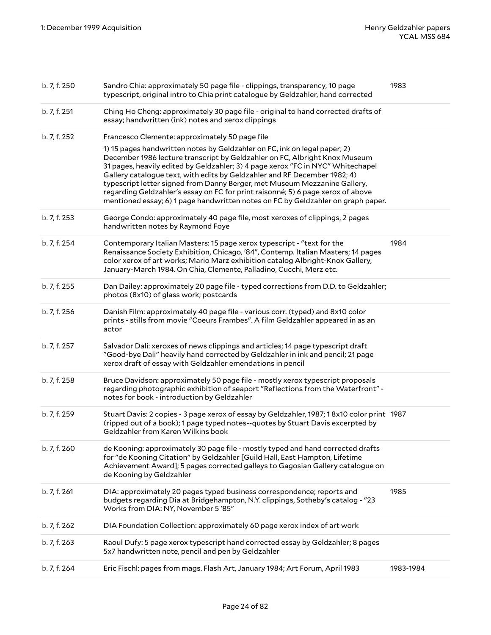| b. 7, f. 250 | Sandro Chia: approximately 50 page file - clippings, transparency, 10 page<br>typescript, original intro to Chia print catalogue by Geldzahler, hand corrected                                                                                                                                                                                                                                                                                                                                                                                                                                                                | 1983      |
|--------------|-------------------------------------------------------------------------------------------------------------------------------------------------------------------------------------------------------------------------------------------------------------------------------------------------------------------------------------------------------------------------------------------------------------------------------------------------------------------------------------------------------------------------------------------------------------------------------------------------------------------------------|-----------|
| b. 7, f. 251 | Ching Ho Cheng: approximately 30 page file - original to hand corrected drafts of<br>essay; handwritten (ink) notes and xerox clippings                                                                                                                                                                                                                                                                                                                                                                                                                                                                                       |           |
| b. 7, f. 252 | Francesco Clemente: approximately 50 page file<br>1) 15 pages handwritten notes by Geldzahler on FC, ink on legal paper; 2)<br>December 1986 lecture transcript by Geldzahler on FC, Albright Knox Museum<br>31 pages, heavily edited by Geldzahler; 3) 4 page xerox "FC in NYC" Whitechapel<br>Gallery catalogue text, with edits by Geldzahler and RF December 1982; 4)<br>typescript letter signed from Danny Berger, met Museum Mezzanine Gallery,<br>regarding Geldzahler's essay on FC for print raisonné; 5) 6 page xerox of above<br>mentioned essay; 6) 1 page handwritten notes on FC by Geldzahler on graph paper. |           |
| b. 7, f. 253 | George Condo: approximately 40 page file, most xeroxes of clippings, 2 pages<br>handwritten notes by Raymond Foye                                                                                                                                                                                                                                                                                                                                                                                                                                                                                                             |           |
| b. 7, f. 254 | Contemporary Italian Masters: 15 page xerox typescript - "text for the<br>Renaissance Society Exhibition, Chicago, '84", Contemp. Italian Masters; 14 pages<br>color xerox of art works; Mario Marz exhibition catalog Albright-Knox Gallery,<br>January-March 1984. On Chia, Clemente, Palladino, Cucchi, Merz etc.                                                                                                                                                                                                                                                                                                          | 1984      |
| b. 7, f. 255 | Dan Dailey: approximately 20 page file - typed corrections from D.D. to Geldzahler;<br>photos (8x10) of glass work; postcards                                                                                                                                                                                                                                                                                                                                                                                                                                                                                                 |           |
| b. 7, f. 256 | Danish Film: approximately 40 page file - various corr. (typed) and 8x10 color<br>prints - stills from movie "Coeurs Frambes". A film Geldzahler appeared in as an<br>actor                                                                                                                                                                                                                                                                                                                                                                                                                                                   |           |
| b. 7, f. 257 | Salvador Dali: xeroxes of news clippings and articles; 14 page typescript draft<br>"Good-bye Dali" heavily hand corrected by Geldzahler in ink and pencil; 21 page<br>xerox draft of essay with Geldzahler emendations in pencil                                                                                                                                                                                                                                                                                                                                                                                              |           |
| b. 7, f. 258 | Bruce Davidson: approximately 50 page file - mostly xerox typescript proposals<br>regarding photographic exhibition of seaport "Reflections from the Waterfront" -<br>notes for book - introduction by Geldzahler                                                                                                                                                                                                                                                                                                                                                                                                             |           |
| b. 7, f. 259 | Stuart Davis: 2 copies - 3 page xerox of essay by Geldzahler, 1987; 18x10 color print 1987<br>(ripped out of a book); 1 page typed notes--quotes by Stuart Davis excerpted by<br>Geldzahler from Karen Wilkins book                                                                                                                                                                                                                                                                                                                                                                                                           |           |
| b. 7, f. 260 | de Kooning: approximately 30 page file - mostly typed and hand corrected drafts<br>for "de Kooning Citation" by Geldzahler [Guild Hall, East Hampton, Lifetime<br>Achievement Award]; 5 pages corrected galleys to Gagosian Gallery catalogue on<br>de Kooning by Geldzahler                                                                                                                                                                                                                                                                                                                                                  |           |
| b. 7, f. 261 | DIA: approximately 20 pages typed business correspondence; reports and<br>budgets regarding Dia at Bridgehampton, N.Y. clippings, Sotheby's catalog - "23<br>Works from DIA: NY, November 5'85"                                                                                                                                                                                                                                                                                                                                                                                                                               | 1985      |
| b. 7, f. 262 | DIA Foundation Collection: approximately 60 page xerox index of art work                                                                                                                                                                                                                                                                                                                                                                                                                                                                                                                                                      |           |
| b. 7, f. 263 | Raoul Dufy: 5 page xerox typescript hand corrected essay by Geldzahler; 8 pages<br>5x7 handwritten note, pencil and pen by Geldzahler                                                                                                                                                                                                                                                                                                                                                                                                                                                                                         |           |
| b. 7, f. 264 | Eric Fischl: pages from mags. Flash Art, January 1984; Art Forum, April 1983                                                                                                                                                                                                                                                                                                                                                                                                                                                                                                                                                  | 1983-1984 |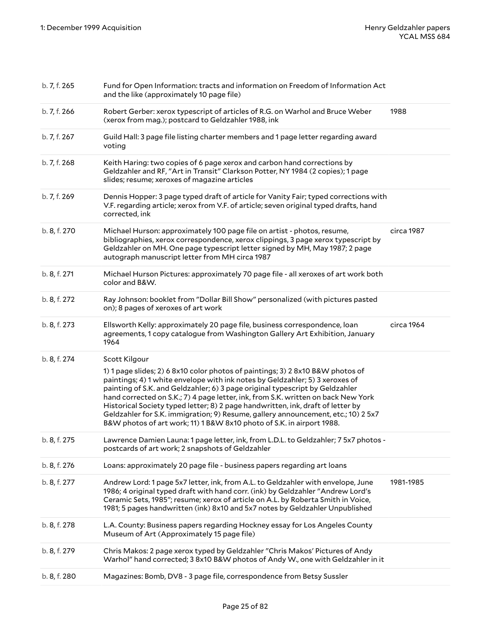| b. 7, f. 265 | Fund for Open Information: tracts and information on Freedom of Information Act<br>and the like (approximately 10 page file)                                                                                                                                                                                                                                                                                                                                                                                                                                                                          |            |
|--------------|-------------------------------------------------------------------------------------------------------------------------------------------------------------------------------------------------------------------------------------------------------------------------------------------------------------------------------------------------------------------------------------------------------------------------------------------------------------------------------------------------------------------------------------------------------------------------------------------------------|------------|
| b. 7, f. 266 | Robert Gerber: xerox typescript of articles of R.G. on Warhol and Bruce Weber<br>(xerox from mag.); postcard to Geldzahler 1988, ink                                                                                                                                                                                                                                                                                                                                                                                                                                                                  | 1988       |
| b. 7, f. 267 | Guild Hall: 3 page file listing charter members and 1 page letter regarding award<br>voting                                                                                                                                                                                                                                                                                                                                                                                                                                                                                                           |            |
| b. 7, f. 268 | Keith Haring: two copies of 6 page xerox and carbon hand corrections by<br>Geldzahler and RF, "Art in Transit" Clarkson Potter, NY 1984 (2 copies); 1 page<br>slides; resume; xeroxes of magazine articles                                                                                                                                                                                                                                                                                                                                                                                            |            |
| b. 7, f. 269 | Dennis Hopper: 3 page typed draft of article for Vanity Fair; typed corrections with<br>V.F. regarding article; xerox from V.F. of article; seven original typed drafts, hand<br>corrected, ink                                                                                                                                                                                                                                                                                                                                                                                                       |            |
| b. 8, f. 270 | Michael Hurson: approximately 100 page file on artist - photos, resume,<br>bibliographies, xerox correspondence, xerox clippings, 3 page xerox typescript by<br>Geldzahler on MH. One page typescript letter signed by MH, May 1987; 2 page<br>autograph manuscript letter from MH circa 1987                                                                                                                                                                                                                                                                                                         | circa 1987 |
| b. 8, f. 271 | Michael Hurson Pictures: approximately 70 page file - all xeroxes of art work both<br>color and B&W.                                                                                                                                                                                                                                                                                                                                                                                                                                                                                                  |            |
| b. 8, f. 272 | Ray Johnson: booklet from "Dollar Bill Show" personalized (with pictures pasted<br>on); 8 pages of xeroxes of art work                                                                                                                                                                                                                                                                                                                                                                                                                                                                                |            |
| b. 8, f. 273 | Ellsworth Kelly: approximately 20 page file, business correspondence, loan<br>agreements, 1 copy catalogue from Washington Gallery Art Exhibition, January<br>1964                                                                                                                                                                                                                                                                                                                                                                                                                                    | circa 1964 |
| b. 8, f. 274 | Scott Kilgour<br>1) 1 page slides; 2) 6 8x10 color photos of paintings; 3) 2 8x10 B&W photos of<br>paintings; 4) 1 white envelope with ink notes by Geldzahler; 5) 3 xeroxes of<br>painting of S.K. and Geldzahler; 6) 3 page original typescript by Geldzahler<br>hand corrected on S.K.; 7) 4 page letter, ink, from S.K. written on back New York<br>Historical Society typed letter; 8) 2 page handwritten, ink, draft of letter by<br>Geldzahler for S.K. immigration; 9) Resume, gallery announcement, etc.; 10) 2 5x7<br>B&W photos of art work; 11) 1 B&W 8x10 photo of S.K. in airport 1988. |            |
| b. 8, f. 275 | Lawrence Damien Launa: 1 page letter, ink, from L.D.L. to Geldzahler; 7 5x7 photos -<br>postcards of art work; 2 snapshots of Geldzahler                                                                                                                                                                                                                                                                                                                                                                                                                                                              |            |
| b. 8, f. 276 | Loans: approximately 20 page file - business papers regarding art loans                                                                                                                                                                                                                                                                                                                                                                                                                                                                                                                               |            |
| b. 8, f. 277 | Andrew Lord: 1 page 5x7 letter, ink, from A.L. to Geldzahler with envelope, June<br>1986; 4 original typed draft with hand corr. (ink) by Geldzahler "Andrew Lord's<br>Ceramic Sets, 1985"; resume; xerox of article on A.L. by Roberta Smith in Voice,<br>1981; 5 pages handwritten (ink) 8x10 and 5x7 notes by Geldzahler Unpublished                                                                                                                                                                                                                                                               | 1981-1985  |
| b. 8, f. 278 | L.A. County: Business papers regarding Hockney essay for Los Angeles County<br>Museum of Art (Approximately 15 page file)                                                                                                                                                                                                                                                                                                                                                                                                                                                                             |            |
| b. 8, f. 279 | Chris Makos: 2 page xerox typed by Geldzahler "Chris Makos' Pictures of Andy<br>Warhol" hand corrected; 3 8x10 B&W photos of Andy W., one with Geldzahler in it                                                                                                                                                                                                                                                                                                                                                                                                                                       |            |
| b. 8, f. 280 | Magazines: Bomb, DV8 - 3 page file, correspondence from Betsy Sussler                                                                                                                                                                                                                                                                                                                                                                                                                                                                                                                                 |            |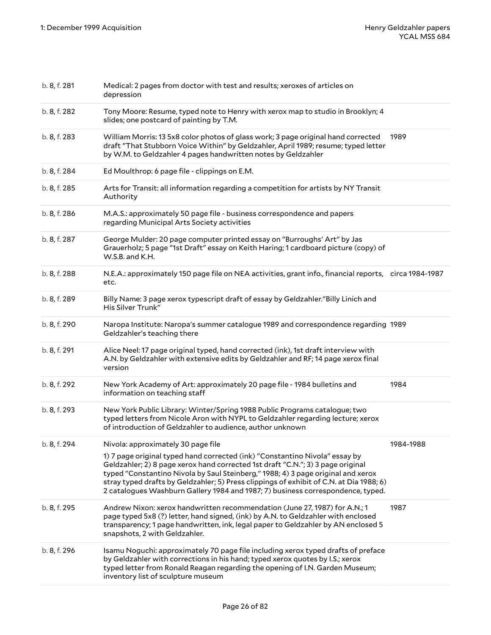| b. 8, f. 281 | Medical: 2 pages from doctor with test and results; xeroxes of articles on<br>depression                                                                                                                                                                                                                                                                                                                                         |           |
|--------------|----------------------------------------------------------------------------------------------------------------------------------------------------------------------------------------------------------------------------------------------------------------------------------------------------------------------------------------------------------------------------------------------------------------------------------|-----------|
| b. 8, f. 282 | Tony Moore: Resume, typed note to Henry with xerox map to studio in Brooklyn; 4<br>slides; one postcard of painting by T.M.                                                                                                                                                                                                                                                                                                      |           |
| b. 8, f. 283 | William Morris: 13 5x8 color photos of glass work; 3 page original hand corrected<br>draft "That Stubborn Voice Within" by Geldzahler, April 1989; resume; typed letter<br>by W.M. to Geldzahler 4 pages handwritten notes by Geldzahler                                                                                                                                                                                         | 1989      |
| b. 8, f. 284 | Ed Moulthrop: 6 page file - clippings on E.M.                                                                                                                                                                                                                                                                                                                                                                                    |           |
| b. 8, f. 285 | Arts for Transit: all information regarding a competition for artists by NY Transit<br>Authority                                                                                                                                                                                                                                                                                                                                 |           |
| b. 8, f. 286 | M.A.S.: approximately 50 page file - business correspondence and papers<br>regarding Municipal Arts Society activities                                                                                                                                                                                                                                                                                                           |           |
| b. 8, f. 287 | George Mulder: 20 page computer printed essay on "Burroughs' Art" by Jas<br>Grauerholz; 5 page "1st Draft" essay on Keith Haring; 1 cardboard picture (copy) of<br>W.S.B. and K.H.                                                                                                                                                                                                                                               |           |
| b. 8, f. 288 | N.E.A.: approximately 150 page file on NEA activities, grant info., financial reports, circa 1984-1987<br>etc.                                                                                                                                                                                                                                                                                                                   |           |
| b. 8, f. 289 | Billy Name: 3 page xerox typescript draft of essay by Geldzahler."Billy Linich and<br>His Silver Trunk"                                                                                                                                                                                                                                                                                                                          |           |
| b. 8, f. 290 | Naropa Institute: Naropa's summer catalogue 1989 and correspondence regarding 1989<br>Geldzahler's teaching there                                                                                                                                                                                                                                                                                                                |           |
| b. 8, f. 291 | Alice Neel: 17 page original typed, hand corrected (ink), 1st draft interview with<br>A.N. by Geldzahler with extensive edits by Geldzahler and RF; 14 page xerox final<br>version                                                                                                                                                                                                                                               |           |
| b. 8, f. 292 | New York Academy of Art: approximately 20 page file - 1984 bulletins and<br>information on teaching staff                                                                                                                                                                                                                                                                                                                        | 1984      |
| b. 8, f. 293 | New York Public Library: Winter/Spring 1988 Public Programs catalogue; two<br>typed letters from Nicole Aron with NYPL to Geldzahler regarding lecture; xerox<br>of introduction of Geldzahler to audience, author unknown                                                                                                                                                                                                       |           |
| b. 8, f. 294 | Nivola: approximately 30 page file                                                                                                                                                                                                                                                                                                                                                                                               | 1984-1988 |
|              | 1) 7 page original typed hand corrected (ink) "Constantino Nivola" essay by<br>Geldzahler; 2) 8 page xerox hand corrected 1st draft "C.N."; 3) 3 page original<br>typed "Constantino Nivola by Saul Steinberg," 1988; 4) 3 page original and xerox<br>stray typed drafts by Geldzahler; 5) Press clippings of exhibit of C.N. at Dia 1988; 6)<br>2 catalogues Washburn Gallery 1984 and 1987; 7) business correspondence, typed. |           |
| b. 8, f. 295 | Andrew Nixon: xerox handwritten recommendation (June 27, 1987) for A.N.; 1<br>page typed 5x8 (?) letter, hand signed, (ink) by A.N. to Geldzahler with enclosed<br>transparency; 1 page handwritten, ink, legal paper to Geldzahler by AN enclosed 5<br>snapshots, 2 with Geldzahler.                                                                                                                                            | 1987      |
| b. 8, f. 296 | Isamu Noguchi: approximately 70 page file including xerox typed drafts of preface<br>by Geldzahler with corrections in his hand; typed xerox quotes by I.S.; xerox<br>typed letter from Ronald Reagan regarding the opening of I.N. Garden Museum;<br>inventory list of sculpture museum                                                                                                                                         |           |
|              |                                                                                                                                                                                                                                                                                                                                                                                                                                  |           |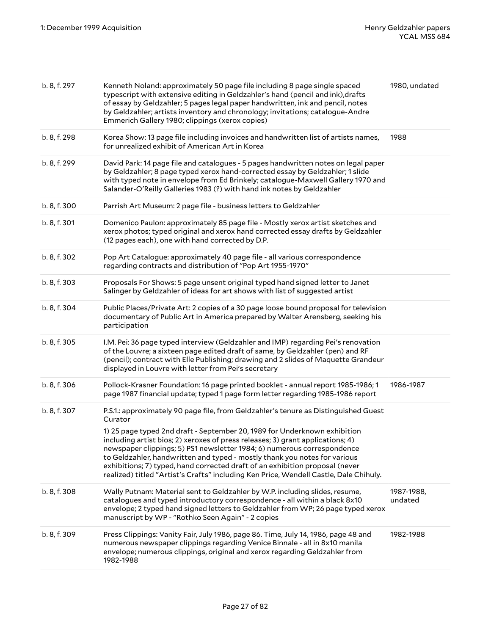| b. 8, f. 297 | Kenneth Noland: approximately 50 page file including 8 page single spaced<br>typescript with extensive editing in Geldzahler's hand (pencil and ink), drafts<br>of essay by Geldzahler; 5 pages legal paper handwritten, ink and pencil, notes<br>by Geldzahler; artists inventory and chronology; invitations; catalogue-Andre<br>Emmerich Gallery 1980; clippings (xerox copies)                                                                                                                                                                                                             | 1980, undated         |
|--------------|------------------------------------------------------------------------------------------------------------------------------------------------------------------------------------------------------------------------------------------------------------------------------------------------------------------------------------------------------------------------------------------------------------------------------------------------------------------------------------------------------------------------------------------------------------------------------------------------|-----------------------|
| b. 8, f. 298 | Korea Show: 13 page file including invoices and handwritten list of artists names,<br>for unrealized exhibit of American Art in Korea                                                                                                                                                                                                                                                                                                                                                                                                                                                          | 1988                  |
| b. 8, f. 299 | David Park: 14 page file and catalogues - 5 pages handwritten notes on legal paper<br>by Geldzahler; 8 page typed xerox hand-corrected essay by Geldzahler; 1 slide<br>with typed note in envelope from Ed Brinkely; catalogue-Maxwell Gallery 1970 and<br>Salander-O'Reilly Galleries 1983 (?) with hand ink notes by Geldzahler                                                                                                                                                                                                                                                              |                       |
| b. 8, f. 300 | Parrish Art Museum: 2 page file - business letters to Geldzahler                                                                                                                                                                                                                                                                                                                                                                                                                                                                                                                               |                       |
| b. 8, f. 301 | Domenico Paulon: approximately 85 page file - Mostly xerox artist sketches and<br>xerox photos; typed original and xerox hand corrected essay drafts by Geldzahler<br>(12 pages each), one with hand corrected by D.P.                                                                                                                                                                                                                                                                                                                                                                         |                       |
| b. 8, f. 302 | Pop Art Catalogue: approximately 40 page file - all various correspondence<br>regarding contracts and distribution of "Pop Art 1955-1970"                                                                                                                                                                                                                                                                                                                                                                                                                                                      |                       |
| b. 8, f. 303 | Proposals For Shows: 5 page unsent original typed hand signed letter to Janet<br>Salinger by Geldzahler of ideas for art shows with list of suggested artist                                                                                                                                                                                                                                                                                                                                                                                                                                   |                       |
| b. 8, f. 304 | Public Places/Private Art: 2 copies of a 30 page loose bound proposal for television<br>documentary of Public Art in America prepared by Walter Arensberg, seeking his<br>participation                                                                                                                                                                                                                                                                                                                                                                                                        |                       |
| b. 8, f. 305 | I.M. Pei: 36 page typed interview (Geldzahler and IMP) regarding Pei's renovation<br>of the Louvre; a sixteen page edited draft of same, by Geldzahler (pen) and RF<br>(pencil); contract with Elle Publishing; drawing and 2 slides of Maquette Grandeur<br>displayed in Louvre with letter from Pei's secretary                                                                                                                                                                                                                                                                              |                       |
| b. 8, f. 306 | Pollock-Krasner Foundation: 16 page printed booklet - annual report 1985-1986; 1<br>page 1987 financial update; typed 1 page form letter regarding 1985-1986 report                                                                                                                                                                                                                                                                                                                                                                                                                            | 1986-1987             |
| b. 8, f. 307 | P.S.1.: approximately 90 page file, from Geldzahler's tenure as Distinguished Guest<br>Curator<br>1) 25 page typed 2nd draft - September 20, 1989 for Underknown exhibition<br>including artist bios; 2) xeroxes of press releases; 3) grant applications; 4)<br>newspaper clippings; 5) PS1 newsletter 1984; 6) numerous correspondence<br>to Geldzahler, handwritten and typed - mostly thank you notes for various<br>exhibitions; 7) typed, hand corrected draft of an exhibition proposal (never<br>realized) titled "Artist's Crafts" including Ken Price, Wendell Castle, Dale Chihuly. |                       |
| b. 8, f. 308 | Wally Putnam: Material sent to Geldzahler by W.P. including slides, resume,<br>catalogues and typed introductory correspondence - all within a black 8x10<br>envelope; 2 typed hand signed letters to Geldzahler from WP; 26 page typed xerox<br>manuscript by WP - "Rothko Seen Again" - 2 copies                                                                                                                                                                                                                                                                                             | 1987-1988,<br>undated |
| b. 8, f. 309 | Press Clippings: Vanity Fair, July 1986, page 86. Time, July 14, 1986, page 48 and<br>numerous newspaper clippings regarding Venice Binnale - all in 8x10 manila<br>envelope; numerous clippings, original and xerox regarding Geldzahler from<br>1982-1988                                                                                                                                                                                                                                                                                                                                    | 1982-1988             |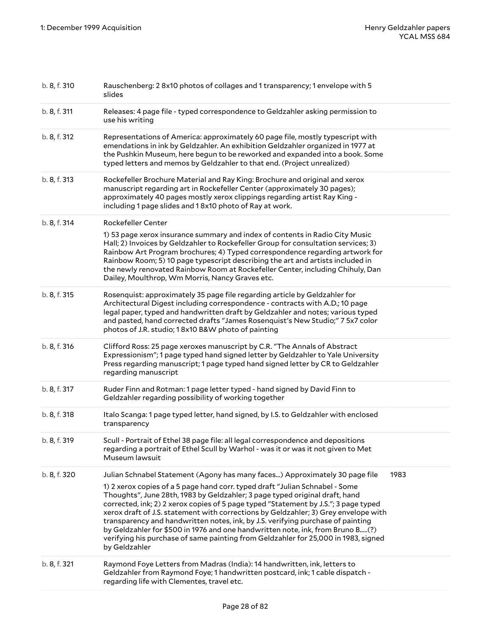| b. 8, f. 310 | Rauschenberg: 28x10 photos of collages and 1 transparency; 1 envelope with 5<br>slides                                                                                                                                                                                                                                                                                                                                                                                                                                                                                                                                                                                                               |      |
|--------------|------------------------------------------------------------------------------------------------------------------------------------------------------------------------------------------------------------------------------------------------------------------------------------------------------------------------------------------------------------------------------------------------------------------------------------------------------------------------------------------------------------------------------------------------------------------------------------------------------------------------------------------------------------------------------------------------------|------|
| b. 8, f. 311 | Releases: 4 page file - typed correspondence to Geldzahler asking permission to<br>use his writing                                                                                                                                                                                                                                                                                                                                                                                                                                                                                                                                                                                                   |      |
| b. 8, f. 312 | Representations of America: approximately 60 page file, mostly typescript with<br>emendations in ink by Geldzahler. An exhibition Geldzahler organized in 1977 at<br>the Pushkin Museum, here begun to be reworked and expanded into a book. Some<br>typed letters and memos by Geldzahler to that end. (Project unrealized)                                                                                                                                                                                                                                                                                                                                                                         |      |
| b. 8, f. 313 | Rockefeller Brochure Material and Ray King: Brochure and original and xerox<br>manuscript regarding art in Rockefeller Center (approximately 30 pages);<br>approximately 40 pages mostly xerox clippings regarding artist Ray King -<br>including 1 page slides and 18x10 photo of Ray at work.                                                                                                                                                                                                                                                                                                                                                                                                      |      |
| b. 8, f. 314 | Rockefeller Center<br>1) 53 page xerox insurance summary and index of contents in Radio City Music<br>Hall; 2) Invoices by Geldzahler to Rockefeller Group for consultation services; 3)<br>Rainbow Art Program brochures; 4) Typed correspondence regarding artwork for<br>Rainbow Room; 5) 10 page typescript describing the art and artists included in<br>the newly renovated Rainbow Room at Rockefeller Center, including Chihuly, Dan<br>Dailey, Moulthrop, Wm Morris, Nancy Graves etc.                                                                                                                                                                                                      |      |
| b. 8, f. 315 | Rosenquist: approximately 35 page file regarding article by Geldzahler for<br>Architectural Digest including correspondence - contracts with A.D.; 10 page<br>legal paper, typed and handwritten draft by Geldzahler and notes; various typed<br>and pasted, hand corrected drafts "James Rosenquist's New Studio;" 7 5x7 color<br>photos of J.R. studio; 18x10 B&W photo of painting                                                                                                                                                                                                                                                                                                                |      |
| b. 8, f. 316 | Clifford Ross: 25 page xeroxes manuscript by C.R. "The Annals of Abstract<br>Expressionism"; 1 page typed hand signed letter by Geldzahler to Yale University<br>Press regarding manuscript; 1 page typed hand signed letter by CR to Geldzahler<br>regarding manuscript                                                                                                                                                                                                                                                                                                                                                                                                                             |      |
| b. 8, f. 317 | Ruder Finn and Rotman: 1 page letter typed - hand signed by David Finn to<br>Geldzahler regarding possibility of working together                                                                                                                                                                                                                                                                                                                                                                                                                                                                                                                                                                    |      |
| b. 8, f. 318 | Italo Scanga: 1 page typed letter, hand signed, by I.S. to Geldzahler with enclosed<br>transparency                                                                                                                                                                                                                                                                                                                                                                                                                                                                                                                                                                                                  |      |
| b. 8, f. 319 | Scull - Portrait of Ethel 38 page file: all legal correspondence and depositions<br>regarding a portrait of Ethel Scull by Warhol - was it or was it not given to Met<br>Museum lawsuit                                                                                                                                                                                                                                                                                                                                                                                                                                                                                                              |      |
| b. 8, f. 320 | Julian Schnabel Statement (Agony has many faces) Approximately 30 page file<br>1) 2 xerox copies of a 5 page hand corr. typed draft "Julian Schnabel - Some<br>Thoughts", June 28th, 1983 by Geldzahler; 3 page typed original draft, hand<br>corrected, ink; 2) 2 xerox copies of 5 page typed "Statement by J.S."; 3 page typed<br>xerox draft of J.S. statement with corrections by Geldzahler; 3) Grey envelope with<br>transparency and handwritten notes, ink, by J.S. verifying purchase of painting<br>by Geldzahler for \$500 in 1976 and one handwritten note, ink, from Bruno B(?)<br>verifying his purchase of same painting from Geldzahler for 25,000 in 1983, signed<br>by Geldzahler | 1983 |
| b. 8, f. 321 | Raymond Foye Letters from Madras (India): 14 handwritten, ink, letters to<br>Geldzahler from Raymond Foye; 1 handwritten postcard, ink; 1 cable dispatch -<br>regarding life with Clementes, travel etc.                                                                                                                                                                                                                                                                                                                                                                                                                                                                                             |      |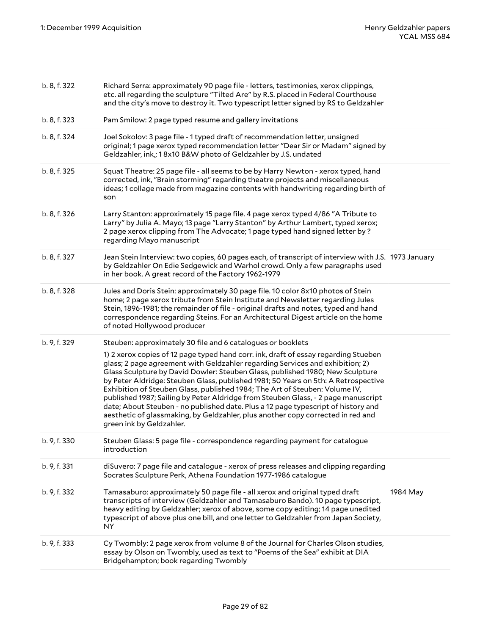| b. 8, f. 322 | Richard Serra: approximately 90 page file - letters, testimonies, xerox clippings,<br>etc. all regarding the sculpture "Tilted Are" by R.S. placed in Federal Courthouse<br>and the city's move to destroy it. Two typescript letter signed by RS to Geldzahler                                                                                                                                                                                                                                                                                                                                                                                                                                                                                                                    |          |
|--------------|------------------------------------------------------------------------------------------------------------------------------------------------------------------------------------------------------------------------------------------------------------------------------------------------------------------------------------------------------------------------------------------------------------------------------------------------------------------------------------------------------------------------------------------------------------------------------------------------------------------------------------------------------------------------------------------------------------------------------------------------------------------------------------|----------|
| b. 8, f. 323 | Pam Smilow: 2 page typed resume and gallery invitations                                                                                                                                                                                                                                                                                                                                                                                                                                                                                                                                                                                                                                                                                                                            |          |
| b. 8, f. 324 | Joel Sokolov: 3 page file - 1 typed draft of recommendation letter, unsigned<br>original; 1 page xerox typed recommendation letter "Dear Sir or Madam" signed by<br>Geldzahler, ink,; 18x10 B&W photo of Geldzahler by J.S. undated                                                                                                                                                                                                                                                                                                                                                                                                                                                                                                                                                |          |
| b. 8, f. 325 | Squat Theatre: 25 page file - all seems to be by Harry Newton - xerox typed, hand<br>corrected, ink, "Brain storming" regarding theatre projects and miscellaneous<br>ideas; 1 collage made from magazine contents with handwriting regarding birth of<br>son                                                                                                                                                                                                                                                                                                                                                                                                                                                                                                                      |          |
| b. 8, f. 326 | Larry Stanton: approximately 15 page file. 4 page xerox typed 4/86 "A Tribute to<br>Larry" by Julia A. Mayo; 13 page "Larry Stanton" by Arthur Lambert, typed xerox;<br>2 page xerox clipping from The Advocate; 1 page typed hand signed letter by?<br>regarding Mayo manuscript                                                                                                                                                                                                                                                                                                                                                                                                                                                                                                  |          |
| b. 8, f. 327 | Jean Stein Interview: two copies, 60 pages each, of transcript of interview with J.S. 1973 January<br>by Geldzahler On Edie Sedgewick and Warhol crowd. Only a few paragraphs used<br>in her book. A great record of the Factory 1962-1979                                                                                                                                                                                                                                                                                                                                                                                                                                                                                                                                         |          |
| b. 8, f. 328 | Jules and Doris Stein: approximately 30 page file. 10 color 8x10 photos of Stein<br>home; 2 page xerox tribute from Stein Institute and Newsletter regarding Jules<br>Stein, 1896-1981; the remainder of file - original drafts and notes, typed and hand<br>correspondence regarding Steins. For an Architectural Digest article on the home<br>of noted Hollywood producer                                                                                                                                                                                                                                                                                                                                                                                                       |          |
| b. 9, f. 329 | Steuben: approximately 30 file and 6 catalogues or booklets<br>1) 2 xerox copies of 12 page typed hand corr. ink, draft of essay regarding Stueben<br>glass; 2 page agreement with Geldzahler regarding Services and exhibition; 2)<br>Glass Sculpture by David Dowler: Steuben Glass, published 1980; New Sculpture<br>by Peter Aldridge: Steuben Glass, published 1981; 50 Years on 5th: A Retrospective<br>Exhibition of Steuben Glass, published 1984; The Art of Steuben: Volume IV,<br>published 1987; Sailing by Peter Aldridge from Steuben Glass, - 2 page manuscript<br>date; About Steuben - no published date. Plus a 12 page typescript of history and<br>aesthetic of glassmaking, by Geldzahler, plus another copy corrected in red and<br>green ink by Geldzahler. |          |
| b. 9, f. 330 | Steuben Glass: 5 page file - correspondence regarding payment for catalogue<br>introduction                                                                                                                                                                                                                                                                                                                                                                                                                                                                                                                                                                                                                                                                                        |          |
| b. 9, f. 331 | diSuvero: 7 page file and catalogue - xerox of press releases and clipping regarding<br>Socrates Sculpture Perk, Athena Foundation 1977-1986 catalogue                                                                                                                                                                                                                                                                                                                                                                                                                                                                                                                                                                                                                             |          |
| b. 9, f. 332 | Tamasaburo: approximately 50 page file - all xerox and original typed draft<br>transcripts of interview (Geldzahler and Tamasaburo Bando). 10 page typescript,<br>heavy editing by Geldzahler; xerox of above, some copy editing; 14 page unedited<br>typescript of above plus one bill, and one letter to Geldzahler from Japan Society,<br>NY.                                                                                                                                                                                                                                                                                                                                                                                                                                   | 1984 May |
| b. 9, f. 333 | Cy Twombly: 2 page xerox from volume 8 of the Journal for Charles Olson studies,<br>essay by Olson on Twombly, used as text to "Poems of the Sea" exhibit at DIA<br>Bridgehampton; book regarding Twombly                                                                                                                                                                                                                                                                                                                                                                                                                                                                                                                                                                          |          |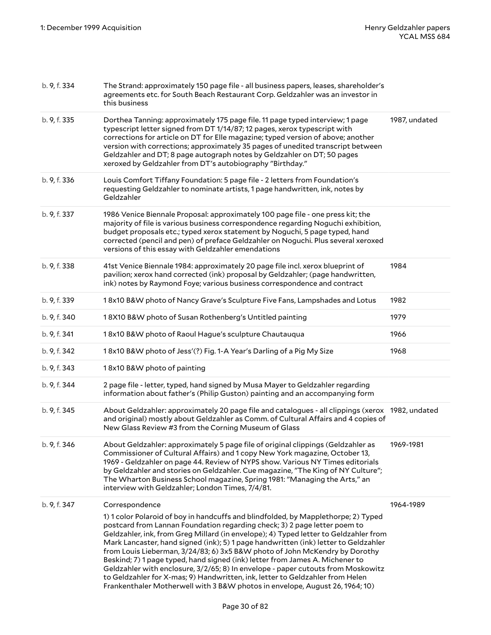| b. 9, f. 334 | The Strand: approximately 150 page file - all business papers, leases, shareholder's<br>agreements etc. for South Beach Restaurant Corp. Geldzahler was an investor in<br>this business                                                                                                                                                                                                                                                                                                                                                                                                                                                                                                                                                                            |               |
|--------------|--------------------------------------------------------------------------------------------------------------------------------------------------------------------------------------------------------------------------------------------------------------------------------------------------------------------------------------------------------------------------------------------------------------------------------------------------------------------------------------------------------------------------------------------------------------------------------------------------------------------------------------------------------------------------------------------------------------------------------------------------------------------|---------------|
| b. 9, f. 335 | Dorthea Tanning: approximately 175 page file. 11 page typed interview; 1 page<br>typescript letter signed from DT 1/14/87; 12 pages, xerox typescript with<br>corrections for article on DT for Elle magazine; typed version of above; another<br>version with corrections; approximately 35 pages of unedited transcript between<br>Geldzahler and DT; 8 page autograph notes by Geldzahler on DT; 50 pages<br>xeroxed by Geldzahler from DT's autobiography "Birthday."                                                                                                                                                                                                                                                                                          | 1987, undated |
| b. 9, f. 336 | Louis Comfort Tiffany Foundation: 5 page file - 2 letters from Foundation's<br>requesting Geldzahler to nominate artists, 1 page handwritten, ink, notes by<br>Geldzahler                                                                                                                                                                                                                                                                                                                                                                                                                                                                                                                                                                                          |               |
| b. 9, f. 337 | 1986 Venice Biennale Proposal: approximately 100 page file - one press kit; the<br>majority of file is various business correspondence regarding Noguchi exhibition,<br>budget proposals etc.; typed xerox statement by Noguchi, 5 page typed, hand<br>corrected (pencil and pen) of preface Geldzahler on Noguchi. Plus several xeroxed<br>versions of this essay with Geldzahler emendations                                                                                                                                                                                                                                                                                                                                                                     |               |
| b. 9, f. 338 | 41st Venice Biennale 1984: approximately 20 page file incl. xerox blueprint of<br>pavilion; xerox hand corrected (ink) proposal by Geldzahler; (page handwritten,<br>ink) notes by Raymond Foye; various business correspondence and contract                                                                                                                                                                                                                                                                                                                                                                                                                                                                                                                      | 1984          |
| b. 9, f. 339 | 18x10 B&W photo of Nancy Grave's Sculpture Five Fans, Lampshades and Lotus                                                                                                                                                                                                                                                                                                                                                                                                                                                                                                                                                                                                                                                                                         | 1982          |
| b. 9, f. 340 | 18X10 B&W photo of Susan Rothenberg's Untitled painting                                                                                                                                                                                                                                                                                                                                                                                                                                                                                                                                                                                                                                                                                                            | 1979          |
| b. 9, f. 341 | 18x10 B&W photo of Raoul Hague's sculpture Chautauqua                                                                                                                                                                                                                                                                                                                                                                                                                                                                                                                                                                                                                                                                                                              | 1966          |
| b. 9, f. 342 | 18x10 B&W photo of Jess'(?) Fig. 1-A Year's Darling of a Pig My Size                                                                                                                                                                                                                                                                                                                                                                                                                                                                                                                                                                                                                                                                                               | 1968          |
| b. 9, f. 343 | 18x10 B&W photo of painting                                                                                                                                                                                                                                                                                                                                                                                                                                                                                                                                                                                                                                                                                                                                        |               |
| b. 9, f. 344 | 2 page file - letter, typed, hand signed by Musa Mayer to Geldzahler regarding<br>information about father's (Philip Guston) painting and an accompanying form                                                                                                                                                                                                                                                                                                                                                                                                                                                                                                                                                                                                     |               |
| b. 9, f. 345 | About Geldzahler: approximately 20 page file and catalogues - all clippings (xerox 1982, undated<br>and original) mostly about Geldzahler as Comm. of Cultural Affairs and 4 copies of<br>New Glass Review #3 from the Corning Museum of Glass                                                                                                                                                                                                                                                                                                                                                                                                                                                                                                                     |               |
| b. 9, f. 346 | About Geldzahler: approximately 5 page file of original clippings (Geldzahler as<br>Commissioner of Cultural Affairs) and 1 copy New York magazine, October 13,<br>1969 - Geldzahler on page 44. Review of NYPS show. Various NY Times editorials<br>by Geldzahler and stories on Geldzahler. Cue magazine, "The King of NY Culture";<br>The Wharton Business School magazine, Spring 1981: "Managing the Arts," an<br>interview with Geldzahler; London Times, 7/4/81.                                                                                                                                                                                                                                                                                            | 1969-1981     |
| b. 9, f. 347 | Correspondence                                                                                                                                                                                                                                                                                                                                                                                                                                                                                                                                                                                                                                                                                                                                                     | 1964-1989     |
|              | 1) 1 color Polaroid of boy in handcuffs and blindfolded, by Mapplethorpe; 2) Typed<br>postcard from Lannan Foundation regarding check; 3) 2 page letter poem to<br>Geldzahler, ink, from Greg Millard (in envelope); 4) Typed letter to Geldzahler from<br>Mark Lancaster, hand signed (ink); 5) 1 page handwritten (ink) letter to Geldzahler<br>from Louis Lieberman, 3/24/83; 6) 3x5 B&W photo of John McKendry by Dorothy<br>Beskind; 7) 1 page typed, hand signed (ink) letter from James A. Michener to<br>Geldzahler with enclosure, 3/2/65; 8) In envelope - paper cutouts from Moskowitz<br>to Geldzahler for X-mas; 9) Handwritten, ink, letter to Geldzahler from Helen<br>Frankenthaler Motherwell with 3 B&W photos in envelope, August 26, 1964; 10) |               |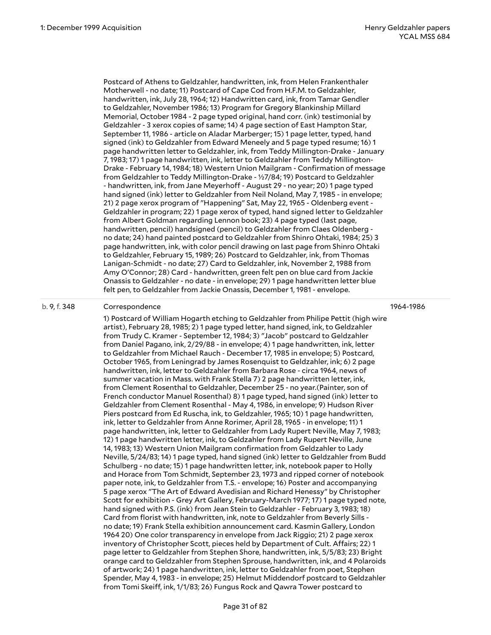Postcard of Athens to Geldzahler, handwritten, ink, from Helen Frankenthaler Motherwell - no date; 11) Postcard of Cape Cod from H.F.M. to Geldzahler, handwritten, ink, July 28, 1964; 12) Handwritten card, ink, from Tamar Gendler to Geldzahler, November 1986; 13) Program for Gregory Blankinship Millard Memorial, October 1984 - 2 page typed original, hand corr. (ink) testimonial by Geldzahler - 3 xerox copies of same; 14) 4 page section of East Hampton Star, September 11, 1986 - article on Aladar Marberger; 15) 1 page letter, typed, hand signed (ink) to Geldzahler from Edward Meneely and 5 page typed resume; 16) 1 page handwritten letter to Geldzahler, ink, from Teddy Millington-Drake - January 7, 1983; 17) 1 page handwritten, ink, letter to Geldzahler from Teddy Millington-Drake - February 14, 1984; 18) Western Union Mailgram - Confirmation of message from Geldzahler to Teddy Millington-Drake - ½7/84; 19) Postcard to Geldzahler - handwritten, ink, from Jane Meyerhoff - August 29 - no year; 20) 1 page typed hand signed (ink) letter to Geldzahler from Neil Noland, May 7, 1985 - in envelope; 21) 2 page xerox program of "Happening" Sat, May 22, 1965 - Oldenberg event - Geldzahler in program; 22) 1 page xerox of typed, hand signed letter to Geldzahler from Albert Goldman regarding Lennon book; 23) 4 page typed (last page, handwritten, pencil) handsigned (pencil) to Geldzahler from Claes Oldenberg no date; 24) hand painted postcard to Geldzahler from Shinro Ohtaki, 1984; 25) 3 page handwritten, ink, with color pencil drawing on last page from Shinro Ohtaki to Geldzahler, February 15, 1989; 26) Postcard to Geldzahler, ink, from Thomas Lanigan-Schmidt - no date; 27) Card to Geldzahler, ink, November 2, 1988 from Amy O'Connor; 28) Card - handwritten, green felt pen on blue card from Jackie Onassis to Geldzahler - no date - in envelope; 29) 1 page handwritten letter blue felt pen, to Geldzahler from Jackie Onassis, December 1, 1981 - envelope.

#### b. 9, f. 348 Correspondence

1964-1986

1) Postcard of William Hogarth etching to Geldzahler from Philipe Pettit (high wire artist), February 28, 1985; 2) 1 page typed letter, hand signed, ink, to Geldzahler from Trudy C. Kramer - September 12, 1984; 3) "Jacob" postcard to Geldzahler from Daniel Pagano, ink, 2/29/88 - in envelope; 4) 1 page handwritten, ink, letter to Geldzahler from Michael Rauch - December 17, 1985 in envelope; 5) Postcard, October 1965, from Leningrad by James Rosenquist to Geldzahler, ink; 6) 2 page handwritten, ink, letter to Geldzahler from Barbara Rose - circa 1964, news of summer vacation in Mass. with Frank Stella 7) 2 page handwritten letter, ink, from Clement Rosenthal to Geldzahler, December 25 - no year.(Painter, son of French conductor Manuel Rosenthal) 8) 1 page typed, hand signed (ink) letter to Geldzahler from Clement Rosenthal - May 4, 1986, in envelope; 9) Hudson River Piers postcard from Ed Ruscha, ink, to Geldzahler, 1965; 10) 1 page handwritten, ink, letter to Geldzahler from Anne Rorimer, April 28, 1965 - in envelope; 11) 1 page handwritten, ink, letter to Geldzahler from Lady Rupert Neville, May 7, 1983; 12) 1 page handwritten letter, ink, to Geldzahler from Lady Rupert Neville, June 14, 1983; 13) Western Union Mailgram confirmation from Geldzahler to Lady Neville, 5/24/83; 14) 1 page typed, hand signed (ink) letter to Geldzahler from Budd Schulberg - no date; 15) 1 page handwritten letter, ink, notebook paper to Holly and Horace from Tom Schmidt, September 23, 1973 and ripped corner of notebook paper note, ink, to Geldzahler from T.S. - envelope; 16) Poster and accompanying 5 page xerox "The Art of Edward Avedisian and Richard Henessy" by Christopher Scott for exhibition - Grey Art Gallery, February-March 1977; 17) 1 page typed note, hand signed with P.S. (ink) from Jean Stein to Geldzahler - February 3, 1983; 18) Card from florist with handwritten, ink, note to Geldzahler from Beverly Sills no date; 19) Frank Stella exhibition announcement card. Kasmin Gallery, London 1964 20) One color transparency in envelope from Jack Riggio; 21) 2 page xerox inventory of Christopher Scott, pieces held by Department of Cult. Affairs; 22) 1 page letter to Geldzahler from Stephen Shore, handwritten, ink, 5/5/83; 23) Bright orange card to Geldzahler from Stephen Sprouse, handwritten, ink, and 4 Polaroids of artwork; 24) 1 page handwritten, ink, letter to Geldzahler from poet, Stephen Spender, May 4, 1983 - in envelope; 25) Helmut Middendorf postcard to Geldzahler from Tomi Skeiff, ink, 1/1/83; 26) Fungus Rock and Qawra Tower postcard to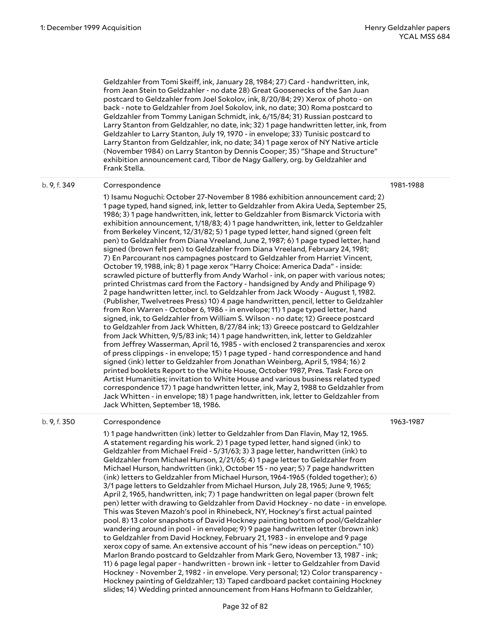Geldzahler from Tomi Skeiff, ink, January 28, 1984; 27) Card - handwritten, ink, from Jean Stein to Geldzahler - no date 28) Great Goosenecks of the San Juan postcard to Geldzahler from Joel Sokolov, ink, 8/20/84; 29) Xerox of photo - on back - note to Geldzahler from Joel Sokolov, ink, no date; 30) Roma postcard to Geldzahler from Tommy Lanigan Schmidt, ink, 6/15/84; 31) Russian postcard to Larry Stanton from Geldzahler, no date, ink; 32) 1 page handwritten letter, ink, from Geldzahler to Larry Stanton, July 19, 1970 - in envelope; 33) Tunisic postcard to Larry Stanton from Geldzahler, ink, no date; 34) 1 page xerox of NY Native article (November 1984) on Larry Stanton by Dennis Cooper; 35) "Shape and Structure" exhibition announcement card, Tibor de Nagy Gallery, org. by Geldzahler and Frank Stella.

#### b. 9, f. 349 Correspondence

1) Isamu Noguchi: October 27-November 8 1986 exhibition announcement card; 2) 1 page typed, hand signed, ink, letter to Geldzahler from Akira Ueda, September 25, 1986; 3) 1 page handwritten, ink, letter to Geldzahler from Bismarck Victoria with exhibition announcement, 1/18/83; 4) 1 page handwritten, ink, letter to Geldzahler from Berkeley Vincent, 12/31/82; 5) 1 page typed letter, hand signed (green felt pen) to Geldzahler from Diana Vreeland, June 2, 1987; 6) 1 page typed letter, hand signed (brown felt pen) to Geldzahler from Diana Vreeland, February 24, 1981; 7) En Parcourant nos campagnes postcard to Geldzahler from Harriet Vincent, October 19, 1988, ink; 8) 1 page xerox "Harry Choice: America Dada" - inside: scrawled picture of butterfly from Andy Warhol - ink, on paper with various notes; printed Christmas card from the Factory - handsigned by Andy and Philipage 9) 2 page handwritten letter, incl. to Geldzahler from Jack Woody - August 1, 1982. (Publisher, Twelvetrees Press) 10) 4 page handwritten, pencil, letter to Geldzahler from Ron Warren - October 6, 1986 - in envelope; 11) 1 page typed letter, hand signed, ink, to Geldzahler from William S. Wilson - no date; 12) Greece postcard to Geldzahler from Jack Whitten, 8/27/84 ink; 13) Greece postcard to Geldzahler from Jack Whitten, 9/5/83 ink; 14) 1 page handwritten, ink, letter to Geldzahler from Jeffrey Wasserman, April 16, 1985 - with enclosed 2 transparencies and xerox of press clippings - in envelope; 15) 1 page typed - hand correspondence and hand signed (ink) letter to Geldzahler from Jonathan Weinberg, April 5, 1984; 16) 2 printed booklets Report to the White House, October 1987, Pres. Task Force on Artist Humanities; invitation to White House and various business related typed correspondence 17) 1 page handwritten letter, ink, May 2, 1988 to Geldzahler from Jack Whitten - in envelope; 18) 1 page handwritten, ink, letter to Geldzahler from Jack Whitten, September 18, 1986.

#### b. 9, f. 350 Correspondence

1963-1987

1) 1 page handwritten (ink) letter to Geldzahler from Dan Flavin, May 12, 1965. A statement regarding his work. 2) 1 page typed letter, hand signed (ink) to Geldzahler from Michael Freid - 5/31/63; 3) 3 page letter, handwritten (ink) to Geldzahler from Michael Hurson, 2/21/65; 4) 1 page letter to Geldzahler from Michael Hurson, handwritten (ink), October 15 - no year; 5) 7 page handwritten (ink) letters to Geldzahler from Michael Hurson, 1964-1965 (folded together); 6) 3/1 page letters to Geldzahler from Michael Hurson, July 28, 1965; June 9, 1965; April 2, 1965, handwritten, ink; 7) 1 page handwritten on legal paper (brown felt pen) letter with drawing to Geldzahler from David Hockney - no date - in envelope. This was Steven Mazoh's pool in Rhinebeck, NY, Hockney's first actual painted pool. 8) 13 color snapshots of David Hockney painting bottom of pool/Geldzahler wandering around in pool - in envelope; 9) 9 page handwritten letter (brown ink) to Geldzahler from David Hockney, February 21, 1983 - in envelope and 9 page xerox copy of same. An extensive account of his "new ideas on perception." 10) Marlon Brando postcard to Geldzahler from Mark Gero, November 13, 1987 - ink; 11) 6 page legal paper - handwritten - brown ink - letter to Geldzahler from David Hockney - November 2, 1982 - in envelope. Very personal; 12) Color transparency - Hockney painting of Geldzahler; 13) Taped cardboard packet containing Hockney slides; 14) Wedding printed announcement from Hans Hofmann to Geldzahler,

1981-1988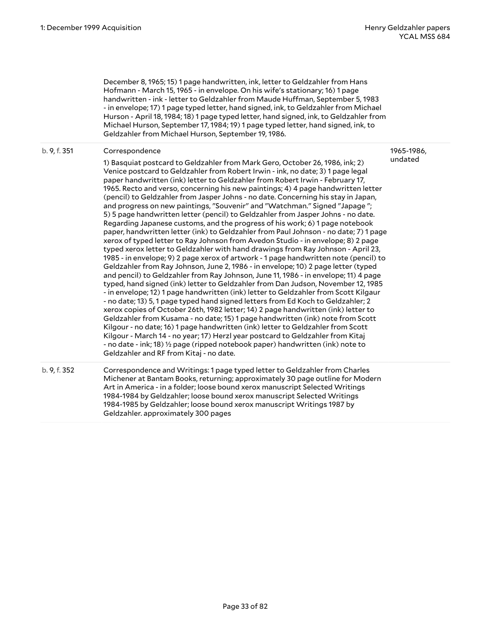1965-1986,

December 8, 1965; 15) 1 page handwritten, ink, letter to Geldzahler from Hans Hofmann - March 15, 1965 - in envelope. On his wife's stationary; 16) 1 page handwritten - ink - letter to Geldzahler from Maude Huffman, September 5, 1983 - in envelope; 17) 1 page typed letter, hand signed, ink, to Geldzahler from Michael Hurson - April 18, 1984; 18) 1 page typed letter, hand signed, ink, to Geldzahler from Michael Hurson, September 17, 1984; 19) 1 page typed letter, hand signed, ink, to Geldzahler from Michael Hurson, September 19, 1986.

#### b. 9, f. 351 Correspondence

1) Basquiat postcard to Geldzahler from Mark Gero, October 26, 1986, ink; 2) Venice postcard to Geldzahler from Robert Irwin - ink, no date; 3) 1 page legal paper handwritten (ink) letter to Geldzahler from Robert Irwin - February 17, 1965. Recto and verso, concerning his new paintings; 4) 4 page handwritten letter (pencil) to Geldzahler from Jasper Johns - no date. Concerning his stay in Japan, and progress on new paintings, "Souvenir" and "Watchman." Signed "Japage "; 5) 5 page handwritten letter (pencil) to Geldzahler from Jasper Johns - no date. Regarding Japanese customs, and the progress of his work; 6) 1 page notebook paper, handwritten letter (ink) to Geldzahler from Paul Johnson - no date; 7) 1 page xerox of typed letter to Ray Johnson from Avedon Studio - in envelope; 8) 2 page typed xerox letter to Geldzahler with hand drawings from Ray Johnson - April 23, 1985 - in envelope; 9) 2 page xerox of artwork - 1 page handwritten note (pencil) to Geldzahler from Ray Johnson, June 2, 1986 - in envelope; 10) 2 page letter (typed and pencil) to Geldzahler from Ray Johnson, June 11, 1986 - in envelope; 11) 4 page typed, hand signed (ink) letter to Geldzahler from Dan Judson, November 12, 1985 - in envelope; 12) 1 page handwritten (ink) letter to Geldzahler from Scott Kilgaur - no date; 13) 5, 1 page typed hand signed letters from Ed Koch to Geldzahler; 2 xerox copies of October 26th, 1982 letter; 14) 2 page handwritten (ink) letter to Geldzahler from Kusama - no date; 15) 1 page handwritten (ink) note from Scott Kilgour - no date; 16) 1 page handwritten (ink) letter to Geldzahler from Scott Kilgour - March 14 - no year; 17) Herzl year postcard to Geldzahler from Kitaj - no date - ink; 18) ½ page (ripped notebook paper) handwritten (ink) note to Geldzahler and RF from Kitaj - no date. undated

b. 9, f. 352 Correspondence and Writings: 1 page typed letter to Geldzahler from Charles Michener at Bantam Books, returning; approximately 30 page outline for Modern Art in America - in a folder; loose bound xerox manuscript Selected Writings 1984-1984 by Geldzahler; loose bound xerox manuscript Selected Writings 1984-1985 by Geldzahler; loose bound xerox manuscript Writings 1987 by Geldzahler. approximately 300 pages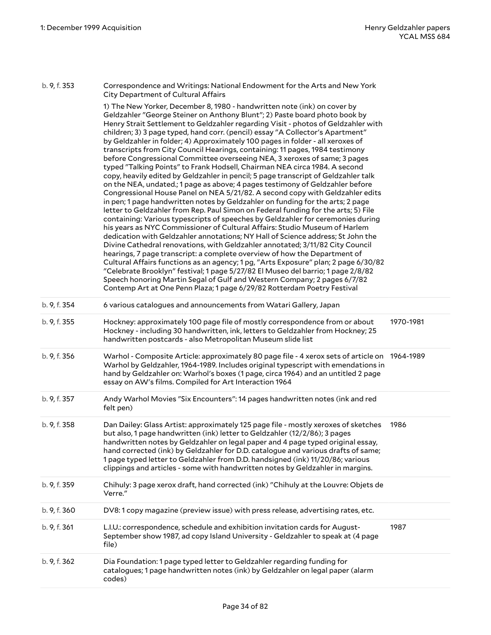b. 9, f. 353 Correspondence and Writings: National Endowment for the Arts and New York City Department of Cultural Affairs

1) The New Yorker, December 8, 1980 - handwritten note (ink) on cover by Geldzahler "George Steiner on Anthony Blunt"; 2) Paste board photo book by Henry Strait Settlement to Geldzahler regarding Visit - photos of Geldzahler with children; 3) 3 page typed, hand corr. (pencil) essay "A Collector's Apartment" by Geldzahler in folder; 4) Approximately 100 pages in folder - all xeroxes of transcripts from City Council Hearings, containing: 11 pages, 1984 testimony before Congressional Committee overseeing NEA, 3 xeroxes of same; 3 pages typed "Talking Points" to Frank Hodsell, Chairman NEA circa 1984. A second copy, heavily edited by Geldzahler in pencil; 5 page transcript of Geldzahler talk on the NEA, undated.; 1 page as above; 4 pages testimony of Geldzahler before Congressional House Panel on NEA 5/21/82. A second copy with Geldzahler edits in pen; 1 page handwritten notes by Geldzahler on funding for the arts; 2 page letter to Geldzahler from Rep. Paul Simon on Federal funding for the arts; 5) File containing: Various typescripts of speeches by Geldzahler for ceremonies during his years as NYC Commissioner of Cultural Affairs: Studio Museum of Harlem dedication with Geldzahler annotations; NY Hall of Science address; St John the Divine Cathedral renovations, with Geldzahler annotated; 3/11/82 City Council hearings, 7 page transcript: a complete overview of how the Department of Cultural Affairs functions as an agency; 1 pg, "Arts Exposure" plan; 2 page 6/30/82 "Celebrate Brooklyn" festival; 1 page 5/27/82 El Museo del barrio; 1 page 2/8/82 Speech honoring Martin Segal of Gulf and Western Company; 2 pages 6/7/82 Contemp Art at One Penn Plaza; 1 page 6/29/82 Rotterdam Poetry Festival b. 9, f. 354 6 various catalogues and announcements from Watari Gallery, Japan b. 9, f. 355 Hockney: approximately 100 page file of mostly correspondence from or about Hockney - including 30 handwritten, ink, letters to Geldzahler from Hockney; 25 handwritten postcards - also Metropolitan Museum slide list 1970-1981 b. 9, f. 356 Warhol - Composite Article: approximately 80 page file - 4 xerox sets of article on 1964-1989 Warhol by Geldzahler, 1964-1989. Includes original typescript with emendations in hand by Geldzahler on: Warhol's boxes (1 page, circa 1964) and an untitled 2 page essay on AW's films. Compiled for Art Interaction 1964 b. 9, f. 357 Andy Warhol Movies "Six Encounters": 14 pages handwritten notes (ink and red felt pen) b. 9, f. 358 Dan Dailey: Glass Artist: approximately 125 page file - mostly xeroxes of sketches but also, 1 page handwritten (ink) letter to Geldzahler (12/2/86); 3 pages handwritten notes by Geldzahler on legal paper and 4 page typed original essay, hand corrected (ink) by Geldzahler for D.D. catalogue and various drafts of same; 1 page typed letter to Geldzahler from D.D. handsigned (ink) 11/20/86; various clippings and articles - some with handwritten notes by Geldzahler in margins. 1986 b. 9, f. 359 Chihuly: 3 page xerox draft, hand corrected (ink) "Chihuly at the Louvre: Objets de Verre." b. 9, f. 360 DV8: 1 copy magazine (preview issue) with press release, advertising rates, etc. b. 9, f. 361 L.I.U.: correspondence, schedule and exhibition invitation cards for August-September show 1987, ad copy Island University - Geldzahler to speak at (4 page file) 1987 b. 9, f. 362 Dia Foundation: 1 page typed letter to Geldzahler regarding funding for catalogues; 1 page handwritten notes (ink) by Geldzahler on legal paper (alarm codes)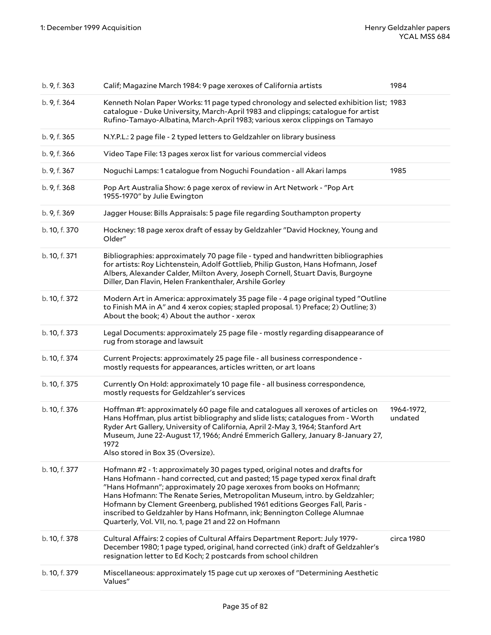| b. 9, f. 363  | Calif; Magazine March 1984: 9 page xeroxes of California artists                                                                                                                                                                                                                                                                                                                                                                                                                                                                         | 1984                  |
|---------------|------------------------------------------------------------------------------------------------------------------------------------------------------------------------------------------------------------------------------------------------------------------------------------------------------------------------------------------------------------------------------------------------------------------------------------------------------------------------------------------------------------------------------------------|-----------------------|
| b. 9, f. 364  | Kenneth Nolan Paper Works: 11 page typed chronology and selected exhibition list; 1983<br>catalogue - Duke University, March-April 1983 and clippings; catalogue for artist<br>Rufino-Tamayo-Albatina, March-April 1983; various xerox clippings on Tamayo                                                                                                                                                                                                                                                                               |                       |
| b. 9, f. 365  | N.Y.P.L.: 2 page file - 2 typed letters to Geldzahler on library business                                                                                                                                                                                                                                                                                                                                                                                                                                                                |                       |
| b. 9, f. 366  | Video Tape File: 13 pages xerox list for various commercial videos                                                                                                                                                                                                                                                                                                                                                                                                                                                                       |                       |
| b. 9, f. 367  | Noguchi Lamps: 1 catalogue from Noguchi Foundation - all Akari lamps                                                                                                                                                                                                                                                                                                                                                                                                                                                                     | 1985                  |
| b. 9, f. 368  | Pop Art Australia Show: 6 page xerox of review in Art Network - "Pop Art<br>1955-1970" by Julie Ewington                                                                                                                                                                                                                                                                                                                                                                                                                                 |                       |
| b. 9, f. 369  | Jagger House: Bills Appraisals: 5 page file regarding Southampton property                                                                                                                                                                                                                                                                                                                                                                                                                                                               |                       |
| b. 10, f. 370 | Hockney: 18 page xerox draft of essay by Geldzahler "David Hockney, Young and<br>Older"                                                                                                                                                                                                                                                                                                                                                                                                                                                  |                       |
| b. 10, f. 371 | Bibliographies: approximately 70 page file - typed and handwritten bibliographies<br>for artists: Roy Lichtenstein, Adolf Gottlieb, Philip Guston, Hans Hofmann, Josef<br>Albers, Alexander Calder, Milton Avery, Joseph Cornell, Stuart Davis, Burgoyne<br>Diller, Dan Flavin, Helen Frankenthaler, Arshile Gorley                                                                                                                                                                                                                      |                       |
| b. 10, f. 372 | Modern Art in America: approximately 35 page file - 4 page original typed "Outline<br>to Finish MA in A" and 4 xerox copies; stapled proposal. 1) Preface; 2) Outline; 3)<br>About the book; 4) About the author - xerox                                                                                                                                                                                                                                                                                                                 |                       |
| b. 10, f. 373 | Legal Documents: approximately 25 page file - mostly regarding disappearance of<br>rug from storage and lawsuit                                                                                                                                                                                                                                                                                                                                                                                                                          |                       |
| b. 10, f. 374 | Current Projects: approximately 25 page file - all business correspondence -<br>mostly requests for appearances, articles written, or art loans                                                                                                                                                                                                                                                                                                                                                                                          |                       |
| b. 10, f. 375 | Currently On Hold: approximately 10 page file - all business correspondence,<br>mostly requests for Geldzahler's services                                                                                                                                                                                                                                                                                                                                                                                                                |                       |
| b. 10, f. 376 | Hoffman #1: approximately 60 page file and catalogues all xeroxes of articles on<br>Hans Hoffman, plus artist bibliography and slide lists; catalogues from - Worth<br>Ryder Art Gallery, University of California, April 2-May 3, 1964; Stanford Art<br>Museum, June 22-August 17, 1966; André Emmerich Gallery, January 8-January 27,<br>1972<br>Also stored in Box 35 (Oversize).                                                                                                                                                     | 1964-1972,<br>undated |
| b. 10, f. 377 | Hofmann #2 - 1: approximately 30 pages typed, original notes and drafts for<br>Hans Hofmann - hand corrected, cut and pasted; 15 page typed xerox final draft<br>"Hans Hofmann"; approximately 20 page xeroxes from books on Hofmann;<br>Hans Hofmann: The Renate Series, Metropolitan Museum, intro. by Geldzahler;<br>Hofmann by Clement Greenberg, published 1961 editions Georges Fall, Paris -<br>inscribed to Geldzahler by Hans Hofmann, ink; Bennington College Alumnae<br>Quarterly, Vol. VII, no. 1, page 21 and 22 on Hofmann |                       |
| b. 10, f. 378 | Cultural Affairs: 2 copies of Cultural Affairs Department Report: July 1979-<br>December 1980; 1 page typed, original, hand corrected (ink) draft of Geldzahler's<br>resignation letter to Ed Koch; 2 postcards from school children                                                                                                                                                                                                                                                                                                     | circa 1980            |
| b. 10, f. 379 | Miscellaneous: approximately 15 page cut up xeroxes of "Determining Aesthetic<br>Values"                                                                                                                                                                                                                                                                                                                                                                                                                                                 |                       |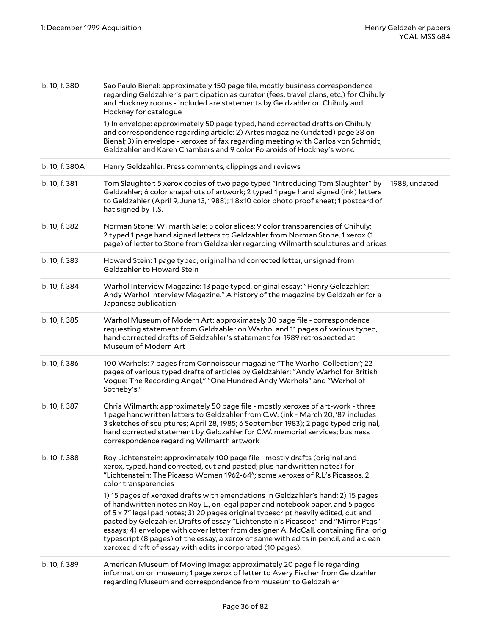| b. 10, f. 380  | Sao Paulo Bienal: approximately 150 page file, mostly business correspondence<br>regarding Geldzahler's participation as curator (fees, travel plans, etc.) for Chihuly<br>and Hockney rooms - included are statements by Geldzahler on Chihuly and<br>Hockney for catalogue                                                                                                                                                                                                                                                                                                                |               |
|----------------|---------------------------------------------------------------------------------------------------------------------------------------------------------------------------------------------------------------------------------------------------------------------------------------------------------------------------------------------------------------------------------------------------------------------------------------------------------------------------------------------------------------------------------------------------------------------------------------------|---------------|
|                | 1) In envelope: approximately 50 page typed, hand corrected drafts on Chihuly<br>and correspondence regarding article; 2) Artes magazine (undated) page 38 on<br>Bienal; 3) in envelope - xeroxes of fax regarding meeting with Carlos von Schmidt,<br>Geldzahler and Karen Chambers and 9 color Polaroids of Hockney's work.                                                                                                                                                                                                                                                               |               |
| b. 10, f. 380A | Henry Geldzahler. Press comments, clippings and reviews                                                                                                                                                                                                                                                                                                                                                                                                                                                                                                                                     |               |
| b. 10, f. 381  | Tom Slaughter: 5 xerox copies of two page typed "Introducing Tom Slaughter" by<br>Geldzahler; 6 color snapshots of artwork; 2 typed 1 page hand signed (ink) letters<br>to Geldzahler (April 9, June 13, 1988); 1 8x10 color photo proof sheet; 1 postcard of<br>hat signed by T.S.                                                                                                                                                                                                                                                                                                         | 1988, undated |
| b. 10, f. 382  | Norman Stone: Wilmarth Sale: 5 color slides; 9 color transparencies of Chihuly;<br>2 typed 1 page hand signed letters to Geldzahler from Norman Stone, 1 xerox (1<br>page) of letter to Stone from Geldzahler regarding Wilmarth sculptures and prices                                                                                                                                                                                                                                                                                                                                      |               |
| b. 10, f. 383  | Howard Stein: 1 page typed, original hand corrected letter, unsigned from<br>Geldzahler to Howard Stein                                                                                                                                                                                                                                                                                                                                                                                                                                                                                     |               |
| b. 10, f. 384  | Warhol Interview Magazine: 13 page typed, original essay: "Henry Geldzahler:<br>Andy Warhol Interview Magazine." A history of the magazine by Geldzahler for a<br>Japanese publication                                                                                                                                                                                                                                                                                                                                                                                                      |               |
| b. 10, f. 385  | Warhol Museum of Modern Art: approximately 30 page file - correspondence<br>requesting statement from Geldzahler on Warhol and 11 pages of various typed,<br>hand corrected drafts of Geldzahler's statement for 1989 retrospected at<br>Museum of Modern Art                                                                                                                                                                                                                                                                                                                               |               |
| b. 10, f. 386  | 100 Warhols: 7 pages from Connoisseur magazine "The Warhol Collection"; 22<br>pages of various typed drafts of articles by Geldzahler: "Andy Warhol for British<br>Vogue: The Recording Angel," "One Hundred Andy Warhols" and "Warhol of<br>Sotheby's."                                                                                                                                                                                                                                                                                                                                    |               |
| b. 10, f. 387  | Chris Wilmarth: approximately 50 page file - mostly xeroxes of art-work - three<br>1 page handwritten letters to Geldzahler from C.W. (ink - March 20, '87 includes<br>3 sketches of sculptures; April 28, 1985; 6 September 1983); 2 page typed original,<br>hand corrected statement by Geldzahler for C.W. memorial services; business<br>correspondence regarding Wilmarth artwork                                                                                                                                                                                                      |               |
| b. 10, f. 388  | Roy Lichtenstein: approximately 100 page file - mostly drafts (original and<br>xerox, typed, hand corrected, cut and pasted; plus handwritten notes) for<br>"Lichtenstein: The Picasso Women 1962-64"; some xeroxes of R.L's Picassos, 2<br>color transparencies                                                                                                                                                                                                                                                                                                                            |               |
|                | 1) 15 pages of xeroxed drafts with emendations in Geldzahler's hand; 2) 15 pages<br>of handwritten notes on Roy L., on legal paper and notebook paper, and 5 pages<br>of 5 x 7" legal pad notes; 3) 20 pages original typescript heavily edited, cut and<br>pasted by Geldzahler. Drafts of essay "Lichtenstein's Picassos" and "Mirror Ptgs"<br>essays; 4) envelope with cover letter from designer A. McCall, containing final orig<br>typescript (8 pages) of the essay, a xerox of same with edits in pencil, and a clean<br>xeroxed draft of essay with edits incorporated (10 pages). |               |
| b. 10, f. 389  | American Museum of Moving Image: approximately 20 page file regarding<br>information on museum; 1 page xerox of letter to Avery Fischer from Geldzahler<br>regarding Museum and correspondence from museum to Geldzahler                                                                                                                                                                                                                                                                                                                                                                    |               |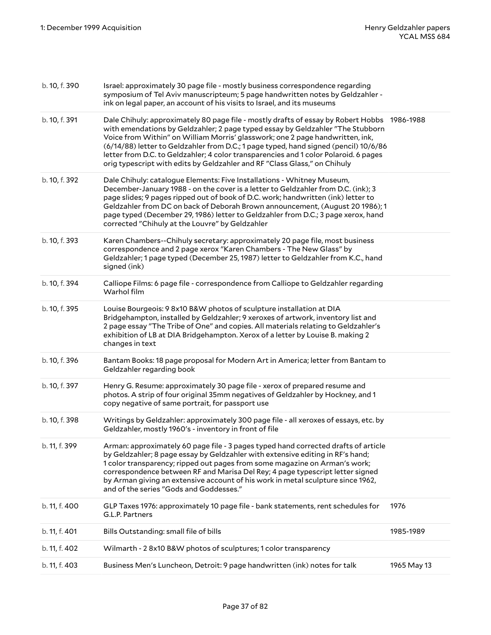| b. 10, f. 390 | Israel: approximately 30 page file - mostly business correspondence regarding<br>symposium of Tel Aviv manuscripteum; 5 page handwritten notes by Geldzahler -<br>ink on legal paper, an account of his visits to Israel, and its museums                                                                                                                                                                                                                                                                                   |             |
|---------------|-----------------------------------------------------------------------------------------------------------------------------------------------------------------------------------------------------------------------------------------------------------------------------------------------------------------------------------------------------------------------------------------------------------------------------------------------------------------------------------------------------------------------------|-------------|
| b. 10, f. 391 | Dale Chihuly: approximately 80 page file - mostly drafts of essay by Robert Hobbs 1986-1988<br>with emendations by Geldzahler; 2 page typed essay by Geldzahler "The Stubborn<br>Voice from Within" on William Morris' glasswork; one 2 page handwritten, ink,<br>(6/14/88) letter to Geldzahler from D.C.; 1 page typed, hand signed (pencil) 10/6/86<br>letter from D.C. to Geldzahler; 4 color transparencies and 1 color Polaroid. 6 pages<br>orig typescript with edits by Geldzahler and RF "Class Glass," on Chihuly |             |
| b. 10, f. 392 | Dale Chihuly: catalogue Elements: Five Installations - Whitney Museum,<br>December-January 1988 - on the cover is a letter to Geldzahler from D.C. (ink); 3<br>page slides; 9 pages ripped out of book of D.C. work; handwritten (ink) letter to<br>Geldzahler from DC on back of Deborah Brown announcement, (August 20 1986); 1<br>page typed (December 29, 1986) letter to Geldzahler from D.C.; 3 page xerox, hand<br>corrected "Chihuly at the Louvre" by Geldzahler                                                   |             |
| b. 10, f. 393 | Karen Chambers--Chihuly secretary: approximately 20 page file, most business<br>correspondence and 2 page xerox "Karen Chambers - The New Glass" by<br>Geldzahler; 1 page typed (December 25, 1987) letter to Geldzahler from K.C., hand<br>signed (ink)                                                                                                                                                                                                                                                                    |             |
| b. 10, f. 394 | Calliope Films: 6 page file - correspondence from Calliope to Geldzahler regarding<br>Warhol film                                                                                                                                                                                                                                                                                                                                                                                                                           |             |
| b. 10, f. 395 | Louise Bourgeois: 9 8x10 B&W photos of sculpture installation at DIA<br>Bridgehampton, installed by Geldzahler; 9 xeroxes of artwork, inventory list and<br>2 page essay "The Tribe of One" and copies. All materials relating to Geldzahler's<br>exhibition of LB at DIA Bridgehampton. Xerox of a letter by Louise B. making 2<br>changes in text                                                                                                                                                                         |             |
| b. 10, f. 396 | Bantam Books: 18 page proposal for Modern Art in America; letter from Bantam to<br>Geldzahler regarding book                                                                                                                                                                                                                                                                                                                                                                                                                |             |
| b. 10, f. 397 | Henry G. Resume: approximately 30 page file - xerox of prepared resume and<br>photos. A strip of four original 35mm negatives of Geldzahler by Hockney, and 1<br>copy negative of same portrait, for passport use                                                                                                                                                                                                                                                                                                           |             |
| b. 10, f. 398 | Writings by Geldzahler: approximately 300 page file - all xeroxes of essays, etc. by<br>Geldzahler, mostly 1960's - inventory in front of file                                                                                                                                                                                                                                                                                                                                                                              |             |
| b. 11, f. 399 | Arman: approximately 60 page file - 3 pages typed hand corrected drafts of article<br>by Geldzahler; 8 page essay by Geldzahler with extensive editing in RF's hand;<br>1 color transparency; ripped out pages from some magazine on Arman's work;<br>correspondence between RF and Marisa Del Rey; 4 page typescript letter signed<br>by Arman giving an extensive account of his work in metal sculpture since 1962,<br>and of the series "Gods and Goddesses."                                                           |             |
| b. 11, f. 400 | GLP Taxes 1976: approximately 10 page file - bank statements, rent schedules for<br>G.L.P. Partners                                                                                                                                                                                                                                                                                                                                                                                                                         | 1976        |
| b. 11, f. 401 | Bills Outstanding: small file of bills                                                                                                                                                                                                                                                                                                                                                                                                                                                                                      | 1985-1989   |
| b. 11, f. 402 | Wilmarth - 2 8x10 B&W photos of sculptures; 1 color transparency                                                                                                                                                                                                                                                                                                                                                                                                                                                            |             |
| b. 11, f. 403 | Business Men's Luncheon, Detroit: 9 page handwritten (ink) notes for talk                                                                                                                                                                                                                                                                                                                                                                                                                                                   | 1965 May 13 |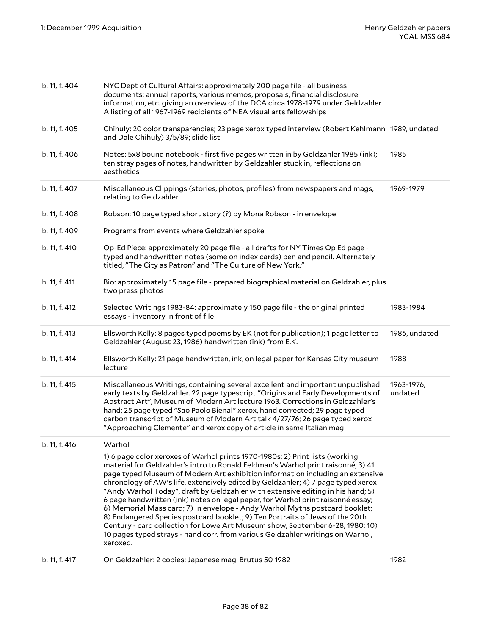| b. 11, f. 404 | NYC Dept of Cultural Affairs: approximately 200 page file - all business<br>documents: annual reports, various memos, proposals, financial disclosure<br>information, etc. giving an overview of the DCA circa 1978-1979 under Geldzahler.<br>A listing of all 1967-1969 recipients of NEA visual arts fellowships                                                                                                                                                                                                                                                                                                                                                                                                                                                                                                                                        |                       |
|---------------|-----------------------------------------------------------------------------------------------------------------------------------------------------------------------------------------------------------------------------------------------------------------------------------------------------------------------------------------------------------------------------------------------------------------------------------------------------------------------------------------------------------------------------------------------------------------------------------------------------------------------------------------------------------------------------------------------------------------------------------------------------------------------------------------------------------------------------------------------------------|-----------------------|
| b. 11, f. 405 | Chihuly: 20 color transparencies; 23 page xerox typed interview (Robert Kehlmann 1989, undated<br>and Dale Chihuly) 3/5/89; slide list                                                                                                                                                                                                                                                                                                                                                                                                                                                                                                                                                                                                                                                                                                                    |                       |
| b. 11, f. 406 | Notes: 5x8 bound notebook - first five pages written in by Geldzahler 1985 (ink);<br>ten stray pages of notes, handwritten by Geldzahler stuck in, reflections on<br>aesthetics                                                                                                                                                                                                                                                                                                                                                                                                                                                                                                                                                                                                                                                                           | 1985                  |
| b. 11, f. 407 | Miscellaneous Clippings (stories, photos, profiles) from newspapers and mags,<br>relating to Geldzahler                                                                                                                                                                                                                                                                                                                                                                                                                                                                                                                                                                                                                                                                                                                                                   | 1969-1979             |
| b. 11, f. 408 | Robson: 10 page typed short story (?) by Mona Robson - in envelope                                                                                                                                                                                                                                                                                                                                                                                                                                                                                                                                                                                                                                                                                                                                                                                        |                       |
| b. 11, f. 409 | Programs from events where Geldzahler spoke                                                                                                                                                                                                                                                                                                                                                                                                                                                                                                                                                                                                                                                                                                                                                                                                               |                       |
| b. 11, f. 410 | Op-Ed Piece: approximately 20 page file - all drafts for NY Times Op Ed page -<br>typed and handwritten notes (some on index cards) pen and pencil. Alternately<br>titled, "The City as Patron" and "The Culture of New York."                                                                                                                                                                                                                                                                                                                                                                                                                                                                                                                                                                                                                            |                       |
| b. 11, f. 411 | Bio: approximately 15 page file - prepared biographical material on Geldzahler, plus<br>two press photos                                                                                                                                                                                                                                                                                                                                                                                                                                                                                                                                                                                                                                                                                                                                                  |                       |
| b. 11, f. 412 | Selected Writings 1983-84: approximately 150 page file - the original printed<br>essays - inventory in front of file                                                                                                                                                                                                                                                                                                                                                                                                                                                                                                                                                                                                                                                                                                                                      | 1983-1984             |
| b. 11, f. 413 | Ellsworth Kelly: 8 pages typed poems by EK (not for publication); 1 page letter to<br>Geldzahler (August 23, 1986) handwritten (ink) from E.K.                                                                                                                                                                                                                                                                                                                                                                                                                                                                                                                                                                                                                                                                                                            | 1986, undated         |
| b. 11, f. 414 | Ellsworth Kelly: 21 page handwritten, ink, on legal paper for Kansas City museum<br>lecture                                                                                                                                                                                                                                                                                                                                                                                                                                                                                                                                                                                                                                                                                                                                                               | 1988                  |
| b. 11, f. 415 | Miscellaneous Writings, containing several excellent and important unpublished<br>early texts by Geldzahler. 22 page typescript "Origins and Early Developments of<br>Abstract Art", Museum of Modern Art lecture 1963. Corrections in Geldzahler's<br>hand; 25 page typed "Sao Paolo Bienal" xerox, hand corrected; 29 page typed<br>carbon transcript of Museum of Modern Art talk 4/27/76; 26 page typed xerox<br>"Approaching Clemente" and xerox copy of article in same Italian mag                                                                                                                                                                                                                                                                                                                                                                 | 1963-1976,<br>undated |
| b. 11, f. 416 | Warhol                                                                                                                                                                                                                                                                                                                                                                                                                                                                                                                                                                                                                                                                                                                                                                                                                                                    |                       |
|               | 1) 6 page color xeroxes of Warhol prints 1970-1980s; 2) Print lists (working<br>material for Geldzahler's intro to Ronald Feldman's Warhol print raisonné; 3) 41<br>page typed Museum of Modern Art exhibition information including an extensive<br>chronology of AW's life, extensively edited by Geldzahler; 4) 7 page typed xerox<br>"Andy Warhol Today", draft by Geldzahler with extensive editing in his hand; 5)<br>6 page handwritten (ink) notes on legal paper, for Warhol print raisonné essay;<br>6) Memorial Mass card; 7) In envelope - Andy Warhol Myths postcard booklet;<br>8) Endangered Species postcard booklet; 9) Ten Portraits of Jews of the 20th<br>Century - card collection for Lowe Art Museum show, September 6-28, 1980; 10)<br>10 pages typed strays - hand corr. from various Geldzahler writings on Warhol,<br>xeroxed. |                       |
| b. 11, f. 417 | On Geldzahler: 2 copies: Japanese mag, Brutus 50 1982                                                                                                                                                                                                                                                                                                                                                                                                                                                                                                                                                                                                                                                                                                                                                                                                     | 1982                  |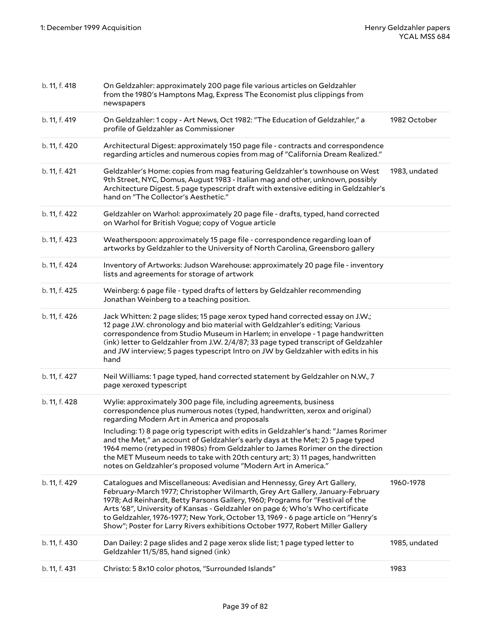| b. 11, f. 418 | On Geldzahler: approximately 200 page file various articles on Geldzahler<br>from the 1980's Hamptons Mag, Express The Economist plus clippings from<br>newspapers                                                                                                                                                                                                                                                                                                                                 |               |
|---------------|----------------------------------------------------------------------------------------------------------------------------------------------------------------------------------------------------------------------------------------------------------------------------------------------------------------------------------------------------------------------------------------------------------------------------------------------------------------------------------------------------|---------------|
| b. 11, f. 419 | On Geldzahler: 1 copy - Art News, Oct 1982: "The Education of Geldzahler," a<br>profile of Geldzahler as Commissioner                                                                                                                                                                                                                                                                                                                                                                              | 1982 October  |
| b. 11, f. 420 | Architectural Digest: approximately 150 page file - contracts and correspondence<br>regarding articles and numerous copies from mag of "California Dream Realized."                                                                                                                                                                                                                                                                                                                                |               |
| b. 11, f. 421 | Geldzahler's Home: copies from mag featuring Geldzahler's townhouse on West<br>9th Street, NYC, Domus, August 1983 - Italian mag and other, unknown, possibly<br>Architecture Digest. 5 page typescript draft with extensive editing in Geldzahler's<br>hand on "The Collector's Aesthetic."                                                                                                                                                                                                       | 1983, undated |
| b. 11, f. 422 | Geldzahler on Warhol: approximately 20 page file - drafts, typed, hand corrected<br>on Warhol for British Vogue; copy of Vogue article                                                                                                                                                                                                                                                                                                                                                             |               |
| b. 11, f. 423 | Weatherspoon: approximately 15 page file - correspondence regarding loan of<br>artworks by Geldzahler to the University of North Carolina, Greensboro gallery                                                                                                                                                                                                                                                                                                                                      |               |
| b. 11, f. 424 | Inventory of Artworks: Judson Warehouse: approximately 20 page file - inventory<br>lists and agreements for storage of artwork                                                                                                                                                                                                                                                                                                                                                                     |               |
| b. 11, f. 425 | Weinberg: 6 page file - typed drafts of letters by Geldzahler recommending<br>Jonathan Weinberg to a teaching position.                                                                                                                                                                                                                                                                                                                                                                            |               |
| b. 11, f. 426 | Jack Whitten: 2 page slides; 15 page xerox typed hand corrected essay on J.W.;<br>12 page J.W. chronology and bio material with Geldzahler's editing; Various<br>correspondence from Studio Museum in Harlem; in envelope - 1 page handwritten<br>(ink) letter to Geldzahler from J.W. 2/4/87; 33 page typed transcript of Geldzahler<br>and JW interview; 5 pages typescript Intro on JW by Geldzahler with edits in his<br>hand                                                                  |               |
| b. 11, f. 427 | Neil Williams: 1 page typed, hand corrected statement by Geldzahler on N.W., 7<br>page xeroxed typescript                                                                                                                                                                                                                                                                                                                                                                                          |               |
| b. 11, f. 428 | Wylie: approximately 300 page file, including agreements, business<br>correspondence plus numerous notes (typed, handwritten, xerox and original)<br>regarding Modern Art in America and proposals                                                                                                                                                                                                                                                                                                 |               |
|               | Including: 1) 8 page orig typescript with edits in Geldzahler's hand: "James Rorimer<br>and the Met," an account of Geldzahler's early days at the Met; 2) 5 page typed<br>1964 memo (retyped in 1980s) from Geldzahler to James Rorimer on the direction<br>the MET Museum needs to take with 20th century art; 3) 11 pages, handwritten<br>notes on Geldzahler's proposed volume "Modern Art in America."                                                                                        |               |
| b. 11, f. 429 | Catalogues and Miscellaneous: Avedisian and Hennessy, Grey Art Gallery,<br>February-March 1977; Christopher Wilmarth, Grey Art Gallery, January-February<br>1978; Ad Reinhardt, Betty Parsons Gallery, 1960; Programs for "Festival of the<br>Arts '68", University of Kansas - Geldzahler on page 6; Who's Who certificate<br>to Geldzahler, 1976-1977; New York, October 13, 1969 - 6 page article on "Henry's<br>Show"; Poster for Larry Rivers exhibitions October 1977, Robert Miller Gallery | 1960-1978     |
| b. 11, f. 430 | Dan Dailey: 2 page slides and 2 page xerox slide list; 1 page typed letter to<br>Geldzahler 11/5/85, hand signed (ink)                                                                                                                                                                                                                                                                                                                                                                             | 1985, undated |
| b. 11, f. 431 | Christo: 5 8x10 color photos, "Surrounded Islands"                                                                                                                                                                                                                                                                                                                                                                                                                                                 | 1983          |
|               |                                                                                                                                                                                                                                                                                                                                                                                                                                                                                                    |               |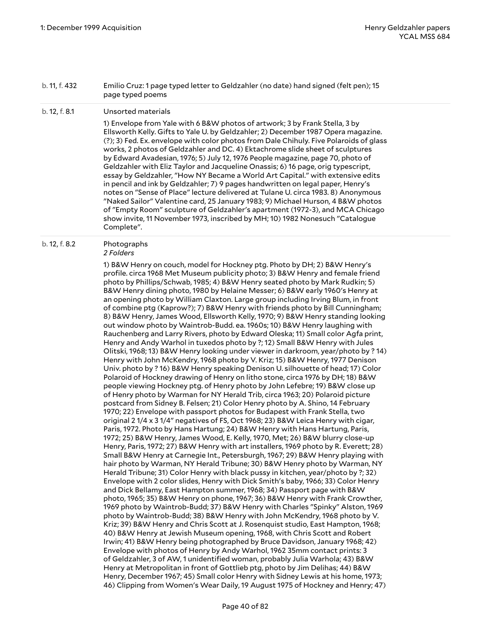#### b. 11, f. 432 Emilio Cruz: 1 page typed letter to Geldzahler (no date) hand signed (felt pen); 15 page typed poems

#### b. 12, f. 8.1 Unsorted materials

1) Envelope from Yale with 6 B&W photos of artwork; 3 by Frank Stella, 3 by Ellsworth Kelly. Gifts to Yale U. by Geldzahler; 2) December 1987 Opera magazine. (?); 3) Fed. Ex. envelope with color photos from Dale Chihuly. Five Polaroids of glass works, 2 photos of Geldzahler and DC. 4) Ektachrome slide sheet of sculptures by Edward Avadesian, 1976; 5) July 12, 1976 People magazine, page 70, photo of Geldzahler with Eliz Taylor and Jacqueline Onassis; 6) 16 page, orig typescript, essay by Geldzahler, "How NY Became a World Art Capital." with extensive edits in pencil and ink by Geldzahler; 7) 9 pages handwritten on legal paper, Henry's notes on "Sense of Place" lecture delivered at Tulane U. circa 1983. 8) Anonymous "Naked Sailor" Valentine card, 25 January 1983; 9) Michael Hurson, 4 B&W photos of "Empty Room" sculpture of Geldzahler's apartment (1972-3), and MCA Chicago show invite, 11 November 1973, inscribed by MH; 10) 1982 Nonesuch "Catalogue Complete".

# b. 12, f. 8.2 Photographs

#### *2 Folders*

1) B&W Henry on couch, model for Hockney ptg. Photo by DH; 2) B&W Henry's profile. circa 1968 Met Museum publicity photo; 3) B&W Henry and female friend photo by Phillips/Schwab, 1985; 4) B&W Henry seated photo by Mark Rudkin; 5) B&W Henry dining photo, 1980 by Helaine Messer; 6) B&W early 1960's Henry at an opening photo by William Claxton. Large group including Irving Blum, in front of combine ptg (Kaprow?); 7) B&W Henry with friends photo by Bill Cunningham; 8) B&W Henry, James Wood, Ellsworth Kelly, 1970; 9) B&W Henry standing looking out window photo by Waintrob-Budd. ea. 1960s; 10) B&W Henry laughing with Rauchenberg and Larry Rivers, photo by Edward Oleska; 11) Small color Agfa print, Henry and Andy Warhol in tuxedos photo by ?; 12) Small B&W Henry with Jules Olitski, 1968; 13) B&W Henry looking under viewer in darkroom, year/photo by ? 14) Henry with John McKendry, 1968 photo by V. Kriz; 15) B&W Henry, 1977 Denison Univ. photo by ? 16) B&W Henry speaking Denison U. silhouette of head; 17) Color Polaroid of Hockney drawing of Henry on litho stone, circa 1976 by DH; 18) B&W people viewing Hockney ptg. of Henry photo by John Lefebre; 19) B&W close up of Henry photo by Warman for NY Herald Trib, circa 1963; 20) Polaroid picture postcard from Sidney B. Felsen; 21) Color Henry photo by A. Shino, 14 February 1970; 22) Envelope with passport photos for Budapest with Frank Stella, two original 2 1/4 x 3 1/4" negatives of FS, Oct 1968; 23) B&W Leica Henry with cigar, Paris, 1972. Photo by Hans Hartung; 24) B&W Henry with Hans Hartung, Paris, 1972; 25) B&W Henry, James Wood, E. Kelly, 1970, Met; 26) B&W blurry close-up Henry, Paris, 1972; 27) B&W Henry with art installers, 1969 photo by R. Everett; 28) Small B&W Henry at Carnegie Int., Petersburgh, 1967; 29) B&W Henry playing with hair photo by Warman, NY Herald Tribune; 30) B&W Henry photo by Warman, NY Herald Tribune; 31) Color Henry with black pussy in kitchen, year/photo by ?; 32) Envelope with 2 color slides, Henry with Dick Smith's baby, 1966; 33) Color Henry and Dick Bellamy, East Hampton summer, 1968; 34) Passport page with B&W photo, 1965; 35) B&W Henry on phone, 1967; 36) B&W Henry with Frank Crowther, 1969 photo by Waintrob-Budd; 37) B&W Henry with Charles "Spinky" Alston, 1969 photo by Waintrob-Budd; 38) B&W Henry with John McKendry, 1968 photo by V. Kriz; 39) B&W Henry and Chris Scott at J. Rosenquist studio, East Hampton, 1968; 40) B&W Henry at Jewish Museum opening, 1968, with Chris Scott and Robert Irwin; 41) B&W Henry being photographed by Bruce Davidson, January 1968; 42) Envelope with photos of Henry by Andy Warhol, 1962 35mm contact prints: 3 of Geldzahler, 3 of AW, 1 unidentified woman, probably Julia Warhola; 43) B&W Henry at Metropolitan in front of Gottlieb ptg, photo by Jim Delihas; 44) B&W Henry, December 1967; 45) Small color Henry with Sidney Lewis at his home, 1973; 46) Clipping from Women's Wear Daily, 19 August 1975 of Hockney and Henry; 47)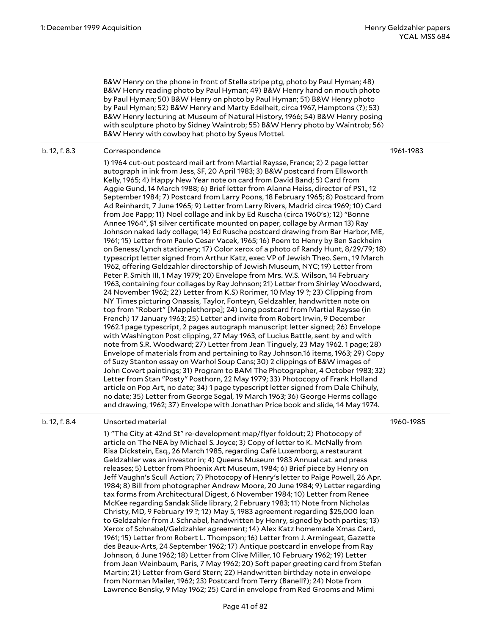B&W Henry on the phone in front of Stella stripe ptg, photo by Paul Hyman; 48) B&W Henry reading photo by Paul Hyman; 49) B&W Henry hand on mouth photo by Paul Hyman; 50) B&W Henry on photo by Paul Hyman; 51) B&W Henry photo by Paul Hyman; 52) B&W Henry and Marty Edelheit, circa 1967, Hamptons (?); 53) B&W Henry lecturing at Museum of Natural History, 1966; 54) B&W Henry posing with sculpture photo by Sidney Waintrob; 55) B&W Henry photo by Waintrob; 56) B&W Henry with cowboy hat photo by Syeus Mottel.

#### b. 12, f. 8.3 Correspondence

1961-1983

1) 1964 cut-out postcard mail art from Martial Raysse, France; 2) 2 page letter autograph in ink from Jess, SF, 20 April 1983; 3) B&W postcard from Ellsworth Kelly, 1965; 4) Happy New Year note on card from David Band; 5) Card from Aggie Gund, 14 March 1988; 6) Brief letter from Alanna Heiss, director of PS1., 12 September 1984; 7) Postcard from Larry Poons, 18 February 1965; 8) Postcard from Ad Reinhardt, 7 June 1965; 9) Letter from Larry Rivers, Madrid circa 1969; 10) Card from Joe Papp; 11) Noel collage and ink by Ed Ruscha (circa 1960's); 12) "Bonne Annee 1964", \$1 silver certificate mounted on paper, collage by Arman 13) Ray Johnson naked lady collage; 14) Ed Ruscha postcard drawing from Bar Harbor, ME, 1961; 15) Letter from Paulo Cesar Vacek, 1965; 16) Poem to Henry by Ben Sackheim on Beness/Lynch stationery; 17) Color xerox of a photo of Randy Hunt, 8/29/79; 18) typescript letter signed from Arthur Katz, exec VP of Jewish Theo. Sem., 19 March 1962, offering Geldzahler directorship of Jewish Museum, NYC; 19) Letter from Peter P. Smith III, 1 May 1979; 20) Envelope from Mrs. W.S. Wilson, 14 February 1963, containing four collages by Ray Johnson; 21) Letter from Shirley Woodward, 24 November 1962; 22) Letter from K.S) Rorimer, 10 May 19 ?; 23) Clipping from NY Times picturing Onassis, Taylor, Fonteyn, Geldzahler, handwritten note on top from "Robert" [Mapplethorpe]; 24) Long postcard from Martial Raysse (in French) 17 January 1963; 25) Letter and invite from Robert Irwin, 9 December 1962.1 page typescript, 2 pages autograph manuscript letter signed; 26) Envelope with Washington Post clipping, 27 May 1963, of Lucius Battle, sent by and with note from S.R. Woodward; 27) Letter from Jean Tinguely, 23 May 1962. 1 page; 28) Envelope of materials from and pertaining to Ray Johnson.16 items, 1963; 29) Copy of Suzy Stanton essay on Warhol Soup Cans; 30) 2 clippings of B&W images of John Covert paintings; 31) Program to BAM The Photographer, 4 October 1983; 32) Letter from Stan "Posty" Posthorn, 22 May 1979; 33) Photocopy of Frank Holland article on Pop Art, no date; 34) 1 page typescript letter signed from Dale Chihuly, no date; 35) Letter from George Segal, 19 March 1963; 36) George Herms collage and drawing, 1962; 37) Envelope with Jonathan Price book and slide, 14 May 1974.

### b. 12, f. 8.4 Unsorted material

1960-1985

1) "The City at 42nd St" re-development map/flyer foldout; 2) Photocopy of article on The NEA by Michael S. Joyce; 3) Copy of letter to K. McNally from Risa Dickstein, Esq., 26 March 1985, regarding Café Luxemborg, a restaurant Geldzahler was an investor in; 4) Queens Museum 1983 Annual cat. and press releases; 5) Letter from Phoenix Art Museum, 1984; 6) Brief piece by Henry on Jeff Vaughn's Scull Action; 7) Photocopy of Henry's letter to Paige Powell, 26 Apr. 1984; 8) Bill from photographer Andrew Moore, 20 June 1984; 9) Letter regarding tax forms from Architectural Digest, 6 November 1984; 10) Letter from Renee McKee regarding Sandak Slide library, 2 February 1983; 11) Note from Nicholas Christy, MD, 9 February 19 ?; 12) May 5, 1983 agreement regarding \$25,000 loan to Geldzahler from J. Schnabel, handwritten by Henry, signed by both parties; 13) Xerox of Schnabel/Geldzahler agreement; 14) Alex Katz homemade Xmas Card, 1961; 15) Letter from Robert L. Thompson; 16) Letter from J. Armingeat, Gazette des Beaux-Arts, 24 September 1962; 17) Antique postcard in envelope from Ray Johnson, 6 June 1962; 18) Letter from Clive Miller, 10 February 1962; 19) Letter from Jean Weinbaum, Paris, 7 May 1962; 20) Soft paper greeting card from Stefan Martin; 21) Letter from Gerd Stern; 22) Handwritten birthday note in envelope from Norman Mailer, 1962; 23) Postcard from Terry (Banell?); 24) Note from Lawrence Bensky, 9 May 1962; 25) Card in envelope from Red Grooms and Mimi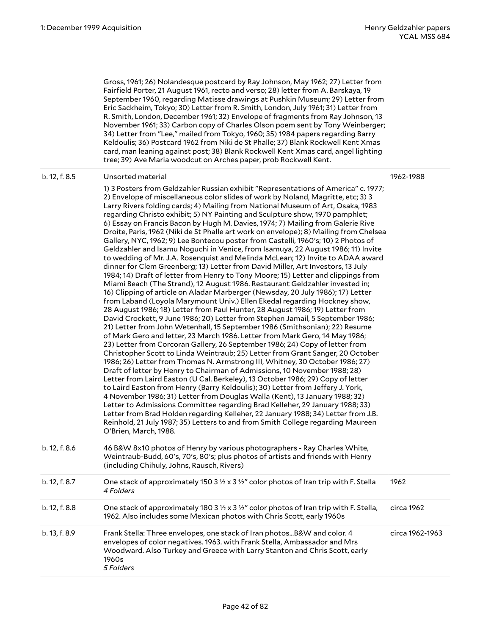1962-1988

Gross, 1961; 26) Nolandesque postcard by Ray Johnson, May 1962; 27) Letter from Fairfield Porter, 21 August 1961, recto and verso; 28) letter from A. Barskaya, 19 September 1960, regarding Matisse drawings at Pushkin Museum; 29) Letter from Eric Sackheim, Tokyo; 30) Letter from R. Smith, London, July 1961; 31) Letter from R. Smith, London, December 1961; 32) Envelope of fragments from Ray Johnson, 13 November 1961; 33) Carbon copy of Charles Olson poem sent by Tony Weinberger; 34) Letter from "Lee," mailed from Tokyo, 1960; 35) 1984 papers regarding Barry Keldoulis; 36) Postcard 1962 from Niki de St Phalle; 37) Blank Rockwell Kent Xmas card, man leaning against post; 38) Blank Rockwell Kent Xmas card, angel lighting tree; 39) Ave Maria woodcut on Arches paper, prob Rockwell Kent.

### b. 12, f. 8.5 Unsorted material

1) 3 Posters from Geldzahler Russian exhibit "Representations of America" c. 1977; 2) Envelope of miscellaneous color slides of work by Noland, Magritte, etc; 3) 3 Larry Rivers folding cards; 4) Mailing from National Museum of Art, Osaka, 1983 regarding Christo exhibit; 5) NY Painting and Sculpture show, 1970 pamphlet; 6) Essay on Francis Bacon by Hugh M. Davies, 1974; 7) Mailing from Galerie Rive Droite, Paris, 1962 (Niki de St Phalle art work on envelope); 8) Mailing from Chelsea Gallery, NYC, 1962; 9) Lee Bontecou poster from Castelli, 1960's; 10) 2 Photos of Geldzahler and Isamu Noguchi in Venice, from Isamuya, 22 August 1986; 11) Invite to wedding of Mr. J.A. Rosenquist and Melinda McLean; 12) Invite to ADAA award dinner for Clem Greenberg; 13) Letter from David Miller, Art Investors, 13 July 1984; 14) Draft of letter from Henry to Tony Moore; 15) Letter and clippings from Miami Beach (The Strand), 12 August 1986. Restaurant Geldzahler invested in; 16) Clipping of article on Aladar Marberger (Newsday, 20 July 1986); 17) Letter from Laband (Loyola Marymount Univ.) Ellen Ekedal regarding Hockney show, 28 August 1986; 18) Letter from Paul Hunter, 28 August 1986; 19) Letter from David Crockett, 9 June 1986; 20) Letter from Stephen Jamail, 5 September 1986; 21) Letter from John Wetenhall, 15 September 1986 (Smithsonian); 22) Resume of Mark Gero and letter, 23 March 1986. Letter from Mark Gero, 14 May 1986; 23) Letter from Corcoran Gallery, 26 September 1986; 24) Copy of letter from Christopher Scott to Linda Weintraub; 25) Letter from Grant Sanger, 20 October 1986; 26) Letter from Thomas N. Armstrong III, Whitney, 30 October 1986; 27) Draft of letter by Henry to Chairman of Admissions, 10 November 1988; 28) Letter from Laird Easton (U Cal. Berkeley), 13 October 1986; 29) Copy of letter to Laird Easton from Henry (Barry Keldoulis); 30) Letter from Jeffery J. York, 4 November 1986; 31) Letter from Douglas Walla (Kent), 13 January 1988; 32) Letter to Admissions Committee regarding Brad Kelleher, 29 January 1988; 33) Letter from Brad Holden regarding Kelleher, 22 January 1988; 34) Letter from J.B. Reinhold, 21 July 1987; 35) Letters to and from Smith College regarding Maureen O'Brien, March, 1988. b. 12, f. 8.6 46 B&W 8x10 photos of Henry by various photographers - Ray Charles White, Weintraub-Budd, 60's, 70's, 80's; plus photos of artists and friends with Henry (including Chihuly, Johns, Rausch, Rivers) b. 12, f. 8.7 Cne stack of approximately 150 3  $\frac{1}{2}$  x 3  $\frac{1}{2}$ " color photos of Iran trip with F. Stella *4 Folders* 1962 b. 12, f. 8.8 One stack of approximately 180 3  $\frac{1}{2}$  x 3  $\frac{1}{2}$  color photos of Iran trip with F. Stella, circa 1962

|               | 1962. Also includes some Mexican photos with Chris Scott, early 1960s                                                                                                                                                                                    |                 |
|---------------|----------------------------------------------------------------------------------------------------------------------------------------------------------------------------------------------------------------------------------------------------------|-----------------|
| b. 13, f. 8.9 | Frank Stella: Three envelopes, one stack of Iran photosB&W and color. 4<br>envelopes of color negatives. 1963. with Frank Stella, Ambassador and Mrs<br>Woodward. Also Turkey and Greece with Larry Stanton and Chris Scott, early<br>1960s<br>5 Folders | circa 1962-1963 |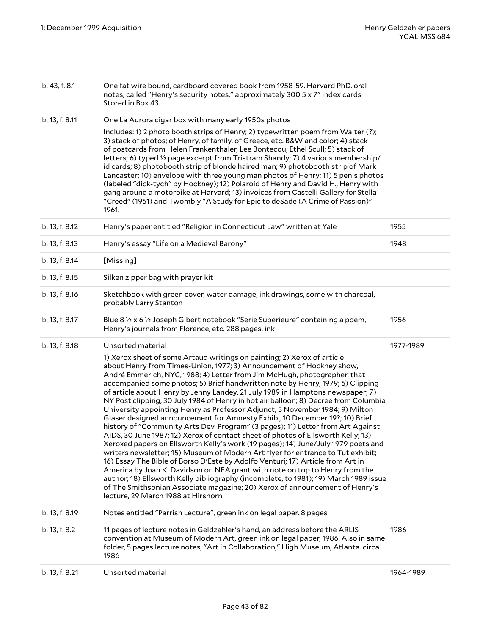| b. 13, f. 8.2  | 11 pages of lecture notes in Geldzahler's hand, an address before the ARLIS<br>convention at Museum of Modern Art, green ink on legal paper, 1986. Also in same<br>folder, 5 pages lecture notes, "Art in Collaboration," High Museum, Atlanta. circa<br>1986                                                                                                                                                                                                                                                                                                                                                                                                                                                                                                                                                                                                                                                                                                                                                                                                                                                                                                                                                                                                                                                                                                                                                                                                   | 1986      |
|----------------|-----------------------------------------------------------------------------------------------------------------------------------------------------------------------------------------------------------------------------------------------------------------------------------------------------------------------------------------------------------------------------------------------------------------------------------------------------------------------------------------------------------------------------------------------------------------------------------------------------------------------------------------------------------------------------------------------------------------------------------------------------------------------------------------------------------------------------------------------------------------------------------------------------------------------------------------------------------------------------------------------------------------------------------------------------------------------------------------------------------------------------------------------------------------------------------------------------------------------------------------------------------------------------------------------------------------------------------------------------------------------------------------------------------------------------------------------------------------|-----------|
| b. 13, f. 8.19 | Notes entitled "Parrish Lecture", green ink on legal paper. 8 pages                                                                                                                                                                                                                                                                                                                                                                                                                                                                                                                                                                                                                                                                                                                                                                                                                                                                                                                                                                                                                                                                                                                                                                                                                                                                                                                                                                                             |           |
| b. 13, f. 8.18 | Henry's journals from Florence, etc. 288 pages, ink<br>Unsorted material<br>1) Xerox sheet of some Artaud writings on painting; 2) Xerox of article<br>about Henry from Times-Union, 1977; 3) Announcement of Hockney show,<br>André Emmerich, NYC, 1988; 4) Letter from Jim McHugh, photographer, that<br>accompanied some photos; 5) Brief handwritten note by Henry, 1979; 6) Clipping<br>of article about Henry by Jenny Landey, 21 July 1989 in Hamptons newspaper; 7)<br>NY Post clipping, 30 July 1984 of Henry in hot air balloon; 8) Decree from Columbia<br>University appointing Henry as Professor Adjunct, 5 November 1984; 9) Milton<br>Glaser designed announcement for Amnesty Exhib., 10 December 19?; 10) Brief<br>history of "Community Arts Dev. Program" (3 pages); 11) Letter from Art Against<br>AIDS, 30 June 1987; 12) Xerox of contact sheet of photos of Ellsworth Kelly; 13)<br>Xeroxed papers on Ellsworth Kelly's work (19 pages); 14) June/July 1979 poets and<br>writers newsletter; 15) Museum of Modern Art flyer for entrance to Tut exhibit;<br>16) Essay The Bible of Borso D'Este by Adolfo Venturi; 17) Article from Art in<br>America by Joan K. Davidson on NEA grant with note on top to Henry from the<br>author; 18) Ellsworth Kelly bibliography (incomplete, to 1981); 19) March 1989 issue<br>of The Smithsonian Associate magazine; 20) Xerox of announcement of Henry's<br>lecture, 29 March 1988 at Hirshorn. | 1977-1989 |
| b. 13, f. 8.17 | Blue 8 1/2 x 6 1/2 Joseph Gibert notebook "Serie Superieure" containing a poem,                                                                                                                                                                                                                                                                                                                                                                                                                                                                                                                                                                                                                                                                                                                                                                                                                                                                                                                                                                                                                                                                                                                                                                                                                                                                                                                                                                                 | 1956      |
| b. 13, f. 8.16 | Sketchbook with green cover, water damage, ink drawings, some with charcoal,<br>probably Larry Stanton                                                                                                                                                                                                                                                                                                                                                                                                                                                                                                                                                                                                                                                                                                                                                                                                                                                                                                                                                                                                                                                                                                                                                                                                                                                                                                                                                          |           |
| b. 13, f. 8.15 | Silken zipper bag with prayer kit                                                                                                                                                                                                                                                                                                                                                                                                                                                                                                                                                                                                                                                                                                                                                                                                                                                                                                                                                                                                                                                                                                                                                                                                                                                                                                                                                                                                                               |           |
| b. 13, f. 8.14 | [Missing]                                                                                                                                                                                                                                                                                                                                                                                                                                                                                                                                                                                                                                                                                                                                                                                                                                                                                                                                                                                                                                                                                                                                                                                                                                                                                                                                                                                                                                                       |           |
| b. 13, f. 8.13 | Henry's essay "Life on a Medieval Barony"                                                                                                                                                                                                                                                                                                                                                                                                                                                                                                                                                                                                                                                                                                                                                                                                                                                                                                                                                                                                                                                                                                                                                                                                                                                                                                                                                                                                                       | 1948      |
| b. 13, f. 8.12 | Henry's paper entitled "Religion in Connecticut Law" written at Yale                                                                                                                                                                                                                                                                                                                                                                                                                                                                                                                                                                                                                                                                                                                                                                                                                                                                                                                                                                                                                                                                                                                                                                                                                                                                                                                                                                                            | 1955      |
| b. 13, f. 8.11 | One La Aurora cigar box with many early 1950s photos<br>Includes: 1) 2 photo booth strips of Henry; 2) typewritten poem from Walter (?);<br>3) stack of photos; of Henry, of family, of Greece, etc. B&W and color; 4) stack<br>of postcards from Helen Frankenthaler, Lee Bontecou, Ethel Scull; 5) stack of<br>letters; 6) typed 1/2 page excerpt from Tristram Shandy; 7) 4 various membership/<br>id cards; 8) photobooth strip of blonde haired man; 9) photobooth strip of Mark<br>Lancaster; 10) envelope with three young man photos of Henry; 11) 5 penis photos<br>(labeled "dick-tych" by Hockney); 12) Polaroid of Henry and David H., Henry with<br>gang around a motorbike at Harvard; 13) invoices from Castelli Gallery for Stella<br>"Creed" (1961) and Twombly "A Study for Epic to deSade (A Crime of Passion)"<br>1961.                                                                                                                                                                                                                                                                                                                                                                                                                                                                                                                                                                                                                     |           |
|                | Stored in Box 43.                                                                                                                                                                                                                                                                                                                                                                                                                                                                                                                                                                                                                                                                                                                                                                                                                                                                                                                                                                                                                                                                                                                                                                                                                                                                                                                                                                                                                                               |           |
| b. 43, f. 8.1  | One fat wire bound, cardboard covered book from 1958-59. Harvard PhD. oral<br>notes, called "Henry's security notes," approximately 300 5 x 7" index cards                                                                                                                                                                                                                                                                                                                                                                                                                                                                                                                                                                                                                                                                                                                                                                                                                                                                                                                                                                                                                                                                                                                                                                                                                                                                                                      |           |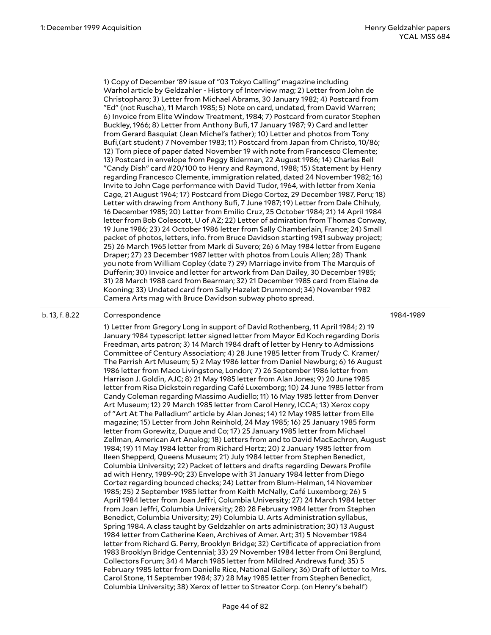1) Copy of December '89 issue of "03 Tokyo Calling" magazine including Warhol article by Geldzahler - History of Interview mag; 2) Letter from John de Christopharo; 3) Letter from Michael Abrams, 30 January 1982; 4) Postcard from "Ed" (not Ruscha), 11 March 1985; 5) Note on card, undated, from David Warren; 6) Invoice from Elite Window Treatment, 1984; 7) Postcard from curator Stephen Buckley, 1966; 8) Letter from Anthony Bufi, 17 January 1987; 9) Card and letter from Gerard Basquiat (Jean Michel's father); 10) Letter and photos from Tony Bufi,(art student) 7 November 1983; 11) Postcard from Japan from Christo, 10/86; 12) Torn piece of paper dated November 19 with note from Francesco Clemente; 13) Postcard in envelope from Peggy Biderman, 22 August 1986; 14) Charles Bell "Candy Dish" card #20/100 to Henry and Raymond, 1988; 15) Statement by Henry regarding Francesco Clemente, immigration related, dated 24 November 1982; 16) Invite to John Cage performance with David Tudor, 1964, with letter from Xenia Cage, 21 August 1964; 17) Postcard from Diego Cortez, 29 December 1987, Peru; 18) Letter with drawing from Anthony Bufi, 7 June 1987; 19) Letter from Dale Chihuly, 16 December 1985; 20) Letter from Emilio Cruz, 25 October 1984; 21) 14 April 1984 letter from Bob Colescott, U of AZ; 22) Letter of admiration from Thomas Conway, 19 June 1986; 23) 24 October 1986 letter from Sally Chamberlain, France; 24) Small packet of photos, letters, info. from Bruce Davidson starting 1981 subway project; 25) 26 March 1965 letter from Mark di Suvero; 26) 6 May 1984 letter from Eugene Draper; 27) 23 December 1987 letter with photos from Louis Allen; 28) Thank you note from William Copley (date ?) 29) Marriage invite from The Marquis of Dufferin; 30) Invoice and letter for artwork from Dan Dailey, 30 December 1985; 31) 28 March 1988 card from Bearman; 32) 21 December 1985 card from Elaine de Kooning; 33) Undated card from Sally Hazelet Drummond; 34) November 1982 Camera Arts mag with Bruce Davidson subway photo spread.

## b. 13, f. 8.22 Correspondence

1984-1989

1) Letter from Gregory Long in support of David Rothenberg, 11 April 1984; 2) 19 January 1984 typescript letter signed letter from Mayor Ed Koch regarding Doris Freedman, arts patron; 3) 14 March 1984 draft of letter by Henry to Admissions Committee of Century Association; 4) 28 June 1985 letter from Trudy C. Kramer/ The Parrish Art Museum; 5) 2 May 1986 letter from Daniel Newburg; 6) 16 August 1986 letter from Maco Livingstone, London; 7) 26 September 1986 letter from Harrison J. Goldin, AJC; 8) 21 May 1985 letter from Alan Jones; 9) 20 June 1985 letter from Risa Dickstein regarding Café Luxemborg; 10) 24 June 1985 letter from Candy Coleman regarding Massimo Audiello; 11) 16 May 1985 letter from Denver Art Museum; 12) 29 March 1985 letter from Carol Henry, ICCA; 13) Xerox copy of "Art At The Palladium" article by Alan Jones; 14) 12 May 1985 letter from Elle magazine; 15) Letter from John Reinhold, 24 May 1985; 16) 25 January 1985 form letter from Gorewitz, Duque and Co; 17) 25 January 1985 letter from Michael Zellman, American Art Analog; 18) Letters from and to David MacEachron, August 1984; 19) 11 May 1984 letter from Richard Hertz; 20) 2 January 1985 letter from Ileen Shepperd, Queens Museum; 21) July 1984 letter from Stephen Benedict, Columbia University; 22) Packet of letters and drafts regarding Dewars Profile ad with Henry, 1989-90; 23) Envelope with 31 January 1984 letter from Diego Cortez regarding bounced checks; 24) Letter from Blum-Helman, 14 November 1985; 25) 2 September 1985 letter from Keith McNally, Café Luxemborg; 26) 5 April 1984 letter from Joan Jeffri, Columbia University; 27) 24 March 1984 letter from Joan Jeffri, Columbia University; 28) 28 February 1984 letter from Stephen Benedict, Columbia University; 29) Columbia U. Arts Administration syllabus, Spring 1984. A class taught by Geldzahler on arts administration; 30) 13 August 1984 letter from Catherine Keen, Archives of Amer. Art; 31) 5 November 1984 letter from Richard G. Perry, Brooklyn Bridge; 32) Certificate of appreciation from 1983 Brooklyn Bridge Centennial; 33) 29 November 1984 letter from Oni Berglund, Collectors Forum; 34) 4 March 1985 letter from Mildred Andrews fund; 35) 5 February 1985 letter from Danielle Rice, National Gallery; 36) Draft of letter to Mrs. Carol Stone, 11 September 1984; 37) 28 May 1985 letter from Stephen Benedict, Columbia University; 38) Xerox of letter to Streator Corp. (on Henry's behalf)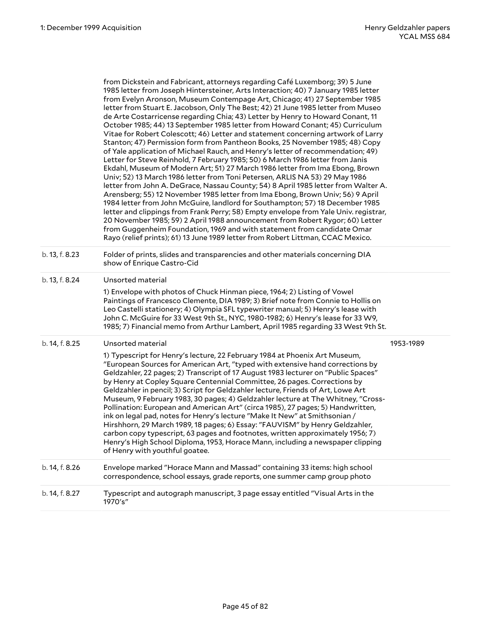|                | from Dickstein and Fabricant, attorneys regarding Café Luxemborg; 39) 5 June<br>1985 letter from Joseph Hintersteiner, Arts Interaction; 40) 7 January 1985 letter<br>from Evelyn Aronson, Museum Contempage Art, Chicago; 41) 27 September 1985<br>letter from Stuart E. Jacobson, Only The Best; 42) 21 June 1985 letter from Museo<br>de Arte Costarricense regarding Chia; 43) Letter by Henry to Howard Conant, 11<br>October 1985; 44) 13 September 1985 letter from Howard Conant; 45) Curriculum<br>Vitae for Robert Colescott; 46) Letter and statement concerning artwork of Larry<br>Stanton; 47) Permission form from Pantheon Books, 25 November 1985; 48) Copy<br>of Yale application of Michael Rauch, and Henry's letter of recommendation; 49)<br>Letter for Steve Reinhold, 7 February 1985; 50) 6 March 1986 letter from Janis<br>Ekdahl, Museum of Modern Art; 51) 27 March 1986 letter from Ima Ebong, Brown<br>Univ; 52) 13 March 1986 letter from Toni Petersen, ARLIS NA 53) 29 May 1986<br>letter from John A. DeGrace, Nassau County; 54) 8 April 1985 letter from Walter A.<br>Arensberg; 55) 12 November 1985 letter from Ima Ebong, Brown Univ; 56) 9 April<br>1984 letter from John McGuire, landlord for Southampton; 57) 18 December 1985<br>letter and clippings from Frank Perry; 58) Empty envelope from Yale Univ. registrar,<br>20 November 1985; 59) 2 April 1988 announcement from Robert Rygor; 60) Letter<br>from Guggenheim Foundation, 1969 and with statement from candidate Omar<br>Rayo (relief prints); 61) 13 June 1989 letter from Robert Littman, CCAC Mexico. |           |
|----------------|------------------------------------------------------------------------------------------------------------------------------------------------------------------------------------------------------------------------------------------------------------------------------------------------------------------------------------------------------------------------------------------------------------------------------------------------------------------------------------------------------------------------------------------------------------------------------------------------------------------------------------------------------------------------------------------------------------------------------------------------------------------------------------------------------------------------------------------------------------------------------------------------------------------------------------------------------------------------------------------------------------------------------------------------------------------------------------------------------------------------------------------------------------------------------------------------------------------------------------------------------------------------------------------------------------------------------------------------------------------------------------------------------------------------------------------------------------------------------------------------------------------------------------------------------------------------------------------------------------------|-----------|
| b. 13, f. 8.23 | Folder of prints, slides and transparencies and other materials concerning DIA<br>show of Enrique Castro-Cid                                                                                                                                                                                                                                                                                                                                                                                                                                                                                                                                                                                                                                                                                                                                                                                                                                                                                                                                                                                                                                                                                                                                                                                                                                                                                                                                                                                                                                                                                                     |           |
| b. 13, f. 8.24 | Unsorted material<br>1) Envelope with photos of Chuck Hinman piece, 1964; 2) Listing of Vowel<br>Paintings of Francesco Clemente, DIA 1989; 3) Brief note from Connie to Hollis on<br>Leo Castelli stationery; 4) Olympia SFL typewriter manual; 5) Henry's lease with<br>John C. McGuire for 33 West 9th St., NYC, 1980-1982; 6) Henry's lease for 33 W9,<br>1985; 7) Financial memo from Arthur Lambert, April 1985 regarding 33 West 9th St.                                                                                                                                                                                                                                                                                                                                                                                                                                                                                                                                                                                                                                                                                                                                                                                                                                                                                                                                                                                                                                                                                                                                                                  |           |
| b. 14, f. 8.25 | Unsorted material<br>1) Typescript for Henry's lecture, 22 February 1984 at Phoenix Art Museum,<br>"European Sources for American Art, "typed with extensive hand corrections by<br>Geldzahler, 22 pages; 2) Transcript of 17 August 1983 lecturer on "Public Spaces"<br>by Henry at Copley Square Centennial Committee, 26 pages. Corrections by<br>Geldzahler in pencil; 3) Script for Geldzahler lecture, Friends of Art, Lowe Art<br>Museum, 9 February 1983, 30 pages; 4) Geldzahler lecture at The Whitney, "Cross-<br>Pollination: European and American Art" (circa 1985), 27 pages; 5) Handwritten,<br>ink on legal pad, notes for Henry's lecture "Make It New" at Smithsonian /<br>Hirshhorn, 29 March 1989, 18 pages; 6) Essay: "FAUVISM" by Henry Geldzahler,<br>carbon copy typescript, 63 pages and footnotes, written approximately 1956; 7)<br>Henry's High School Diploma, 1953, Horace Mann, including a newspaper clipping<br>of Henry with youthful goatee.                                                                                                                                                                                                                                                                                                                                                                                                                                                                                                                                                                                                                                 | 1953-1989 |
| b. 14, f. 8.26 | Envelope marked "Horace Mann and Massad" containing 33 items: high school<br>correspondence, school essays, grade reports, one summer camp group photo                                                                                                                                                                                                                                                                                                                                                                                                                                                                                                                                                                                                                                                                                                                                                                                                                                                                                                                                                                                                                                                                                                                                                                                                                                                                                                                                                                                                                                                           |           |
| b. 14, f. 8.27 | Typescript and autograph manuscript, 3 page essay entitled "Visual Arts in the<br>1970's"                                                                                                                                                                                                                                                                                                                                                                                                                                                                                                                                                                                                                                                                                                                                                                                                                                                                                                                                                                                                                                                                                                                                                                                                                                                                                                                                                                                                                                                                                                                        |           |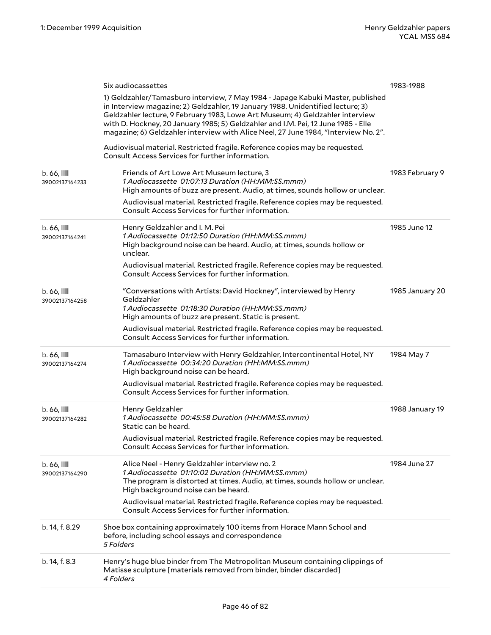|                                           | Six audiocassettes                                                                                                                                                                                                                                                                                                                                                                                                              | 1983-1988       |
|-------------------------------------------|---------------------------------------------------------------------------------------------------------------------------------------------------------------------------------------------------------------------------------------------------------------------------------------------------------------------------------------------------------------------------------------------------------------------------------|-----------------|
|                                           | 1) Geldzahler/Tamasburo interview, 7 May 1984 - Japage Kabuki Master, published<br>in Interview magazine; 2) Geldzahler, 19 January 1988. Unidentified lecture; 3)<br>Geldzahler lecture, 9 February 1983, Lowe Art Museum; 4) Geldzahler interview<br>with D. Hockney, 20 January 1985; 5) Geldzahler and I.M. Pei, 12 June 1985 - Elle<br>magazine; 6) Geldzahler interview with Alice Neel, 27 June 1984, "Interview No. 2". |                 |
|                                           | Audiovisual material. Restricted fragile. Reference copies may be requested.<br>Consult Access Services for further information.                                                                                                                                                                                                                                                                                                |                 |
| $b.66$ , $\blacksquare$<br>39002137164233 | Friends of Art Lowe Art Museum lecture, 3<br>1 Audiocassette 01:07:13 Duration (HH:MM:SS.mmm)<br>High amounts of buzz are present. Audio, at times, sounds hollow or unclear.                                                                                                                                                                                                                                                   | 1983 February 9 |
|                                           | Audiovisual material. Restricted fragile. Reference copies may be requested.<br>Consult Access Services for further information.                                                                                                                                                                                                                                                                                                |                 |
| $b.66$ , $III$<br>39002137164241          | Henry Geldzahler and I. M. Pei<br>1 Audiocassette 01:12:50 Duration (HH:MM:SS.mmm)<br>High background noise can be heard. Audio, at times, sounds hollow or<br>unclear.                                                                                                                                                                                                                                                         | 1985 June 12    |
|                                           | Audiovisual material. Restricted fragile. Reference copies may be requested.<br>Consult Access Services for further information.                                                                                                                                                                                                                                                                                                |                 |
| $b.66$ , $III$<br>39002137164258          | "Conversations with Artists: David Hockney", interviewed by Henry<br>Geldzahler<br>1 Audiocassette 01:18:30 Duration (HH:MM:SS.mmm)<br>High amounts of buzz are present. Static is present.                                                                                                                                                                                                                                     | 1985 January 20 |
|                                           | Audiovisual material. Restricted fragile. Reference copies may be requested.<br>Consult Access Services for further information.                                                                                                                                                                                                                                                                                                |                 |
| $b.66$ , $III$<br>39002137164274          | Tamasaburo Interview with Henry Geldzahler, Intercontinental Hotel, NY<br>1 Audiocassette 00:34:20 Duration (HH:MM:SS.mmm)<br>High background noise can be heard.                                                                                                                                                                                                                                                               | 1984 May 7      |
|                                           | Audiovisual material. Restricted fragile. Reference copies may be requested.<br>Consult Access Services for further information.                                                                                                                                                                                                                                                                                                |                 |
| $b.66$ , $III$<br>39002137164282          | Henry Geldzahler<br>1 Audiocassette 00:45:58 Duration (HH:MM:SS.mmm)<br>Static can be heard.                                                                                                                                                                                                                                                                                                                                    | 1988 January 19 |
|                                           | Audiovisual material. Restricted fragile. Reference copies may be requested.<br>Consult Access Services for further information.                                                                                                                                                                                                                                                                                                |                 |
| $b.66$ , $III$<br>39002137164290          | Alice Neel - Henry Geldzahler interview no. 2<br>1 Audiocassette 01:10:02 Duration (HH:MM:SS.mmm)<br>The program is distorted at times. Audio, at times, sounds hollow or unclear.<br>High background noise can be heard.<br>Audiovisual material. Restricted fragile. Reference copies may be requested.<br>Consult Access Services for further information.                                                                   | 1984 June 27    |
| b. 14, f. 8.29                            | Shoe box containing approximately 100 items from Horace Mann School and<br>before, including school essays and correspondence<br>5 Folders                                                                                                                                                                                                                                                                                      |                 |
| b. 14, f. 8.3                             | Henry's huge blue binder from The Metropolitan Museum containing clippings of<br>Matisse sculpture [materials removed from binder, binder discarded]<br>4 Folders                                                                                                                                                                                                                                                               |                 |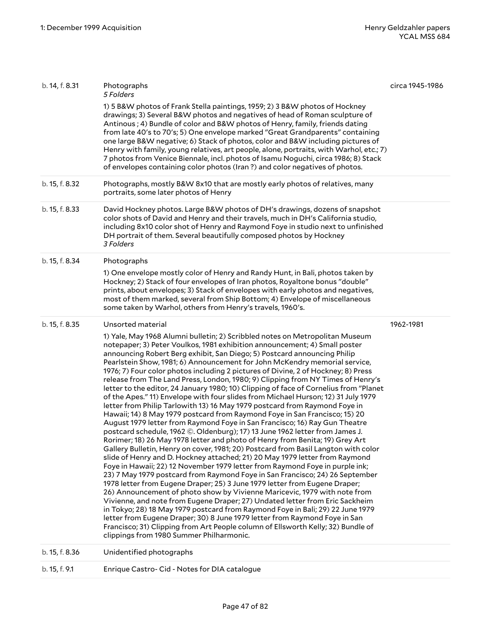| b. 14, f. 8.31 | Photographs<br>5 Folders                                                                                                                                                                                                                                                                                                                                                                                                                                                                                                                                                                                                                                                                                                                                                                                                                                                                                                                                                                                                                                                                                                                                                                                                                                                                                                                                                                                                                                                                                                                                                                                                                                                                                                                                                                                                                                                                                                                                                                  | circa 1945-1986 |
|----------------|-------------------------------------------------------------------------------------------------------------------------------------------------------------------------------------------------------------------------------------------------------------------------------------------------------------------------------------------------------------------------------------------------------------------------------------------------------------------------------------------------------------------------------------------------------------------------------------------------------------------------------------------------------------------------------------------------------------------------------------------------------------------------------------------------------------------------------------------------------------------------------------------------------------------------------------------------------------------------------------------------------------------------------------------------------------------------------------------------------------------------------------------------------------------------------------------------------------------------------------------------------------------------------------------------------------------------------------------------------------------------------------------------------------------------------------------------------------------------------------------------------------------------------------------------------------------------------------------------------------------------------------------------------------------------------------------------------------------------------------------------------------------------------------------------------------------------------------------------------------------------------------------------------------------------------------------------------------------------------------------|-----------------|
|                | 1) 5 B&W photos of Frank Stella paintings, 1959; 2) 3 B&W photos of Hockney<br>drawings; 3) Several B&W photos and negatives of head of Roman sculpture of<br>Antinous ; 4) Bundle of color and B&W photos of Henry, family, friends dating<br>from late 40's to 70's; 5) One envelope marked "Great Grandparents" containing<br>one large B&W negative; 6) Stack of photos, color and B&W including pictures of<br>Henry with family, young relatives, art people, alone, portraits, with Warhol, etc.; 7)<br>7 photos from Venice Biennale, incl. photos of Isamu Noguchi, circa 1986; 8) Stack<br>of envelopes containing color photos (Iran?) and color negatives of photos.                                                                                                                                                                                                                                                                                                                                                                                                                                                                                                                                                                                                                                                                                                                                                                                                                                                                                                                                                                                                                                                                                                                                                                                                                                                                                                          |                 |
| b. 15, f. 8.32 | Photographs, mostly B&W 8x10 that are mostly early photos of relatives, many<br>portraits, some later photos of Henry                                                                                                                                                                                                                                                                                                                                                                                                                                                                                                                                                                                                                                                                                                                                                                                                                                                                                                                                                                                                                                                                                                                                                                                                                                                                                                                                                                                                                                                                                                                                                                                                                                                                                                                                                                                                                                                                     |                 |
| b. 15, f. 8.33 | David Hockney photos. Large B&W photos of DH's drawings, dozens of snapshot<br>color shots of David and Henry and their travels, much in DH's California studio,<br>including 8x10 color shot of Henry and Raymond Foye in studio next to unfinished<br>DH portrait of them. Several beautifully composed photos by Hockney<br>3 Folders                                                                                                                                                                                                                                                                                                                                                                                                                                                                                                                                                                                                                                                                                                                                                                                                                                                                                                                                                                                                                                                                                                                                                                                                                                                                                                                                                                                                                                                                                                                                                                                                                                                  |                 |
| b. 15, f. 8.34 | Photographs<br>1) One envelope mostly color of Henry and Randy Hunt, in Bali, photos taken by<br>Hockney; 2) Stack of four envelopes of Iran photos, Royaltone bonus "double"<br>prints, about envelopes; 3) Stack of envelopes with early photos and negatives,<br>most of them marked, several from Ship Bottom; 4) Envelope of miscellaneous<br>some taken by Warhol, others from Henry's travels, 1960's.                                                                                                                                                                                                                                                                                                                                                                                                                                                                                                                                                                                                                                                                                                                                                                                                                                                                                                                                                                                                                                                                                                                                                                                                                                                                                                                                                                                                                                                                                                                                                                             |                 |
| b. 15, f. 8.35 | Unsorted material<br>1) Yale, May 1968 Alumni bulletin; 2) Scribbled notes on Metropolitan Museum<br>notepaper; 3) Peter Voulkos, 1981 exhibition announcement; 4) Small poster<br>announcing Robert Berg exhibit, San Diego; 5) Postcard announcing Philip<br>Pearlstein Show, 1981; 6) Announcement for John McKendry memorial service,<br>1976; 7) Four color photos including 2 pictures of Divine, 2 of Hockney; 8) Press<br>release from The Land Press, London, 1980; 9) Clipping from NY Times of Henry's<br>letter to the editor, 24 January 1980; 10) Clipping of face of Cornelius from "Planet<br>of the Apes." 11) Envelope with four slides from Michael Hurson; 12) 31 July 1979<br>letter from Philip Tarlowith 13) 16 May 1979 postcard from Raymond Foye in<br>Hawaii; 14) 8 May 1979 postcard from Raymond Foye in San Francisco; 15) 20<br>August 1979 letter from Raymond Foye in San Francisco; 16) Ray Gun Theatre<br>postcard schedule, 1962 ©. Oldenburg); 17) 13 June 1962 letter from James J.<br>Rorimer; 18) 26 May 1978 letter and photo of Henry from Benita; 19) Grey Art<br>Gallery Bulletin, Henry on cover, 1981; 20) Postcard from Basil Langton with color<br>slide of Henry and D. Hockney attached; 21) 20 May 1979 letter from Raymond<br>Foye in Hawaii; 22) 12 November 1979 letter from Raymond Foye in purple ink;<br>23) 7 May 1979 postcard from Raymond Foye in San Francisco; 24) 26 September<br>1978 letter from Eugene Draper; 25) 3 June 1979 letter from Eugene Draper;<br>26) Announcement of photo show by Vivienne Maricevic, 1979 with note from<br>Vivienne, and note from Eugene Draper; 27) Undated letter from Eric Sackheim<br>in Tokyo; 28) 18 May 1979 postcard from Raymond Foye in Bali; 29) 22 June 1979<br>letter from Eugene Draper; 30) 8 June 1979 letter from Raymond Foye in San<br>Francisco; 31) Clipping from Art People column of Ellsworth Kelly; 32) Bundle of<br>clippings from 1980 Summer Philharmonic. | 1962-1981       |
| b. 15, f. 8.36 | Unidentified photographs                                                                                                                                                                                                                                                                                                                                                                                                                                                                                                                                                                                                                                                                                                                                                                                                                                                                                                                                                                                                                                                                                                                                                                                                                                                                                                                                                                                                                                                                                                                                                                                                                                                                                                                                                                                                                                                                                                                                                                  |                 |
| b. 15, f. 9.1  | Enrique Castro- Cid - Notes for DIA catalogue                                                                                                                                                                                                                                                                                                                                                                                                                                                                                                                                                                                                                                                                                                                                                                                                                                                                                                                                                                                                                                                                                                                                                                                                                                                                                                                                                                                                                                                                                                                                                                                                                                                                                                                                                                                                                                                                                                                                             |                 |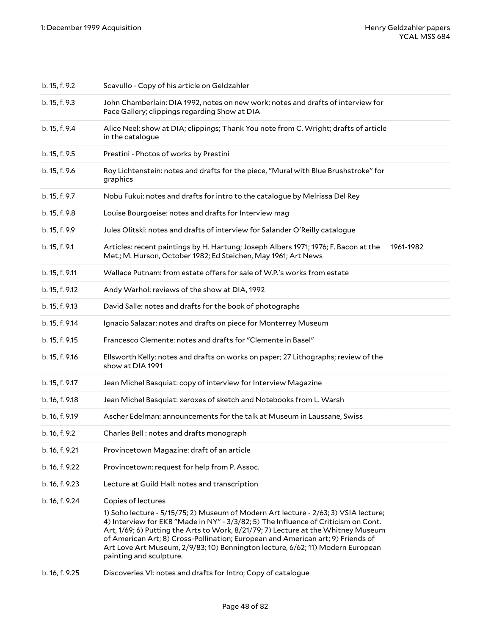| b. 15, f. 9.2  | Scavullo - Copy of his article on Geldzahler                                                                                                                                                                                                                                                                                                                                                                                                                                         |
|----------------|--------------------------------------------------------------------------------------------------------------------------------------------------------------------------------------------------------------------------------------------------------------------------------------------------------------------------------------------------------------------------------------------------------------------------------------------------------------------------------------|
| b. 15, f. 9.3  | John Chamberlain: DIA 1992, notes on new work; notes and drafts of interview for<br>Pace Gallery; clippings regarding Show at DIA                                                                                                                                                                                                                                                                                                                                                    |
| b. 15, f. 9.4  | Alice Neel: show at DIA; clippings; Thank You note from C. Wright; drafts of article<br>in the catalogue                                                                                                                                                                                                                                                                                                                                                                             |
| b. 15, f. 9.5  | Prestini - Photos of works by Prestini                                                                                                                                                                                                                                                                                                                                                                                                                                               |
| b. 15, f. 9.6  | Roy Lichtenstein: notes and drafts for the piece, "Mural with Blue Brushstroke" for<br>graphics                                                                                                                                                                                                                                                                                                                                                                                      |
| b. 15, f. 9.7  | Nobu Fukui: notes and drafts for intro to the catalogue by Melrissa Del Rey                                                                                                                                                                                                                                                                                                                                                                                                          |
| b. 15, f. 9.8  | Louise Bourgoeise: notes and drafts for Interview mag                                                                                                                                                                                                                                                                                                                                                                                                                                |
| b. 15, f. 9.9  | Jules Olitski: notes and drafts of interview for Salander O'Reilly catalogue                                                                                                                                                                                                                                                                                                                                                                                                         |
| b. 15, f. 9.1  | Articles: recent paintings by H. Hartung; Joseph Albers 1971; 1976; F. Bacon at the<br>1961-1982<br>Met.; M. Hurson, October 1982; Ed Steichen, May 1961; Art News                                                                                                                                                                                                                                                                                                                   |
| b. 15, f. 9.11 | Wallace Putnam: from estate offers for sale of W.P.'s works from estate                                                                                                                                                                                                                                                                                                                                                                                                              |
| b. 15, f. 9.12 | Andy Warhol: reviews of the show at DIA, 1992                                                                                                                                                                                                                                                                                                                                                                                                                                        |
| b. 15, f. 9.13 | David Salle: notes and drafts for the book of photographs                                                                                                                                                                                                                                                                                                                                                                                                                            |
| b. 15, f. 9.14 | Ignacio Salazar: notes and drafts on piece for Monterrey Museum                                                                                                                                                                                                                                                                                                                                                                                                                      |
| b. 15, f. 9.15 | Francesco Clemente: notes and drafts for "Clemente in Basel"                                                                                                                                                                                                                                                                                                                                                                                                                         |
| b. 15, f. 9.16 | Ellsworth Kelly: notes and drafts on works on paper; 27 Lithographs; review of the<br>show at DIA 1991                                                                                                                                                                                                                                                                                                                                                                               |
| b. 15, f. 9.17 | Jean Michel Basquiat: copy of interview for Interview Magazine                                                                                                                                                                                                                                                                                                                                                                                                                       |
| b. 16, f. 9.18 | Jean Michel Basquiat: xeroxes of sketch and Notebooks from L. Warsh                                                                                                                                                                                                                                                                                                                                                                                                                  |
| b. 16, f. 9.19 | Ascher Edelman: announcements for the talk at Museum in Laussane, Swiss                                                                                                                                                                                                                                                                                                                                                                                                              |
| b. 16, f. 9.2  | Charles Bell: notes and drafts monograph                                                                                                                                                                                                                                                                                                                                                                                                                                             |
| b. 16, f. 9.21 | Provincetown Magazine: draft of an article                                                                                                                                                                                                                                                                                                                                                                                                                                           |
| b. 16, f. 9.22 | Provincetown: request for help from P. Assoc.                                                                                                                                                                                                                                                                                                                                                                                                                                        |
| b. 16, f. 9.23 | Lecture at Guild Hall: notes and transcription                                                                                                                                                                                                                                                                                                                                                                                                                                       |
| b. 16, f. 9.24 | Copies of lectures<br>1) Soho lecture - 5/15/75; 2) Museum of Modern Art lecture - 2/63; 3) VSIA lecture;<br>4) Interview for EKB "Made in NY" - 3/3/82; 5) The Influence of Criticism on Cont.<br>Art, 1/69; 6) Putting the Arts to Work, 8/21/79; 7) Lecture at the Whitney Museum<br>of American Art; 8) Cross-Pollination; European and American art; 9) Friends of<br>Art Love Art Museum, 2/9/83; 10) Bennington lecture, 6/62; 11) Modern European<br>painting and sculpture. |
| b. 16, f. 9.25 | Discoveries VI: notes and drafts for Intro; Copy of catalogue                                                                                                                                                                                                                                                                                                                                                                                                                        |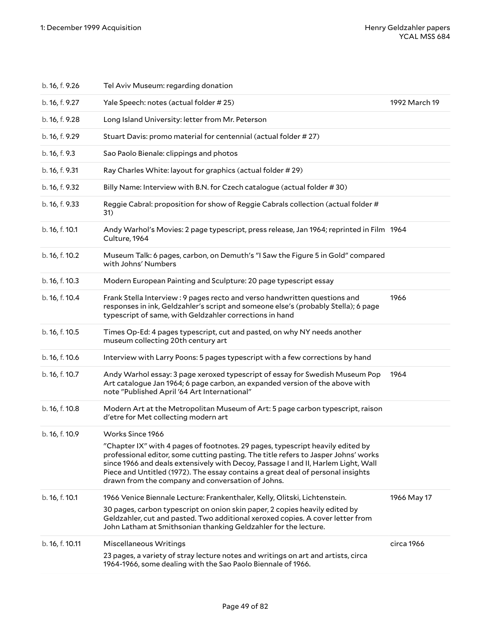| b. 16, f. 9.26  | Tel Aviv Museum: regarding donation                                                                                                                                                                                                                                                                                                                                                               |               |
|-----------------|---------------------------------------------------------------------------------------------------------------------------------------------------------------------------------------------------------------------------------------------------------------------------------------------------------------------------------------------------------------------------------------------------|---------------|
| b. 16, f. 9.27  | Yale Speech: notes (actual folder #25)                                                                                                                                                                                                                                                                                                                                                            | 1992 March 19 |
| b. 16, f. 9.28  | Long Island University: letter from Mr. Peterson                                                                                                                                                                                                                                                                                                                                                  |               |
| b. 16, f. 9.29  | Stuart Davis: promo material for centennial (actual folder #27)                                                                                                                                                                                                                                                                                                                                   |               |
| b. 16, f. 9.3   | Sao Paolo Bienale: clippings and photos                                                                                                                                                                                                                                                                                                                                                           |               |
| b. 16, f. 9.31  | Ray Charles White: layout for graphics (actual folder # 29)                                                                                                                                                                                                                                                                                                                                       |               |
| b. 16, f. 9.32  | Billy Name: Interview with B.N. for Czech catalogue (actual folder #30)                                                                                                                                                                                                                                                                                                                           |               |
| b. 16, f. 9.33  | Reggie Cabral: proposition for show of Reggie Cabrals collection (actual folder #<br>31)                                                                                                                                                                                                                                                                                                          |               |
| b. 16, f. 10.1  | Andy Warhol's Movies: 2 page typescript, press release, Jan 1964; reprinted in Film 1964<br>Culture, 1964                                                                                                                                                                                                                                                                                         |               |
| b. 16, f. 10.2  | Museum Talk: 6 pages, carbon, on Demuth's "I Saw the Figure 5 in Gold" compared<br>with Johns' Numbers                                                                                                                                                                                                                                                                                            |               |
| b. 16, f. 10.3  | Modern European Painting and Sculpture: 20 page typescript essay                                                                                                                                                                                                                                                                                                                                  |               |
| b. 16, f. 10.4  | Frank Stella Interview: 9 pages recto and verso handwritten questions and<br>responses in ink, Geldzahler's script and someone else's (probably Stella); 6 page<br>typescript of same, with Geldzahler corrections in hand                                                                                                                                                                        | 1966          |
| b. 16, f. 10.5  | Times Op-Ed: 4 pages typescript, cut and pasted, on why NY needs another<br>museum collecting 20th century art                                                                                                                                                                                                                                                                                    |               |
| b. 16, f. 10.6  | Interview with Larry Poons: 5 pages typescript with a few corrections by hand                                                                                                                                                                                                                                                                                                                     |               |
| b. 16, f. 10.7  | Andy Warhol essay: 3 page xeroxed typescript of essay for Swedish Museum Pop<br>Art catalogue Jan 1964; 6 page carbon, an expanded version of the above with<br>note "Published April '64 Art International"                                                                                                                                                                                      | 1964          |
| b. 16, f. 10.8  | Modern Art at the Metropolitan Museum of Art: 5 page carbon typescript, raison<br>d'etre for Met collecting modern art                                                                                                                                                                                                                                                                            |               |
| b. 16, f. 10.9  | Works Since 1966                                                                                                                                                                                                                                                                                                                                                                                  |               |
|                 | "Chapter IX" with 4 pages of footnotes. 29 pages, typescript heavily edited by<br>professional editor, some cutting pasting. The title refers to Jasper Johns' works<br>since 1966 and deals extensively with Decoy, Passage I and II, Harlem Light, Wall<br>Piece and Untitled (1972). The essay contains a great deal of personal insights<br>drawn from the company and conversation of Johns. |               |
| b. 16, f. 10.1  | 1966 Venice Biennale Lecture: Frankenthaler, Kelly, Olitski, Lichtenstein.<br>30 pages, carbon typescript on onion skin paper, 2 copies heavily edited by<br>Geldzahler, cut and pasted. Two additional xeroxed copies. A cover letter from<br>John Latham at Smithsonian thanking Geldzahler for the lecture.                                                                                    | 1966 May 17   |
| b. 16, f. 10.11 | Miscellaneous Writings<br>23 pages, a variety of stray lecture notes and writings on art and artists, circa<br>1964-1966, some dealing with the Sao Paolo Biennale of 1966.                                                                                                                                                                                                                       | circa 1966    |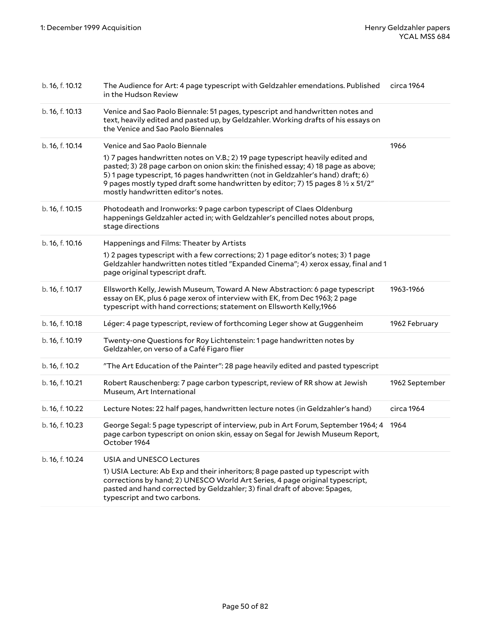| b. 16, f. 10.12 | The Audience for Art: 4 page typescript with Geldzahler emendations. Published<br>in the Hudson Review                                                                                                                                                                                                                                                                                                                          | circa 1964     |
|-----------------|---------------------------------------------------------------------------------------------------------------------------------------------------------------------------------------------------------------------------------------------------------------------------------------------------------------------------------------------------------------------------------------------------------------------------------|----------------|
| b. 16, f. 10.13 | Venice and Sao Paolo Biennale: 51 pages, typescript and handwritten notes and<br>text, heavily edited and pasted up, by Geldzahler. Working drafts of his essays on<br>the Venice and Sao Paolo Biennales                                                                                                                                                                                                                       |                |
| b. 16, f. 10.14 | Venice and Sao Paolo Biennale<br>1) 7 pages handwritten notes on V.B.; 2) 19 page typescript heavily edited and<br>pasted; 3) 28 page carbon on onion skin: the finished essay; 4) 18 page as above;<br>5) 1 page typescript, 16 pages handwritten (not in Geldzahler's hand) draft; 6)<br>9 pages mostly typed draft some handwritten by editor; 7) 15 pages 8 $\frac{1}{2} \times 51/2$<br>mostly handwritten editor's notes. | 1966           |
| b. 16, f. 10.15 | Photodeath and Ironworks: 9 page carbon typescript of Claes Oldenburg<br>happenings Geldzahler acted in; with Geldzahler's pencilled notes about props,<br>stage directions                                                                                                                                                                                                                                                     |                |
| b. 16, f. 10.16 | Happenings and Films: Theater by Artists<br>1) 2 pages typescript with a few corrections; 2) 1 page editor's notes; 3) 1 page<br>Geldzahler handwritten notes titled "Expanded Cinema"; 4) xerox essay, final and 1<br>page original typescript draft.                                                                                                                                                                          |                |
| b. 16, f. 10.17 | Ellsworth Kelly, Jewish Museum, Toward A New Abstraction: 6 page typescript<br>essay on EK, plus 6 page xerox of interview with EK, from Dec 1963; 2 page<br>typescript with hand corrections; statement on Ellsworth Kelly,1966                                                                                                                                                                                                | 1963-1966      |
| b. 16, f. 10.18 | Léger: 4 page typescript, review of forthcoming Leger show at Guggenheim                                                                                                                                                                                                                                                                                                                                                        | 1962 February  |
| b. 16, f. 10.19 | Twenty-one Questions for Roy Lichtenstein: 1 page handwritten notes by<br>Geldzahler, on verso of a Café Figaro flier                                                                                                                                                                                                                                                                                                           |                |
| b. 16, f. 10.2  | "The Art Education of the Painter": 28 page heavily edited and pasted typescript                                                                                                                                                                                                                                                                                                                                                |                |
| b. 16, f. 10.21 | Robert Rauschenberg: 7 page carbon typescript, review of RR show at Jewish<br>Museum, Art International                                                                                                                                                                                                                                                                                                                         | 1962 September |
| b. 16, f. 10.22 | Lecture Notes: 22 half pages, handwritten lecture notes (in Geldzahler's hand)                                                                                                                                                                                                                                                                                                                                                  | circa 1964     |
| b. 16, f. 10.23 | George Segal: 5 page typescript of interview, pub in Art Forum, September 1964; 4<br>page carbon typescript on onion skin, essay on Segal for Jewish Museum Report,<br>October 1964                                                                                                                                                                                                                                             | 1964           |
| b. 16, f. 10.24 | USIA and UNESCO Lectures<br>1) USIA Lecture: Ab Exp and their inheritors; 8 page pasted up typescript with<br>corrections by hand; 2) UNESCO World Art Series, 4 page original typescript,<br>pasted and hand corrected by Geldzahler; 3) final draft of above: 5pages,<br>typescript and two carbons.                                                                                                                          |                |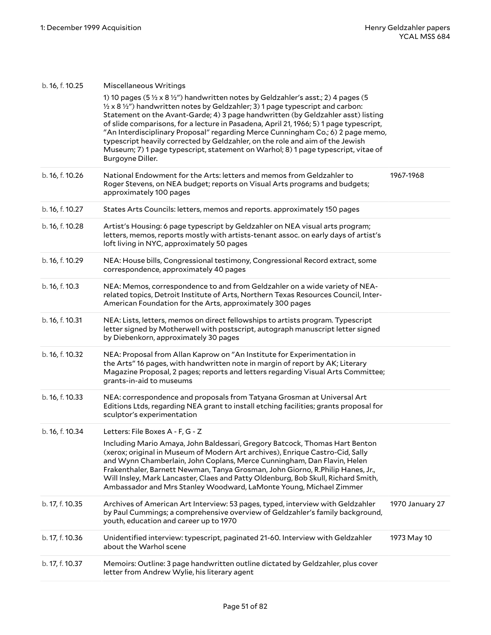| b. 16, f. 10.25 | Miscellaneous Writings                                                                                                                                                                                                                                                                                                                                                                                                                                                                                                                                                                                                                                                   |                 |
|-----------------|--------------------------------------------------------------------------------------------------------------------------------------------------------------------------------------------------------------------------------------------------------------------------------------------------------------------------------------------------------------------------------------------------------------------------------------------------------------------------------------------------------------------------------------------------------------------------------------------------------------------------------------------------------------------------|-----------------|
|                 | 1) 10 pages (5 $\frac{1}{2}$ x 8 $\frac{1}{2}$ ") handwritten notes by Geldzahler's asst.; 2) 4 pages (5<br>$\frac{1}{2}$ x 8 $\frac{1}{2}$ handwritten notes by Geldzahler; 3) 1 page typescript and carbon:<br>Statement on the Avant-Garde; 4) 3 page handwritten (by Geldzahler asst) listing<br>of slide comparisons, for a lecture in Pasadena, April 21, 1966; 5) 1 page typescript,<br>"An Interdisciplinary Proposal" regarding Merce Cunningham Co.; 6) 2 page memo,<br>typescript heavily corrected by Geldzahler, on the role and aim of the Jewish<br>Museum; 7) 1 page typescript, statement on Warhol; 8) 1 page typescript, vitae of<br>Burgoyne Diller. |                 |
| b. 16, f. 10.26 | National Endowment for the Arts: letters and memos from Geldzahler to<br>Roger Stevens, on NEA budget; reports on Visual Arts programs and budgets;<br>approximately 100 pages                                                                                                                                                                                                                                                                                                                                                                                                                                                                                           | 1967-1968       |
| b. 16, f. 10.27 | States Arts Councils: letters, memos and reports. approximately 150 pages                                                                                                                                                                                                                                                                                                                                                                                                                                                                                                                                                                                                |                 |
| b. 16, f. 10.28 | Artist's Housing: 6 page typescript by Geldzahler on NEA visual arts program;<br>letters, memos, reports mostly with artists-tenant assoc. on early days of artist's<br>loft living in NYC, approximately 50 pages                                                                                                                                                                                                                                                                                                                                                                                                                                                       |                 |
| b. 16, f. 10.29 | NEA: House bills, Congressional testimony, Congressional Record extract, some<br>correspondence, approximately 40 pages                                                                                                                                                                                                                                                                                                                                                                                                                                                                                                                                                  |                 |
| b. 16, f. 10.3  | NEA: Memos, correspondence to and from Geldzahler on a wide variety of NEA-<br>related topics, Detroit Institute of Arts, Northern Texas Resources Council, Inter-<br>American Foundation for the Arts, approximately 300 pages                                                                                                                                                                                                                                                                                                                                                                                                                                          |                 |
| b. 16, f. 10.31 | NEA: Lists, letters, memos on direct fellowships to artists program. Typescript<br>letter signed by Motherwell with postscript, autograph manuscript letter signed<br>by Diebenkorn, approximately 30 pages                                                                                                                                                                                                                                                                                                                                                                                                                                                              |                 |
| b. 16, f. 10.32 | NEA: Proposal from Allan Kaprow on "An Institute for Experimentation in<br>the Arts" 16 pages, with handwritten note in margin of report by AK; Literary<br>Magazine Proposal, 2 pages; reports and letters regarding Visual Arts Committee;<br>grants-in-aid to museums                                                                                                                                                                                                                                                                                                                                                                                                 |                 |
| b. 16, f. 10.33 | NEA: correspondence and proposals from Tatyana Grosman at Universal Art<br>Editions Ltds, regarding NEA grant to install etching facilities; grants proposal for<br>sculptor's experimentation                                                                                                                                                                                                                                                                                                                                                                                                                                                                           |                 |
| b. 16, f. 10.34 | Letters: File Boxes A - F, G - Z                                                                                                                                                                                                                                                                                                                                                                                                                                                                                                                                                                                                                                         |                 |
|                 | Including Mario Amaya, John Baldessari, Gregory Batcock, Thomas Hart Benton<br>(xerox; original in Museum of Modern Art archives), Enrique Castro-Cid, Sally<br>and Wynn Chamberlain, John Coplans, Merce Cunningham, Dan Flavin, Helen<br>Frakenthaler, Barnett Newman, Tanya Grosman, John Giorno, R.Philip Hanes, Jr.,<br>Will Insley, Mark Lancaster, Claes and Patty Oldenburg, Bob Skull, Richard Smith,<br>Ambassador and Mrs Stanley Woodward, LaMonte Young, Michael Zimmer                                                                                                                                                                                     |                 |
| b. 17, f. 10.35 | Archives of American Art Interview: 53 pages, typed, interview with Geldzahler<br>by Paul Cummings; a comprehensive overview of Geldzahler's family background,<br>youth, education and career up to 1970                                                                                                                                                                                                                                                                                                                                                                                                                                                                | 1970 January 27 |
| b. 17, f. 10.36 | Unidentified interview: typescript, paginated 21-60. Interview with Geldzahler<br>about the Warhol scene                                                                                                                                                                                                                                                                                                                                                                                                                                                                                                                                                                 | 1973 May 10     |
| b. 17, f. 10.37 | Memoirs: Outline: 3 page handwritten outline dictated by Geldzahler, plus cover<br>letter from Andrew Wylie, his literary agent                                                                                                                                                                                                                                                                                                                                                                                                                                                                                                                                          |                 |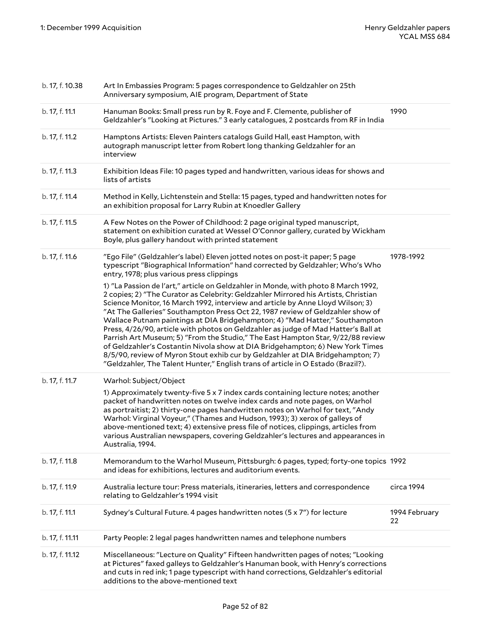| b. 17, f. 10.38 | Art In Embassies Program: 5 pages correspondence to Geldzahler on 25th<br>Anniversary symposium, AIE program, Department of State                                                                                                                                                                                                                                                                                                                                                                                                                                                                                                                                                                                                                                                                                                                           |                     |
|-----------------|-------------------------------------------------------------------------------------------------------------------------------------------------------------------------------------------------------------------------------------------------------------------------------------------------------------------------------------------------------------------------------------------------------------------------------------------------------------------------------------------------------------------------------------------------------------------------------------------------------------------------------------------------------------------------------------------------------------------------------------------------------------------------------------------------------------------------------------------------------------|---------------------|
| b. 17, f. 11.1  | Hanuman Books: Small press run by R. Foye and F. Clemente, publisher of<br>Geldzahler's "Looking at Pictures." 3 early catalogues, 2 postcards from RF in India                                                                                                                                                                                                                                                                                                                                                                                                                                                                                                                                                                                                                                                                                             | 1990                |
| b. 17, f. 11.2  | Hamptons Artists: Eleven Painters catalogs Guild Hall, east Hampton, with<br>autograph manuscript letter from Robert long thanking Geldzahler for an<br>interview                                                                                                                                                                                                                                                                                                                                                                                                                                                                                                                                                                                                                                                                                           |                     |
| b. 17, f. 11.3  | Exhibition Ideas File: 10 pages typed and handwritten, various ideas for shows and<br>lists of artists                                                                                                                                                                                                                                                                                                                                                                                                                                                                                                                                                                                                                                                                                                                                                      |                     |
| b. 17, f. 11.4  | Method in Kelly, Lichtenstein and Stella: 15 pages, typed and handwritten notes for<br>an exhibition proposal for Larry Rubin at Knoedler Gallery                                                                                                                                                                                                                                                                                                                                                                                                                                                                                                                                                                                                                                                                                                           |                     |
| b. 17, f. 11.5  | A Few Notes on the Power of Childhood: 2 page original typed manuscript,<br>statement on exhibition curated at Wessel O'Connor gallery, curated by Wickham<br>Boyle, plus gallery handout with printed statement                                                                                                                                                                                                                                                                                                                                                                                                                                                                                                                                                                                                                                            |                     |
| b. 17, f. 11.6  | "Ego File" (Geldzahler's label) Eleven jotted notes on post-it paper; 5 page<br>typescript "Biographical Information" hand corrected by Geldzahler; Who's Who<br>entry, 1978; plus various press clippings                                                                                                                                                                                                                                                                                                                                                                                                                                                                                                                                                                                                                                                  | 1978-1992           |
|                 | 1) "La Passion de l'art," article on Geldzahler in Monde, with photo 8 March 1992,<br>2 copies; 2) "The Curator as Celebrity: Geldzahler Mirrored his Artists, Christian<br>Science Monitor, 16 March 1992, interview and article by Anne Lloyd Wilson; 3)<br>"At The Galleries" Southampton Press Oct 22, 1987 review of Geldzahler show of<br>Wallace Putnam paintings at DIA Bridgehampton; 4) "Mad Hatter," Southampton<br>Press, 4/26/90, article with photos on Geldzahler as judge of Mad Hatter's Ball at<br>Parrish Art Museum; 5) "From the Studio," The East Hampton Star, 9/22/88 review<br>of Geldzahler's Costantin Nivola show at DIA Bridgehampton; 6) New York Times<br>8/5/90, review of Myron Stout exhib cur by Geldzahler at DIA Bridgehampton; 7)<br>"Geldzahler, The Talent Hunter," English trans of article in O Estado (Brazil?). |                     |
| b. 17, f. 11.7  | Warhol: Subject/Object                                                                                                                                                                                                                                                                                                                                                                                                                                                                                                                                                                                                                                                                                                                                                                                                                                      |                     |
|                 | 1) Approximately twenty-five 5 x 7 index cards containing lecture notes; another<br>packet of handwritten notes on twelve index cards and note pages, on Warhol<br>as portraitist; 2) thirty-one pages handwritten notes on Warhol for text, "Andy<br>Warhol: Virginal Voyeur," (Thames and Hudson, 1993); 3) xerox of galleys of<br>above-mentioned text; 4) extensive press file of notices, clippings, articles from<br>various Australian newspapers, covering Geldzahler's lectures and appearances in<br>Australia, 1994.                                                                                                                                                                                                                                                                                                                             |                     |
| b. 17, f. 11.8  | Memorandum to the Warhol Museum, Pittsburgh: 6 pages, typed; forty-one topics 1992<br>and ideas for exhibitions, lectures and auditorium events.                                                                                                                                                                                                                                                                                                                                                                                                                                                                                                                                                                                                                                                                                                            |                     |
| b. 17, f. 11.9  | Australia lecture tour: Press materials, itineraries, letters and correspondence<br>relating to Geldzahler's 1994 visit                                                                                                                                                                                                                                                                                                                                                                                                                                                                                                                                                                                                                                                                                                                                     | circa 1994          |
| b. 17, f. 11.1  | Sydney's Cultural Future. 4 pages handwritten notes (5 x 7") for lecture                                                                                                                                                                                                                                                                                                                                                                                                                                                                                                                                                                                                                                                                                                                                                                                    | 1994 February<br>22 |
| b. 17, f. 11.11 | Party People: 2 legal pages handwritten names and telephone numbers                                                                                                                                                                                                                                                                                                                                                                                                                                                                                                                                                                                                                                                                                                                                                                                         |                     |
| b. 17, f. 11.12 | Miscellaneous: "Lecture on Quality" Fifteen handwritten pages of notes; "Looking<br>at Pictures" faxed galleys to Geldzahler's Hanuman book, with Henry's corrections<br>and cuts in red ink; 1 page typescript with hand corrections, Geldzahler's editorial<br>additions to the above-mentioned text                                                                                                                                                                                                                                                                                                                                                                                                                                                                                                                                                      |                     |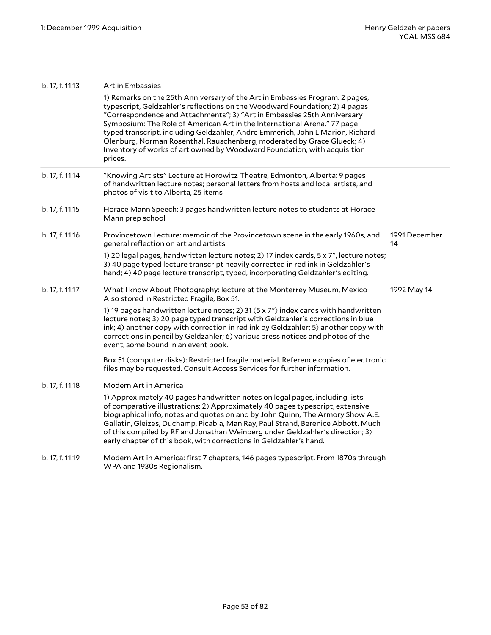| b. 17, f. 11.13 | Art in Embassies<br>1) Remarks on the 25th Anniversary of the Art in Embassies Program. 2 pages,<br>typescript, Geldzahler's reflections on the Woodward Foundation; 2) 4 pages<br>"Correspondence and Attachments"; 3) "Art in Embassies 25th Anniversary<br>Symposium: The Role of American Art in the International Arena." 77 page<br>typed transcript, including Geldzahler, Andre Emmerich, John L Marion, Richard<br>Olenburg, Norman Rosenthal, Rauschenberg, moderated by Grace Glueck; 4)<br>Inventory of works of art owned by Woodward Foundation, with acquisition<br>prices.                                                                                          |                     |
|-----------------|-------------------------------------------------------------------------------------------------------------------------------------------------------------------------------------------------------------------------------------------------------------------------------------------------------------------------------------------------------------------------------------------------------------------------------------------------------------------------------------------------------------------------------------------------------------------------------------------------------------------------------------------------------------------------------------|---------------------|
| b. 17, f. 11.14 | "Knowing Artists" Lecture at Horowitz Theatre, Edmonton, Alberta: 9 pages<br>of handwritten lecture notes; personal letters from hosts and local artists, and<br>photos of visit to Alberta, 25 items                                                                                                                                                                                                                                                                                                                                                                                                                                                                               |                     |
| b. 17, f. 11.15 | Horace Mann Speech: 3 pages handwritten lecture notes to students at Horace<br>Mann prep school                                                                                                                                                                                                                                                                                                                                                                                                                                                                                                                                                                                     |                     |
| b. 17, f. 11.16 | Provincetown Lecture: memoir of the Provincetown scene in the early 1960s, and<br>general reflection on art and artists<br>1) 20 legal pages, handwritten lecture notes; 2) 17 index cards, 5 x 7", lecture notes;<br>3) 40 page typed lecture transcript heavily corrected in red ink in Geldzahler's<br>hand; 4) 40 page lecture transcript, typed, incorporating Geldzahler's editing.                                                                                                                                                                                                                                                                                           | 1991 December<br>14 |
| b. 17, f. 11.17 | What I know About Photography: lecture at the Monterrey Museum, Mexico<br>Also stored in Restricted Fragile, Box 51.<br>1) 19 pages handwritten lecture notes; 2) 31 (5 x 7") index cards with handwritten<br>lecture notes; 3) 20 page typed transcript with Geldzahler's corrections in blue<br>ink; 4) another copy with correction in red ink by Geldzahler; 5) another copy with<br>corrections in pencil by Geldzahler; 6) various press notices and photos of the<br>event, some bound in an event book.<br>Box 51 (computer disks): Restricted fragile material. Reference copies of electronic<br>files may be requested. Consult Access Services for further information. | 1992 May 14         |
| b. 17, f. 11.18 | Modern Art in America<br>1) Approximately 40 pages handwritten notes on legal pages, including lists<br>of comparative illustrations; 2) Approximately 40 pages typescript, extensive<br>biographical info, notes and quotes on and by John Quinn, The Armory Show A.E.<br>Gallatin, Gleizes, Duchamp, Picabia, Man Ray, Paul Strand, Berenice Abbott. Much<br>of this compiled by RF and Jonathan Weinberg under Geldzahler's direction; 3)<br>early chapter of this book, with corrections in Geldzahler's hand.                                                                                                                                                                  |                     |
| b. 17, f. 11.19 | Modern Art in America: first 7 chapters, 146 pages typescript. From 1870s through<br>WPA and 1930s Regionalism.                                                                                                                                                                                                                                                                                                                                                                                                                                                                                                                                                                     |                     |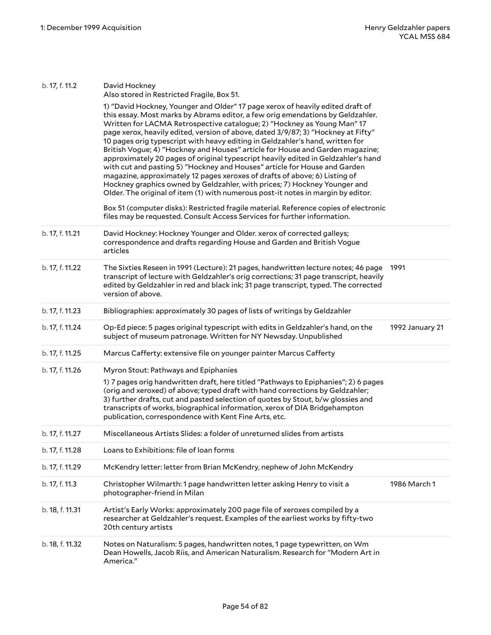| b. 17, f. 11.2  | David Hockney<br>Also stored in Restricted Fragile, Box 51.                                                                                                                                                                                                                                                                                                                                                                                                                                                                                                                                                                                                                                                                                                                                                                                                                                                         |                 |
|-----------------|---------------------------------------------------------------------------------------------------------------------------------------------------------------------------------------------------------------------------------------------------------------------------------------------------------------------------------------------------------------------------------------------------------------------------------------------------------------------------------------------------------------------------------------------------------------------------------------------------------------------------------------------------------------------------------------------------------------------------------------------------------------------------------------------------------------------------------------------------------------------------------------------------------------------|-----------------|
|                 | 1) "David Hockney, Younger and Older" 17 page xerox of heavily edited draft of<br>this essay. Most marks by Abrams editor, a few orig emendations by Geldzahler.<br>Written for LACMA Retrospective catalogue; 2) "Hockney as Young Man" 17<br>page xerox, heavily edited, version of above, dated 3/9/87; 3) "Hockney at Fifty"<br>10 pages orig typescript with heavy editing in Geldzahler's hand, written for<br>British Vogue; 4) "Hockney and Houses" article for House and Garden magazine;<br>approximately 20 pages of original typescript heavily edited in Geldzahler's hand<br>with cut and pasting 5) "Hockney and Houses" article for House and Garden<br>magazine, approximately 12 pages xeroxes of drafts of above; 6) Listing of<br>Hockney graphics owned by Geldzahler, with prices; 7) Hockney Younger and<br>Older. The original of item (1) with numerous post-it notes in margin by editor. |                 |
|                 | Box 51 (computer disks): Restricted fragile material. Reference copies of electronic<br>files may be requested. Consult Access Services for further information.                                                                                                                                                                                                                                                                                                                                                                                                                                                                                                                                                                                                                                                                                                                                                    |                 |
| b. 17, f. 11.21 | David Hockney: Hockney Younger and Older. xerox of corrected galleys;<br>correspondence and drafts regarding House and Garden and British Vogue<br>articles                                                                                                                                                                                                                                                                                                                                                                                                                                                                                                                                                                                                                                                                                                                                                         |                 |
| b. 17, f. 11.22 | The Sixties Reseen in 1991 (Lecture): 21 pages, handwritten lecture notes; 46 page<br>transcript of lecture with Geldzahler's orig corrections; 31 page transcript, heavily<br>edited by Geldzahler in red and black ink; 31 page transcript, typed. The corrected<br>version of above.                                                                                                                                                                                                                                                                                                                                                                                                                                                                                                                                                                                                                             | 1991            |
| b. 17, f. 11.23 | Bibliographies: approximately 30 pages of lists of writings by Geldzahler                                                                                                                                                                                                                                                                                                                                                                                                                                                                                                                                                                                                                                                                                                                                                                                                                                           |                 |
| b. 17, f. 11.24 | Op-Ed piece: 5 pages original typescript with edits in Geldzahler's hand, on the<br>subject of museum patronage. Written for NY Newsday. Unpublished                                                                                                                                                                                                                                                                                                                                                                                                                                                                                                                                                                                                                                                                                                                                                                | 1992 January 21 |
| b. 17, f. 11.25 | Marcus Cafferty: extensive file on younger painter Marcus Cafferty                                                                                                                                                                                                                                                                                                                                                                                                                                                                                                                                                                                                                                                                                                                                                                                                                                                  |                 |
| b. 17, f. 11.26 | Myron Stout: Pathways and Epiphanies                                                                                                                                                                                                                                                                                                                                                                                                                                                                                                                                                                                                                                                                                                                                                                                                                                                                                |                 |
|                 | 1) 7 pages orig handwritten draft, here titled "Pathways to Epiphanies"; 2) 6 pages<br>(orig and xeroxed) of above; typed draft with hand corrections by Geldzahler;<br>3) further drafts, cut and pasted selection of quotes by Stout, b/w glossies and<br>transcripts of works, biographical information, xerox of DIA Bridgehampton<br>publication, correspondence with Kent Fine Arts, etc.                                                                                                                                                                                                                                                                                                                                                                                                                                                                                                                     |                 |
| b. 17, f. 11.27 | Miscellaneous Artists Slides: a folder of unreturned slides from artists                                                                                                                                                                                                                                                                                                                                                                                                                                                                                                                                                                                                                                                                                                                                                                                                                                            |                 |
| b. 17, f. 11.28 | Loans to Exhibitions: file of loan forms                                                                                                                                                                                                                                                                                                                                                                                                                                                                                                                                                                                                                                                                                                                                                                                                                                                                            |                 |
| b. 17, f. 11.29 | McKendry letter: letter from Brian McKendry, nephew of John McKendry                                                                                                                                                                                                                                                                                                                                                                                                                                                                                                                                                                                                                                                                                                                                                                                                                                                |                 |
| b. 17, f. 11.3  | Christopher Wilmarth: 1 page handwritten letter asking Henry to visit a<br>photographer-friend in Milan                                                                                                                                                                                                                                                                                                                                                                                                                                                                                                                                                                                                                                                                                                                                                                                                             | 1986 March 1    |
| b. 18, f. 11.31 | Artist's Early Works: approximately 200 page file of xeroxes compiled by a<br>researcher at Geldzahler's request. Examples of the earliest works by fifty-two<br>20th century artists                                                                                                                                                                                                                                                                                                                                                                                                                                                                                                                                                                                                                                                                                                                               |                 |
| b. 18, f. 11.32 | Notes on Naturalism: 5 pages, handwritten notes, 1 page typewritten, on Wm<br>Dean Howells, Jacob Riis, and American Naturalism. Research for "Modern Art in<br>America."                                                                                                                                                                                                                                                                                                                                                                                                                                                                                                                                                                                                                                                                                                                                           |                 |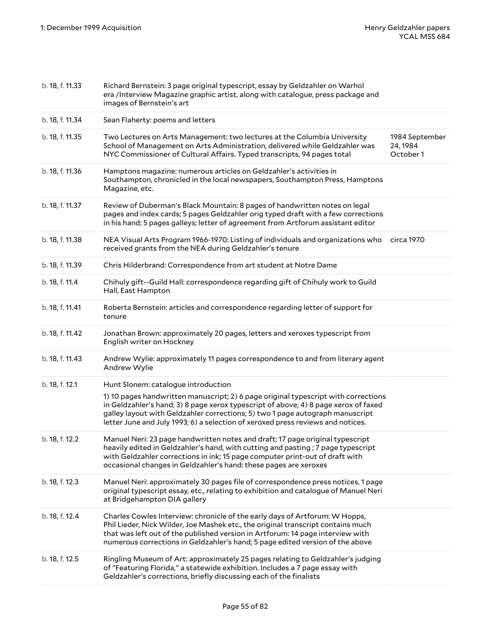| b. 18, f. 11.33 | Richard Bernstein: 3 page original typescript, essay by Geldzahler on Warhol<br>era /Interview Magazine graphic artist, along with catalogue, press package and<br>images of Bernstein's art                                                                                                                                                                                         |                                         |
|-----------------|--------------------------------------------------------------------------------------------------------------------------------------------------------------------------------------------------------------------------------------------------------------------------------------------------------------------------------------------------------------------------------------|-----------------------------------------|
| b. 18, f. 11.34 | Sean Flaherty: poems and letters                                                                                                                                                                                                                                                                                                                                                     |                                         |
| b. 18, f. 11.35 | Two Lectures on Arts Management: two lectures at the Columbia University<br>School of Management on Arts Administration, delivered while Geldzahler was<br>NYC Commissioner of Cultural Affairs. Typed transcripts, 94 pages total                                                                                                                                                   | 1984 September<br>24, 1984<br>October 1 |
| b. 18, f. 11.36 | Hamptons magazine: numerous articles on Geldzahler's activities in<br>Southampton, chronicled in the local newspapers, Southampton Press, Hamptons<br>Magazine, etc.                                                                                                                                                                                                                 |                                         |
| b. 18, f. 11.37 | Review of Duberman's Black Mountain: 8 pages of handwritten notes on legal<br>pages and index cards; 5 pages Geldzahler orig typed draft with a few corrections<br>in his hand; 5 pages galleys; letter of agreement from Artforum assistant editor                                                                                                                                  |                                         |
| b. 18, f. 11.38 | NEA Visual Arts Program 1966-1970: Listing of individuals and organizations who circa 1970<br>received grants from the NEA during Geldzahler's tenure                                                                                                                                                                                                                                |                                         |
| b. 18, f. 11.39 | Chris Hilderbrand: Correspondence from art student at Notre Dame                                                                                                                                                                                                                                                                                                                     |                                         |
| b. 18, f. 11.4  | Chihuly gift--Guild Hall: correspondence regarding gift of Chihuly work to Guild<br>Hall, East Hampton                                                                                                                                                                                                                                                                               |                                         |
| b. 18, f. 11.41 | Roberta Bernstein: articles and correspondence regarding letter of support for<br>tenure                                                                                                                                                                                                                                                                                             |                                         |
| b. 18, f. 11.42 | Jonathan Brown: approximately 20 pages, letters and xeroxes typescript from<br>English writer on Hockney                                                                                                                                                                                                                                                                             |                                         |
| b. 18, f. 11.43 | Andrew Wylie: approximately 11 pages correspondence to and from literary agent<br>Andrew Wylie                                                                                                                                                                                                                                                                                       |                                         |
| b. 18, f. 12.1  | Hunt Slonem: catalogue introduction<br>1) 10 pages handwritten manuscript; 2) 6 page original typescript with corrections<br>in Geldzahler's hand; 3) 8 page xerox typescript of above; 4) 8 page xerox of faxed<br>galley layout with Geldzahler corrections; 5) two 1 page autograph manuscript<br>letter June and July 1993; 6) a selection of xeroxed press reviews and notices. |                                         |
| b. 18, f. 12.2  | Manuel Neri: 23 page handwritten notes and draft; 17 page original typescript<br>heavily edited in Geldzahler's hand, with cutting and pasting; 7 page typescript<br>with Geldzahler corrections in ink; 15 page computer print-out of draft with<br>occasional changes in Geldzahler's hand: these pages are xeroxes                                                                |                                         |
| b. 18, f. 12.3  | Manuel Neri: approximately 30 pages file of correspondence press notices, 1 page<br>original typescript essay, etc., relating to exhibition and catalogue of Manuel Neri<br>at Bridgehampton DIA gallery                                                                                                                                                                             |                                         |
| b. 18, f. 12.4  | Charles Cowles Interview: chronicle of the early days of Artforum: W Hopps,<br>Phil Lieder, Nick Wilder, Joe Mashek etc., the original transcript contains much<br>that was left out of the published version in Artforum: 14 page interview with<br>numerous corrections in Geldzahler's hand; 5 page edited version of the above                                                   |                                         |
| b. 18, f. 12.5  | Ringling Museum of Art: approximately 25 pages relating to Geldzahler's judging<br>of "Featuring Florida," a statewide exhibition. Includes a 7 page essay with<br>Geldzahler's corrections, briefly discussing each of the finalists                                                                                                                                                |                                         |
|                 |                                                                                                                                                                                                                                                                                                                                                                                      |                                         |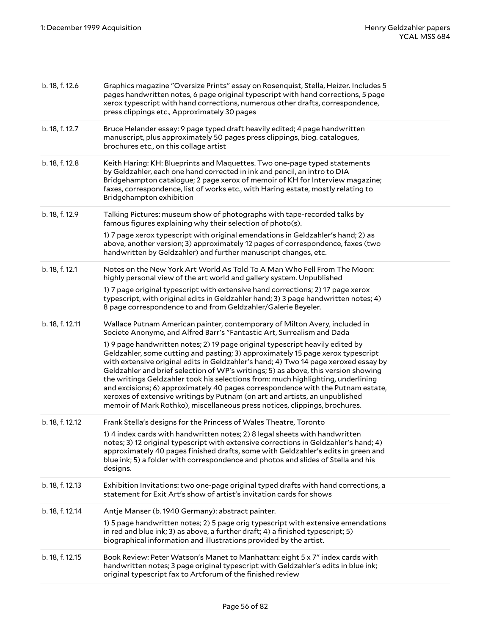| b. 18, f. 12.6  | Graphics magazine "Oversize Prints" essay on Rosenquist, Stella, Heizer. Includes 5<br>pages handwritten notes, 6 page original typescript with hand corrections, 5 page<br>xerox typescript with hand corrections, numerous other drafts, correspondence,<br>press clippings etc., Approximately 30 pages                                                                                                                                                                                                                                                                                                                                                                        |
|-----------------|-----------------------------------------------------------------------------------------------------------------------------------------------------------------------------------------------------------------------------------------------------------------------------------------------------------------------------------------------------------------------------------------------------------------------------------------------------------------------------------------------------------------------------------------------------------------------------------------------------------------------------------------------------------------------------------|
| b. 18, f. 12.7  | Bruce Helander essay: 9 page typed draft heavily edited; 4 page handwritten<br>manuscript, plus approximately 50 pages press clippings, biog. catalogues,<br>brochures etc., on this collage artist                                                                                                                                                                                                                                                                                                                                                                                                                                                                               |
| b. 18, f. 12.8  | Keith Haring: KH: Blueprints and Maquettes. Two one-page typed statements<br>by Geldzahler, each one hand corrected in ink and pencil, an intro to DIA<br>Bridgehampton catalogue; 2 page xerox of memoir of KH for Interview magazine;<br>faxes, correspondence, list of works etc., with Haring estate, mostly relating to<br>Bridgehampton exhibition                                                                                                                                                                                                                                                                                                                          |
| b. 18, f. 12.9  | Talking Pictures: museum show of photographs with tape-recorded talks by<br>famous figures explaining why their selection of photo(s).                                                                                                                                                                                                                                                                                                                                                                                                                                                                                                                                            |
|                 | 1) 7 page xerox typescript with original emendations in Geldzahler's hand; 2) as<br>above, another version; 3) approximately 12 pages of correspondence, faxes (two<br>handwritten by Geldzahler) and further manuscript changes, etc.                                                                                                                                                                                                                                                                                                                                                                                                                                            |
| b. 18, f. 12.1  | Notes on the New York Art World As Told To A Man Who Fell From The Moon:<br>highly personal view of the art world and gallery system. Unpublished                                                                                                                                                                                                                                                                                                                                                                                                                                                                                                                                 |
|                 | 1) 7 page original typescript with extensive hand corrections; 2) 17 page xerox<br>typescript, with original edits in Geldzahler hand; 3) 3 page handwritten notes; 4)<br>8 page correspondence to and from Geldzahler/Galerie Beyeler.                                                                                                                                                                                                                                                                                                                                                                                                                                           |
| b. 18, f. 12.11 | Wallace Putnam American painter, contemporary of Milton Avery, included in<br>Societe Anonyme, and Alfred Barr's "Fantastic Art, Surrealism and Dada                                                                                                                                                                                                                                                                                                                                                                                                                                                                                                                              |
|                 | 1) 9 page handwritten notes; 2) 19 page original typescript heavily edited by<br>Geldzahler, some cutting and pasting; 3) approximately 15 page xerox typescript<br>with extensive original edits in Geldzahler's hand; 4) Two 14 page xeroxed essay by<br>Geldzahler and brief selection of WP's writings; 5) as above, this version showing<br>the writings Geldzahler took his selections from: much highlighting, underlining<br>and excisions; 6) approximately 40 pages correspondence with the Putnam estate,<br>xeroxes of extensive writings by Putnam (on art and artists, an unpublished<br>memoir of Mark Rothko), miscellaneous press notices, clippings, brochures. |
| b. 18, f. 12.12 | Frank Stella's designs for the Princess of Wales Theatre, Toronto                                                                                                                                                                                                                                                                                                                                                                                                                                                                                                                                                                                                                 |
|                 | 1) 4 index cards with handwritten notes; 2) 8 legal sheets with handwritten<br>notes; 3) 12 original typescript with extensive corrections in Geldzahler's hand; 4)<br>approximately 40 pages finished drafts, some with Geldzahler's edits in green and<br>blue ink; 5) a folder with correspondence and photos and slides of Stella and his<br>designs.                                                                                                                                                                                                                                                                                                                         |
| b. 18, f. 12.13 | Exhibition Invitations: two one-page original typed drafts with hand corrections, a<br>statement for Exit Art's show of artist's invitation cards for shows                                                                                                                                                                                                                                                                                                                                                                                                                                                                                                                       |
| b. 18, f. 12.14 | Antje Manser (b. 1940 Germany): abstract painter.                                                                                                                                                                                                                                                                                                                                                                                                                                                                                                                                                                                                                                 |
|                 | 1) 5 page handwritten notes; 2) 5 page orig typescript with extensive emendations<br>in red and blue ink; 3) as above, a further draft; 4) a finished typescript; 5)<br>biographical information and illustrations provided by the artist.                                                                                                                                                                                                                                                                                                                                                                                                                                        |
| b. 18, f. 12.15 | Book Review: Peter Watson's Manet to Manhattan: eight 5 x 7" index cards with<br>handwritten notes; 3 page original typescript with Geldzahler's edits in blue ink;<br>original typescript fax to Artforum of the finished review                                                                                                                                                                                                                                                                                                                                                                                                                                                 |
|                 |                                                                                                                                                                                                                                                                                                                                                                                                                                                                                                                                                                                                                                                                                   |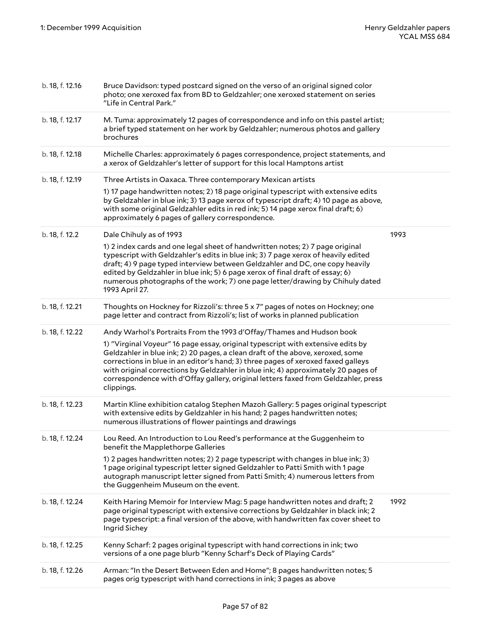| b. 18, f. 12.16 | Bruce Davidson: typed postcard signed on the verso of an original signed color<br>photo; one xeroxed fax from BD to Geldzahler; one xeroxed statement on series<br>"Life in Central Park."                                                                                                                                                                                                                                                     |      |
|-----------------|------------------------------------------------------------------------------------------------------------------------------------------------------------------------------------------------------------------------------------------------------------------------------------------------------------------------------------------------------------------------------------------------------------------------------------------------|------|
| b. 18, f. 12.17 | M. Tuma: approximately 12 pages of correspondence and info on this pastel artist;<br>a brief typed statement on her work by Geldzahler; numerous photos and gallery<br>brochures                                                                                                                                                                                                                                                               |      |
| b. 18, f. 12.18 | Michelle Charles: approximately 6 pages correspondence, project statements, and<br>a xerox of Geldzahler's letter of support for this local Hamptons artist                                                                                                                                                                                                                                                                                    |      |
| b. 18, f. 12.19 | Three Artists in Oaxaca. Three contemporary Mexican artists                                                                                                                                                                                                                                                                                                                                                                                    |      |
|                 | 1) 17 page handwritten notes; 2) 18 page original typescript with extensive edits<br>by Geldzahler in blue ink; 3) 13 page xerox of typescript draft; 4) 10 page as above,<br>with some original Geldzahler edits in red ink; 5) 14 page xerox final draft; 6)<br>approximately 6 pages of gallery correspondence.                                                                                                                             |      |
| b. 18, f. 12.2  | Dale Chihuly as of 1993                                                                                                                                                                                                                                                                                                                                                                                                                        | 1993 |
|                 | 1) 2 index cards and one legal sheet of handwritten notes; 2) 7 page original<br>typescript with Geldzahler's edits in blue ink; 3) 7 page xerox of heavily edited<br>draft; 4) 9 page typed interview between Geldzahler and DC, one copy heavily<br>edited by Geldzahler in blue ink; 5) 6 page xerox of final draft of essay; 6)<br>numerous photographs of the work; 7) one page letter/drawing by Chihuly dated<br>1993 April 27.         |      |
| b. 18, f. 12.21 | Thoughts on Hockney for Rizzoli's: three 5 x 7" pages of notes on Hockney; one<br>page letter and contract from Rizzoli's; list of works in planned publication                                                                                                                                                                                                                                                                                |      |
| b. 18, f. 12.22 | Andy Warhol's Portraits From the 1993 d'Offay/Thames and Hudson book                                                                                                                                                                                                                                                                                                                                                                           |      |
|                 | 1) "Virginal Voyeur" 16 page essay, original typescript with extensive edits by<br>Geldzahler in blue ink; 2) 20 pages, a clean draft of the above, xeroxed, some<br>corrections in blue in an editor's hand; 3) three pages of xeroxed faxed galleys<br>with original corrections by Geldzahler in blue ink; 4) approximately 20 pages of<br>correspondence with d'Offay gallery, original letters faxed from Geldzahler, press<br>clippings. |      |
| b. 18, f. 12.23 | Martin Kline exhibition catalog Stephen Mazoh Gallery: 5 pages original typescript<br>with extensive edits by Geldzahler in his hand; 2 pages handwritten notes;<br>numerous illustrations of flower paintings and drawings                                                                                                                                                                                                                    |      |
| b. 18, f. 12.24 | Lou Reed. An Introduction to Lou Reed's performance at the Guggenheim to<br>benefit the Mapplethorpe Galleries                                                                                                                                                                                                                                                                                                                                 |      |
|                 | 1) 2 pages handwritten notes; 2) 2 page typescript with changes in blue ink; 3)<br>1 page original typescript letter signed Geldzahler to Patti Smith with 1 page<br>autograph manuscript letter signed from Patti Smith; 4) numerous letters from<br>the Guggenheim Museum on the event.                                                                                                                                                      |      |
| b. 18, f. 12.24 | Keith Haring Memoir for Interview Mag: 5 page handwritten notes and draft; 2<br>page original typescript with extensive corrections by Geldzahler in black ink; 2<br>page typescript: a final version of the above, with handwritten fax cover sheet to<br>Ingrid Sichey                                                                                                                                                                       | 1992 |
| b. 18, f. 12.25 | Kenny Scharf: 2 pages original typescript with hand corrections in ink; two<br>versions of a one page blurb "Kenny Scharf's Deck of Playing Cards"                                                                                                                                                                                                                                                                                             |      |
| b. 18, f. 12.26 | Arman: "In the Desert Between Eden and Home"; 8 pages handwritten notes; 5<br>pages orig typescript with hand corrections in ink; 3 pages as above                                                                                                                                                                                                                                                                                             |      |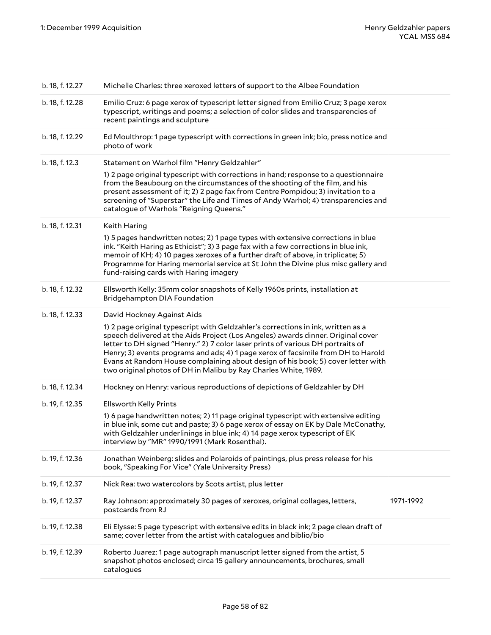| b. 18, f. 12.27 | Michelle Charles: three xeroxed letters of support to the Albee Foundation                                                                                                                                                                                                                                                                                                                                                                                                                                                        |           |
|-----------------|-----------------------------------------------------------------------------------------------------------------------------------------------------------------------------------------------------------------------------------------------------------------------------------------------------------------------------------------------------------------------------------------------------------------------------------------------------------------------------------------------------------------------------------|-----------|
| b. 18, f. 12.28 | Emilio Cruz: 6 page xerox of typescript letter signed from Emilio Cruz; 3 page xerox<br>typescript, writings and poems; a selection of color slides and transparencies of<br>recent paintings and sculpture                                                                                                                                                                                                                                                                                                                       |           |
| b. 18, f. 12.29 | Ed Moulthrop: 1 page typescript with corrections in green ink; bio, press notice and<br>photo of work                                                                                                                                                                                                                                                                                                                                                                                                                             |           |
| b. 18, f. 12.3  | Statement on Warhol film "Henry Geldzahler"                                                                                                                                                                                                                                                                                                                                                                                                                                                                                       |           |
|                 | 1) 2 page original typescript with corrections in hand; response to a questionnaire<br>from the Beaubourg on the circumstances of the shooting of the film, and his<br>present assessment of it; 2) 2 page fax from Centre Pompidou; 3) invitation to a<br>screening of "Superstar" the Life and Times of Andy Warhol; 4) transparencies and<br>catalogue of Warhols "Reigning Queens."                                                                                                                                           |           |
| b. 18, f. 12.31 | Keith Haring                                                                                                                                                                                                                                                                                                                                                                                                                                                                                                                      |           |
|                 | 1) 5 pages handwritten notes; 2) 1 page types with extensive corrections in blue<br>ink. "Keith Haring as Ethicist"; 3) 3 page fax with a few corrections in blue ink,<br>memoir of KH; 4) 10 pages xeroxes of a further draft of above, in triplicate; 5)<br>Programme for Haring memorial service at St John the Divine plus misc gallery and<br>fund-raising cards with Haring imagery                                                                                                                                         |           |
| b. 18, f. 12.32 | Ellsworth Kelly: 35mm color snapshots of Kelly 1960s prints, installation at<br>Bridgehampton DIA Foundation                                                                                                                                                                                                                                                                                                                                                                                                                      |           |
| b. 18, f. 12.33 | David Hockney Against Aids<br>1) 2 page original typescript with Geldzahler's corrections in ink, written as a<br>speech delivered at the Aids Project (Los Angeles) awards dinner. Original cover<br>letter to DH signed "Henry." 2) 7 color laser prints of various DH portraits of<br>Henry; 3) events programs and ads; 4) 1 page xerox of facsimile from DH to Harold<br>Evans at Random House complaining about design of his book; 5) cover letter with<br>two original photos of DH in Malibu by Ray Charles White, 1989. |           |
| b. 18, f. 12.34 | Hockney on Henry: various reproductions of depictions of Geldzahler by DH                                                                                                                                                                                                                                                                                                                                                                                                                                                         |           |
| b. 19, f. 12.35 | <b>Ellsworth Kelly Prints</b>                                                                                                                                                                                                                                                                                                                                                                                                                                                                                                     |           |
|                 | 1) 6 page handwritten notes; 2) 11 page original typescript with extensive editing<br>in blue ink, some cut and paste; 3) 6 page xerox of essay on EK by Dale McConathy,<br>with Geldzahler underlinings in blue ink; 4) 14 page xerox typescript of EK<br>interview by "MR" 1990/1991 (Mark Rosenthal).                                                                                                                                                                                                                          |           |
| b. 19, f. 12.36 | Jonathan Weinberg: slides and Polaroids of paintings, plus press release for his<br>book, "Speaking For Vice" (Yale University Press)                                                                                                                                                                                                                                                                                                                                                                                             |           |
| b. 19, f. 12.37 | Nick Rea: two watercolors by Scots artist, plus letter                                                                                                                                                                                                                                                                                                                                                                                                                                                                            |           |
| b. 19, f. 12.37 | Ray Johnson: approximately 30 pages of xeroxes, original collages, letters,<br>postcards from RJ                                                                                                                                                                                                                                                                                                                                                                                                                                  | 1971-1992 |
| b. 19, f. 12.38 | Eli Elysse: 5 page typescript with extensive edits in black ink; 2 page clean draft of<br>same; cover letter from the artist with catalogues and biblio/bio                                                                                                                                                                                                                                                                                                                                                                       |           |
| b. 19, f. 12.39 | Roberto Juarez: 1 page autograph manuscript letter signed from the artist, 5<br>snapshot photos enclosed; circa 15 gallery announcements, brochures, small<br>catalogues                                                                                                                                                                                                                                                                                                                                                          |           |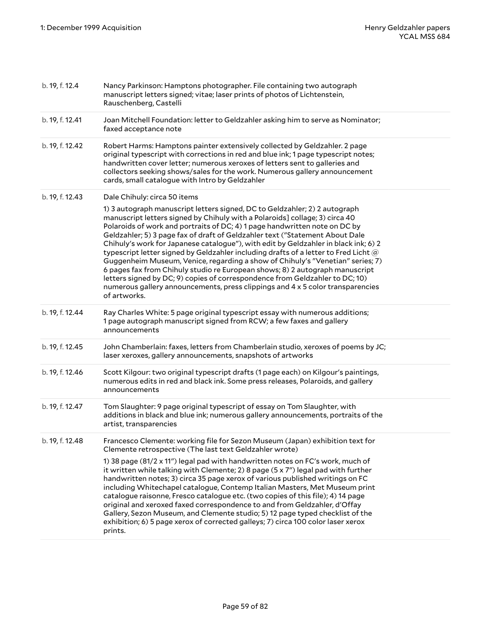| b. 19, f. 12.4  | Nancy Parkinson: Hamptons photographer. File containing two autograph<br>manuscript letters signed; vitae; laser prints of photos of Lichtenstein,<br>Rauschenberg, Castelli                                                                                                                                                                                                                                                                                                                                                                                                                                                                                                                                                                                                                                                                                                                |
|-----------------|---------------------------------------------------------------------------------------------------------------------------------------------------------------------------------------------------------------------------------------------------------------------------------------------------------------------------------------------------------------------------------------------------------------------------------------------------------------------------------------------------------------------------------------------------------------------------------------------------------------------------------------------------------------------------------------------------------------------------------------------------------------------------------------------------------------------------------------------------------------------------------------------|
| b. 19, f. 12.41 | Joan Mitchell Foundation: letter to Geldzahler asking him to serve as Nominator;<br>faxed acceptance note                                                                                                                                                                                                                                                                                                                                                                                                                                                                                                                                                                                                                                                                                                                                                                                   |
| b. 19, f. 12.42 | Robert Harms: Hamptons painter extensively collected by Geldzahler. 2 page<br>original typescript with corrections in red and blue ink; 1 page typescript notes;<br>handwritten cover letter; numerous xeroxes of letters sent to galleries and<br>collectors seeking shows/sales for the work. Numerous gallery announcement<br>cards, small catalogue with Intro by Geldzahler                                                                                                                                                                                                                                                                                                                                                                                                                                                                                                            |
| b. 19, f. 12.43 | Dale Chihuly: circa 50 items<br>1) 3 autograph manuscript letters signed, DC to Geldzahler; 2) 2 autograph<br>manuscript letters signed by Chihuly with a Polaroids] collage; 3) circa 40<br>Polaroids of work and portraits of DC; 4) 1 page handwritten note on DC by<br>Geldzahler; 5) 3 page fax of draft of Geldzahler text ("Statement About Dale<br>Chihuly's work for Japanese catalogue"), with edit by Geldzahler in black ink; 6) 2<br>typescript letter signed by Geldzahler including drafts of a letter to Fred Licht $@$<br>Guggenheim Museum, Venice, regarding a show of Chihuly's "Venetian" series; 7)<br>6 pages fax from Chihuly studio re European shows; 8) 2 autograph manuscript<br>letters signed by DC; 9) copies of correspondence from Geldzahler to DC; 10)<br>numerous gallery announcements, press clippings and 4 x 5 color transparencies<br>of artworks. |
| b. 19, f. 12.44 | Ray Charles White: 5 page original typescript essay with numerous additions;<br>1 page autograph manuscript signed from RCW; a few faxes and gallery<br>announcements                                                                                                                                                                                                                                                                                                                                                                                                                                                                                                                                                                                                                                                                                                                       |
| b. 19, f. 12.45 | John Chamberlain: faxes, letters from Chamberlain studio, xeroxes of poems by JC;<br>laser xeroxes, gallery announcements, snapshots of artworks                                                                                                                                                                                                                                                                                                                                                                                                                                                                                                                                                                                                                                                                                                                                            |
| b. 19, f. 12.46 | Scott Kilgour: two original typescript drafts (1 page each) on Kilgour's paintings,<br>numerous edits in red and black ink. Some press releases, Polaroids, and gallery<br>announcements                                                                                                                                                                                                                                                                                                                                                                                                                                                                                                                                                                                                                                                                                                    |
| b. 19, f. 12.47 | Tom Slaughter: 9 page original typescript of essay on Tom Slaughter, with<br>additions in black and blue ink; numerous gallery announcements, portraits of the<br>artist, transparencies                                                                                                                                                                                                                                                                                                                                                                                                                                                                                                                                                                                                                                                                                                    |
| b. 19, f. 12.48 | Francesco Clemente: working file for Sezon Museum (Japan) exhibition text for<br>Clemente retrospective (The last text Geldzahler wrote)<br>1) 38 page (81/2 x 11") legal pad with handwritten notes on FC's work, much of<br>it written while talking with Clemente; 2) 8 page $(5 \times 7)$ legal pad with further<br>handwritten notes; 3) circa 35 page xerox of various published writings on FC<br>including Whitechapel catalogue, Contemp Italian Masters, Met Museum print<br>catalogue raisonne, Fresco catalogue etc. (two copies of this file); 4) 14 page<br>original and xeroxed faxed correspondence to and from Geldzahler, d'Offay<br>Gallery, Sezon Museum, and Clemente studio; 5) 12 page typed checklist of the<br>exhibition; 6) 5 page xerox of corrected galleys; 7) circa 100 color laser xerox<br>prints.                                                        |
|                 |                                                                                                                                                                                                                                                                                                                                                                                                                                                                                                                                                                                                                                                                                                                                                                                                                                                                                             |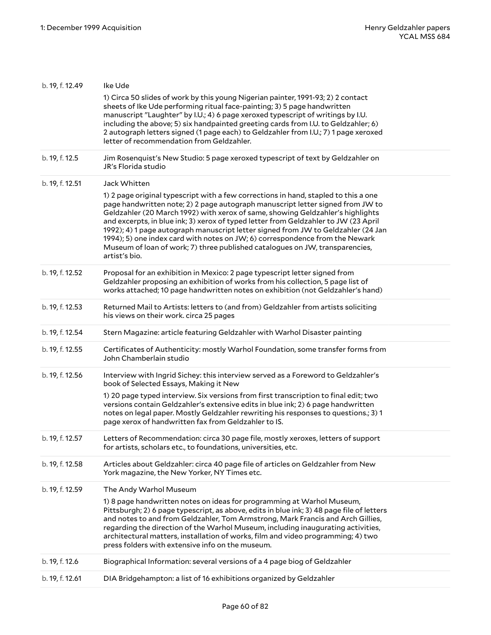| b. 19, f. 12.49 | Ike Ude                                                                                                                                                                                                                                                                                                                                                                                                                                                                                                                                                                                                              |
|-----------------|----------------------------------------------------------------------------------------------------------------------------------------------------------------------------------------------------------------------------------------------------------------------------------------------------------------------------------------------------------------------------------------------------------------------------------------------------------------------------------------------------------------------------------------------------------------------------------------------------------------------|
|                 | 1) Circa 50 slides of work by this young Nigerian painter, 1991-93; 2) 2 contact<br>sheets of Ike Ude performing ritual face-painting; 3) 5 page handwritten<br>manuscript "Laughter" by I.U.; 4) 6 page xeroxed typescript of writings by I.U.<br>including the above; 5) six handpainted greeting cards from I.U. to Geldzahler; 6)<br>2 autograph letters signed (1 page each) to Geldzahler from I.U.; 7) 1 page xeroxed<br>letter of recommendation from Geldzahler.                                                                                                                                            |
| b. 19, f. 12.5  | Jim Rosenquist's New Studio: 5 page xeroxed typescript of text by Geldzahler on<br>JR's Florida studio                                                                                                                                                                                                                                                                                                                                                                                                                                                                                                               |
| b. 19, f. 12.51 | Jack Whitten                                                                                                                                                                                                                                                                                                                                                                                                                                                                                                                                                                                                         |
|                 | 1) 2 page original typescript with a few corrections in hand, stapled to this a one<br>page handwritten note; 2) 2 page autograph manuscript letter signed from JW to<br>Geldzahler (20 March 1992) with xerox of same, showing Geldzahler's highlights<br>and excerpts, in blue ink; 3) xerox of typed letter from Geldzahler to JW (23 April<br>1992); 4) 1 page autograph manuscript letter signed from JW to Geldzahler (24 Jan<br>1994); 5) one index card with notes on JW; 6) correspondence from the Newark<br>Museum of loan of work; 7) three published catalogues on JW, transparencies,<br>artist's bio. |
| b. 19, f. 12.52 | Proposal for an exhibition in Mexico: 2 page typescript letter signed from<br>Geldzahler proposing an exhibition of works from his collection, 5 page list of<br>works attached; 10 page handwritten notes on exhibition (not Geldzahler's hand)                                                                                                                                                                                                                                                                                                                                                                     |
| b. 19, f. 12.53 | Returned Mail to Artists: letters to (and from) Geldzahler from artists soliciting<br>his views on their work. circa 25 pages                                                                                                                                                                                                                                                                                                                                                                                                                                                                                        |
| b. 19, f. 12.54 | Stern Magazine: article featuring Geldzahler with Warhol Disaster painting                                                                                                                                                                                                                                                                                                                                                                                                                                                                                                                                           |
| b. 19, f. 12.55 | Certificates of Authenticity: mostly Warhol Foundation, some transfer forms from<br>John Chamberlain studio                                                                                                                                                                                                                                                                                                                                                                                                                                                                                                          |
| b. 19, f. 12.56 | Interview with Ingrid Sichey: this interview served as a Foreword to Geldzahler's<br>book of Selected Essays, Making it New                                                                                                                                                                                                                                                                                                                                                                                                                                                                                          |
|                 | 1) 20 page typed interview. Six versions from first transcription to final edit; two<br>versions contain Geldzahler's extensive edits in blue ink; 2) 6 page handwritten<br>notes on legal paper. Mostly Geldzahler rewriting his responses to questions.; 3) 1<br>page xerox of handwritten fax from Geldzahler to IS.                                                                                                                                                                                                                                                                                              |
| b. 19, f. 12.57 | Letters of Recommendation: circa 30 page file, mostly xeroxes, letters of support<br>for artists, scholars etc., to foundations, universities, etc.                                                                                                                                                                                                                                                                                                                                                                                                                                                                  |
| b. 19, f. 12.58 | Articles about Geldzahler: circa 40 page file of articles on Geldzahler from New<br>York magazine, the New Yorker, NY Times etc.                                                                                                                                                                                                                                                                                                                                                                                                                                                                                     |
| b. 19, f. 12.59 | The Andy Warhol Museum                                                                                                                                                                                                                                                                                                                                                                                                                                                                                                                                                                                               |
|                 | 1) 8 page handwritten notes on ideas for programming at Warhol Museum,<br>Pittsburgh; 2) 6 page typescript, as above, edits in blue ink; 3) 48 page file of letters<br>and notes to and from Geldzahler, Tom Armstrong, Mark Francis and Arch Gillies,<br>regarding the direction of the Warhol Museum, including inaugurating activities,<br>architectural matters, installation of works, film and video programming; 4) two<br>press folders with extensive info on the museum.                                                                                                                                   |
| b. 19, f. 12.6  | Biographical Information: several versions of a 4 page biog of Geldzahler                                                                                                                                                                                                                                                                                                                                                                                                                                                                                                                                            |
| b. 19, f. 12.61 | DIA Bridgehampton: a list of 16 exhibitions organized by Geldzahler                                                                                                                                                                                                                                                                                                                                                                                                                                                                                                                                                  |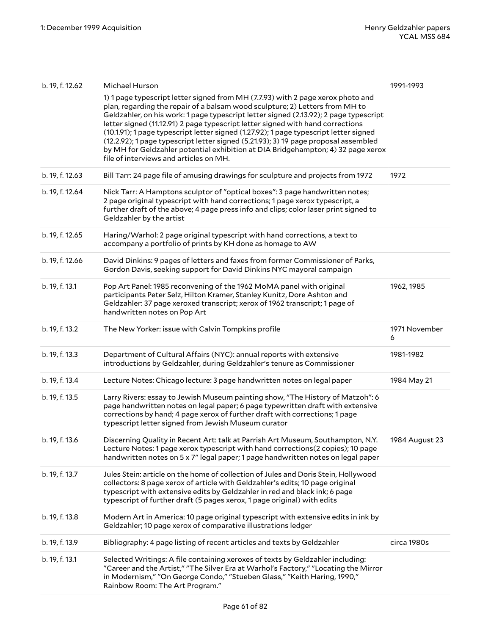| b. 19, f. 12.62 | Michael Hurson                                                                                                                                                                                                                                                                                                                                                                                                                                                                                                                                                                                                                                           | 1991-1993          |
|-----------------|----------------------------------------------------------------------------------------------------------------------------------------------------------------------------------------------------------------------------------------------------------------------------------------------------------------------------------------------------------------------------------------------------------------------------------------------------------------------------------------------------------------------------------------------------------------------------------------------------------------------------------------------------------|--------------------|
|                 | 1) 1 page typescript letter signed from MH (7.7.93) with 2 page xerox photo and<br>plan, regarding the repair of a balsam wood sculpture; 2) Letters from MH to<br>Geldzahler, on his work: 1 page typescript letter signed (2.13.92); 2 page typescript<br>letter signed (11.12.91) 2 page typescript letter signed with hand corrections<br>(10.1.91); 1 page typescript letter signed (1.27.92); 1 page typescript letter signed<br>(12.2.92); 1 page typescript letter signed (5.21.93); 3) 19 page proposal assembled<br>by MH for Geldzahler potential exhibition at DIA Bridgehampton; 4) 32 page xerox<br>file of interviews and articles on MH. |                    |
| b. 19, f. 12.63 | Bill Tarr: 24 page file of amusing drawings for sculpture and projects from 1972                                                                                                                                                                                                                                                                                                                                                                                                                                                                                                                                                                         | 1972               |
| b. 19, f. 12.64 | Nick Tarr: A Hamptons sculptor of "optical boxes": 3 page handwritten notes;<br>2 page original typescript with hand corrections; 1 page xerox typescript, a<br>further draft of the above; 4 page press info and clips; color laser print signed to<br>Geldzahler by the artist                                                                                                                                                                                                                                                                                                                                                                         |                    |
| b. 19, f. 12.65 | Haring/Warhol: 2 page original typescript with hand corrections, a text to<br>accompany a portfolio of prints by KH done as homage to AW                                                                                                                                                                                                                                                                                                                                                                                                                                                                                                                 |                    |
| b. 19, f. 12.66 | David Dinkins: 9 pages of letters and faxes from former Commissioner of Parks,<br>Gordon Davis, seeking support for David Dinkins NYC mayoral campaign                                                                                                                                                                                                                                                                                                                                                                                                                                                                                                   |                    |
| b. 19, f. 13.1  | Pop Art Panel: 1985 reconvening of the 1962 MoMA panel with original<br>participants Peter Selz, Hilton Kramer, Stanley Kunitz, Dore Ashton and<br>Geldzahler: 37 page xeroxed transcript; xerox of 1962 transcript; 1 page of<br>handwritten notes on Pop Art                                                                                                                                                                                                                                                                                                                                                                                           | 1962, 1985         |
| b. 19, f. 13.2  | The New Yorker: issue with Calvin Tompkins profile                                                                                                                                                                                                                                                                                                                                                                                                                                                                                                                                                                                                       | 1971 November<br>6 |
| b. 19, f. 13.3  | Department of Cultural Affairs (NYC): annual reports with extensive<br>introductions by Geldzahler, during Geldzahler's tenure as Commissioner                                                                                                                                                                                                                                                                                                                                                                                                                                                                                                           | 1981-1982          |
|                 |                                                                                                                                                                                                                                                                                                                                                                                                                                                                                                                                                                                                                                                          |                    |
| b. 19, f. 13.4  | Lecture Notes: Chicago lecture: 3 page handwritten notes on legal paper                                                                                                                                                                                                                                                                                                                                                                                                                                                                                                                                                                                  | 1984 May 21        |
| b. 19, f. 13.5  | Larry Rivers: essay to Jewish Museum painting show, "The History of Matzoh": 6<br>page handwritten notes on legal paper; 6 page typewritten draft with extensive<br>corrections by hand; 4 page xerox of further draft with corrections; 1 page<br>typescript letter signed from Jewish Museum curator                                                                                                                                                                                                                                                                                                                                                   |                    |
| b. 19, f. 13.6  | Discerning Quality in Recent Art: talk at Parrish Art Museum, Southampton, N.Y.<br>Lecture Notes: 1 page xerox typescript with hand corrections(2 copies); 10 page<br>handwritten notes on 5 x 7" legal paper; 1 page handwritten notes on legal paper                                                                                                                                                                                                                                                                                                                                                                                                   | 1984 August 23     |
| b. 19, f. 13.7  | Jules Stein: article on the home of collection of Jules and Doris Stein, Hollywood<br>collectors: 8 page xerox of article with Geldzahler's edits; 10 page original<br>typescript with extensive edits by Geldzahler in red and black ink; 6 page<br>typescript of further draft (5 pages xerox, 1 page original) with edits                                                                                                                                                                                                                                                                                                                             |                    |
| b. 19, f. 13.8  | Modern Art in America: 10 page original typescript with extensive edits in ink by<br>Geldzahler; 10 page xerox of comparative illustrations ledger                                                                                                                                                                                                                                                                                                                                                                                                                                                                                                       |                    |
| b. 19, f. 13.9  | Bibliography: 4 page listing of recent articles and texts by Geldzahler                                                                                                                                                                                                                                                                                                                                                                                                                                                                                                                                                                                  | circa 1980s        |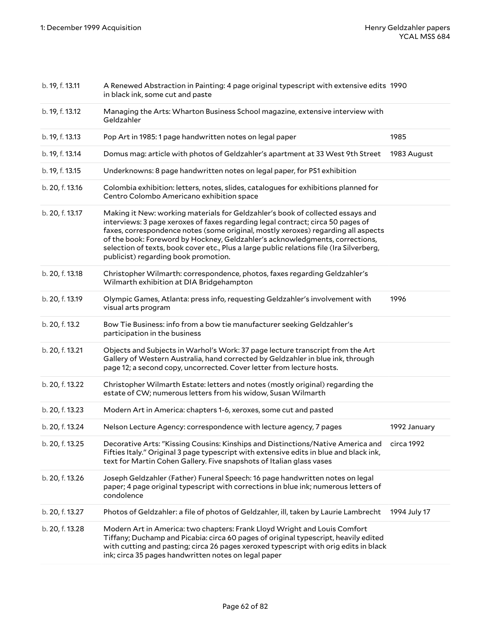| b. 19, f. 13.11 | A Renewed Abstraction in Painting: 4 page original typescript with extensive edits 1990<br>in black ink, some cut and paste                                                                                                                                                                                                                                                                                                                                                |              |
|-----------------|----------------------------------------------------------------------------------------------------------------------------------------------------------------------------------------------------------------------------------------------------------------------------------------------------------------------------------------------------------------------------------------------------------------------------------------------------------------------------|--------------|
| b. 19, f. 13.12 | Managing the Arts: Wharton Business School magazine, extensive interview with<br>Geldzahler                                                                                                                                                                                                                                                                                                                                                                                |              |
| b. 19, f. 13.13 | Pop Art in 1985: 1 page handwritten notes on legal paper                                                                                                                                                                                                                                                                                                                                                                                                                   | 1985         |
| b. 19, f. 13.14 | Domus mag: article with photos of Geldzahler's apartment at 33 West 9th Street                                                                                                                                                                                                                                                                                                                                                                                             | 1983 August  |
| b. 19, f. 13.15 | Underknowns: 8 page handwritten notes on legal paper, for PS1 exhibition                                                                                                                                                                                                                                                                                                                                                                                                   |              |
| b. 20, f. 13.16 | Colombia exhibition: letters, notes, slides, catalogues for exhibitions planned for<br>Centro Colombo Americano exhibition space                                                                                                                                                                                                                                                                                                                                           |              |
| b. 20, f. 13.17 | Making it New: working materials for Geldzahler's book of collected essays and<br>interviews: 3 page xeroxes of faxes regarding legal contract; circa 50 pages of<br>faxes, correspondence notes (some original, mostly xeroxes) regarding all aspects<br>of the book: Foreword by Hockney, Geldzahler's acknowledgments, corrections,<br>selection of texts, book cover etc., Plus a large public relations file (Ira Silverberg,<br>publicist) regarding book promotion. |              |
| b. 20, f. 13.18 | Christopher Wilmarth: correspondence, photos, faxes regarding Geldzahler's<br>Wilmarth exhibition at DIA Bridgehampton                                                                                                                                                                                                                                                                                                                                                     |              |
| b. 20, f. 13.19 | Olympic Games, Atlanta: press info, requesting Geldzahler's involvement with<br>visual arts program                                                                                                                                                                                                                                                                                                                                                                        | 1996         |
| b. 20, f. 13.2  | Bow Tie Business: info from a bow tie manufacturer seeking Geldzahler's<br>participation in the business                                                                                                                                                                                                                                                                                                                                                                   |              |
| b. 20, f. 13.21 | Objects and Subjects in Warhol's Work: 37 page lecture transcript from the Art<br>Gallery of Western Australia, hand corrected by Geldzahler in blue ink, through<br>page 12; a second copy, uncorrected. Cover letter from lecture hosts.                                                                                                                                                                                                                                 |              |
| b. 20, f. 13.22 | Christopher Wilmarth Estate: letters and notes (mostly original) regarding the<br>estate of CW; numerous letters from his widow, Susan Wilmarth                                                                                                                                                                                                                                                                                                                            |              |
| b. 20, f. 13.23 | Modern Art in America: chapters 1-6, xeroxes, some cut and pasted                                                                                                                                                                                                                                                                                                                                                                                                          |              |
| b. 20, f. 13.24 | Nelson Lecture Agency: correspondence with lecture agency, 7 pages                                                                                                                                                                                                                                                                                                                                                                                                         | 1992 January |
| b. 20, f. 13.25 | Decorative Arts: "Kissing Cousins: Kinships and Distinctions/Native America and circa 1992<br>Fifties Italy." Original 3 page typescript with extensive edits in blue and black ink,<br>text for Martin Cohen Gallery. Five snapshots of Italian glass vases                                                                                                                                                                                                               |              |
| b. 20, f. 13.26 | Joseph Geldzahler (Father) Funeral Speech: 16 page handwritten notes on legal<br>paper; 4 page original typescript with corrections in blue ink; numerous letters of<br>condolence                                                                                                                                                                                                                                                                                         |              |
| b. 20, f. 13.27 | Photos of Geldzahler: a file of photos of Geldzahler, ill, taken by Laurie Lambrecht                                                                                                                                                                                                                                                                                                                                                                                       | 1994 July 17 |
| b. 20, f. 13.28 | Modern Art in America: two chapters: Frank Lloyd Wright and Louis Comfort<br>Tiffany; Duchamp and Picabia: circa 60 pages of original typescript, heavily edited<br>with cutting and pasting; circa 26 pages xeroxed typescript with orig edits in black<br>ink; circa 35 pages handwritten notes on legal paper                                                                                                                                                           |              |
|                 |                                                                                                                                                                                                                                                                                                                                                                                                                                                                            |              |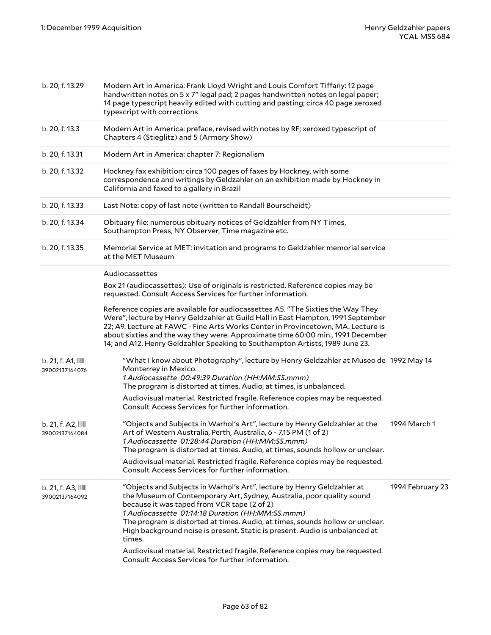| b. 20, f. 13.29                 | Modern Art in America: Frank Lloyd Wright and Louis Comfort Tiffany: 12 page<br>handwritten notes on 5 x 7" legal pad; 2 pages handwritten notes on legal paper;<br>14 page typescript heavily edited with cutting and pasting; circa 40 page xeroxed<br>typescript with corrections                                                                                                                                                                                                                         |                  |
|---------------------------------|--------------------------------------------------------------------------------------------------------------------------------------------------------------------------------------------------------------------------------------------------------------------------------------------------------------------------------------------------------------------------------------------------------------------------------------------------------------------------------------------------------------|------------------|
| b. 20, f. 13.3                  | Modern Art in America: preface, revised with notes by RF; xeroxed typescript of<br>Chapters 4 (Stieglitz) and 5 (Armory Show)                                                                                                                                                                                                                                                                                                                                                                                |                  |
| b. 20, f. 13.31                 | Modern Art in America: chapter 7: Regionalism                                                                                                                                                                                                                                                                                                                                                                                                                                                                |                  |
| b. 20, f. 13.32                 | Hockney fax exhibition: circa 100 pages of faxes by Hockney, with some<br>correspondence and writings by Geldzahler on an exhibition made by Hockney in<br>California and faxed to a gallery in Brazil                                                                                                                                                                                                                                                                                                       |                  |
| b. 20, f. 13.33                 | Last Note: copy of last note (written to Randall Bourscheidt)                                                                                                                                                                                                                                                                                                                                                                                                                                                |                  |
| b. 20, f. 13.34                 | Obituary file: numerous obituary notices of Geldzahler from NY Times,<br>Southampton Press, NY Observer, Time magazine etc.                                                                                                                                                                                                                                                                                                                                                                                  |                  |
| b. 20, f. 13.35                 | Memorial Service at MET: invitation and programs to Geldzahler memorial service<br>at the MET Museum                                                                                                                                                                                                                                                                                                                                                                                                         |                  |
|                                 | Audiocassettes                                                                                                                                                                                                                                                                                                                                                                                                                                                                                               |                  |
|                                 | Box 21 (audiocassettes): Use of originals is restricted. Reference copies may be<br>requested. Consult Access Services for further information.                                                                                                                                                                                                                                                                                                                                                              |                  |
|                                 | Reference copies are available for audiocassettes A5. "The Sixties the Way They<br>Were", lecture by Henry Geldzahler at Guild Hall in East Hampton, 1991 September<br>22; A9. Lecture at FAWC - Fine Arts Works Center in Provincetown, MA. Lecture is<br>about sixties and the way they were. Approximate time 60:00 min., 1991 December<br>14; and A12. Henry Geldzahler Speaking to Southampton Artists, 1989 June 23.                                                                                   |                  |
| b. 21, f. A1,<br>39002137164076 | "What I know about Photography", lecture by Henry Geldzahler at Museo de 1992 May 14<br>Monterrey in Mexico.<br>1 Audiocassette 00:49:39 Duration (HH:MM:SS.mmm)<br>The program is distorted at times. Audio, at times, is unbalanced.                                                                                                                                                                                                                                                                       |                  |
|                                 | Audiovisual material. Restricted fragile. Reference copies may be requested.<br>Consult Access Services for further information.                                                                                                                                                                                                                                                                                                                                                                             |                  |
| b. 21, f. A2,<br>39002137164084 | "Objects and Subjects in Warhol's Art", lecture by Henry Geldzahler at the<br>Art of Western Australia, Perth, Australia, 6 - 7.15 PM (1 of 2)<br>1 Audiocassette 01:28:44 Duration (HH:MM:SS.mmm)<br>The program is distorted at times. Audio, at times, sounds hollow or unclear.                                                                                                                                                                                                                          | 1994 March 1     |
|                                 | Audiovisual material. Restricted fragile. Reference copies may be requested.<br>Consult Access Services for further information.                                                                                                                                                                                                                                                                                                                                                                             |                  |
| b. 21, f. A3,<br>39002137164092 | "Objects and Subjects in Warhol's Art", lecture by Henry Geldzahler at<br>the Museum of Contemporary Art, Sydney, Australia, poor quality sound<br>because it was taped from VCR tape (2 of 2)<br>1 Audiocassette 01:14:18 Duration (HH:MM:SS.mmm)<br>The program is distorted at times. Audio, at times, sounds hollow or unclear.<br>High background noise is present. Static is present. Audio is unbalanced at<br>times.<br>Audiovisual material. Restricted fragile. Reference copies may be requested. | 1994 February 23 |
|                                 | Consult Access Services for further information.                                                                                                                                                                                                                                                                                                                                                                                                                                                             |                  |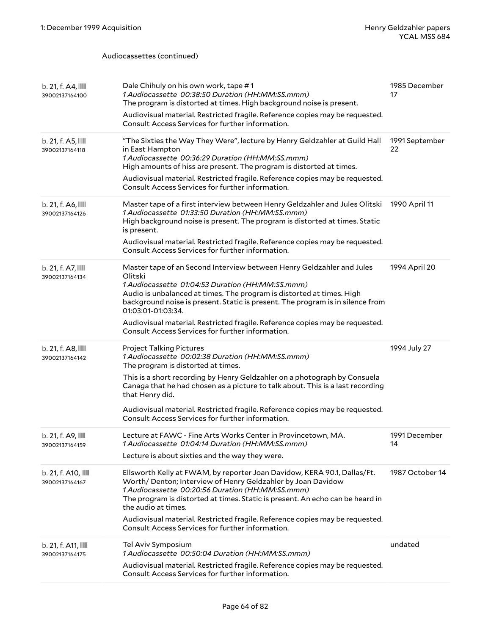Audiocassettes (continued)

| b. 21, f. A4,<br>39002137164100       | Dale Chihuly on his own work, tape #1<br>1 Audiocassette 00:38:50 Duration (HH:MM:SS.mmm)<br>The program is distorted at times. High background noise is present.<br>Audiovisual material. Restricted fragile. Reference copies may be requested.<br>Consult Access Services for further information.                                                                                                                                                     | 1985 December<br>17  |
|---------------------------------------|-----------------------------------------------------------------------------------------------------------------------------------------------------------------------------------------------------------------------------------------------------------------------------------------------------------------------------------------------------------------------------------------------------------------------------------------------------------|----------------------|
| b. 21, f. A5,<br>39002137164118       | "The Sixties the Way They Were", lecture by Henry Geldzahler at Guild Hall<br>in East Hampton<br>1 Audiocassette 00:36:29 Duration (HH:MM:SS.mmm)<br>High amounts of hiss are present. The program is distorted at times.<br>Audiovisual material. Restricted fragile. Reference copies may be requested.<br>Consult Access Services for further information.                                                                                             | 1991 September<br>22 |
| b. 21, f. A6,<br>39002137164126       | Master tape of a first interview between Henry Geldzahler and Jules Olitski<br>1 Audiocassette 01:33:50 Duration (HH:MM:SS.mmm)<br>High background noise is present. The program is distorted at times. Static<br>is present.<br>Audiovisual material. Restricted fragile. Reference copies may be requested.<br>Consult Access Services for further information.                                                                                         | 1990 April 11        |
| b. 21, f. A7, IIII<br>39002137164134  | Master tape of an Second Interview between Henry Geldzahler and Jules<br>Olitski<br>1 Audiocassette 01:04:53 Duration (HH:MM:SS.mmm)<br>Audio is unbalanced at times. The program is distorted at times. High<br>background noise is present. Static is present. The program is in silence from<br>01:03:01-01:03:34.<br>Audiovisual material. Restricted fragile. Reference copies may be requested.<br>Consult Access Services for further information. | 1994 April 20        |
|                                       |                                                                                                                                                                                                                                                                                                                                                                                                                                                           |                      |
| b. 21, f. A8,<br>39002137164142       | <b>Project Talking Pictures</b><br>1 Audiocassette 00:02:38 Duration (HH:MM:SS.mmm)<br>The program is distorted at times.<br>This is a short recording by Henry Geldzahler on a photograph by Consuela<br>Canaga that he had chosen as a picture to talk about. This is a last recording<br>that Henry did.<br>Audiovisual material. Restricted fragile. Reference copies may be requested.<br>Consult Access Services for further information.           | 1994 July 27         |
| b. 21, f. A9, IIII<br>39002137164159  | Lecture at FAWC - Fine Arts Works Center in Provincetown, MA.<br>1 Audiocassette 01:04:14 Duration (HH:MM:SS.mmm)<br>Lecture is about sixties and the way they were.                                                                                                                                                                                                                                                                                      | 1991 December<br>14  |
| b. 21, f. A10, IIII<br>39002137164167 | Ellsworth Kelly at FWAM, by reporter Joan Davidow, KERA 90.1, Dallas/Ft.<br>Worth/ Denton; Interview of Henry Geldzahler by Joan Davidow<br>1 Audiocassette 00:20:56 Duration (HH:MM:SS.mmm)<br>The program is distorted at times. Static is present. An echo can be heard in<br>the audio at times.<br>Audiovisual material. Restricted fragile. Reference copies may be requested.<br>Consult Access Services for further information.                  | 1987 October 14      |
| b. 21, f. A11, IIII<br>39002137164175 | Tel Aviv Symposium<br>1 Audiocassette 00:50:04 Duration (HH:MM:SS.mmm)<br>Audiovisual material. Restricted fragile. Reference copies may be requested.<br>Consult Access Services for further information.                                                                                                                                                                                                                                                | undated              |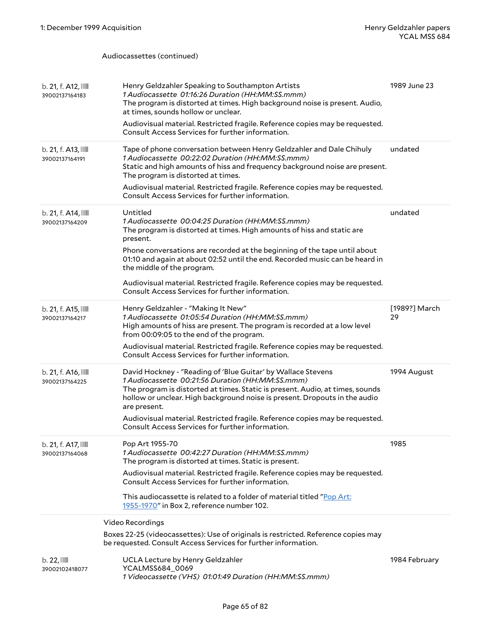Audiocassettes (continued)

| b. 21, f. A12, IIII<br>39002137164183 | Henry Geldzahler Speaking to Southampton Artists<br>1 Audiocassette 01:16:26 Duration (HH:MM:SS.mmm)<br>The program is distorted at times. High background noise is present. Audio,<br>at times, sounds hollow or unclear.<br>Audiovisual material. Restricted fragile. Reference copies may be requested.<br>Consult Access Services for further information.                                                                                                                    | 1989 June 23        |
|---------------------------------------|-----------------------------------------------------------------------------------------------------------------------------------------------------------------------------------------------------------------------------------------------------------------------------------------------------------------------------------------------------------------------------------------------------------------------------------------------------------------------------------|---------------------|
| b. 21, f. A13, IIII<br>39002137164191 | Tape of phone conversation between Henry Geldzahler and Dale Chihuly<br>1 Audiocassette 00:22:02 Duration (HH:MM:SS.mmm)<br>Static and high amounts of hiss and frequency background noise are present.<br>The program is distorted at times.<br>Audiovisual material. Restricted fragile. Reference copies may be requested.<br>Consult Access Services for further information.                                                                                                 | undated             |
| b. 21, f. A14, IIII<br>39002137164209 | Untitled<br>1 Audiocassette 00:04:25 Duration (HH:MM:SS.mmm)<br>The program is distorted at times. High amounts of hiss and static are<br>present.<br>Phone conversations are recorded at the beginning of the tape until about<br>01:10 and again at about 02:52 until the end. Recorded music can be heard in<br>the middle of the program.<br>Audiovisual material. Restricted fragile. Reference copies may be requested.<br>Consult Access Services for further information. | undated             |
| b. 21, f. A15, IIII<br>39002137164217 | Henry Geldzahler - "Making It New"<br>1 Audiocassette 01:05:54 Duration (HH:MM:SS.mmm)<br>High amounts of hiss are present. The program is recorded at a low level<br>from 00:09:05 to the end of the program.<br>Audiovisual material. Restricted fragile. Reference copies may be requested.<br>Consult Access Services for further information.                                                                                                                                | [1989?] March<br>29 |
| b. 21, f. A16, IIII<br>39002137164225 | David Hockney - "Reading of 'Blue Guitar' by Wallace Stevens<br>1 Audiocassette 00:21:56 Duration (HH:MM:SS.mmm)<br>The program is distorted at times. Static is present. Audio, at times, sounds<br>hollow or unclear. High background noise is present. Dropouts in the audio<br>are present.<br>Audiovisual material. Restricted fragile. Reference copies may be requested.<br>Consult Access Services for further information.                                               | 1994 August         |
| b. 21, f. A17, IIII<br>39002137164068 | Pop Art 1955-70<br>1 Audiocassette 00:42:27 Duration (HH:MM:SS.mmm)<br>The program is distorted at times. Static is present.<br>Audiovisual material. Restricted fragile. Reference copies may be requested.<br>Consult Access Services for further information.<br>This audiocassette is related to a folder of material titled "Pop Art:<br>1955-1970" in Box 2, reference number 102.                                                                                          | 1985                |
|                                       | Video Recordings                                                                                                                                                                                                                                                                                                                                                                                                                                                                  |                     |
|                                       | Boxes 22-25 (videocassettes): Use of originals is restricted. Reference copies may<br>be requested. Consult Access Services for further information.                                                                                                                                                                                                                                                                                                                              |                     |
| b.22,<br>39002102418077               | UCLA Lecture by Henry Geldzahler<br>YCALMSS684_0069<br>1 Videocassette (VHS) 01:01:49 Duration (HH:MM:SS.mmm)                                                                                                                                                                                                                                                                                                                                                                     | 1984 February       |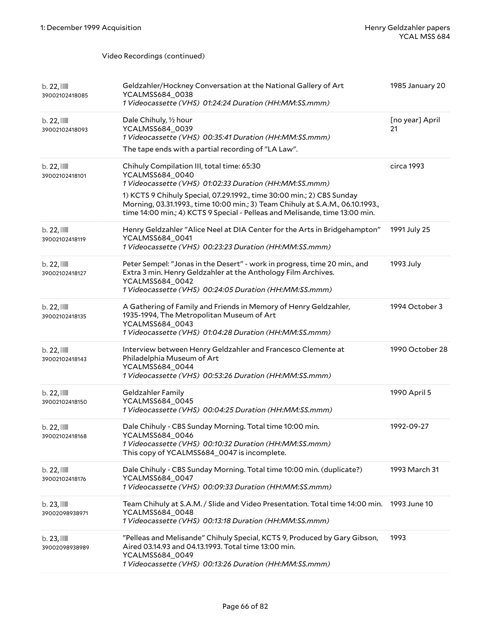| $b.22$ , $III$<br>39002102418085 | Geldzahler/Hockney Conversation at the National Gallery of Art<br>YCALMSS684_0038<br>1 Videocassette (VHS) 01:24:24 Duration (HH:MM:SS.mmm)                                                                                                                                                                                                                        | 1985 January 20       |
|----------------------------------|--------------------------------------------------------------------------------------------------------------------------------------------------------------------------------------------------------------------------------------------------------------------------------------------------------------------------------------------------------------------|-----------------------|
| b.22,<br>39002102418093          | Dale Chihuly, 1/2 hour<br>YCALMSS684_0039<br>1 Videocassette (VHS) 00:35:41 Duration (HH:MM:SS.mmm)<br>The tape ends with a partial recording of "LA Law".                                                                                                                                                                                                         | [no year] April<br>21 |
| b.22,<br>39002102418101          | Chihuly Compilation III, total time: 65:30<br>YCALMSS684_0040<br>1 Videocassette (VHS) 01:02:33 Duration (HH:MM:SS.mmm)<br>1) KCTS 9 Chihuly Special, 07.29.1992., time 30:00 min.; 2) CBS Sunday<br>Morning, 03.31.1993., time 10:00 min.; 3) Team Chihuly at S.A.M., 06.10.1993.,<br>time 14:00 min.; 4) KCTS 9 Special - Pelleas and Melisande, time 13:00 min. | circa 1993            |
| $b.22$ , $11$<br>39002102418119  | Henry Geldzahler "Alice Neel at DIA Center for the Arts in Bridgehampton"<br>YCALMSS684_0041<br>1 Videocassette (VHS) 00:23:23 Duration (HH:MM:SS.mmm)                                                                                                                                                                                                             | 1991 July 25          |
| $b.22$ , $III$<br>39002102418127 | Peter Sempel: "Jonas in the Desert" - work in progress, time 20 min., and<br>Extra 3 min. Henry Geldzahler at the Anthology Film Archives.<br>YCALMSS684_0042<br>1 Videocassette (VHS) 00:24:05 Duration (HH:MM:SS.mmm)                                                                                                                                            | 1993 July             |
| $b.22$ , $11$<br>39002102418135  | A Gathering of Family and Friends in Memory of Henry Geldzahler,<br>1935-1994, The Metropolitan Museum of Art<br>YCALMSS684_0043<br>1 Videocassette (VHS) 01:04:28 Duration (HH:MM:SS.mmm)                                                                                                                                                                         | 1994 October 3        |
| $b.22$ , $11$<br>39002102418143  | Interview between Henry Geldzahler and Francesco Clemente at<br>Philadelphia Museum of Art<br>YCALMSS684_0044<br>1 Videocassette (VHS) 00:53:26 Duration (HH:MM:SS.mmm)                                                                                                                                                                                            | 1990 October 28       |
| $b.22$ , $11$<br>39002102418150  | Geldzahler Family<br>YCALMSS684_0045<br>1 Videocassette (VHS) 00:04:25 Duration (HH:MM:SS.mmm)                                                                                                                                                                                                                                                                     | 1990 April 5          |
| b.22,<br>39002102418168          | Dale Chihuly - CBS Sunday Morning. Total time 10:00 min.<br>YCALMSS684 0046<br>1 Videocassette (VHS) 00:10:32 Duration (HH:MM:SS.mmm)<br>This copy of YCALMSS684_0047 is incomplete.                                                                                                                                                                               | 1992-09-27            |
| b.22,<br>39002102418176          | Dale Chihuly - CBS Sunday Morning. Total time 10:00 min. (duplicate?)<br>YCALMSS684_0047<br>1 Videocassette (VHS) 00:09:33 Duration (HH:MM:SS.mmm)                                                                                                                                                                                                                 | 1993 March 31         |
| $b.23$ , $III$<br>39002098938971 | Team Chihuly at S.A.M. / Slide and Video Presentation. Total time 14:00 min.<br>YCALMSS684_0048<br>1 Videocassette (VHS) 00:13:18 Duration (HH:MM:SS.mmm)                                                                                                                                                                                                          | 1993 June 10          |
| $b.23$ , $III$<br>39002098938989 | "Pelleas and Melisande" Chihuly Special, KCTS 9, Produced by Gary Gibson,<br>Aired 03.14.93 and 04.13.1993. Total time 13:00 min.<br>YCALMSS684_0049<br>1 Videocassette (VHS) 00:13:26 Duration (HH:MM:SS.mmm)                                                                                                                                                     | 1993                  |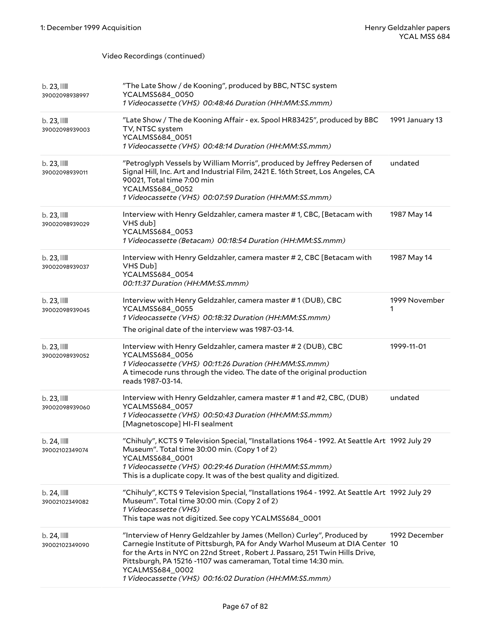| $b.23$ , $III$<br>39002098938997          | "The Late Show / de Kooning", produced by BBC, NTSC system<br>YCALMSS684_0050<br>1 Videocassette (VHS) 00:48:46 Duration (HH:MM:SS.mmm)                                                                                                                                                                                                                                               |                    |
|-------------------------------------------|---------------------------------------------------------------------------------------------------------------------------------------------------------------------------------------------------------------------------------------------------------------------------------------------------------------------------------------------------------------------------------------|--------------------|
| $b.23$ , $III$<br>39002098939003          | "Late Show / The de Kooning Affair - ex. Spool HR83425", produced by BBC<br>TV, NTSC system<br>YCALMSS684_0051<br>1 Videocassette (VHS) 00:48:14 Duration (HH:MM:SS.mmm)                                                                                                                                                                                                              | 1991 January 13    |
| $b.23$ , $III$<br>39002098939011          | "Petroglyph Vessels by William Morris", produced by Jeffrey Pedersen of<br>Signal Hill, Inc. Art and Industrial Film, 2421 E. 16th Street, Los Angeles, CA<br>90021, Total time 7:00 min<br>YCALMSS684_0052<br>1 Videocassette (VHS) 00:07:59 Duration (HH:MM:SS.mmm)                                                                                                                 | undated            |
| $b.23$ , $11$<br>39002098939029           | Interview with Henry Geldzahler, camera master #1, CBC, [Betacam with<br>VHS dub]<br>YCALMSS684_0053<br>1 Videocassette (Betacam) 00:18:54 Duration (HH:MM:SS.mmm)                                                                                                                                                                                                                    | 1987 May 14        |
| $b.23$ , $111$<br>39002098939037          | Interview with Henry Geldzahler, camera master # 2, CBC [Betacam with<br>VHS Dub]<br>YCALMSS684_0054<br>00:11:37 Duration (HH:MM:SS.mmm)                                                                                                                                                                                                                                              | 1987 May 14        |
| $b.23$ , $\blacksquare$<br>39002098939045 | Interview with Henry Geldzahler, camera master #1 (DUB), CBC<br>YCALMSS684_0055<br>1 Videocassette (VHS) 00:18:32 Duration (HH:MM:SS.mmm)<br>The original date of the interview was 1987-03-14.                                                                                                                                                                                       | 1999 November<br>1 |
| $b.23$ , $III$<br>39002098939052          | Interview with Henry Geldzahler, camera master # 2 (DUB), CBC<br>YCALMSS684_0056<br>1 Videocassette (VHS) 00:11:26 Duration (HH:MM:SS.mmm)<br>A timecode runs through the video. The date of the original production<br>reads 1987-03-14.                                                                                                                                             | 1999-11-01         |
| $b.23$ , $11$<br>39002098939060           | Interview with Henry Geldzahler, camera master #1 and #2, CBC, (DUB)<br>YCALMSS684_0057<br>1 Videocassette (VHS) 00:50:43 Duration (HH:MM:SS.mmm)<br>[Magnetoscope] HI-FI sealment                                                                                                                                                                                                    | undated            |
| b. 24,<br>39002102349074                  | "Chihuly", KCTS 9 Television Special, "Installations 1964 - 1992. At Seattle Art 1992 July 29<br>Museum". Total time 30:00 min. (Copy 1 of 2)<br>YCALMSS684_0001<br>1 Videocassette (VHS) 00:29:46 Duration (HH:MM:SS.mmm)<br>This is a duplicate copy. It was of the best quality and digitized.                                                                                     |                    |
| $b.24$ , $111$<br>39002102349082          | "Chihuly", KCTS 9 Television Special, "Installations 1964 - 1992. At Seattle Art 1992 July 29<br>Museum". Total time 30:00 min. (Copy 2 of 2)<br>1 Videocassette (VHS)<br>This tape was not digitized. See copy YCALMSS684_0001                                                                                                                                                       |                    |
| $b.24$ , $\blacksquare$<br>39002102349090 | "Interview of Henry Geldzahler by James (Mellon) Curley", Produced by<br>Carnegie Institute of Pittsburgh, PA for Andy Warhol Museum at DIA Center 10<br>for the Arts in NYC on 22nd Street, Robert J. Passaro, 251 Twin Hills Drive,<br>Pittsburgh, PA 15216 -1107 was cameraman, Total time 14:30 min.<br>YCALMSS684_0002<br>1 Videocassette (VHS) 00:16:02 Duration (HH:MM:SS.mmm) | 1992 December      |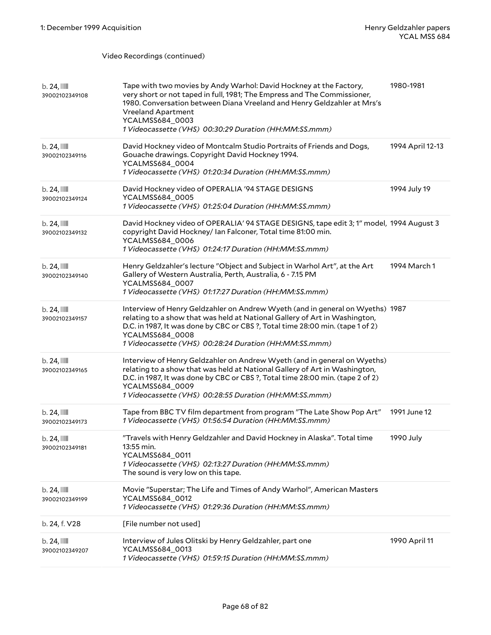| $b.24$ , $\blacksquare$<br>39002102349108 | Tape with two movies by Andy Warhol: David Hockney at the Factory,<br>very short or not taped in full, 1981; The Empress and The Commissioner,<br>1980. Conversation between Diana Vreeland and Henry Geldzahler at Mrs's<br><b>Vreeland Apartment</b><br>YCALMSS684_0003<br>1 Videocassette (VHS) 00:30:29 Duration (HH:MM:SS.mmm) | 1980-1981        |
|-------------------------------------------|-------------------------------------------------------------------------------------------------------------------------------------------------------------------------------------------------------------------------------------------------------------------------------------------------------------------------------------|------------------|
| $b.24$ , $\blacksquare$<br>39002102349116 | David Hockney video of Montcalm Studio Portraits of Friends and Dogs,<br>Gouache drawings. Copyright David Hockney 1994.<br>YCALMSS684_0004<br>1 Videocassette (VHS) 01:20:34 Duration (HH:MM:SS.mmm)                                                                                                                               | 1994 April 12-13 |
| b. 24,<br>39002102349124                  | David Hockney video of OPERALIA '94 STAGE DESIGNS<br>YCALMSS684_0005<br>1 Videocassette (VHS) 01:25:04 Duration (HH:MM:SS.mmm)                                                                                                                                                                                                      | 1994 July 19     |
| $b.24$ , $11$<br>39002102349132           | David Hockney video of OPERALIA' 94 STAGE DESIGNS, tape edit 3; 1" model, 1994 August 3<br>copyright David Hockney/ Ian Falconer, Total time 81:00 min.<br>YCALMSS684_0006<br>1 Videocassette (VHS) 01:24:17 Duration (HH:MM:SS.mmm)                                                                                                |                  |
| $b.24$ , $11$<br>39002102349140           | Henry Geldzahler's lecture "Object and Subject in Warhol Art", at the Art<br>Gallery of Western Australia, Perth, Australia, 6 - 7.15 PM<br>YCALMSS684_0007<br>1 Videocassette (VHS) 01:17:27 Duration (HH:MM:SS.mmm)                                                                                                               | 1994 March 1     |
| $b.24$ , $\blacksquare$<br>39002102349157 | Interview of Henry Geldzahler on Andrew Wyeth (and in general on Wyeths) 1987<br>relating to a show that was held at National Gallery of Art in Washington,<br>D.C. in 1987, It was done by CBC or CBS ?, Total time 28:00 min. (tape 1 of 2)<br>YCALMSS684_0008<br>1 Videocassette (VHS) 00:28:24 Duration (HH:MM:SS.mmm)          |                  |
| $b.24$ , $11$<br>39002102349165           | Interview of Henry Geldzahler on Andrew Wyeth (and in general on Wyeths)<br>relating to a show that was held at National Gallery of Art in Washington,<br>D.C. in 1987, It was done by CBC or CBS ?, Total time 28:00 min. (tape 2 of 2)<br>YCALMSS684_0009<br>1 Videocassette (VHS) 00:28:55 Duration (HH:MM:SS.mmm)               |                  |
| $b.24$ , $\blacksquare$<br>39002102349173 | Tape from BBC TV film department from program "The Late Show Pop Art"<br>1 Videocassette (VHS) 01:56:54 Duration (HH:MM:SS.mmm)                                                                                                                                                                                                     | 1991 June 12     |
| b. 24,<br>39002102349181                  | "Travels with Henry Geldzahler and David Hockney in Alaska". Total time<br>13:55 min.<br>YCALMSS684_0011<br>1 Videocassette (VHS) 02:13:27 Duration (HH:MM:SS.mmm)<br>The sound is very low on this tape.                                                                                                                           | 1990 July        |
| $b.24$ , $\blacksquare$<br>39002102349199 | Movie "Superstar; The Life and Times of Andy Warhol", American Masters<br>YCALMSS684_0012<br>1 Videocassette (VHS) 01:29:36 Duration (HH:MM:SS.mmm)                                                                                                                                                                                 |                  |
| b. 24, f. V28                             | [File number not used]                                                                                                                                                                                                                                                                                                              |                  |
| b. 24,<br>39002102349207                  | Interview of Jules Olitski by Henry Geldzahler, part one<br>YCALMSS684_0013<br>1 Videocassette (VHS) 01:59:15 Duration (HH:MM:SS.mmm)                                                                                                                                                                                               | 1990 April 11    |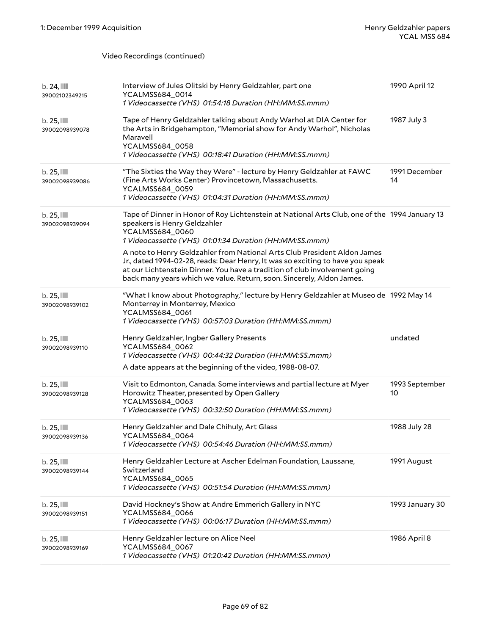| $b.24$ , $\blacksquare$<br>39002102349215 | Interview of Jules Olitski by Henry Geldzahler, part one<br>YCALMSS684_0014<br>1 Videocassette (VHS) 01:54:18 Duration (HH:MM:SS.mmm)                                                                                                                                                                                                                                                                                                                                                                                           | 1990 April 12        |
|-------------------------------------------|---------------------------------------------------------------------------------------------------------------------------------------------------------------------------------------------------------------------------------------------------------------------------------------------------------------------------------------------------------------------------------------------------------------------------------------------------------------------------------------------------------------------------------|----------------------|
| $b.25$ , $III$<br>39002098939078          | Tape of Henry Geldzahler talking about Andy Warhol at DIA Center for<br>the Arts in Bridgehampton, "Memorial show for Andy Warhol", Nicholas<br>Maravell<br>YCALMSS684_0058<br>1 Videocassette (VHS) 00:18:41 Duration (HH:MM:SS.mmm)                                                                                                                                                                                                                                                                                           | 1987 July 3          |
| $b.25$ , $III$<br>39002098939086          | "The Sixties the Way they Were" - lecture by Henry Geldzahler at FAWC<br>(Fine Arts Works Center) Provincetown, Massachusetts.<br>YCALMSS684_0059<br>1 Videocassette (VHS) 01:04:31 Duration (HH:MM:SS.mmm)                                                                                                                                                                                                                                                                                                                     | 1991 December<br>14  |
| $b.25$ , $III$<br>39002098939094          | Tape of Dinner in Honor of Roy Lichtenstein at National Arts Club, one of the 1994 January 13<br>speakers is Henry Geldzahler<br>YCALMSS684_0060<br>1 Videocassette (VHS) 01:01:34 Duration (HH:MM:SS.mmm)<br>A note to Henry Geldzahler from National Arts Club President Aldon James<br>Jr., dated 1994-02-28, reads: Dear Henry, It was so exciting to have you speak<br>at our Lichtenstein Dinner. You have a tradition of club involvement going<br>back many years which we value. Return, soon. Sincerely, Aldon James. |                      |
| $b.25$ , $III$<br>39002098939102          | "What I know about Photography," lecture by Henry Geldzahler at Museo de 1992 May 14<br>Monterrey in Monterrey, Mexico<br>YCALMSS684_0061<br>1 Videocassette (VHS) 00:57:03 Duration (HH:MM:SS.mmm)                                                                                                                                                                                                                                                                                                                             |                      |
| $b.25$ , $III$<br>39002098939110          | Henry Geldzahler, Ingber Gallery Presents<br>YCALMSS684_0062<br>1 Videocassette (VHS) 00:44:32 Duration (HH:MM:SS.mmm)<br>A date appears at the beginning of the video, 1988-08-07.                                                                                                                                                                                                                                                                                                                                             | undated              |
| $b.25$ , $III$<br>39002098939128          | Visit to Edmonton, Canada. Some interviews and partial lecture at Myer<br>Horowitz Theater, presented by Open Gallery<br>YCALMSS684_0063<br>1 Videocassette (VHS) 00:32:50 Duration (HH:MM:SS.mmm)                                                                                                                                                                                                                                                                                                                              | 1993 September<br>10 |
| $b.25$ , $\mathbb{I}$<br>39002098939136   | Henry Geldzahler and Dale Chihuly, Art Glass<br>YCALMSS684_0064<br>1 Videocassette (VHS) 00:54:46 Duration (HH:MM:SS.mmm)                                                                                                                                                                                                                                                                                                                                                                                                       | 1988 July 28         |
| $b.25$ , $III$<br>39002098939144          | Henry Geldzahler Lecture at Ascher Edelman Foundation, Laussane,<br>Switzerland<br>YCALMSS684_0065<br>1 Videocassette (VHS) 00:51:54 Duration (HH:MM:SS.mmm)                                                                                                                                                                                                                                                                                                                                                                    | 1991 August          |
| $b.25$ , $III$<br>39002098939151          | David Hockney's Show at Andre Emmerich Gallery in NYC<br>YCALMSS684_0066<br>1 Videocassette (VHS) 00:06:17 Duration (HH:MM:SS.mmm)                                                                                                                                                                                                                                                                                                                                                                                              | 1993 January 30      |
| $b.25$ , $III$<br>39002098939169          | Henry Geldzahler lecture on Alice Neel<br>YCALMSS684_0067<br>1 Videocassette (VHS) 01:20:42 Duration (HH:MM:SS.mmm)                                                                                                                                                                                                                                                                                                                                                                                                             | 1986 April 8         |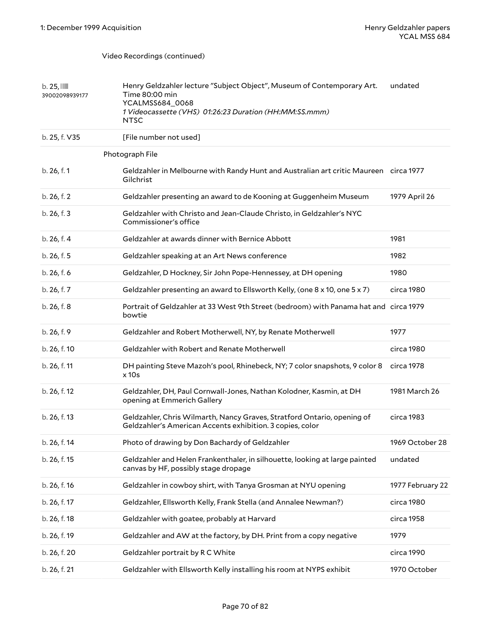| $b.25$ , $\mathbb{I}$<br>39002098939177 | Henry Geldzahler lecture "Subject Object", Museum of Contemporary Art.<br>Time 80:00 min<br>YCALMSS684_0068<br>1 Videocassette (VHS) 01:26:23 Duration (HH:MM:SS.mmm)<br><b>NTSC</b> | undated          |
|-----------------------------------------|--------------------------------------------------------------------------------------------------------------------------------------------------------------------------------------|------------------|
| b. 25, f. V35                           | [File number not used]                                                                                                                                                               |                  |
|                                         | Photograph File                                                                                                                                                                      |                  |
| b. 26, f. 1                             | Geldzahler in Melbourne with Randy Hunt and Australian art critic Maureen circa 1977<br>Gilchrist                                                                                    |                  |
| b. 26, f. 2                             | Geldzahler presenting an award to de Kooning at Guggenheim Museum                                                                                                                    | 1979 April 26    |
| b. 26, f. 3                             | Geldzahler with Christo and Jean-Claude Christo, in Geldzahler's NYC<br>Commissioner's office                                                                                        |                  |
| b. 26, f. 4                             | Geldzahler at awards dinner with Bernice Abbott                                                                                                                                      | 1981             |
| b. 26, f. 5                             | Geldzahler speaking at an Art News conference                                                                                                                                        | 1982             |
| b. 26, f. 6                             | Geldzahler, D Hockney, Sir John Pope-Hennessey, at DH opening                                                                                                                        | 1980             |
| b. 26, f. 7                             | Geldzahler presenting an award to Ellsworth Kelly, (one 8 x 10, one 5 x 7)                                                                                                           | circa 1980       |
| b. 26, f. 8                             | Portrait of Geldzahler at 33 West 9th Street (bedroom) with Panama hat and circa 1979<br>bowtie                                                                                      |                  |
| b. 26, f. 9                             | Geldzahler and Robert Motherwell, NY, by Renate Motherwell                                                                                                                           | 1977             |
| b. 26, f. 10                            | Geldzahler with Robert and Renate Motherwell                                                                                                                                         | circa 1980       |
| b. 26, f. 11                            | DH painting Steve Mazoh's pool, Rhinebeck, NY; 7 color snapshots, 9 color 8<br>$x$ 10s                                                                                               | circa 1978       |
| b. 26, f. 12                            | Geldzahler, DH, Paul Cornwall-Jones, Nathan Kolodner, Kasmin, at DH<br>opening at Emmerich Gallery                                                                                   | 1981 March 26    |
| b. 26, f. 13                            | Geldzahler, Chris Wilmarth, Nancy Graves, Stratford Ontario, opening of<br>Geldzahler's American Accents exhibition. 3 copies, color                                                 | circa 1983       |
| b. 26, f. 14                            | Photo of drawing by Don Bachardy of Geldzahler                                                                                                                                       | 1969 October 28  |
| b. 26, f. 15                            | Geldzahler and Helen Frankenthaler, in silhouette, looking at large painted<br>canvas by HF, possibly stage dropage                                                                  | undated          |
| b. 26, f. 16                            | Geldzahler in cowboy shirt, with Tanya Grosman at NYU opening                                                                                                                        | 1977 February 22 |
| b. 26, f. 17                            | Geldzahler, Ellsworth Kelly, Frank Stella (and Annalee Newman?)                                                                                                                      | circa 1980       |
| b. 26, f. 18                            | Geldzahler with goatee, probably at Harvard                                                                                                                                          | circa 1958       |
| b. 26, f. 19                            | Geldzahler and AW at the factory, by DH. Print from a copy negative                                                                                                                  | 1979             |
| b. 26, f. 20                            | Geldzahler portrait by RC White                                                                                                                                                      | circa 1990       |
| b. 26, f. 21                            | Geldzahler with Ellsworth Kelly installing his room at NYPS exhibit                                                                                                                  | 1970 October     |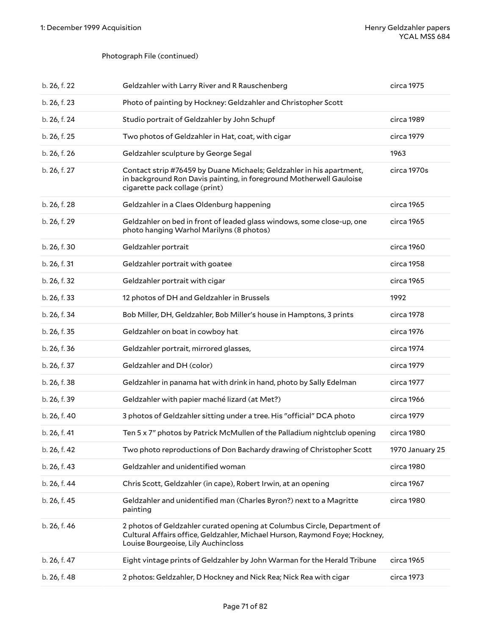# Photograph File (continued)

| b. 26, f. 22 | Geldzahler with Larry River and R Rauschenberg                                                                                                                                                 | circa 1975      |
|--------------|------------------------------------------------------------------------------------------------------------------------------------------------------------------------------------------------|-----------------|
| b. 26, f. 23 | Photo of painting by Hockney: Geldzahler and Christopher Scott                                                                                                                                 |                 |
| b. 26, f. 24 | Studio portrait of Geldzahler by John Schupf                                                                                                                                                   | circa 1989      |
| b. 26, f. 25 | Two photos of Geldzahler in Hat, coat, with cigar                                                                                                                                              | circa 1979      |
| b. 26, f. 26 | Geldzahler sculpture by George Segal                                                                                                                                                           | 1963            |
| b. 26, f. 27 | Contact strip #76459 by Duane Michaels; Geldzahler in his apartment,<br>in background Ron Davis painting, in foreground Motherwell Gauloise<br>cigarette pack collage (print)                  | circa 1970s     |
| b. 26, f. 28 | Geldzahler in a Claes Oldenburg happening                                                                                                                                                      | circa 1965      |
| b. 26, f. 29 | Geldzahler on bed in front of leaded glass windows, some close-up, one<br>photo hanging Warhol Marilyns (8 photos)                                                                             | circa 1965      |
| b. 26, f. 30 | Geldzahler portrait                                                                                                                                                                            | circa 1960      |
| b. 26, f. 31 | Geldzahler portrait with goatee                                                                                                                                                                | circa 1958      |
| b. 26, f. 32 | Geldzahler portrait with cigar                                                                                                                                                                 | circa 1965      |
| b. 26, f. 33 | 12 photos of DH and Geldzahler in Brussels                                                                                                                                                     | 1992            |
| b. 26, f. 34 | Bob Miller, DH, Geldzahler, Bob Miller's house in Hamptons, 3 prints                                                                                                                           | circa 1978      |
| b. 26, f. 35 | Geldzahler on boat in cowboy hat                                                                                                                                                               | circa 1976      |
| b. 26, f. 36 | Geldzahler portrait, mirrored glasses,                                                                                                                                                         | circa 1974      |
| b. 26, f. 37 | Geldzahler and DH (color)                                                                                                                                                                      | circa 1979      |
| b. 26, f. 38 | Geldzahler in panama hat with drink in hand, photo by Sally Edelman                                                                                                                            | circa 1977      |
| b. 26, f. 39 | Geldzahler with papier maché lizard (at Met?)                                                                                                                                                  | circa 1966      |
| b. 26, f. 40 | 3 photos of Geldzahler sitting under a tree. His "official" DCA photo                                                                                                                          | circa 1979      |
| b. 26, f. 41 | Ten 5 x 7" photos by Patrick McMullen of the Palladium nightclub opening                                                                                                                       | circa 1980      |
| b. 26, f. 42 | Two photo reproductions of Don Bachardy drawing of Christopher Scott                                                                                                                           | 1970 January 25 |
| b. 26, f. 43 | Geldzahler and unidentified woman                                                                                                                                                              | circa 1980      |
| b. 26, f. 44 | Chris Scott, Geldzahler (in cape), Robert Irwin, at an opening                                                                                                                                 | circa 1967      |
| b. 26, f. 45 | Geldzahler and unidentified man (Charles Byron?) next to a Magritte<br>painting                                                                                                                | circa 1980      |
| b. 26, f. 46 | 2 photos of Geldzahler curated opening at Columbus Circle, Department of<br>Cultural Affairs office, Geldzahler, Michael Hurson, Raymond Foye; Hockney,<br>Louise Bourgeoise, Lily Auchincloss |                 |
| b. 26, f. 47 | Eight vintage prints of Geldzahler by John Warman for the Herald Tribune                                                                                                                       | circa 1965      |
| b. 26, f. 48 | 2 photos: Geldzahler, D Hockney and Nick Rea; Nick Rea with cigar                                                                                                                              | circa 1973      |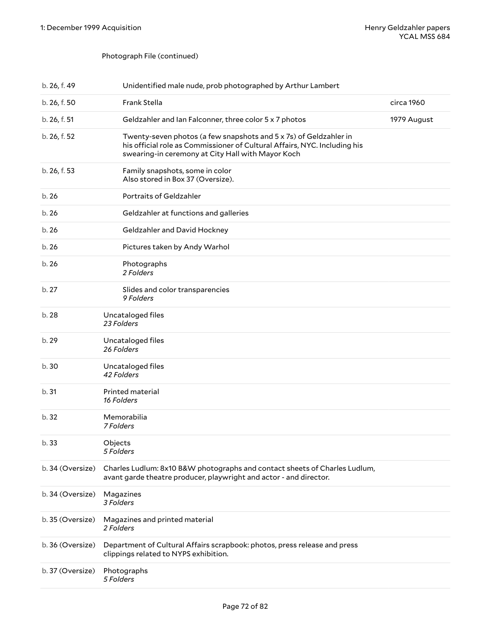# Photograph File (continued)

| b. 26, f. 49     | Unidentified male nude, prob photographed by Arthur Lambert                                                                                                                                         |             |
|------------------|-----------------------------------------------------------------------------------------------------------------------------------------------------------------------------------------------------|-------------|
| b. 26, f. 50     | Frank Stella                                                                                                                                                                                        | circa 1960  |
| b. 26, f. 51     | Geldzahler and Ian Falconner, three color 5 x 7 photos                                                                                                                                              | 1979 August |
| b. 26, f. 52     | Twenty-seven photos (a few snapshots and 5 x 7s) of Geldzahler in<br>his official role as Commissioner of Cultural Affairs, NYC. Including his<br>swearing-in ceremony at City Hall with Mayor Koch |             |
| b. 26, f. 53     | Family snapshots, some in color<br>Also stored in Box 37 (Oversize).                                                                                                                                |             |
| b.26             | Portraits of Geldzahler                                                                                                                                                                             |             |
| b.26             | Geldzahler at functions and galleries                                                                                                                                                               |             |
| b.26             | Geldzahler and David Hockney                                                                                                                                                                        |             |
| b.26             | Pictures taken by Andy Warhol                                                                                                                                                                       |             |
| b.26             | Photographs<br>2 Folders                                                                                                                                                                            |             |
| b.27             | Slides and color transparencies<br>9 Folders                                                                                                                                                        |             |
| b.28             | Uncataloged files<br>23 Folders                                                                                                                                                                     |             |
| b. 29            | Uncataloged files<br>26 Folders                                                                                                                                                                     |             |
| b.30             | Uncataloged files<br>42 Folders                                                                                                                                                                     |             |
| b.31             | Printed material<br>16 Folders                                                                                                                                                                      |             |
| b. 32            | Memorabilia<br>7 Folders                                                                                                                                                                            |             |
| b. 33            | Objects<br>5 Folders                                                                                                                                                                                |             |
| b. 34 (Oversize) | Charles Ludlum: 8x10 B&W photographs and contact sheets of Charles Ludlum,<br>avant garde theatre producer, playwright and actor - and director.                                                    |             |
| b. 34 (Oversize) | Magazines<br>3 Folders                                                                                                                                                                              |             |
| b. 35 (Oversize) | Magazines and printed material<br>2 Folders                                                                                                                                                         |             |
| b. 36 (Oversize) | Department of Cultural Affairs scrapbook: photos, press release and press<br>clippings related to NYPS exhibition.                                                                                  |             |
| b. 37 (Oversize) | Photographs<br>5 Folders                                                                                                                                                                            |             |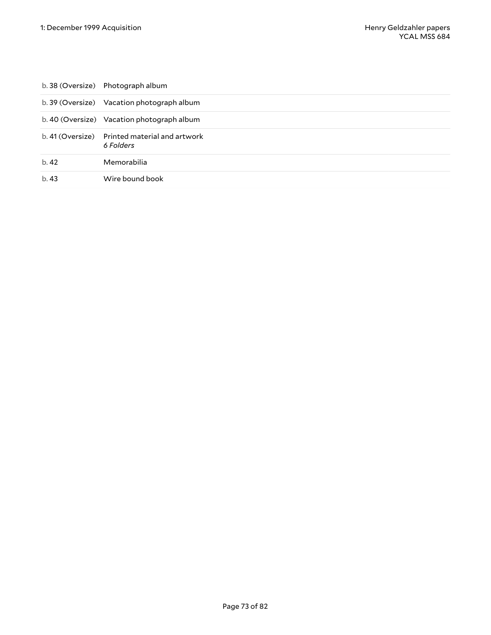|      | b. 38 (Oversize) Photograph album                          |
|------|------------------------------------------------------------|
|      | b. 39 (Oversize) Vacation photograph album                 |
|      | b. 40 (Oversize) Vacation photograph album                 |
|      | b. 41 (Oversize) Printed material and artwork<br>6 Folders |
| b.42 | Memorabilia                                                |
| b.43 | Wire bound book                                            |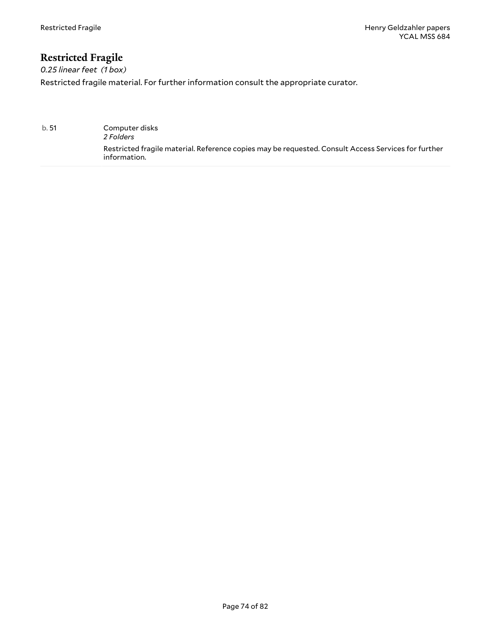# **Restricted Fragile**

*0.25 linear feet (1 box)* Restricted fragile material. For further information consult the appropriate curator.

b. 51 Computer disks *2 Folders* Restricted fragile material. Reference copies may be requested. Consult Access Services for further information.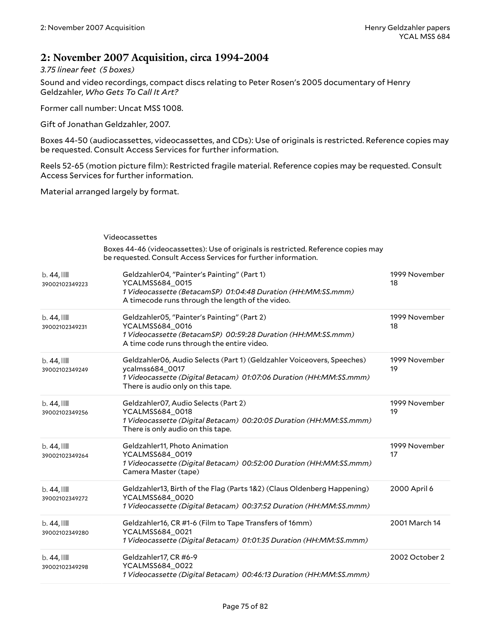## **2: November 2007 Acquisition, circa 1994-2004**

*3.75 linear feet (5 boxes)*

Sound and video recordings, compact discs relating to Peter Rosen's 2005 documentary of Henry Geldzahler, *Who Gets To Call It Art?*

Former call number: Uncat MSS 1008.

Gift of Jonathan Geldzahler, 2007.

Boxes 44-50 (audiocassettes, videocassettes, and CDs): Use of originals is restricted. Reference copies may be requested. Consult Access Services for further information.

Reels 52-65 (motion picture film): Restricted fragile material. Reference copies may be requested. Consult Access Services for further information.

Material arranged largely by format.

#### Videocassettes

Boxes 44-46 (videocassettes): Use of originals is restricted. Reference copies may be requested. Consult Access Services for further information.

| $b.44$ , $\blacksquare$<br>39002102349223 | Geldzahler04, "Painter's Painting" (Part 1)<br>YCALMSS684_0015<br>1 Videocassette (BetacamSP) 01:04:48 Duration (HH:MM:SS.mmm)<br>A timecode runs through the length of the video.                   | 1999 November<br>18 |
|-------------------------------------------|------------------------------------------------------------------------------------------------------------------------------------------------------------------------------------------------------|---------------------|
| $b.44$ , $III$<br>39002102349231          | Geldzahler05, "Painter's Painting" (Part 2)<br>YCALMSS684_0016<br>1 Videocassette (BetacamSP) 00:59:28 Duration (HH:MM:SS.mmm)<br>A time code runs through the entire video.                         | 1999 November<br>18 |
| $b.44$ , $III$<br>39002102349249          | Geldzahler06, Audio Selects (Part 1) (Geldzahler Voiceovers, Speeches)<br>ycalmss684_0017<br>1 Videocassette (Digital Betacam) 01:07:06 Duration (HH:MM:SS.mmm)<br>There is audio only on this tape. | 1999 November<br>19 |
| $b.44$ , $\blacksquare$<br>39002102349256 | Geldzahler07, Audio Selects (Part 2)<br>YCALMSS684_0018<br>1 Videocassette (Digital Betacam) 00:20:05 Duration (HH:MM:SS.mmm)<br>There is only audio on this tape.                                   | 1999 November<br>19 |
| $b.44$ , $III$<br>39002102349264          | Geldzahler11, Photo Animation<br>YCALMSS684_0019<br>1 Videocassette (Digital Betacam) 00:52:00 Duration (HH:MM:SS.mmm)<br>Camera Master (tape)                                                       | 1999 November<br>17 |
| $b.44$ , $\blacksquare$<br>39002102349272 | Geldzahler13, Birth of the Flag (Parts 1&2) (Claus Oldenberg Happening)<br>YCALMSS684_0020<br>1 Videocassette (Digital Betacam) 00:37:52 Duration (HH:MM:SS.mmm)                                     | 2000 April 6        |
| $b.44$ , $III$<br>39002102349280          | Geldzahler16, CR #1-6 (Film to Tape Transfers of 16mm)<br>YCALMSS684_0021<br>1 Videocassette (Digital Betacam) 01:01:35 Duration (HH:MM:SS.mmm)                                                      | 2001 March 14       |
| $b.44$ , $\blacksquare$<br>39002102349298 | Geldzahler17, CR #6-9<br>YCALMSS684_0022<br>1 Videocassette (Digital Betacam) 00:46:13 Duration (HH:MM:SS.mmm)                                                                                       | 2002 October 2      |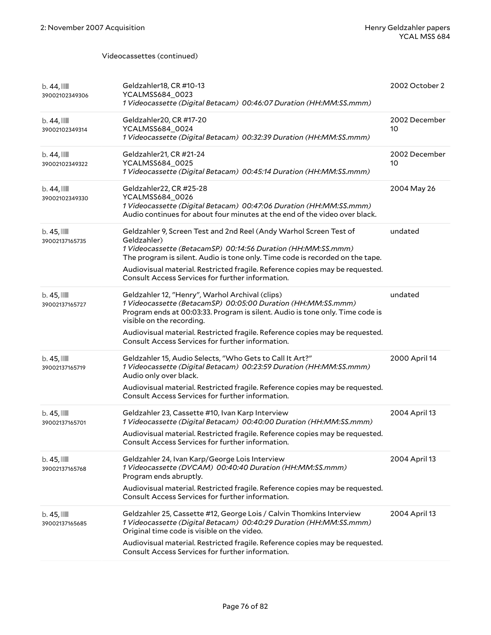#### Videocassettes (continued)

| $b.44$ , $\blacksquare$<br>39002102349306 | Geldzahler18, CR #10-13<br>YCALMSS684_0023<br>1 Videocassette (Digital Betacam) 00:46:07 Duration (HH:MM:SS.mmm)                                                                                                                                                                                                                                                       | 2002 October 2      |
|-------------------------------------------|------------------------------------------------------------------------------------------------------------------------------------------------------------------------------------------------------------------------------------------------------------------------------------------------------------------------------------------------------------------------|---------------------|
| $b.44$ ,<br>39002102349314                | Geldzahler20, CR #17-20<br>YCALMSS684_0024<br>1 Videocassette (Digital Betacam) 00:32:39 Duration (HH:MM:SS.mmm)                                                                                                                                                                                                                                                       | 2002 December<br>10 |
| $b.44$ , $\blacksquare$<br>39002102349322 | Geldzahler21, CR #21-24<br>YCALMSS684_0025<br>1 Videocassette (Digital Betacam) 00:45:14 Duration (HH:MM:SS.mmm)                                                                                                                                                                                                                                                       | 2002 December<br>10 |
| $b.44$ ,<br>39002102349330                | Geldzahler22, CR #25-28<br>YCALMSS684_0026<br>1 Videocassette (Digital Betacam) 00:47:06 Duration (HH:MM:SS.mmm)<br>Audio continues for about four minutes at the end of the video over black.                                                                                                                                                                         | 2004 May 26         |
| $b.45$ , $III$<br>39002137165735          | Geldzahler 9, Screen Test and 2nd Reel (Andy Warhol Screen Test of<br>Geldzahler)<br>1 Videocassette (BetacamSP) 00:14:56 Duration (HH:MM:SS.mmm)<br>The program is silent. Audio is tone only. Time code is recorded on the tape.<br>Audiovisual material. Restricted fragile. Reference copies may be requested.<br>Consult Access Services for further information. | undated             |
| $b.45$ , $III$<br>39002137165727          | Geldzahler 12, "Henry", Warhol Archival (clips)<br>1 Videocassette (BetacamSP) 00:05:00 Duration (HH:MM:SS.mmm)<br>Program ends at 00:03:33. Program is silent. Audio is tone only. Time code is<br>visible on the recording.<br>Audiovisual material. Restricted fragile. Reference copies may be requested.<br>Consult Access Services for further information.      | undated             |
| $b.45$ , $III$<br>39002137165719          | Geldzahler 15, Audio Selects, "Who Gets to Call It Art?"<br>1 Videocassette (Digital Betacam) 00:23:59 Duration (HH:MM:SS.mmm)<br>Audio only over black.<br>Audiovisual material. Restricted fragile. Reference copies may be requested.<br>Consult Access Services for further information.                                                                           | 2000 April 14       |
| $b.45$ , $III$<br>39002137165701          | Geldzahler 23, Cassette #10, Ivan Karp Interview<br>1 Videocassette (Digital Betacam) 00:40:00 Duration (HH:MM:SS.mmm)<br>Audiovisual material. Restricted fragile. Reference copies may be requested.<br>Consult Access Services for further information.                                                                                                             | 2004 April 13       |
| $b.45$ , $III$<br>39002137165768          | Geldzahler 24, Ivan Karp/George Lois Interview<br>1 Videocassette (DVCAM) 00:40:40 Duration (HH:MM:SS.mmm)<br>Program ends abruptly.<br>Audiovisual material. Restricted fragile. Reference copies may be requested.<br>Consult Access Services for further information.                                                                                               | 2004 April 13       |
| $b.45$ , $III$<br>39002137165685          | Geldzahler 25, Cassette #12, George Lois / Calvin Thomkins Interview<br>1 Videocassette (Digital Betacam) 00:40:29 Duration (HH:MM:SS.mmm)<br>Original time code is visible on the video.<br>Audiovisual material. Restricted fragile. Reference copies may be requested.<br>Consult Access Services for further information.                                          | 2004 April 13       |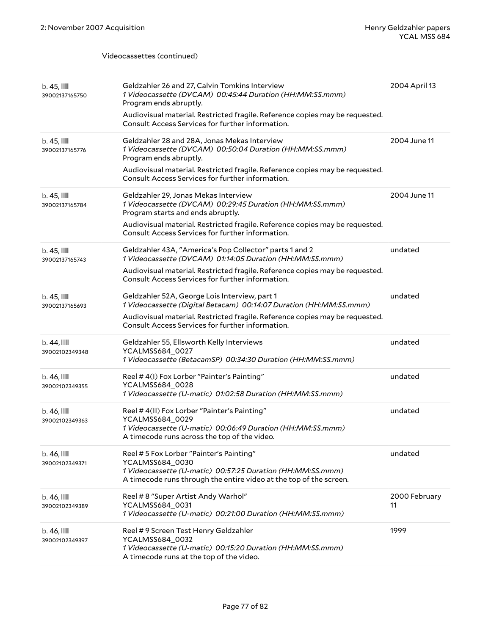#### Videocassettes (continued)

| $b.45$ , $111$<br>39002137165750          | Geldzahler 26 and 27, Calvin Tomkins Interview<br>1 Videocassette (DVCAM) 00:45:44 Duration (HH:MM:SS.mmm)<br>Program ends abruptly.<br>Audiovisual material. Restricted fragile. Reference copies may be requested.<br>Consult Access Services for further information.  | 2004 April 13       |
|-------------------------------------------|---------------------------------------------------------------------------------------------------------------------------------------------------------------------------------------------------------------------------------------------------------------------------|---------------------|
| $b.45$ , $III$<br>39002137165776          | Geldzahler 28 and 28A, Jonas Mekas Interview<br>1 Videocassette (DVCAM) 00:50:04 Duration (HH:MM:SS.mmm)<br>Program ends abruptly.<br>Audiovisual material. Restricted fragile. Reference copies may be requested.<br>Consult Access Services for further information.    | 2004 June 11        |
| $b.45$ , $III$<br>39002137165784          | Geldzahler 29, Jonas Mekas Interview<br>1 Videocassette (DVCAM) 00:29:45 Duration (HH:MM:SS.mmm)<br>Program starts and ends abruptly.<br>Audiovisual material. Restricted fragile. Reference copies may be requested.<br>Consult Access Services for further information. | 2004 June 11        |
| $b.45$ , $111$<br>39002137165743          | Geldzahler 43A, "America's Pop Collector" parts 1 and 2<br>1 Videocassette (DVCAM) 01:14:05 Duration (HH:MM:SS.mmm)<br>Audiovisual material. Restricted fragile. Reference copies may be requested.<br>Consult Access Services for further information.                   | undated             |
| $b.45$ , $11$<br>39002137165693           | Geldzahler 52A, George Lois Interview, part 1<br>1 Videocassette (Digital Betacam) 00:14:07 Duration (HH:MM:SS.mmm)<br>Audiovisual material. Restricted fragile. Reference copies may be requested.<br>Consult Access Services for further information.                   | undated             |
| $b.44$ , $\blacksquare$<br>39002102349348 | Geldzahler 55, Ellsworth Kelly Interviews<br>YCALMSS684_0027<br>1 Videocassette (BetacamSP) 00:34:30 Duration (HH:MM:SS.mmm)                                                                                                                                              | undated             |
| $b.46$ , $\blacksquare$<br>39002102349355 | Reel #4(I) Fox Lorber "Painter's Painting"<br>YCALMSS684_0028<br>1 Videocassette (U-matic) 01:02:58 Duration (HH:MM:SS.mmm)                                                                                                                                               | undated             |
| b. 46, III<br>39002102349363              | Reel # 4(II) Fox Lorber "Painter's Painting"<br>YCALMSS684_0029<br>1 Videocassette (U-matic) 00:06:49 Duration (HH:MM:SS.mmm)<br>A timecode runs across the top of the video.                                                                                             | undated             |
| b. 46, III<br>39002102349371              | Reel # 5 Fox Lorber "Painter's Painting"<br>YCALMSS684_0030<br>1 Videocassette (U-matic) 00:57:25 Duration (HH:MM:SS.mmm)<br>A timecode runs through the entire video at the top of the screen.                                                                           | undated             |
| $b.46$ , $\blacksquare$<br>39002102349389 | Reel #8 "Super Artist Andy Warhol"<br>YCALMSS684_0031<br>1 Videocassette (U-matic) 00:21:00 Duration (HH:MM:SS.mmm)                                                                                                                                                       | 2000 February<br>11 |
| $b.46$ , $\blacksquare$<br>39002102349397 | Reel #9 Screen Test Henry Geldzahler<br>YCALMSS684_0032<br>1 Videocassette (U-matic) 00:15:20 Duration (HH:MM:SS.mmm)<br>A timecode runs at the top of the video.                                                                                                         | 1999                |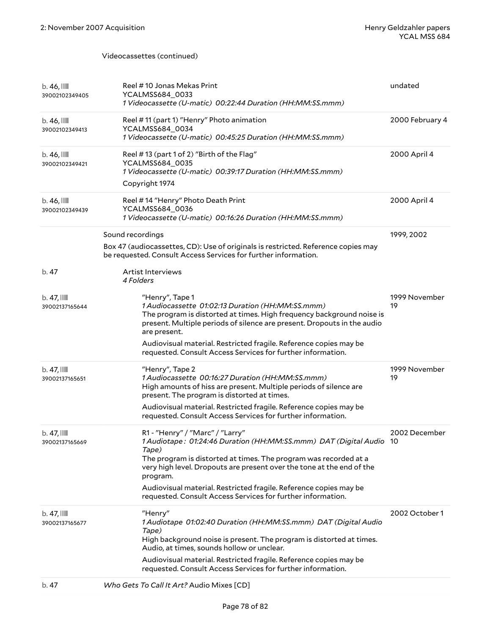#### Videocassettes (continued)

| $b.46$ , $\blacksquare$<br>39002102349405 | Reel #10 Jonas Mekas Print<br>YCALMSS684_0033<br>1 Videocassette (U-matic) 00:22:44 Duration (HH:MM:SS.mmm)                                                                                                                                                                                                                                                                                                  | undated             |
|-------------------------------------------|--------------------------------------------------------------------------------------------------------------------------------------------------------------------------------------------------------------------------------------------------------------------------------------------------------------------------------------------------------------------------------------------------------------|---------------------|
| $b.46$ , $\blacksquare$<br>39002102349413 | Reel #11 (part 1) "Henry" Photo animation<br>YCALMSS684_0034<br>1 Videocassette (U-matic) 00:45:25 Duration (HH:MM:SS.mmm)                                                                                                                                                                                                                                                                                   | 2000 February 4     |
| $b.46$ , $\blacksquare$<br>39002102349421 | Reel #13 (part 1 of 2) "Birth of the Flag"<br>YCALMSS684_0035<br>1 Videocassette (U-matic) 00:39:17 Duration (HH:MM:SS.mmm)<br>Copyright 1974                                                                                                                                                                                                                                                                | 2000 April 4        |
| $b.46$ , $\blacksquare$<br>39002102349439 | Reel #14 "Henry" Photo Death Print<br>YCALMSS684_0036<br>1 Videocassette (U-matic) 00:16:26 Duration (HH:MM:SS.mmm)                                                                                                                                                                                                                                                                                          | 2000 April 4        |
| b. 47                                     | Sound recordings<br>Box 47 (audiocassettes, CD): Use of originals is restricted. Reference copies may<br>be requested. Consult Access Services for further information.<br>Artist Interviews<br>4 Folders                                                                                                                                                                                                    | 1999, 2002          |
| $b.47$ , $\blacksquare$<br>39002137165644 | "Henry", Tape 1<br>1 Audiocassette 01:02:13 Duration (HH:MM:SS.mmm)<br>The program is distorted at times. High frequency background noise is<br>present. Multiple periods of silence are present. Dropouts in the audio<br>are present.<br>Audiovisual material. Restricted fragile. Reference copies may be<br>requested. Consult Access Services for further information.                                  | 1999 November<br>19 |
| $b.47$ , $III$<br>39002137165651          | "Henry", Tape 2<br>1 Audiocassette 00:16:27 Duration (HH:MM:SS.mmm)<br>High amounts of hiss are present. Multiple periods of silence are<br>present. The program is distorted at times.<br>Audiovisual material. Restricted fragile. Reference copies may be<br>requested. Consult Access Services for further information.                                                                                  | 1999 November<br>19 |
| $b.47$ , $\blacksquare$<br>39002137165669 | R1 - "Henry" / "Marc" / "Larry"<br>1 Audiotape: 01:24:46 Duration (HH:MM:SS.mmm) DAT (Digital Audio 10<br>Tape)<br>The program is distorted at times. The program was recorded at a<br>very high level. Dropouts are present over the tone at the end of the<br>program.<br>Audiovisual material. Restricted fragile. Reference copies may be<br>requested. Consult Access Services for further information. | 2002 December       |
| $b.47$ , $III$<br>39002137165677          | "Henry"<br>1 Audiotape 01:02:40 Duration (HH:MM:SS.mmm) DAT (Digital Audio<br>Tape)<br>High background noise is present. The program is distorted at times.<br>Audio, at times, sounds hollow or unclear.                                                                                                                                                                                                    | 2002 October 1      |
| b. 47                                     | Audiovisual material. Restricted fragile. Reference copies may be<br>requested. Consult Access Services for further information.<br>Who Gets To Call It Art? Audio Mixes [CD]                                                                                                                                                                                                                                |                     |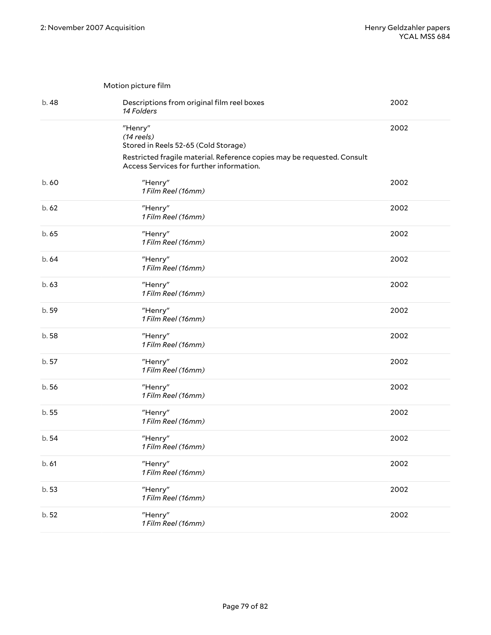|       | Motion picture film                                                                                                 |      |
|-------|---------------------------------------------------------------------------------------------------------------------|------|
| b. 48 | Descriptions from original film reel boxes<br>14 Folders                                                            | 2002 |
|       | "Henry"<br>$(14$ reels)<br>Stored in Reels 52-65 (Cold Storage)                                                     | 2002 |
|       | Restricted fragile material. Reference copies may be requested. Consult<br>Access Services for further information. |      |
| b.60  | "Henry"<br>1 Film Reel (16mm)                                                                                       | 2002 |
| b.62  | "Henry"<br>1 Film Reel (16mm)                                                                                       | 2002 |
| b.65  | "Henry"<br>1 Film Reel (16mm)                                                                                       | 2002 |
| b.64  | "Henry"<br>1 Film Reel (16mm)                                                                                       | 2002 |
| b.63  | "Henry"<br>1 Film Reel (16mm)                                                                                       | 2002 |
| b. 59 | "Henry"<br>1 Film Reel (16mm)                                                                                       | 2002 |
| b.58  | "Henry"<br>1 Film Reel (16mm)                                                                                       | 2002 |
| b. 57 | "Henry"<br>1 Film Reel (16mm)                                                                                       | 2002 |
| b.56  | "Henry"<br>1 Film Reel (16mm)                                                                                       | 2002 |
| b.55  | "Henry"<br>1 Film Reel (16mm)                                                                                       | 2002 |
| b.54  | "Henry"<br>1 Film Reel (16mm)                                                                                       | 2002 |
| b.61  | "Henry"<br>1 Film Reel (16mm)                                                                                       | 2002 |
| b.53  | "Henry"<br>1 Film Reel (16mm)                                                                                       | 2002 |
| b. 52 | "Henry"<br>1 Film Reel (16mm)                                                                                       | 2002 |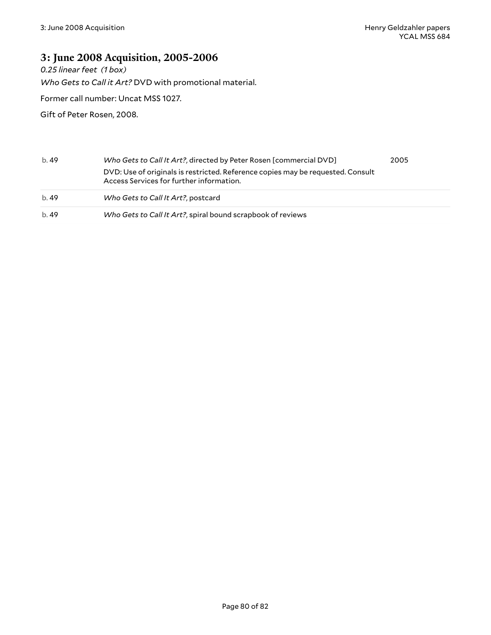## **3: June 2008 Acquisition, 2005-2006**

*0.25 linear feet (1 box)*

*Who Gets to Call it Art?* DVD with promotional material.

Former call number: Uncat MSS 1027.

Gift of Peter Rosen, 2008.

| b.49 | Who Gets to Call It Art?, directed by Peter Rosen [commercial DVD]                                                          | 2005 |
|------|-----------------------------------------------------------------------------------------------------------------------------|------|
|      | DVD: Use of originals is restricted. Reference copies may be requested. Consult<br>Access Services for further information. |      |
| b.49 | Who Gets to Call It Art?, postcard                                                                                          |      |
| b.49 | Who Gets to Call It Art?, spiral bound scrapbook of reviews                                                                 |      |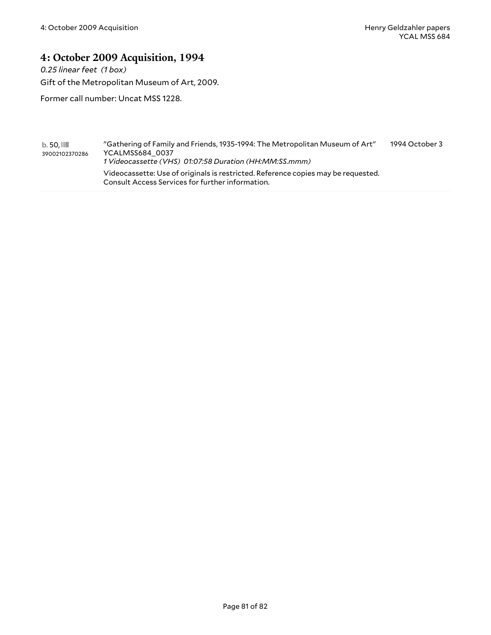## **4: October 2009 Acquisition, 1994**

*0.25 linear feet (1 box)*

Gift of the Metropolitan Museum of Art, 2009.

Former call number: Uncat MSS 1228.

b. 50, 39002102370286 "Gathering of Family and Friends, 1935-1994: The Metropolitan Museum of Art" YCALMSS684\_0037 *1 Videocassette (VHS) 01:07:58 Duration (HH:MM:SS.mmm)* Videocassette: Use of originals is restricted. Reference copies may be requested. Consult Access Services for further information. 1994 October 3